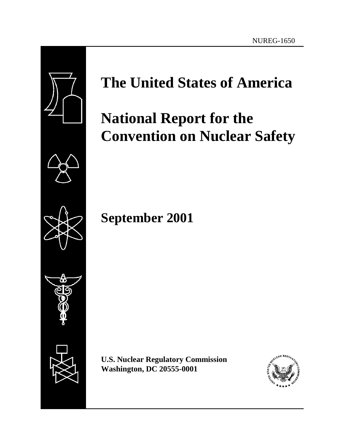

# **The United States of America**

# **National Report for the Convention on Nuclear Safety**

**September 2001**

I

**U.S. Nuclear Regulatory Commission Washington, DC 20555-0001**

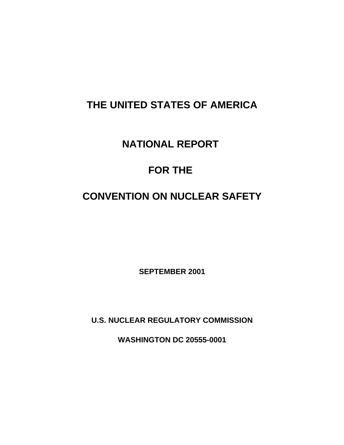# **THE UNITED STATES OF AMERICA**

# **NATIONAL REPORT**

# **FOR THE**

# **CONVENTION ON NUCLEAR SAFETY**

**SEPTEMBER 2001**

**U.S. NUCLEAR REGULATORY COMMISSION**

**WASHINGTON DC 20555-0001**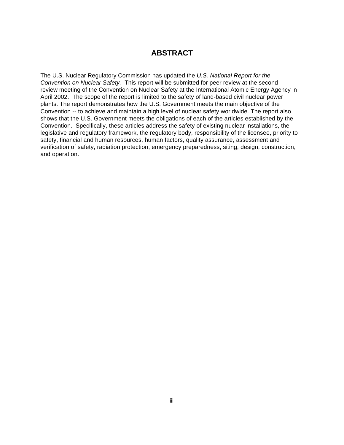# **ABSTRACT**

The U.S. Nuclear Regulatory Commission has updated the *U.S. National Report for the Convention on Nuclear Safety.* This report will be submitted for peer review at the second review meeting of the Convention on Nuclear Safety at the International Atomic Energy Agency in April 2002. The scope of the report is limited to the safety of land-based civil nuclear power plants. The report demonstrates how the U.S. Government meets the main objective of the Convention -- to achieve and maintain a high level of nuclear safety worldwide. The report also shows that the U.S. Government meets the obligations of each of the articles established by the Convention. Specifically, these articles address the safety of existing nuclear installations, the legislative and regulatory framework, the regulatory body, responsibility of the licensee, priority to safety, financial and human resources, human factors, quality assurance, assessment and verification of safety, radiation protection, emergency preparedness, siting, design, construction, and operation.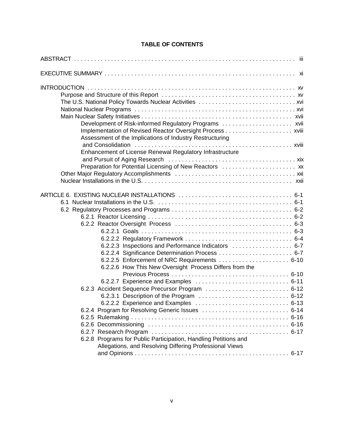# **TABLE OF CONTENTS**

| Assessment of the Implications of Industry Restructuring<br>Enhancement of License Renewal Regulatory Infrastructure<br>Preparation for Potential Licensing of New Reactors  xx                            |  |
|------------------------------------------------------------------------------------------------------------------------------------------------------------------------------------------------------------|--|
| 6.2.2.3 Inspections and Performance Indicators  6-7<br>6.2.2.4 Significance Determination Process  6-7<br>6.2.2.6 How This New Oversight Process Differs from the<br>6.2.2.2 Experience and Examples  6-13 |  |
| 6.2.8 Programs for Public Participation, Handling Petitions and<br>Allegations, and Resolving Differing Professional Views                                                                                 |  |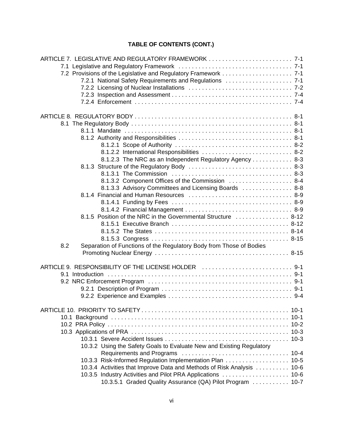# **TABLE OF CONTENTS (CONT.)**

| ARTICLE 7. LEGISLATIVE AND REGULATORY FRAMEWORK  7-1                       |        |
|----------------------------------------------------------------------------|--------|
|                                                                            |        |
|                                                                            |        |
| 7.2.1 National Safety Requirements and Regulations  7-1                    |        |
|                                                                            |        |
|                                                                            |        |
|                                                                            |        |
|                                                                            |        |
|                                                                            |        |
|                                                                            |        |
|                                                                            |        |
|                                                                            |        |
| 8.1.2.2 International Responsibilities  8-2                                |        |
| 8.1.2.3 The NRC as an Independent Regulatory Agency 8-3                    |        |
|                                                                            |        |
|                                                                            |        |
| 8.1.3.2 Component Offices of the Commission  8-4                           |        |
| 8.1.3.3 Advisory Committees and Licensing Boards  8-8                      |        |
|                                                                            |        |
|                                                                            |        |
|                                                                            |        |
| 8.1.5 Position of the NRC in the Governmental Structure  8-12              |        |
|                                                                            |        |
|                                                                            |        |
|                                                                            |        |
| 8.2<br>Separation of Functions of the Regulatory Body from Those of Bodies |        |
|                                                                            |        |
|                                                                            |        |
| ARTICLE 9. RESPONSIBILITY OF THE LICENSE HOLDER  9-1                       |        |
|                                                                            |        |
|                                                                            |        |
|                                                                            |        |
|                                                                            |        |
|                                                                            | $10-1$ |
|                                                                            | $10-1$ |
|                                                                            |        |
|                                                                            |        |
|                                                                            |        |
| 10.3.2 Using the Safety Goals to Evaluate New and Existing Regulatory      |        |
|                                                                            |        |
| 10.3.3 Risk-Informed Regulation Implementation Plan 10-5                   |        |
| 10.3.4 Activities that Improve Data and Methods of Risk Analysis  10-6     |        |
|                                                                            |        |
| 10.3.5.1 Graded Quality Assurance (QA) Pilot Program  10-7                 |        |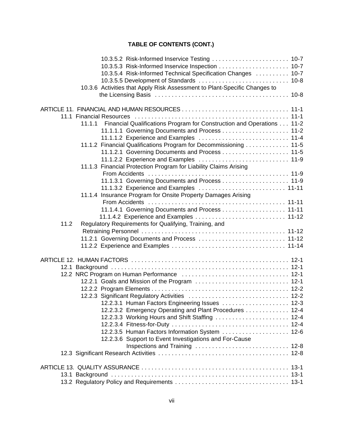# **TABLE OF CONTENTS (CONT.)**

| 10.3.5.2 Risk-Informed Inservice Testing  10-7                                  |  |
|---------------------------------------------------------------------------------|--|
|                                                                                 |  |
| 10.3.5.4 Risk-Informed Technical Specification Changes  10-7                    |  |
|                                                                                 |  |
| 10.3.6 Activities that Apply Risk Assessment to Plant-Specific Changes to       |  |
|                                                                                 |  |
|                                                                                 |  |
|                                                                                 |  |
|                                                                                 |  |
| Financial Qualifications Program for Construction and Operations 11-2<br>11.1.1 |  |
|                                                                                 |  |
|                                                                                 |  |
| 11.1.2 Financial Qualifications Program for Decommissioning  11-5               |  |
|                                                                                 |  |
|                                                                                 |  |
| 11.1.3 Financial Protection Program for Liability Claims Arising                |  |
|                                                                                 |  |
|                                                                                 |  |
|                                                                                 |  |
| 11.1.4 Insurance Program for Onsite Property Damages Arising                    |  |
|                                                                                 |  |
| 11.1.4.1 Governing Documents and Process 11-11                                  |  |
| 11.1.4.2 Experience and Examples  11-12                                         |  |
| Regulatory Requirements for Qualifying, Training, and<br>11.2                   |  |
|                                                                                 |  |
| 11.2.1 Governing Documents and Process  11-12                                   |  |
|                                                                                 |  |
|                                                                                 |  |
|                                                                                 |  |
|                                                                                 |  |
|                                                                                 |  |
|                                                                                 |  |
|                                                                                 |  |
|                                                                                 |  |
| 12.2.3.1 Human Factors Engineering Issues  12-3                                 |  |
| 12.2.3.2 Emergency Operating and Plant Procedures 12-4                          |  |
| 12.2.3.3 Working Hours and Shift Staffing  12-4                                 |  |
|                                                                                 |  |
| 12.2.3.5 Human Factors Information System  12-6                                 |  |
| 12.2.3.6 Support to Event Investigations and For-Cause                          |  |
|                                                                                 |  |
|                                                                                 |  |
|                                                                                 |  |
|                                                                                 |  |
|                                                                                 |  |
|                                                                                 |  |
|                                                                                 |  |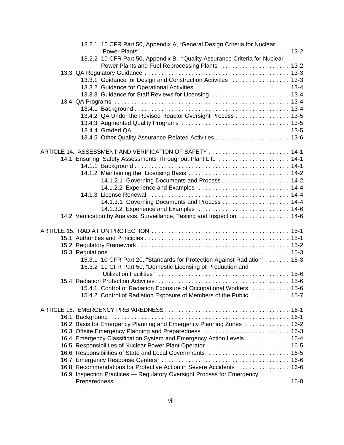| 13.2.1 10 CFR Part 50, Appendix A, "General Design Criteria for Nuclear    |  |
|----------------------------------------------------------------------------|--|
|                                                                            |  |
| 13.2.2 10 CFR Part 50, Appendix B, "Quality Assurance Criteria for Nuclear |  |
| Power Plants and Fuel Reprocessing Plants"  13-2                           |  |
|                                                                            |  |
| 13.3.1 Guidance for Design and Construction Activities  13-3               |  |
|                                                                            |  |
| 13.3.3 Guidance for Staff Reviews for Licensing  13-4                      |  |
|                                                                            |  |
|                                                                            |  |
| 13.4.2 QA Under the Revised Reactor Oversight Process  13-5                |  |
|                                                                            |  |
|                                                                            |  |
|                                                                            |  |
| ARTICLE 14. ASSESSMENT AND VERIFICATION OF SAFETY  14-1                    |  |
| 14.1 Ensuring Safety Assessments Throughout Plant Life  14-1               |  |
|                                                                            |  |
|                                                                            |  |
|                                                                            |  |
| 14.1.2.2 Experience and Examples  14-4                                     |  |
|                                                                            |  |
|                                                                            |  |
|                                                                            |  |
| 14.2 Verification by Analysis, Surveillance, Testing and Inspection  14-6  |  |
|                                                                            |  |
|                                                                            |  |
|                                                                            |  |
|                                                                            |  |
|                                                                            |  |
| 15.3.1 10 CFR Part 20, "Standards for Protection Against Radiation"  15-3  |  |
| 15.3.2 10 CFR Part 50, "Domestic Licensing of Production and               |  |
|                                                                            |  |
|                                                                            |  |
| 15.4.1 Control of Radiation Exposure of Occupational Workers  15-6         |  |
| 15.4.2 Control of Radiation Exposure of Members of the Public  15-7        |  |
|                                                                            |  |
|                                                                            |  |
| 16.2 Basis for Emergency Planning and Emergency Planning Zones  16-2       |  |
|                                                                            |  |
| 16.4 Emergency Classification System and Emergency Action Levels 16-4      |  |
| 16.5 Responsibilities of Nuclear Power Plant Operator  16-5                |  |
| 16.6 Responsibilities of State and Local Governments  16-5                 |  |
|                                                                            |  |
| 16.8 Recommendations for Protective Action in Severe Accidents  16-6       |  |
| 16.9 Inspection Practices - Regulatory Oversight Process for Emergency     |  |
|                                                                            |  |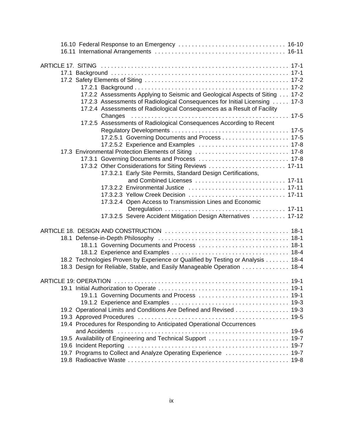| 17.2.2 Assessments Applying to Seismic and Geological Aspects of Siting 17-2                                                                           |  |
|--------------------------------------------------------------------------------------------------------------------------------------------------------|--|
| 17.2.3 Assessments of Radiological Consequences for Initial Licensing  17-3<br>17.2.4 Assessments of Radiological Consequences as a Result of Facility |  |
| Changes                                                                                                                                                |  |
| 17.2.5 Assessments of Radiological Consequences According to Recent                                                                                    |  |
|                                                                                                                                                        |  |
|                                                                                                                                                        |  |
|                                                                                                                                                        |  |
| 17.3 Environmental Protection Elements of Siting  17-8                                                                                                 |  |
|                                                                                                                                                        |  |
| 17.3.2 Other Considerations for Siting Reviews  17-11                                                                                                  |  |
| 17.3.2.1 Early Site Permits, Standard Design Certifications,                                                                                           |  |
|                                                                                                                                                        |  |
| 17.3.2.2 Environmental Justice  17-11                                                                                                                  |  |
| 17.3.2.3 Yellow Creek Decision  17-11                                                                                                                  |  |
| 17.3.2.4 Open Access to Transmission Lines and Economic                                                                                                |  |
|                                                                                                                                                        |  |
| 17.3.2.5 Severe Accident Mitigation Design Alternatives  17-12                                                                                         |  |
|                                                                                                                                                        |  |
|                                                                                                                                                        |  |
| 18.1.1 Governing Documents and Process  18-1                                                                                                           |  |
|                                                                                                                                                        |  |
| 18.2 Technologies Proven by Experience or Qualified by Testing or Analysis 18-4                                                                        |  |
| 18.3 Design for Reliable, Stable, and Easily Manageable Operation  18-4                                                                                |  |
|                                                                                                                                                        |  |
|                                                                                                                                                        |  |
|                                                                                                                                                        |  |
|                                                                                                                                                        |  |
|                                                                                                                                                        |  |
| 19.2 Operational Limits and Conditions Are Defined and Revised 19-3                                                                                    |  |
|                                                                                                                                                        |  |
|                                                                                                                                                        |  |
| 19.4 Procedures for Responding to Anticipated Operational Occurrences                                                                                  |  |
| and Accidents                                                                                                                                          |  |
| 19.5 Availability of Engineering and Technical Support  19-7                                                                                           |  |
|                                                                                                                                                        |  |
| 19.7 Programs to Collect and Analyze Operating Experience  19-7                                                                                        |  |
|                                                                                                                                                        |  |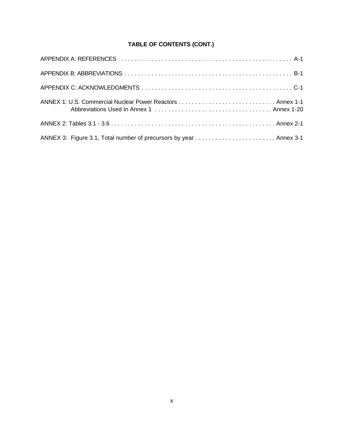# **TABLE OF CONTENTS (CONT.)**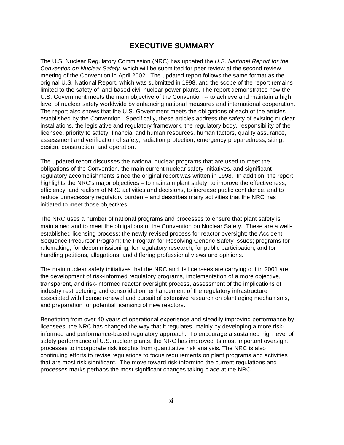# **EXECUTIVE SUMMARY**

The U.S. Nuclear Regulatory Commission (NRC) has updated the *U.S. National Report for the Convention on Nuclear Safety,* which will be submitted for peer review at the second review meeting of the Convention in April 2002. The updated report follows the same format as the original U.S. National Report, which was submitted in 1998, and the scope of the report remains limited to the safety of land-based civil nuclear power plants. The report demonstrates how the U.S. Government meets the main objective of the Convention -- to achieve and maintain a high level of nuclear safety worldwide by enhancing national measures and international cooperation. The report also shows that the U.S. Government meets the obligations of each of the articles established by the Convention. Specifically, these articles address the safety of existing nuclear installations, the legislative and regulatory framework, the regulatory body, responsibility of the licensee, priority to safety, financial and human resources, human factors, quality assurance, assessment and verification of safety, radiation protection, emergency preparedness, siting, design, construction, and operation.

The updated report discusses the national nuclear programs that are used to meet the obligations of the Convention, the main current nuclear safety initiatives, and significant regulatory accomplishments since the original report was written in 1998. In addition, the report highlights the NRC's major objectives – to maintain plant safety, to improve the effectiveness, efficiency, and realism of NRC activities and decisions, to increase public confidence, and to reduce unnecessary regulatory burden – and describes many activities that the NRC has initiated to meet those objectives.

The NRC uses a number of national programs and processes to ensure that plant safety is maintained and to meet the obligations of the Convention on Nuclear Safety. These are a wellestablished licensing process; the newly revised process for reactor oversight; the Accident Sequence Precursor Program; the Program for Resolving Generic Safety Issues; programs for rulemaking; for decommissioning; for regulatory research; for public participation; and for handling petitions, allegations, and differing professional views and opinions.

The main nuclear safety initiatives that the NRC and its licensees are carrying out in 2001 are the development of risk-informed regulatory programs, implementation of a more objective, transparent, and risk-informed reactor oversight process, assessment of the implications of industry restructuring and consolidation, enhancement of the regulatory infrastructure associated with license renewal and pursuit of extensive research on plant aging mechanisms, and preparation for potential licensing of new reactors.

Benefitting from over 40 years of operational experience and steadily improving performance by licensees, the NRC has changed the way that it regulates, mainly by developing a more riskinformed and performance-based regulatory approach. To encourage a sustained high level of safety performance of U.S. nuclear plants, the NRC has improved its most important oversight processes to incorporate risk insights from quantitative risk analysis. The NRC is also continuing efforts to revise regulations to focus requirements on plant programs and activities that are most risk significant. The move toward risk-informing the current regulations and processes marks perhaps the most significant changes taking place at the NRC.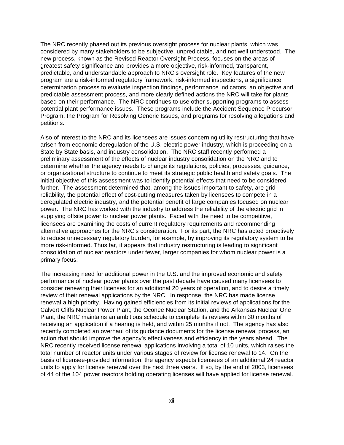The NRC recently phased out its previous oversight process for nuclear plants, which was considered by many stakeholders to be subjective, unpredictable, and not well understood. The new process, known as the Revised Reactor Oversight Process, focuses on the areas of greatest safety significance and provides a more objective, risk-informed, transparent, predictable, and understandable approach to NRC's oversight role. Key features of the new program are a risk-informed regulatory framework, risk-informed inspections, a significance determination process to evaluate inspection findings, performance indicators, an objective and predictable assessment process, and more clearly defined actions the NRC will take for plants based on their performance. The NRC continues to use other supporting programs to assess potential plant performance issues. These programs include the Accident Sequence Precursor Program, the Program for Resolving Generic Issues, and programs for resolving allegations and petitions.

Also of interest to the NRC and its licensees are issues concerning utility restructuring that have arisen from economic deregulation of the U.S. electric power industry, which is proceeding on a State by State basis, and industry consolidation. The NRC staff recently performed a preliminary assessment of the effects of nuclear industry consolidation on the NRC and to determine whether the agency needs to change its regulations, policies, processes, guidance, or organizational structure to continue to meet its strategic public health and safety goals. The initial objective of this assessment was to identify potential effects that need to be considered further. The assessment determined that, among the issues important to safety, are grid reliability, the potential effect of cost-cutting measures taken by licensees to compete in a deregulated electric industry, and the potential benefit of large companies focused on nuclear power. The NRC has worked with the industry to address the reliability of the electric grid in supplying offsite power to nuclear power plants. Faced with the need to be competitive, licensees are examining the costs of current regulatory requirements and recommending alternative approaches for the NRC's consideration. For its part, the NRC has acted proactively to reduce unnecessary regulatory burden, for example, by improving its regulatory system to be more risk-informed. Thus far, it appears that industry restructuring is leading to significant consolidation of nuclear reactors under fewer, larger companies for whom nuclear power is a primary focus.

The increasing need for additional power in the U.S. and the improved economic and safety performance of nuclear power plants over the past decade have caused many licensees to consider renewing their licenses for an additional 20 years of operation, and to desire a timely review of their renewal applications by the NRC. In response, the NRC has made license renewal a high priority. Having gained efficiencies from its initial reviews of applications for the Calvert Cliffs Nuclear Power Plant, the Oconee Nuclear Station, and the Arkansas Nuclear One Plant, the NRC maintains an ambitious schedule to complete its reviews within 30 months of receiving an application if a hearing is held, and within 25 months if not. The agency has also recently completed an overhaul of its guidance documents for the license renewal process, an action that should improve the agency's effectiveness and efficiency in the years ahead. The NRC recently received license renewal applications involving a total of 10 units, which raises the total number of reactor units under various stages of review for license renewal to 14. On the basis of licensee-provided information, the agency expects licensees of an additional 24 reactor units to apply for license renewal over the next three years. If so, by the end of 2003, licensees of 44 of the 104 power reactors holding operating licenses will have applied for license renewal.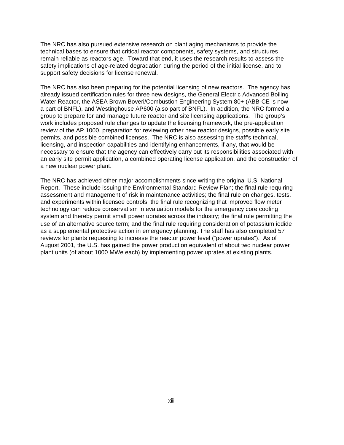The NRC has also pursued extensive research on plant aging mechanisms to provide the technical bases to ensure that critical reactor components, safety systems, and structures remain reliable as reactors age. Toward that end, it uses the research results to assess the safety implications of age-related degradation during the period of the initial license, and to support safety decisions for license renewal.

The NRC has also been preparing for the potential licensing of new reactors. The agency has already issued certification rules for three new designs, the General Electric Advanced Boiling Water Reactor, the ASEA Brown Boveri/Combustion Engineering System 80+ (ABB-CE is now a part of BNFL), and Westinghouse AP600 (also part of BNFL). In addition, the NRC formed a group to prepare for and manage future reactor and site licensing applications. The group's work includes proposed rule changes to update the licensing framework, the pre-application review of the AP 1000, preparation for reviewing other new reactor designs, possible early site permits, and possible combined licenses. The NRC is also assessing the staff's technical, licensing, and inspection capabilities and identifying enhancements, if any, that would be necessary to ensure that the agency can effectively carry out its responsibilities associated with an early site permit application, a combined operating license application, and the construction of a new nuclear power plant.

The NRC has achieved other major accomplishments since writing the original U.S. National Report. These include issuing the Environmental Standard Review Plan; the final rule requiring assessment and management of risk in maintenance activities; the final rule on changes, tests, and experiments within licensee controls; the final rule recognizing that improved flow meter technology can reduce conservatism in evaluation models for the emergency core cooling system and thereby permit small power uprates across the industry; the final rule permitting the use of an alternative source term; and the final rule requiring consideration of potassium iodide as a supplemental protective action in emergency planning. The staff has also completed 57 reviews for plants requesting to increase the reactor power level ("power uprates"). As of August 2001, the U.S. has gained the power production equivalent of about two nuclear power plant units (of about 1000 MWe each) by implementing power uprates at existing plants.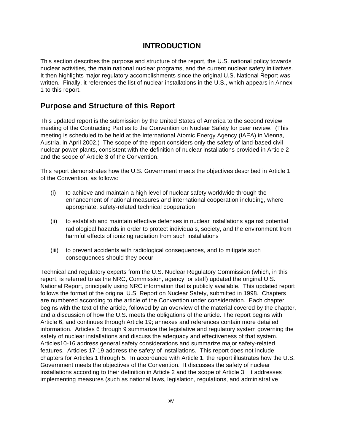# **INTRODUCTION**

This section describes the purpose and structure of the report, the U.S. national policy towards nuclear activities, the main national nuclear programs, and the current nuclear safety initiatives. It then highlights major regulatory accomplishments since the original U.S. National Report was written. Finally, it references the list of nuclear installations in the U.S., which appears in Annex 1 to this report.

# **Purpose and Structure of this Report**

This updated report is the submission by the United States of America to the second review meeting of the Contracting Parties to the Convention on Nuclear Safety for peer review. (This meeting is scheduled to be held at the International Atomic Energy Agency (IAEA) in Vienna, Austria, in April 2002.) The scope of the report considers only the safety of land-based civil nuclear power plants, consistent with the definition of nuclear installations provided in Article 2 and the scope of Article 3 of the Convention.

This report demonstrates how the U.S. Government meets the objectives described in Article 1 of the Convention, as follows:

- (i) to achieve and maintain a high level of nuclear safety worldwide through the enhancement of national measures and international cooperation including, where appropriate, safety-related technical cooperation
- (ii) to establish and maintain effective defenses in nuclear installations against potential radiological hazards in order to protect individuals, society, and the environment from harmful effects of ionizing radiation from such installations
- (iii) to prevent accidents with radiological consequences, and to mitigate such consequences should they occur

Technical and regulatory experts from the U.S. Nuclear Regulatory Commission (which, in this report, is referred to as the NRC, Commission, agency, or staff) updated the original U.S. National Report, principally using NRC information that is publicly available. This updated report follows the format of the original U.S. Report on Nuclear Safety, submitted in 1998. Chapters are numbered according to the article of the Convention under consideration. Each chapter begins with the text of the article, followed by an overview of the material covered by the chapter, and a discussion of how the U.S. meets the obligations of the article. The report begins with Article 6, and continues through Article 19; annexes and references contain more detailed information. Articles 6 through 9 summarize the legislative and regulatory system governing the safety of nuclear installations and discuss the adequacy and effectiveness of that system. Articles10-16 address general safety considerations and summarize major safety-related features. Articles 17-19 address the safety of installations. This report does not include chapters for Articles 1 through 5. In accordance with Article 1, the report illustrates how the U.S. Government meets the objectives of the Convention. It discusses the safety of nuclear installations according to their definition in Article 2 and the scope of Article 3. It addresses implementing measures (such as national laws, legislation, regulations, and administrative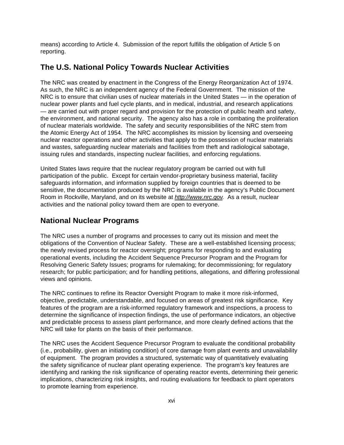means) according to Article 4. Submission of the report fulfills the obligation of Article 5 on reporting.

# **The U.S. National Policy Towards Nuclear Activities**

The NRC was created by enactment in the Congress of the Energy Reorganization Act of 1974. As such, the NRC is an independent agency of the Federal Government. The mission of the NRC is to ensure that civilian uses of nuclear materials in the United States — in the operation of nuclear power plants and fuel cycle plants, and in medical, industrial, and research applications — are carried out with proper regard and provision for the protection of public health and safety, the environment, and national security. The agency also has a role in combating the proliferation of nuclear materials worldwide. The safety and security responsibilities of the NRC stem from the Atomic Energy Act of 1954. The NRC accomplishes its mission by licensing and overseeing nuclear reactor operations and other activities that apply to the possession of nuclear materials and wastes, safeguarding nuclear materials and facilities from theft and radiological sabotage, issuing rules and standards, inspecting nuclear facilities, and enforcing regulations.

United States laws require that the nuclear regulatory program be carried out with full participation of the public. Except for certain vendor-proprietary business material, facility safeguards information, and information supplied by foreign countries that is deemed to be sensitive, the documentation produced by the NRC is available in the agency's Public Document Room in Rockville, Maryland, and on its website at *http://www.nrc.gov.* As a result, nuclear activities and the national policy toward them are open to everyone.

# **National Nuclear Programs**

The NRC uses a number of programs and processes to carry out its mission and meet the obligations of the Convention of Nuclear Safety. These are a well-established licensing process; the newly revised process for reactor oversight; programs for responding to and evaluating operational events, including the Accident Sequence Precursor Program and the Program for Resolving Generic Safety Issues; programs for rulemaking; for decommissioning; for regulatory research; for public participation; and for handling petitions, allegations, and differing professional views and opinions.

The NRC continues to refine its Reactor Oversight Program to make it more risk-informed, objective, predictable, understandable, and focused on areas of greatest risk significance. Key features of the program are a risk-informed regulatory framework and inspections, a process to determine the significance of inspection findings, the use of performance indicators, an objective and predictable process to assess plant performance, and more clearly defined actions that the NRC will take for plants on the basis of their performance.

The NRC uses the Accident Sequence Precursor Program to evaluate the conditional probability (i.e., probability, given an initiating condition) of core damage from plant events and unavailability of equipment. The program provides a structured, systematic way of quantitatively evaluating the safety significance of nuclear plant operating experience. The program's key features are identifying and ranking the risk significance of operating reactor events, determining their generic implications, characterizing risk insights, and routing evaluations for feedback to plant operators to promote learning from experience.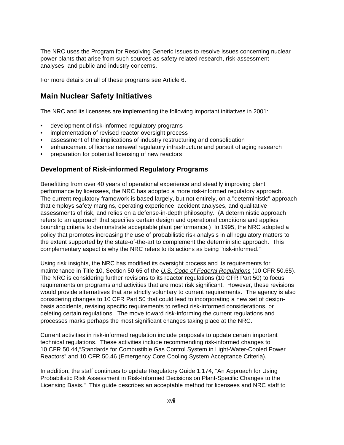The NRC uses the Program for Resolving Generic Issues to resolve issues concerning nuclear power plants that arise from such sources as safety-related research, risk-assessment analyses, and public and industry concerns.

For more details on all of these programs see Article 6.

### **Main Nuclear Safety Initiatives**

The NRC and its licensees are implementing the following important initiatives in 2001:

- development of risk-informed regulatory programs
- implementation of revised reactor oversight process
- assessment of the implications of industry restructuring and consolidation
- enhancement of license renewal regulatory infrastructure and pursuit of aging research
- preparation for potential licensing of new reactors

#### **Development of Risk-informed Regulatory Programs**

Benefitting from over 40 years of operational experience and steadily improving plant performance by licensees, the NRC has adopted a more risk-informed regulatory approach. The current regulatory framework is based largely, but not entirely, on a "deterministic" approach that employs safety margins, operating experience, accident analyses, and qualitative assessments of risk, and relies on a defense-in-depth philosophy. (A deterministic approach refers to an approach that specifies certain design and operational conditions and applies bounding criteria to demonstrate acceptable plant performance.) In 1995, the NRC adopted a policy that promotes increasing the use of probabilistic risk analysis in all regulatory matters to the extent supported by the state-of-the-art to complement the deterministic approach. This complementary aspect is why the NRC refers to its actions as being "risk-informed."

Using risk insights, the NRC has modified its oversight process and its requirements for maintenance in Title 10, Section 50.65 of the *U.S. Code of Federal Regulations* (10 CFR 50.65). The NRC is considering further revisions to its reactor regulations (10 CFR Part 50) to focus requirements on programs and activities that are most risk significant. However, these revisions would provide alternatives that are strictly voluntary to current requirements. The agency is also considering changes to 10 CFR Part 50 that could lead to incorporating a new set of designbasis accidents, revising specific requirements to reflect risk-informed considerations, or deleting certain regulations. The move toward risk-informing the current regulations and processes marks perhaps the most significant changes taking place at the NRC.

Current activities in risk-informed regulation include proposals to update certain important technical regulations. These activities include recommending risk-informed changes to 10 CFR 50.44,"Standards for Combustible Gas Control System in Light-Water-Cooled Power Reactors" and 10 CFR 50.46 (Emergency Core Cooling System Acceptance Criteria).

In addition, the staff continues to update Regulatory Guide 1.174, "An Approach for Using Probabilistic Risk Assessment in Risk-Informed Decisions on Plant-Specific Changes to the Licensing Basis." This guide describes an acceptable method for licensees and NRC staff to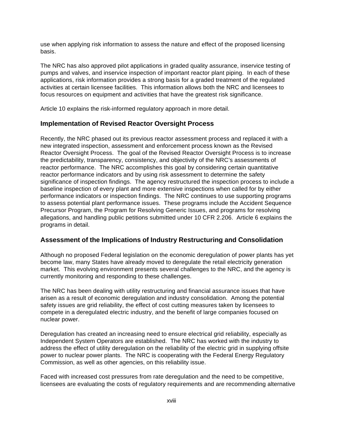use when applying risk information to assess the nature and effect of the proposed licensing basis.

The NRC has also approved pilot applications in graded quality assurance, inservice testing of pumps and valves, and inservice inspection of important reactor plant piping. In each of these applications, risk information provides a strong basis for a graded treatment of the regulated activities at certain licensee facilities. This information allows both the NRC and licensees to focus resources on equipment and activities that have the greatest risk significance.

Article 10 explains the risk-informed regulatory approach in more detail.

#### **Implementation of Revised Reactor Oversight Process**

Recently, the NRC phased out its previous reactor assessment process and replaced it with a new integrated inspection, assessment and enforcement process known as the Revised Reactor Oversight Process. The goal of the Revised Reactor Oversight Process is to increase the predictability, transparency, consistency, and objectivity of the NRC's assessments of reactor performance. The NRC accomplishes this goal by considering certain quantitative reactor performance indicators and by using risk assessment to determine the safety significance of inspection findings. The agency restructured the inspection process to include a baseline inspection of every plant and more extensive inspections when called for by either performance indicators or inspection findings. The NRC continues to use supporting programs to assess potential plant performance issues. These programs include the Accident Sequence Precursor Program, the Program for Resolving Generic Issues, and programs for resolving allegations, and handling public petitions submitted under 10 CFR 2.206. Article 6 explains the programs in detail.

#### **Assessment of the Implications of Industry Restructuring and Consolidation**

Although no proposed Federal legislation on the economic deregulation of power plants has yet become law, many States have already moved to deregulate the retail electricity generation market. This evolving environment presents several challenges to the NRC, and the agency is currently monitoring and responding to these challenges.

The NRC has been dealing with utility restructuring and financial assurance issues that have arisen as a result of economic deregulation and industry consolidation. Among the potential safety issues are grid reliability, the effect of cost cutting measures taken by licensees to compete in a deregulated electric industry, and the benefit of large companies focused on nuclear power.

Deregulation has created an increasing need to ensure electrical grid reliability, especially as Independent System Operators are established. The NRC has worked with the industry to address the effect of utility deregulation on the reliability of the electric grid in supplying offsite power to nuclear power plants. The NRC is cooperating with the Federal Energy Regulatory Commission, as well as other agencies, on this reliability issue.

Faced with increased cost pressures from rate deregulation and the need to be competitive, licensees are evaluating the costs of regulatory requirements and are recommending alternative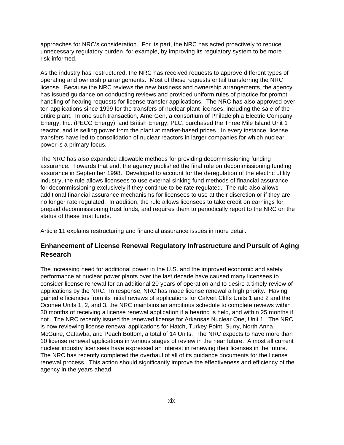approaches for NRC's consideration. For its part, the NRC has acted proactively to reduce unnecessary regulatory burden, for example, by improving its regulatory system to be more risk-informed.

As the industry has restructured, the NRC has received requests to approve different types of operating and ownership arrangements. Most of these requests entail transferring the NRC license. Because the NRC reviews the new business and ownership arrangements, the agency has issued guidance on conducting reviews and provided uniform rules of practice for prompt handling of hearing requests for license transfer applications. The NRC has also approved over ten applications since 1999 for the transfers of nuclear plant licenses, including the sale of the entire plant. In one such transaction, AmerGen, a consortium of Philadelphia Electric Company Energy, Inc. (PECO Energy), and British Energy, PLC, purchased the Three Mile Island Unit 1 reactor, and is selling power from the plant at market-based prices. In every instance, license transfers have led to consolidation of nuclear reactors in larger companies for which nuclear power is a primary focus.

The NRC has also expanded allowable methods for providing decommissioning funding assurance. Towards that end, the agency published the final rule on decommissioning funding assurance in September 1998. Developed to account for the deregulation of the electric utility industry, the rule allows licensees to use external sinking fund methods of financial assurance for decommissioning exclusively if they continue to be rate regulated. The rule also allows additional financial assurance mechanisms for licensees to use at their discretion or if they are no longer rate regulated. In addition, the rule allows licensees to take credit on earnings for prepaid decommissioning trust funds, and requires them to periodically report to the NRC on the status of these trust funds.

Article 11 explains restructuring and financial assurance issues in more detail.

### **Enhancement of License Renewal Regulatory Infrastructure and Pursuit of Aging Research**

The increasing need for additional power in the U.S. and the improved economic and safety performance at nuclear power plants over the last decade have caused many licensees to consider license renewal for an additional 20 years of operation and to desire a timely review of applications by the NRC. In response, NRC has made license renewal a high priority. Having gained efficiencies from its initial reviews of applications for Calvert Cliffs Units 1 and 2 and the Oconee Units 1, 2, and 3, the NRC maintains an ambitious schedule to complete reviews within 30 months of receiving a license renewal application if a hearing is held, and within 25 months if not. The NRC recently issued the renewed license for Arkansas Nuclear One, Unit 1. The NRC is now reviewing license renewal applications for Hatch, Turkey Point, Surry, North Anna, McGuire, Catawba, and Peach Bottom, a total of 14 Units. The NRC expects to have more than 10 license renewal applications in various stages of review in the near future. Almost all current nuclear industry licensees have expressed an interest in renewing their licenses in the future. The NRC has recently completed the overhaul of all of its guidance documents for the license renewal process. This action should significantly improve the effectiveness and efficiency of the agency in the years ahead.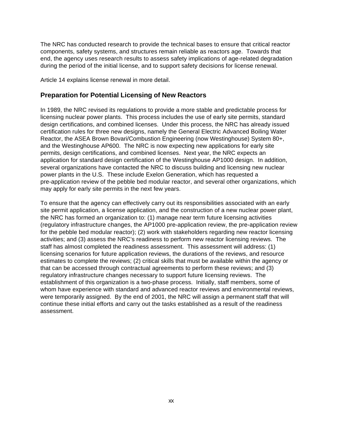The NRC has conducted research to provide the technical bases to ensure that critical reactor components, safety systems, and structures remain reliable as reactors age. Towards that end, the agency uses research results to assess safety implications of age-related degradation during the period of the initial license, and to support safety decisions for license renewal.

Article 14 explains license renewal in more detail.

#### **Preparation for Potential Licensing of New Reactors**

In 1989, the NRC revised its regulations to provide a more stable and predictable process for licensing nuclear power plants. This process includes the use of early site permits, standard design certifications, and combined licenses. Under this process, the NRC has already issued certification rules for three new designs, namely the General Electric Advanced Boiling Water Reactor, the ASEA Brown Bovari/Combustion Engineering (now Westinghouse) System 80+, and the Westinghouse AP600. The NRC is now expecting new applications for early site permits, design certifications, and combined licenses. Next year, the NRC expects an application for standard design certification of the Westinghouse AP1000 design. In addition, several organizations have contacted the NRC to discuss building and licensing new nuclear power plants in the U.S. These include Exelon Generation, which has requested a pre-application review of the pebble bed modular reactor, and several other organizations, which may apply for early site permits in the next few years.

To ensure that the agency can effectively carry out its responsibilities associated with an early site permit application, a license application, and the construction of a new nuclear power plant, the NRC has formed an organization to: (1) manage near term future licensing activities (regulatory infrastructure changes, the AP1000 pre-application review, the pre-application review for the pebble bed modular reactor); (2) work with stakeholders regarding new reactor licensing activities; and (3) assess the NRC's readiness to perform new reactor licensing reviews. The staff has almost completed the readiness assessment. This assessment will address: (1) licensing scenarios for future application reviews, the durations of the reviews, and resource estimates to complete the reviews; (2) critical skills that must be available within the agency or that can be accessed through contractual agreements to perform these reviews; and (3) regulatory infrastructure changes necessary to support future licensing reviews. The establishment of this organization is a two-phase process. Initially, staff members, some of whom have experience with standard and advanced reactor reviews and environmental reviews, were temporarily assigned. By the end of 2001, the NRC will assign a permanent staff that will continue these initial efforts and carry out the tasks established as a result of the readiness assessment.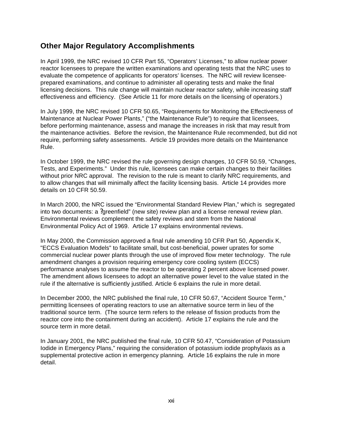# **Other Major Regulatory Accomplishments**

In April 1999, the NRC revised 10 CFR Part 55, "Operators' Licenses," to allow nuclear power reactor licensees to prepare the written examinations and operating tests that the NRC uses to evaluate the competence of applicants for operators' licenses. The NRC will review licenseeprepared examinations, and continue to administer all operating tests and make the final licensing decisions. This rule change will maintain nuclear reactor safety, while increasing staff effectiveness and efficiency. (See Article 11 for more details on the licensing of operators.)

In July 1999, the NRC revised 10 CFR 50.65, "Requirements for Monitoring the Effectiveness of Maintenance at Nuclear Power Plants," ("the Maintenance Rule") to require that licensees, before performing maintenance, assess and manage the increases in risk that may result from the maintenance activities. Before the revision, the Maintenance Rule recommended, but did not require, performing safety assessments. Article 19 provides more details on the Maintenance Rule.

In October 1999, the NRC revised the rule governing design changes, 10 CFR 50.59, "Changes, Tests, and Experiments." Under this rule, licensees can make certain changes to their facilities without prior NRC approval. The revision to the rule is meant to clarify NRC requirements, and to allow changes that will minimally affect the facility licensing basis. Article 14 provides more details on 10 CFR 50.59.

In March 2000, the NRC issued the "Environmental Standard Review Plan," which is segregated into two documents: a ?greenfield" (new site) review plan and a license renewal review plan. Environmental reviews complement the safety reviews and stem from the National Environmental Policy Act of 1969. Article 17 explains environmental reviews.

In May 2000, the Commission approved a final rule amending 10 CFR Part 50, Appendix K, "ECCS Evaluation Models" to facilitate small, but cost-beneficial, power uprates for some commercial nuclear power plants through the use of improved flow meter technology. The rule amendment changes a provision requiring emergency core cooling system (ECCS) performance analyses to assume the reactor to be operating 2 percent above licensed power. The amendment allows licensees to adopt an alternative power level to the value stated in the rule if the alternative is sufficiently justified. Article 6 explains the rule in more detail.

In December 2000, the NRC published the final rule, 10 CFR 50.67, "Accident Source Term," permitting licensees of operating reactors to use an alternative source term in lieu of the traditional source term. (The source term refers to the release of fission products from the reactor core into the containment during an accident). Article 17 explains the rule and the source term in more detail.

In January 2001, the NRC published the final rule, 10 CFR 50.47, "Consideration of Potassium Iodide in Emergency Plans," requiring the consideration of potassium iodide prophylaxis as a supplemental protective action in emergency planning. Article 16 explains the rule in more detail.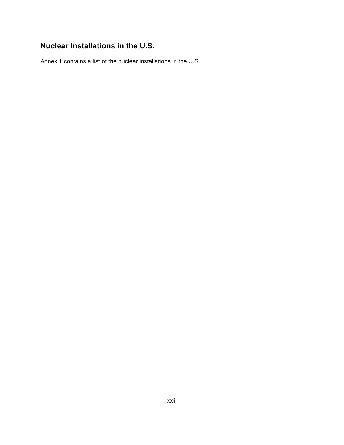# **Nuclear Installations in the U.S.**

Annex 1 contains a list of the nuclear installations in the U.S.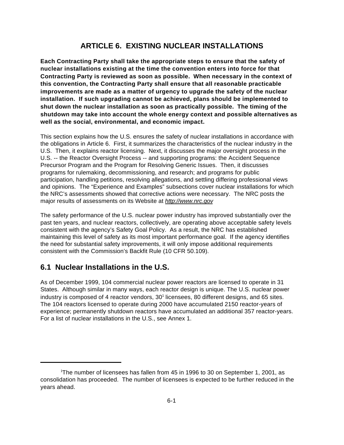# **ARTICLE 6. EXISTING NUCLEAR INSTALLATIONS**

**Each Contracting Party shall take the appropriate steps to ensure that the safety of nuclear installations existing at the time the convention enters into force for that Contracting Party is reviewed as soon as possible. When necessary in the context of this convention, the Contracting Party shall ensure that all reasonable practicable improvements are made as a matter of urgency to upgrade the safety of the nuclear installation. If such upgrading cannot be achieved, plans should be implemented to shut down the nuclear installation as soon as practically possible. The timing of the shutdown may take into account the whole energy context and possible alternatives as well as the social, environmental, and economic impact.**

This section explains how the U.S. ensures the safety of nuclear installations in accordance with the obligations in Article 6. First, it summarizes the characteristics of the nuclear industry in the U.S. Then, it explains reactor licensing. Next, it discusses the major oversight process in the U.S. -- the Reactor Oversight Process -- and supporting programs: the Accident Sequence Precursor Program and the Program for Resolving Generic Issues. Then, it discusses programs for rulemaking, decommissioning, and research; and programs for public participation, handling petitions, resolving allegations, and settling differing professional views and opinions. The "Experience and Examples" subsections cover nuclear installations for which the NRC's assessments showed that corrective actions were necessary. The NRC posts the major results of assessments on its Website at *http://www.nrc.gov*

The safety performance of the U.S. nuclear power industry has improved substantially over the past ten years, and nuclear reactors, collectively, are operating above acceptable safety levels consistent with the agency's Safety Goal Policy. As a result, the NRC has established maintaining this level of safety as its most important performance goal. If the agency identifies the need for substantial safety improvements, it will only impose additional requirements consistent with the Commission's Backfit Rule (10 CFR 50.109).

# **6.1 Nuclear Installations in the U.S.**

As of December 1999, 104 commercial nuclear power reactors are licensed to operate in 31 States. Although similar in many ways, each reactor design is unique. The U.S. nuclear power industry is composed of 4 reactor vendors,  $30<sup>1</sup>$  licensees, 80 different designs, and 65 sites. The 104 reactors licensed to operate during 2000 have accumulated 2150 reactor-years of experience; permanently shutdown reactors have accumulated an additional 357 reactor-years. For a list of nuclear installations in the U.S., see Annex 1.

<sup>1</sup>The number of licensees has fallen from 45 in 1996 to 30 on September 1, 2001, as consolidation has proceeded. The number of licensees is expected to be further reduced in the years ahead.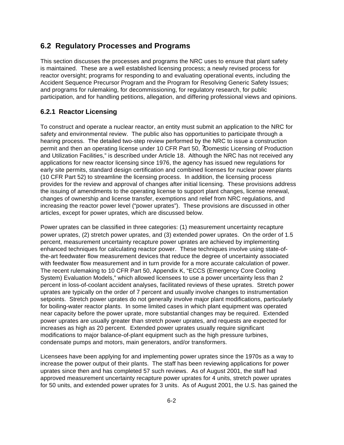# **6.2 Regulatory Processes and Programs**

This section discusses the processes and programs the NRC uses to ensure that plant safety is maintained. These are a well established licensing process; a newly revised process for reactor oversight; programs for responding to and evaluating operational events, including the Accident Sequence Precursor Program and the Program for Resolving Generic Safety Issues; and programs for rulemaking, for decommissioning, for regulatory research, for public participation, and for handling petitions, allegation, and differing professional views and opinions.

### **6.2.1 Reactor Licensing**

To construct and operate a nuclear reactor, an entity must submit an application to the NRC for safety and environmental review. The public also has opportunities to participate through a hearing process. The detailed two-step review performed by the NRC to issue a construction permit and then an operating license under 10 CFR Part 50, ?Domestic Licensing of Production and Utilization Facilities," is described under Article 18. Although the NRC has not received any applications for new reactor licensing since 1976, the agency has issued new regulations for early site permits, standard design certification and combined licenses for nuclear power plants (10 CFR Part 52) to streamline the licensing process. In addition, the licensing process provides for the review and approval of changes after initial licensing. These provisions address the issuing of amendments to the operating license to support plant changes, license renewal, changes of ownership and license transfer, exemptions and relief from NRC regulations, and increasing the reactor power level ("power uprates"). These provisions are discussed in other articles, except for power uprates, which are discussed below.

Power uprates can be classified in three categories: (1) measurement uncertainty recapture power uprates, (2) stretch power uprates, and (3) extended power uprates. On the order of 1.5 percent, measurement uncertainty recapture power uprates are achieved by implementing enhanced techniques for calculating reactor power. These techniques involve using state-ofthe-art feedwater flow measurement devices that reduce the degree of uncertainty associated with feedwater flow measurement and in turn provide for a more accurate calculation of power. The recent rulemaking to 10 CFR Part 50, Appendix K, "ECCS (Emergency Core Cooling System) Evaluation Models," which allowed licensees to use a power uncertainty less than 2 percent in loss-of-coolant accident analyses, facilitated reviews of these uprates. Stretch power uprates are typically on the order of 7 percent and usually involve changes to instrumentation setpoints. Stretch power uprates do not generally involve major plant modifications, particularly for boiling-water reactor plants. In some limited cases in which plant equipment was operated near capacity before the power uprate, more substantial changes may be required. Extended power uprates are usually greater than stretch power uprates, and requests are expected for increases as high as 20 percent. Extended power uprates usually require significant modifications to major balance-of-plant equipment such as the high pressure turbines, condensate pumps and motors, main generators, and/or transformers.

Licensees have been applying for and implementing power uprates since the 1970s as a way to increase the power output of their plants. The staff has been reviewing applications for power uprates since then and has completed 57 such reviews. As of August 2001, the staff had approved measurement uncertainty recapture power uprates for 4 units, stretch power uprates for 50 units, and extended power uprates for 3 units. As of August 2001, the U.S. has gained the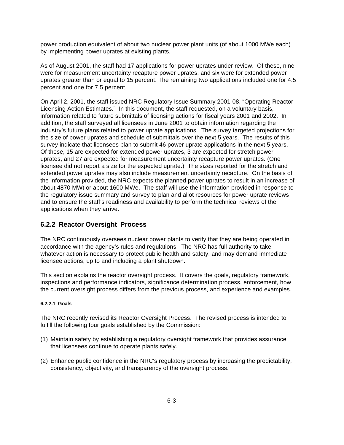power production equivalent of about two nuclear power plant units (of about 1000 MWe each) by implementing power uprates at existing plants.

As of August 2001, the staff had 17 applications for power uprates under review. Of these, nine were for measurement uncertainty recapture power uprates, and six were for extended power uprates greater than or equal to 15 percent. The remaining two applications included one for 4.5 percent and one for 7.5 percent.

On April 2, 2001, the staff issued NRC Regulatory Issue Summary 2001-08, "Operating Reactor Licensing Action Estimates." In this document, the staff requested, on a voluntary basis, information related to future submittals of licensing actions for fiscal years 2001 and 2002. In addition, the staff surveyed all licensees in June 2001 to obtain information regarding the industry's future plans related to power uprate applications. The survey targeted projections for the size of power uprates and schedule of submittals over the next 5 years. The results of this survey indicate that licensees plan to submit 46 power uprate applications in the next 5 years. Of these, 15 are expected for extended power uprates, 3 are expected for stretch power uprates, and 27 are expected for measurement uncertainty recapture power uprates. (One licensee did not report a size for the expected uprate.) The sizes reported for the stretch and extended power uprates may also include measurement uncertainty recapture. On the basis of the information provided, the NRC expects the planned power uprates to result in an increase of about 4870 MWt or about 1600 MWe. The staff will use the information provided in response to the regulatory issue summary and survey to plan and allot resources for power uprate reviews and to ensure the staff's readiness and availability to perform the technical reviews of the applications when they arrive.

## **6.2.2 Reactor Oversight Process**

The NRC continuously oversees nuclear power plants to verify that they are being operated in accordance with the agency's rules and regulations. The NRC has full authority to take whatever action is necessary to protect public health and safety, and may demand immediate licensee actions, up to and including a plant shutdown.

This section explains the reactor oversight process. It covers the goals, regulatory framework, inspections and performance indicators, significance determination process, enforcement, how the current oversight process differs from the previous process, and experience and examples.

#### **6.2.2.1 Goals**

The NRC recently revised its Reactor Oversight Process. The revised process is intended to fulfill the following four goals established by the Commission:

- (1) Maintain safety by establishing a regulatory oversight framework that provides assurance that licensees continue to operate plants safely.
- (2) Enhance public confidence in the NRC's regulatory process by increasing the predictability, consistency, objectivity, and transparency of the oversight process.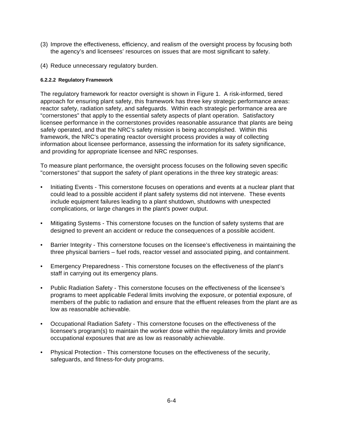- (3) Improve the effectiveness, efficiency, and realism of the oversight process by focusing both the agency's and licensees' resources on issues that are most significant to safety.
- (4) Reduce unnecessary regulatory burden.

#### **6.2.2.2 Regulatory Framework**

The regulatory framework for reactor oversight is shown in Figure 1. A risk-informed, tiered approach for ensuring plant safety, this framework has three key strategic performance areas: reactor safety, radiation safety, and safeguards. Within each strategic performance area are "cornerstones" that apply to the essential safety aspects of plant operation. Satisfactory licensee performance in the cornerstones provides reasonable assurance that plants are being safely operated, and that the NRC's safety mission is being accomplished. Within this framework, the NRC's operating reactor oversight process provides a way of collecting information about licensee performance, assessing the information for its safety significance, and providing for appropriate licensee and NRC responses.

To measure plant performance, the oversight process focuses on the following seven specific "cornerstones" that support the safety of plant operations in the three key strategic areas:

- Initiating Events This cornerstone focuses on operations and events at a nuclear plant that could lead to a possible accident if plant safety systems did not intervene. These events include equipment failures leading to a plant shutdown, shutdowns with unexpected complications, or large changes in the plant's power output.
- Mitigating Systems This cornerstone focuses on the function of safety systems that are designed to prevent an accident or reduce the consequences of a possible accident.
- Barrier Integrity This cornerstone focuses on the licensee's effectiveness in maintaining the three physical barriers – fuel rods, reactor vessel and associated piping, and containment.
- Emergency Preparedness This cornerstone focuses on the effectiveness of the plant's staff in carrying out its emergency plans.
- Public Radiation Safety This cornerstone focuses on the effectiveness of the licensee's programs to meet applicable Federal limits involving the exposure, or potential exposure, of members of the public to radiation and ensure that the effluent releases from the plant are as low as reasonable achievable.
- Occupational Radiation Safety This cornerstone focuses on the effectiveness of the licensee's program(s) to maintain the worker dose within the regulatory limits and provide occupational exposures that are as low as reasonably achievable.
- Physical Protection This cornerstone focuses on the effectiveness of the security, safeguards, and fitness-for-duty programs.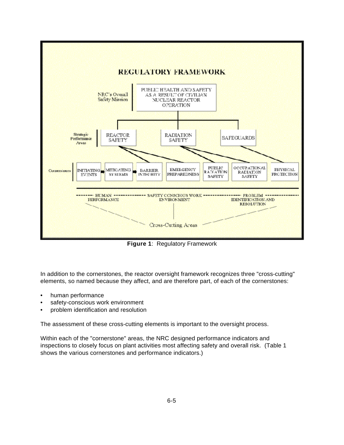

**Figure 1**: Regulatory Framework

In addition to the cornerstones, the reactor oversight framework recognizes three "cross-cutting" elements, so named because they affect, and are therefore part, of each of the cornerstones:

- human performance
- safety-conscious work environment
- problem identification and resolution

The assessment of these cross-cutting elements is important to the oversight process.

Within each of the "cornerstone" areas, the NRC designed performance indicators and inspections to closely focus on plant activities most affecting safety and overall risk. (Table 1 shows the various cornerstones and performance indicators.)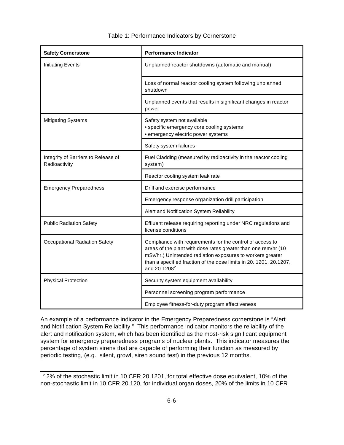| <b>Safety Cornerstone</b>                            | <b>Performance Indicator</b>                                                                                                                                                                                                                                                                |
|------------------------------------------------------|---------------------------------------------------------------------------------------------------------------------------------------------------------------------------------------------------------------------------------------------------------------------------------------------|
| <b>Initiating Events</b>                             | Unplanned reactor shutdowns (automatic and manual)                                                                                                                                                                                                                                          |
|                                                      | Loss of normal reactor cooling system following unplanned<br>shutdown                                                                                                                                                                                                                       |
|                                                      | Unplanned events that results in significant changes in reactor<br>power                                                                                                                                                                                                                    |
| <b>Mitigating Systems</b>                            | Safety system not available<br>• specific emergency core cooling systems<br>· emergency electric power systems                                                                                                                                                                              |
|                                                      | Safety system failures                                                                                                                                                                                                                                                                      |
| Integrity of Barriers to Release of<br>Radioactivity | Fuel Cladding (measured by radioactivity in the reactor cooling<br>system)                                                                                                                                                                                                                  |
|                                                      | Reactor cooling system leak rate                                                                                                                                                                                                                                                            |
| <b>Emergency Preparedness</b>                        | Drill and exercise performance                                                                                                                                                                                                                                                              |
|                                                      | Emergency response organization drill participation                                                                                                                                                                                                                                         |
|                                                      | Alert and Notification System Reliability                                                                                                                                                                                                                                                   |
| <b>Public Radiation Safety</b>                       | Effluent release requiring reporting under NRC regulations and<br>license conditions                                                                                                                                                                                                        |
| <b>Occupational Radiation Safety</b>                 | Compliance with requirements for the control of access to<br>areas of the plant with dose rates greater than one rem/hr (10<br>mSv/hr.) Unintended radiation exposures to workers greater<br>than a specified fraction of the dose limits in 20. 1201, 20.1207,<br>and 20.1208 <sup>2</sup> |
| <b>Physical Protection</b>                           | Security system equipment availability                                                                                                                                                                                                                                                      |
|                                                      | Personnel screening program performance                                                                                                                                                                                                                                                     |
|                                                      | Employee fitness-for-duty program effectiveness                                                                                                                                                                                                                                             |

An example of a performance indicator in the Emergency Preparedness cornerstone is "Alert and Notification System Reliability." This performance indicator monitors the reliability of the alert and notification system, which has been identified as the most-risk significant equipment system for emergency preparedness programs of nuclear plants. This indicator measures the percentage of system sirens that are capable of performing their function as measured by periodic testing, (e.g., silent, growl, siren sound test) in the previous 12 months.

 $\overline{a}$ 

<sup>&</sup>lt;sup>2</sup> 2% of the stochastic limit in 10 CFR 20.1201, for total effective dose equivalent, 10% of the non-stochastic limit in 10 CFR 20.120, for individual organ doses, 20% of the limits in 10 CFR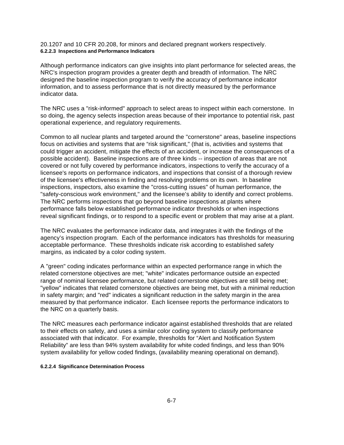20.1207 and 10 CFR 20.208, for minors and declared pregnant workers respectively. **6.2.2.3 Inspections and Performance Indicators**

Although performance indicators can give insights into plant performance for selected areas, the NRC's inspection program provides a greater depth and breadth of information. The NRC designed the baseline inspection program to verify the accuracy of performance indicator information, and to assess performance that is not directly measured by the performance indicator data.

The NRC uses a "risk-informed" approach to select areas to inspect within each cornerstone. In so doing, the agency selects inspection areas because of their importance to potential risk, past operational experience, and regulatory requirements.

Common to all nuclear plants and targeted around the "cornerstone" areas, baseline inspections focus on activities and systems that are "risk significant," (that is, activities and systems that could trigger an accident, mitigate the effects of an accident, or increase the consequences of a possible accident). Baseline inspections are of three kinds -- inspection of areas that are not covered or not fully covered by performance indicators, inspections to verify the accuracy of a licensee's reports on performance indicators, and inspections that consist of a thorough review of the licensee's effectiveness in finding and resolving problems on its own. In baseline inspections, inspectors, also examine the "cross-cutting issues" of human performance, the "safety-conscious work environment," and the licensee's ability to identify and correct problems. The NRC performs inspections that go beyond baseline inspections at plants where performance falls below established performance indicator thresholds or when inspections reveal significant findings, or to respond to a specific event or problem that may arise at a plant.

The NRC evaluates the performance indicator data, and integrates it with the findings of the agency's inspection program. Each of the performance indicators has thresholds for measuring acceptable performance. These thresholds indicate risk according to established safety margins, as indicated by a color coding system.

A "green" coding indicates performance within an expected performance range in which the related cornerstone objectives are met; "white" indicates performance outside an expected range of nominal licensee performance, but related cornerstone objectives are still being met; "yellow" indicates that related cornerstone objectives are being met, but with a minimal reduction in safety margin; and "red" indicates a significant reduction in the safety margin in the area measured by that performance indicator. Each licensee reports the performance indicators to the NRC on a quarterly basis.

The NRC measures each performance indicator against established thresholds that are related to their effects on safety, and uses a similar color coding system to classify performance associated with that indicator. For example, thresholds for "Alert and Notification System Reliability" are less than 94% system availability for white coded findings, and less than 90% system availability for yellow coded findings, (availability meaning operational on demand).

#### **6.2.2.4 Significance Determination Process**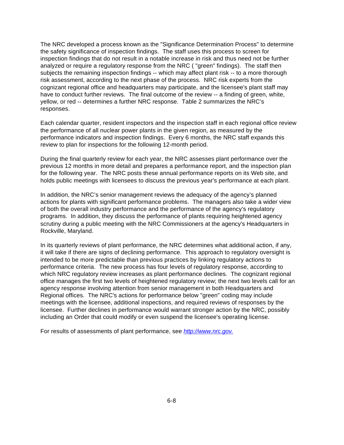The NRC developed a process known as the "Significance Determination Process" to determine the safety significance of inspection findings. The staff uses this process to screen for inspection findings that do not result in a notable increase in risk and thus need not be further analyzed or require a regulatory response from the NRC ( "green" findings). The staff then subjects the remaining inspection findings -- which may affect plant risk -- to a more thorough risk assessment, according to the next phase of the process. NRC risk experts from the cognizant regional office and headquarters may participate, and the licensee's plant staff may have to conduct further reviews. The final outcome of the review -- a finding of green, white, yellow, or red -- determines a further NRC response. Table 2 summarizes the NRC's responses.

Each calendar quarter, resident inspectors and the inspection staff in each regional office review the performance of all nuclear power plants in the given region, as measured by the performance indicators and inspection findings. Every 6 months, the NRC staff expands this review to plan for inspections for the following 12-month period.

During the final quarterly review for each year, the NRC assesses plant performance over the previous 12 months in more detail and prepares a performance report, and the inspection plan for the following year. The NRC posts these annual performance reports on its Web site, and holds public meetings with licensees to discuss the previous year's performance at each plant.

In addition, the NRC's senior management reviews the adequacy of the agency's planned actions for plants with significant performance problems. The managers also take a wider view of both the overall industry performance and the performance of the agency's regulatory programs. In addition, they discuss the performance of plants requiring heightened agency scrutiny during a public meeting with the NRC Commissioners at the agency's Headquarters in Rockville, Maryland.

In its quarterly reviews of plant performance, the NRC determines what additional action, if any, it will take if there are signs of declining performance. This approach to regulatory oversight is intended to be more predictable than previous practices by linking regulatory actions to performance criteria. The new process has four levels of regulatory response, according to which NRC regulatory review increases as plant performance declines. The cognizant regional office manages the first two levels of heightened regulatory review; the next two levels call for an agency response involving attention from senior management in both Headquarters and Regional offices. The NRC's actions for performance below "green" coding may include meetings with the licensee, additional inspections, and required reviews of responses by the licensee. Further declines in performance would warrant stronger action by the NRC, possibly including an Order that could modify or even suspend the licensee's operating license.

For results of assessments of plant performance, see *http://www.nrc.gov*.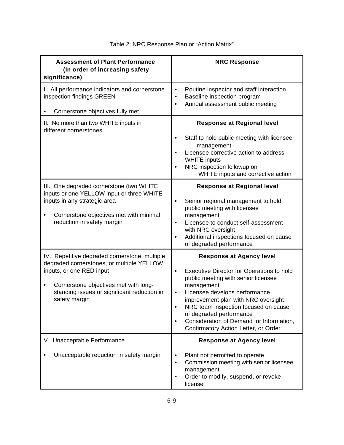| <b>Assessment of Plant Performance</b><br>(In order of increasing safety<br>significance)                                                                                                                                            | <b>NRC Response</b>                                                                                                                                                                                                                                                                                                                                                                                     |
|--------------------------------------------------------------------------------------------------------------------------------------------------------------------------------------------------------------------------------------|---------------------------------------------------------------------------------------------------------------------------------------------------------------------------------------------------------------------------------------------------------------------------------------------------------------------------------------------------------------------------------------------------------|
| I. All performance indicators and cornerstone<br>inspection findings GREEN<br>Cornerstone objectives fully met                                                                                                                       | Routine inspector and staff interaction<br>$\bullet$<br>Baseline inspection program<br>$\bullet$<br>Annual assessment public meeting<br>$\bullet$                                                                                                                                                                                                                                                       |
| II. No more than two WHITE inputs in<br>different cornerstones                                                                                                                                                                       | <b>Response at Regional level</b><br>Staff to hold public meeting with licensee<br>$\bullet$<br>management<br>Licensee corrective action to address<br><b>WHITE</b> inputs<br>NRC inspection followup on<br>$\bullet$<br>WHITE inputs and corrective action                                                                                                                                             |
| III. One degraded cornerstone (two WHITE<br>inputs or one YELLOW input or three WHITE<br>inputs in any strategic area<br>Cornerstone objectives met with minimal<br>reduction in safety margin                                       | <b>Response at Regional level</b><br>Senior regional management to hold<br>$\bullet$<br>public meeting with licensee<br>management<br>Licensee to conduct self-assessment<br>$\bullet$<br>with NRC oversight<br>Additional inspections focused on cause<br>$\bullet$<br>of degraded performance                                                                                                         |
| IV. Repetitive degraded cornerstone, multiple<br>degraded cornerstones, or multiple YELLOW<br>inputs, or one RED input<br>Cornerstone objectives met with long-<br>٠<br>standing issues or significant reduction in<br>safety margin | <b>Response at Agency level</b><br>Executive Director for Operations to hold<br>$\bullet$<br>public meeting with senior licensee<br>management<br>Licensee develops performance<br>$\bullet$<br>improvement plan with NRC oversight<br>NRC team inspection focused on cause<br>of degraded performance<br>Consideration of Demand for Information,<br>$\bullet$<br>Confirmatory Action Letter, or Order |
| V. Unacceptable Performance<br>Unacceptable reduction in safety margin                                                                                                                                                               | <b>Response at Agency level</b><br>Plant not permitted to operate<br>$\bullet$<br>Commission meeting with senior licensee<br>$\bullet$<br>management<br>Order to modify, suspend, or revoke<br>$\bullet$<br>license                                                                                                                                                                                     |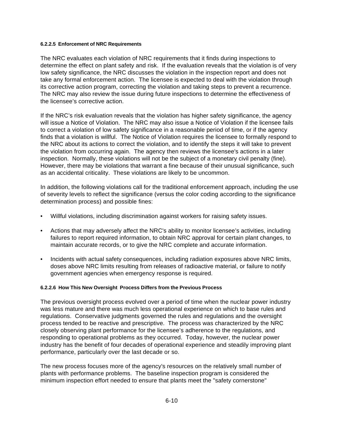#### **6.2.2.5 Enforcement of NRC Requirements**

The NRC evaluates each violation of NRC requirements that it finds during inspections to determine the effect on plant safety and risk. If the evaluation reveals that the violation is of very low safety significance, the NRC discusses the violation in the inspection report and does not take any formal enforcement action. The licensee is expected to deal with the violation through its corrective action program, correcting the violation and taking steps to prevent a recurrence. The NRC may also review the issue during future inspections to determine the effectiveness of the licensee's corrective action.

If the NRC's risk evaluation reveals that the violation has higher safety significance, the agency will issue a Notice of Violation. The NRC may also issue a Notice of Violation if the licensee fails to correct a violation of low safety significance in a reasonable period of time, or if the agency finds that a violation is willful. The Notice of Violation requires the licensee to formally respond to the NRC about its actions to correct the violation, and to identify the steps it will take to prevent the violation from occurring again. The agency then reviews the licensee's actions in a later inspection. Normally, these violations will not be the subject of a monetary civil penalty (fine). However, there may be violations that warrant a fine because of their unusual significance, such as an accidental criticality. These violations are likely to be uncommon.

In addition, the following violations call for the traditional enforcement approach, including the use of severity levels to reflect the significance (versus the color coding according to the significance determination process) and possible fines:

- Willful violations, including discrimination against workers for raising safety issues.
- Actions that may adversely affect the NRC's ability to monitor licensee's activities, including failures to report required information, to obtain NRC approval for certain plant changes, to maintain accurate records, or to give the NRC complete and accurate information.
- Incidents with actual safety consequences, including radiation exposures above NRC limits, doses above NRC limits resulting from releases of radioactive material, or failure to notify government agencies when emergency response is required.

#### **6.2.2.6 How This New Oversight Process Differs from the Previous Process**

The previous oversight process evolved over a period of time when the nuclear power industry was less mature and there was much less operational experience on which to base rules and regulations. Conservative judgments governed the rules and regulations and the oversight process tended to be reactive and prescriptive. The process was characterized by the NRC closely observing plant performance for the licensee's adherence to the regulations, and responding to operational problems as they occurred. Today, however, the nuclear power industry has the benefit of four decades of operational experience and steadily improving plant performance, particularly over the last decade or so.

The new process focuses more of the agency's resources on the relatively small number of plants with performance problems. The baseline inspection program is considered the minimum inspection effort needed to ensure that plants meet the "safety cornerstone"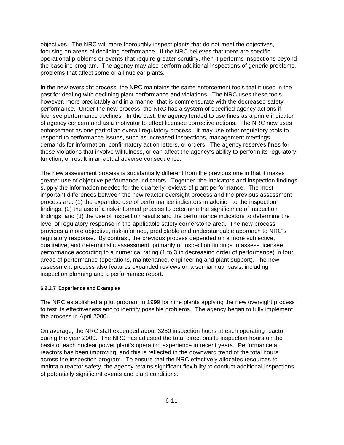objectives. The NRC will more thoroughly inspect plants that do not meet the objectives, focusing on areas of declining performance. If the NRC believes that there are specific operational problems or events that require greater scrutiny, then it performs inspections beyond the baseline program. The agency may also perform additional inspections of generic problems, problems that affect some or all nuclear plants.

In the new oversight process, the NRC maintains the same enforcement tools that it used in the past for dealing with declining plant performance and violations. The NRC uses these tools, however, more predictably and in a manner that is commensurate with the decreased safety performance. Under the new process, the NRC has a system of specified agency actions if licensee performance declines. In the past, the agency tended to use fines as a prime indicator of agency concern and as a motivator to effect licensee corrective actions. The NRC now uses enforcement as one part of an overall regulatory process. It may use other regulatory tools to respond to performance issues, such as increased inspections, management meetings, demands for information, confirmatory action letters, or orders. The agency reserves fines for those violations that involve willfulness, or can affect the agency's ability to perform its regulatory function, or result in an actual adverse consequence.

The new assessment process is substantially different from the previous one in that it makes greater use of objective performance indicators. Together, the indicators and inspection findings supply the information needed for the quarterly reviews of plant performance. The most important differences between the new reactor oversight process and the previous assessment process are: (1) the expanded use of performance indicators in addition to the inspection findings, (2) the use of a risk-informed process to determine the significance of inspection findings, and (3) the use of inspection results and the performance indicators to determine the level of regulatory response in the applicable safety cornerstone area. The new process provides a more objective, risk-informed, predictable and understandable approach to NRC's regulatory response. By contrast, the previous process depended on a more subjective, qualitative, and deterministic assessment, primarily of inspection findings to assess licensee performance according to a numerical rating (1 to 3 in decreasing order of performance) in four areas of performance (operations, maintenance, engineering and plant support). The new assessment process also features expanded reviews on a semiannual basis, including inspection planning and a performance report.

#### **6.2.2.7 Experience and Examples**

The NRC established a pilot program in 1999 for nine plants applying the new oversight process to test its effectiveness and to identify possible problems. The agency began to fully implement the process in April 2000.

On average, the NRC staff expended about 3250 inspection hours at each operating reactor during the year 2000. The NRC has adjusted the total direct onsite inspection hours on the basis of each nuclear power plant's operating experience in recent years. Performance at reactors has been improving, and this is reflected in the downward trend of the total hours across the inspection program. To ensure that the NRC effectively allocates resources to maintain reactor safety, the agency retains significant flexibility to conduct additional inspections of potentially significant events and plant conditions.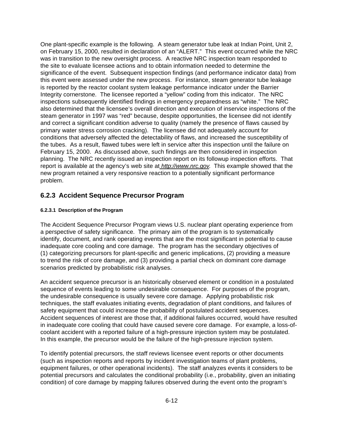One plant-specific example is the following. A steam generator tube leak at Indian Point, Unit 2, on February 15, 2000, resulted in declaration of an "ALERT." This event occurred while the NRC was in transition to the new oversight process. A reactive NRC inspection team responded to the site to evaluate licensee actions and to obtain information needed to determine the significance of the event. Subsequent inspection findings (and performance indicator data) from this event were assessed under the new process. For instance, steam generator tube leakage is reported by the reactor coolant system leakage performance indicator under the Barrier Integrity cornerstone. The licensee reported a "yellow" coding from this indicator. The NRC inspections subsequently identified findings in emergency preparedness as "white." The NRC also determined that the licensee's overall direction and execution of inservice inspections of the steam generator in 1997 was "red" because, despite opportunities, the licensee did not identify and correct a significant condition adverse to quality (namely the presence of flaws caused by primary water stress corrosion cracking). The licensee did not adequately account for conditions that adversely affected the detectability of flaws, and increased the susceptibility of the tubes. As a result, flawed tubes were left in service after this inspection until the failure on February 15, 2000. As discussed above, such findings are then considered in inspection planning. The NRC recently issued an inspection report on its followup inspection efforts. That report is available at the agency's web site at *http://www.nrc.gov*. This example showed that the new program retained a very responsive reaction to a potentially significant performance problem.

#### **6.2.3 Accident Sequence Precursor Program**

#### **6.2.3.1 Description of the Program**

The Accident Sequence Precursor Program views U.S. nuclear plant operating experience from a perspective of safety significance. The primary aim of the program is to systematically identify, document, and rank operating events that are the most significant in potential to cause inadequate core cooling and core damage. The program has the secondary objectives of (1) categorizing precursors for plant-specific and generic implications, (2) providing a measure to trend the risk of core damage, and (3) providing a partial check on dominant core damage scenarios predicted by probabilistic risk analyses.

An accident sequence precursor is an historically observed element or condition in a postulated sequence of events leading to some undesirable consequence. For purposes of the program, the undesirable consequence is usually severe core damage. Applying probabilistic risk techniques, the staff evaluates initiating events, degradation of plant conditions, and failures of safety equipment that could increase the probability of postulated accident sequences. Accident sequences of interest are those that, if additional failures occurred, would have resulted in inadequate core cooling that could have caused severe core damage. For example, a loss-ofcoolant accident with a reported failure of a high-pressure injection system may be postulated. In this example, the precursor would be the failure of the high-pressure injection system.

To identify potential precursors, the staff reviews licensee event reports or other documents (such as inspection reports and reports by incident investigation teams of plant problems, equipment failures, or other operational incidents). The staff analyzes events it considers to be potential precursors and calculates the conditional probability (i.e., probability, given an initiating condition) of core damage by mapping failures observed during the event onto the program's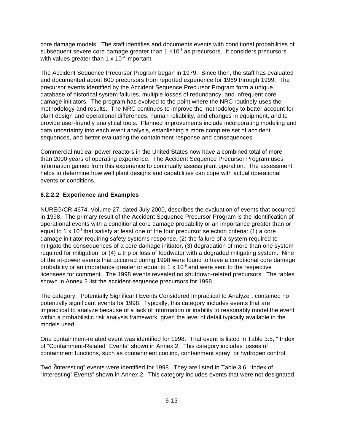core damage models. The staff identifies and documents events with conditional probabilities of subsequent severe core damage greater than  $1 \times 10^{-6}$  as precursors. It considers precursors with values greater than 1  $\times$  10<sup>-4</sup> important.

The Accident Sequence Precursor Program began in 1979. Since then, the staff has evaluated and documented about 600 precursors from reported experience for 1969 through 1999. The precursor events identified by the Accident Sequence Precursor Program form a unique database of historical system failures, multiple losses of redundancy, and infrequent core damage initiators. The program has evolved to the point where the NRC routinely uses the methodology and results. The NRC continues to improve the methodology to better account for plant design and operational differences, human reliability, and changes in equipment, and to provide user-friendly analytical tools. Planned improvements include incorporating modeling and data uncertainty into each event analysis, establishing a more complete set of accident sequences, and better evaluating the containment response and consequences.

Commercial nuclear power reactors in the United States now have a combined total of more than 2000 years of operating experience. The Accident Sequence Precursor Program uses information gained from this experience to continually assess plant operation. The assessment helps to determine how well plant designs and capabilities can cope with actual operational events or conditions.

#### **6.2.2.2 Experience and Examples**

NUREG/CR-4674, Volume 27, dated July 2000, describes the evaluation of events that occurred in 1998. The primary result of the Accident Sequence Precursor Program is the identification of operational events with a conditional core damage probability or an importance greater than or equal to 1 x  $10^{-6}$  that satisfy at least one of the four precursor selection criteria: (1) a core damage initiator requiring safety systems response, (2) the failure of a system required to mitigate the consequences of a core damage initiator, (3) degradation of more than one system required for mitigation, or (4) a trip or loss of feedwater with a degraded mitigating system. Nine of the at-power events that occurred during 1998 were found to have a conditional core damage probability or an importance greater or equal to 1  $\times$  10<sup>-6</sup> and were sent to the respective licensees for comment. The 1998 events revealed no shutdown-related precursors. The tables shown in Annex 2 list the accident sequence precursors for 1998.

The category, "Potentially Significant Events Considered Impractical to Analyze", contained no potentially significant events for 1998. Typically, this category includes events that are impractical to analyze because of a lack of information or inability to reasonably model the event within a probabilistic risk analysis framework, given the level of detail typically available in the models used.

One containment-related event was identified for 1998. That event is listed in Table 3.5, " Index of "Containment-Related" Events" shown in Annex 2. This category includes losses of containment functions, such as containment cooling, containment spray, or hydrogen control.

Two ?interesting" events were identified for 1998. They are listed in Table 3.6, "Index of "Interesting" Events" shown in Annex 2. This category includes events that were not designated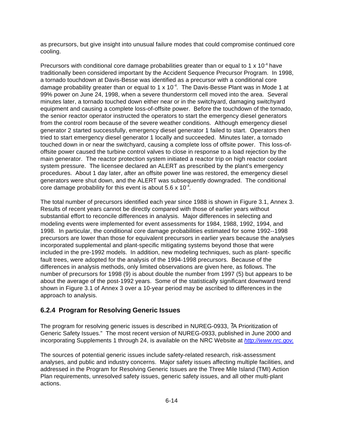as precursors, but give insight into unusual failure modes that could compromise continued core cooling.

Precursors with conditional core damage probabilities greater than or equal to 1  $\times$  10<sup>-4</sup> have traditionally been considered important by the Accident Sequence Precursor Program. In 1998, a tornado touchdown at Davis-Besse was identified as a precursor with a conditional core damage probability greater than or equal to 1 x  $10^{-4}$ . The Davis-Besse Plant was in Mode 1 at 99% power on June 24, 1998, when a severe thunderstorm cell moved into the area. Several minutes later, a tornado touched down either near or in the switchyard, damaging switchyard equipment and causing a complete loss-of-offsite power. Before the touchdown of the tornado, the senior reactor operator instructed the operators to start the emergency diesel generators from the control room because of the severe weather conditions. Although emergency diesel generator 2 started successfully, emergency diesel generator 1 failed to start. Operators then tried to start emergency diesel generator 1 locally and succeeded. Minutes later, a tornado touched down in or near the switchyard, causing a complete loss of offsite power. This loss-ofoffsite power caused the turbine control valves to close in response to a load rejection by the main generator. The reactor protection system initiated a reactor trip on high reactor coolant system pressure. The licensee declared an ALERT as prescribed by the plant's emergency procedures. About 1 day later, after an offsite power line was restored, the emergency diesel generators were shut down, and the ALERT was subsequently downgraded. The conditional core damage probability for this event is about  $5.6 \times 10^{-4}$ .

The total number of precursors identified each year since 1988 is shown in Figure 3.1, Annex 3. Results of recent years cannot be directly compared with those of earlier years without substantial effort to reconcile differences in analysis. Major differences in selecting and modeling events were implemented for event assessments for 1984, 1988, 1992, 1994, and 1998. In particular, the conditional core damage probabilities estimated for some 1992--1998 precursors are lower than those for equivalent precursors in earlier years because the analyses incorporated supplemental and plant-specific mitigating systems beyond those that were included in the pre-1992 models. In addition, new modeling techniques, such as plant- specific fault trees, were adopted for the analysis of the 1994-1998 precursors. Because of the differences in analysis methods, only limited observations are given here, as follows. The number of precursors for 1998 (9) is about double the number from 1997 (5) but appears to be about the average of the post-1992 years. Some of the statistically significant downward trend shown in Figure 3.1 of Annex 3 over a 10-year period may be ascribed to differences in the approach to analysis.

#### **6.2.4 Program for Resolving Generic Issues**

The program for resolving generic issues is described in NUREG-0933, ?A Prioritization of Generic Safety Issues." The most recent version of NUREG-0933, published in June 2000 and incorporating Supplements 1 through 24, is available on the NRC Website at *http://www.nrc.gov*.

The sources of potential generic issues include safety-related research, risk-assessment analyses, and public and industry concerns. Major safety issues affecting multiple facilities, and addressed in the Program for Resolving Generic Issues are the Three Mile Island (TMI) Action Plan requirements, unresolved safety issues, generic safety issues, and all other multi-plant actions.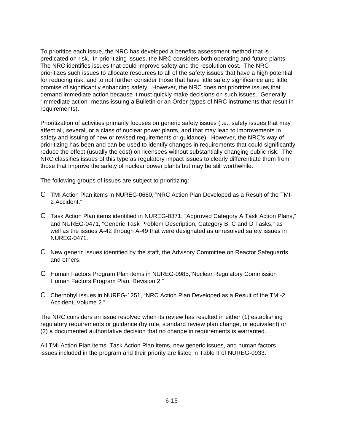To prioritize each issue, the NRC has developed a benefits assessment method that is predicated on risk. In prioritizing issues, the NRC considers both operating and future plants. The NRC identifies issues that could improve safety and the resolution cost. The NRC prioritizes such issues to allocate resources to all of the safety issues that have a high potential for reducing risk, and to not further consider those that have little safety significance and little promise of significantly enhancing safety. However, the NRC does not prioritize issues that demand immediate action because it must quickly make decisions on such issues. Generally, "immediate action" means issuing a Bulletin or an Order (types of NRC instruments that result in requirements).

Prioritization of activities primarily focuses on generic safety issues (i.e., safety issues that may affect all, several, or a class of nuclear power plants, and that may lead to improvements in safety and issuing of new or revised requirements or guidance). However, the NRC's way of prioritizing has been and can be used to identify changes in requirements that could significantly reduce the effect (usually the cost) on licensees without substantially changing public risk. The NRC classifies issues of this type as regulatory impact issues to clearly differentiate them from those that improve the safety of nuclear power plants but may be still worthwhile.

The following groups of issues are subject to prioritizing:

- C TMI Action Plan items in NUREG-0660, "NRC Action Plan Developed as a Result of the TMI-2 Accident."
- C Task Action Plan items identified in NUREG-0371, "Approved Category A Task Action Plans," and NUREG-0471, "Generic Task Problem Description, Category B, C and D Tasks," as well as the issues A-42 through A-49 that were designated as unresolved safety issues in NUREG-0471.
- C New generic issues identified by the staff, the Advisory Committee on Reactor Safeguards, and others.
- C Human Factors Program Plan items in NUREG-0985,"Nuclear Regulatory Commission Human Factors Program Plan, Revision 2."
- C Chernobyl issues in NUREG-1251, "NRC Action Plan Developed as a Result of the TMI-2 Accident, Volume 2."

The NRC considers an issue resolved when its review has resulted in either (1) establishing regulatory requirements or guidance (by rule, standard review plan change, or equivalent) or (2) a documented authoritative decision that no change in requirements is warranted.

All TMI Action Plan items, Task Action Plan items, new generic issues, and human factors issues included in the program and their priority are listed in Table II of NUREG-0933.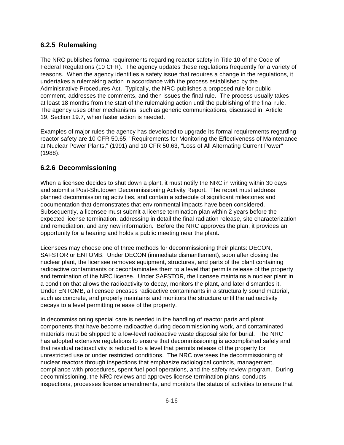### **6.2.5 Rulemaking**

The NRC publishes formal requirements regarding reactor safety in Title 10 of the Code of Federal Regulations (10 CFR). The agency updates these regulations frequently for a variety of reasons. When the agency identifies a safety issue that requires a change in the regulations, it undertakes a rulemaking action in accordance with the process established by the Administrative Procedures Act. Typically, the NRC publishes a proposed rule for public comment, addresses the comments, and then issues the final rule. The process usually takes at least 18 months from the start of the rulemaking action until the publishing of the final rule. The agency uses other mechanisms, such as generic communications, discussed in Article 19, Section 19.7, when faster action is needed.

Examples of major rules the agency has developed to upgrade its formal requirements regarding reactor safety are 10 CFR 50.65, "Requirements for Monitoring the Effectiveness of Maintenance at Nuclear Power Plants," (1991) and 10 CFR 50.63, "Loss of All Alternating Current Power" (1988).

### **6.2.6 Decommissioning**

When a licensee decides to shut down a plant, it must notify the NRC in writing within 30 days and submit a Post-Shutdown Decommissioning Activity Report. The report must address planned decommissioning activities, and contain a schedule of significant milestones and documentation that demonstrates that environmental impacts have been considered. Subsequently, a licensee must submit a license termination plan within 2 years before the expected license termination, addressing in detail the final radiation release, site characterization and remediation, and any new information. Before the NRC approves the plan, it provides an opportunity for a hearing and holds a public meeting near the plant.

Licensees may choose one of three methods for decommissioning their plants: DECON, SAFSTOR or ENTOMB. Under DECON (immediate dismantlement), soon after closing the nuclear plant, the licensee removes equipment, structures, and parts of the plant containing radioactive contaminants or decontaminates them to a level that permits release of the property and termination of the NRC license. Under SAFSTOR, the licensee maintains a nuclear plant in a condition that allows the radioactivity to decay, monitors the plant, and later dismantles it. Under ENTOMB, a licensee encases radioactive contaminants in a structurally sound material, such as concrete, and properly maintains and monitors the structure until the radioactivity decays to a level permitting release of the property.

In decommissioning special care is needed in the handling of reactor parts and plant components that have become radioactive during decommissioning work, and contaminated materials must be shipped to a low-level radioactive waste disposal site for burial. The NRC has adopted extensive regulations to ensure that decommissioning is accomplished safely and that residual radioactivity is reduced to a level that permits release of the property for unrestricted use or under restricted conditions. The NRC oversees the decommissioning of nuclear reactors through inspections that emphasize radiological controls, management, compliance with procedures, spent fuel pool operations, and the safety review program. During decommissioning, the NRC reviews and approves license termination plans, conducts inspections, processes license amendments, and monitors the status of activities to ensure that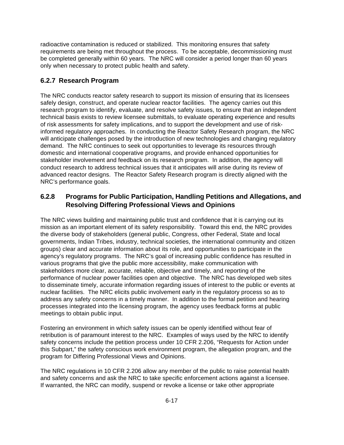radioactive contamination is reduced or stabilized. This monitoring ensures that safety requirements are being met throughout the process. To be acceptable, decommissioning must be completed generally within 60 years. The NRC will consider a period longer than 60 years only when necessary to protect public health and safety.

## **6.2.7 Research Program**

The NRC conducts reactor safety research to support its mission of ensuring that its licensees safely design, construct, and operate nuclear reactor facilities. The agency carries out this research program to identify, evaluate, and resolve safety issues, to ensure that an independent technical basis exists to review licensee submittals, to evaluate operating experience and results of risk assessments for safety implications, and to support the development and use of riskinformed regulatory approaches. In conducting the Reactor Safety Research program, the NRC will anticipate challenges posed by the introduction of new technologies and changing regulatory demand. The NRC continues to seek out opportunities to leverage its resources through domestic and international cooperative programs, and provide enhanced opportunities for stakeholder involvement and feedback on its research program. In addition, the agency will conduct research to address technical issues that it anticipates will arise during its review of advanced reactor designs. The Reactor Safety Research program is directly aligned with the NRC's performance goals.

## **6.2.8 Programs for Public Participation, Handling Petitions and Allegations, and Resolving Differing Professional Views and Opinions**

The NRC views building and maintaining public trust and confidence that it is carrying out its mission as an important element of its safety responsibility. Toward this end, the NRC provides the diverse body of stakeholders (general public, Congress, other Federal, State and local governments, Indian Tribes, industry, technical societies, the international community and citizen groups) clear and accurate information about its role, and opportunities to participate in the agency's regulatory programs. The NRC's goal of increasing public confidence has resulted in various programs that give the public more accessibility, make communication with stakeholders more clear, accurate, reliable, objective and timely, and reporting of the performance of nuclear power facilities open and objective. The NRC has developed web sites to disseminate timely, accurate information regarding issues of interest to the public or events at nuclear facilities. The NRC elicits public involvement early in the regulatory process so as to address any safety concerns in a timely manner. In addition to the formal petition and hearing processes integrated into the licensing program, the agency uses feedback forms at public meetings to obtain public input.

Fostering an environment in which safety issues can be openly identified without fear of retribution is of paramount interest to the NRC. Examples of ways used by the NRC to identify safety concerns include the petition process under 10 CFR 2.206, "Requests for Action under this Subpart," the safety conscious work environment program, the allegation program, and the program for Differing Professional Views and Opinions.

The NRC regulations in 10 CFR 2.206 allow any member of the public to raise potential health and safety concerns and ask the NRC to take specific enforcement actions against a licensee. If warranted, the NRC can modify, suspend or revoke a license or take other appropriate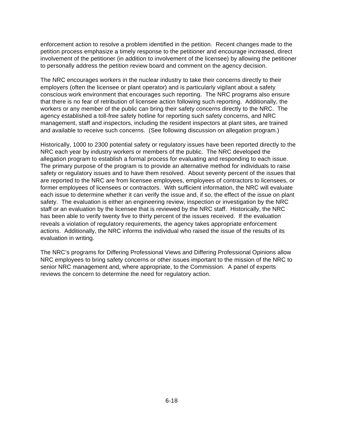enforcement action to resolve a problem identified in the petition. Recent changes made to the petition process emphasize a timely response to the petitioner and encourage increased, direct involvement of the petitioner (in addition to involvement of the licensee) by allowing the petitioner to personally address the petition review board and comment on the agency decision.

The NRC encourages workers in the nuclear industry to take their concerns directly to their employers (often the licensee or plant operator) and is particularly vigilant about a safety conscious work environment that encourages such reporting. The NRC programs also ensure that there is no fear of retribution of licensee action following such reporting. Additionally, the workers or any member of the public can bring their safety concerns directly to the NRC. The agency established a toll-free safety hotline for reporting such safety concerns, and NRC management, staff and inspectors, including the resident inspectors at plant sites, are trained and available to receive such concerns. (See following discussion on allegation program.)

Historically, 1000 to 2300 potential safety or regulatory issues have been reported directly to the NRC each year by industry workers or members of the public. The NRC developed the allegation program to establish a formal process for evaluating and responding to each issue. The primary purpose of the program is to provide an alternative method for individuals to raise safety or regulatory issues and to have them resolved. About seventy percent of the issues that are reported to the NRC are from licensee employees, employees of contractors to licensees, or former employees of licensees or contractors. With sufficient information, the NRC will evaluate each issue to determine whether it can verify the issue and, if so, the effect of the issue on plant safety. The evaluation is either an engineering review, inspection or investigation by the NRC staff or an evaluation by the licensee that is reviewed by the NRC staff. Historically, the NRC has been able to verify twenty five to thirty percent of the issues received. If the evaluation reveals a violation of regulatory requirements, the agency takes appropriate enforcement actions. Additionally, the NRC informs the individual who raised the issue of the results of its evaluation in writing.

The NRC's programs for Differing Professional Views and Differing Professional Opinions allow NRC employees to bring safety concerns or other issues important to the mission of the NRC to senior NRC management and, where appropriate, to the Commission. A panel of experts reviews the concern to determine the need for regulatory action.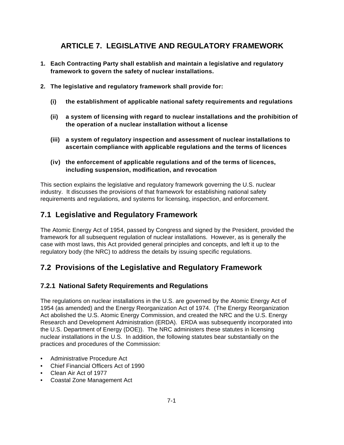# **ARTICLE 7. LEGISLATIVE AND REGULATORY FRAMEWORK**

- **1. Each Contracting Party shall establish and maintain a legislative and regulatory framework to govern the safety of nuclear installations.**
- **2. The legislative and regulatory framework shall provide for:** 
	- **(i) the establishment of applicable national safety requirements and regulations**
	- **(ii) a system of licensing with regard to nuclear installations and the prohibition of the operation of a nuclear installation without a license**
	- **(iii) a system of regulatory inspection and assessment of nuclear installations to ascertain compliance with applicable regulations and the terms of licences**
	- **(iv) the enforcement of applicable regulations and of the terms of licences, including suspension, modification, and revocation**

This section explains the legislative and regulatory framework governing the U.S. nuclear industry. It discusses the provisions of that framework for establishing national safety requirements and regulations, and systems for licensing, inspection, and enforcement.

# **7.1 Legislative and Regulatory Framework**

The Atomic Energy Act of 1954, passed by Congress and signed by the President, provided the framework for all subsequent regulation of nuclear installations. However, as is generally the case with most laws, this Act provided general principles and concepts, and left it up to the regulatory body (the NRC) to address the details by issuing specific regulations.

# **7.2 Provisions of the Legislative and Regulatory Framework**

## **7.2.1 National Safety Requirements and Regulations**

The regulations on nuclear installations in the U.S. are governed by the Atomic Energy Act of 1954 (as amended) and the Energy Reorganization Act of 1974. (The Energy Reorganization Act abolished the U.S. Atomic Energy Commission, and created the NRC and the U.S. Energy Research and Development Administration (ERDA). ERDA was subsequently incorporated into the U.S. Department of Energy (DOE)). The NRC administers these statutes in licensing nuclear installations in the U.S. In addition, the following statutes bear substantially on the practices and procedures of the Commission:

- Administrative Procedure Act
- Chief Financial Officers Act of 1990
- Clean Air Act of 1977
- Coastal Zone Management Act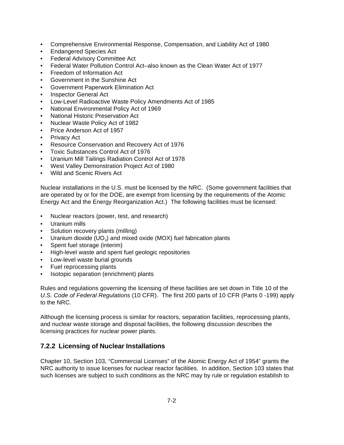- Comprehensive Environmental Response, Compensation, and Liability Act of 1980
- Endangered Species Act
- Federal Advisory Committee Act
- Federal Water Pollution Control Act–also known as the Clean Water Act of 1977
- Freedom of Information Act
- Government in the Sunshine Act
- Government Paperwork Elimination Act
- Inspector General Act
- Low-Level Radioactive Waste Policy Amendments Act of 1985
- National Environmental Policy Act of 1969
- National Historic Preservation Act
- Nuclear Waste Policy Act of 1982
- Price Anderson Act of 1957
- Privacy Act
- Resource Conservation and Recovery Act of 1976
- Toxic Substances Control Act of 1976
- Uranium Mill Tailings Radiation Control Act of 1978
- West Valley Demonstration Project Act of 1980
- Wild and Scenic Rivers Act

Nuclear installations in the U.S. must be licensed by the NRC. (Some government facilities that are operated by or for the DOE, are exempt from licensing by the requirements of the Atomic Energy Act and the Energy Reorganization Act.) The following facilities must be licensed:

- Nuclear reactors (power, test, and research)
- Uranium mills
- Solution recovery plants (milling)
- Uranium dioxide (UO<sub>2</sub>) and mixed oxide (MOX) fuel fabrication plants
- Spent fuel storage (interim)
- High-level waste and spent fuel geologic repositories
- Low-level waste burial grounds
- Fuel reprocessing plants
- Isotopic separation (enrichment) plants

Rules and regulations governing the licensing of these facilities are set down in Title 10 of the *U.S. Code of Federal Regulations* (10 CFR). The first 200 parts of 10 CFR (Parts 0 -199) apply to the NRC.

Although the licensing process is similar for reactors, separation facilities, reprocessing plants, and nuclear waste storage and disposal facilities, the following discussion describes the licensing practices for nuclear power plants.

## **7.2.2 Licensing of Nuclear Installations**

Chapter 10, Section 103, "Commercial Licenses" of the Atomic Energy Act of 1954" grants the NRC authority to issue licenses for nuclear reactor facilities. In addition, Section 103 states that such licenses are subject to such conditions as the NRC may by rule or regulation establish to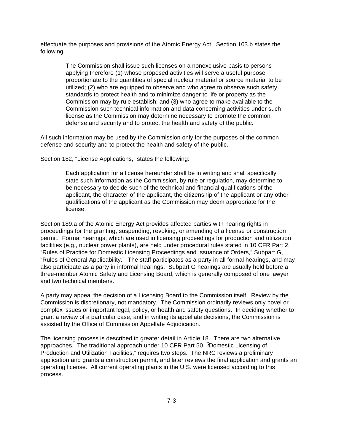effectuate the purposes and provisions of the Atomic Energy Act. Section 103.b states the following:

> The Commission shall issue such licenses on a nonexclusive basis to persons applying therefore (1) whose proposed activities will serve a useful purpose proportionate to the quantities of special nuclear material or source material to be utilized; (2) who are equipped to observe and who agree to observe such safety standards to protect health and to minimize danger to life or property as the Commission may by rule establish; and (3) who agree to make available to the Commission such technical information and data concerning activities under such license as the Commission may determine necessary to promote the common defense and security and to protect the health and safety of the public.

All such information may be used by the Commission only for the purposes of the common defense and security and to protect the health and safety of the public.

Section 182, "License Applications," states the following:

Each application for a license hereunder shall be in writing and shall specifically state such information as the Commission, by rule or regulation, may determine to be necessary to decide such of the technical and financial qualifications of the applicant, the character of the applicant, the citizenship of the applicant or any other qualifications of the applicant as the Commission may deem appropriate for the license.

Section 189.a of the Atomic Energy Act provides affected parties with hearing rights in proceedings for the granting, suspending, revoking, or amending of a license or construction permit. Formal hearings, which are used in licensing proceedings for production and utilization facilities (e.g., nuclear power plants), are held under procedural rules stated in 10 CFR Part 2, "Rules of Practice for Domestic Licensing Proceedings and Issuance of Orders," Subpart G, "Rules of General Applicability." The staff participates as a party in all formal hearings, and may also participate as a party in informal hearings. Subpart G hearings are usually held before a three-member Atomic Safety and Licensing Board, which is generally composed of one lawyer and two technical members.

A party may appeal the decision of a Licensing Board to the Commission itself. Review by the Commission is discretionary, not mandatory. The Commission ordinarily reviews only novel or complex issues or important legal, policy, or health and safety questions. In deciding whether to grant a review of a particular case, and in writing its appellate decisions, the Commission is assisted by the Office of Commission Appellate Adjudication.

The licensing process is described in greater detail in Article 18. There are two alternative approaches. The traditional approach under 10 CFR Part 50, ?Domestic Licensing of Production and Utilization Facilities," requires two steps. The NRC reviews a preliminary application and grants a construction permit, and later reviews the final application and grants an operating license. All current operating plants in the U.S. were licensed according to this process.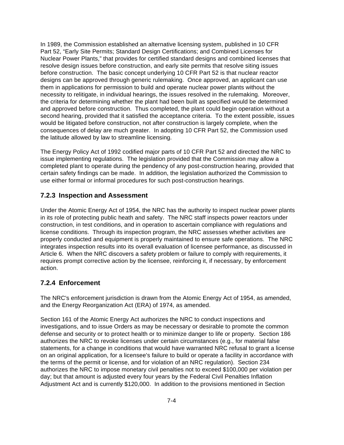In 1989, the Commission established an alternative licensing system, published in 10 CFR Part 52, "Early Site Permits; Standard Design Certifications; and Combined Licenses for Nuclear Power Plants," that provides for certified standard designs and combined licenses that resolve design issues before construction, and early site permits that resolve siting issues before construction. The basic concept underlying 10 CFR Part 52 is that nuclear reactor designs can be approved through generic rulemaking. Once approved, an applicant can use them in applications for permission to build and operate nuclear power plants without the necessity to relitigate, in individual hearings, the issues resolved in the rulemaking. Moreover, the criteria for determining whether the plant had been built as specified would be determined and approved before construction. Thus completed, the plant could begin operation without a second hearing, provided that it satisfied the acceptance criteria. To the extent possible, issues would be litigated before construction, not after construction is largely complete, when the consequences of delay are much greater. In adopting 10 CFR Part 52, the Commission used the latitude allowed by law to streamline licensing.

The Energy Policy Act of 1992 codified major parts of 10 CFR Part 52 and directed the NRC to issue implementing regulations. The legislation provided that the Commission may allow a completed plant to operate during the pendency of any post-construction hearing, provided that certain safety findings can be made. In addition, the legislation authorized the Commission to use either formal or informal procedures for such post-construction hearings.

### **7.2.3 Inspection and Assessment**

Under the Atomic Energy Act of 1954, the NRC has the authority to inspect nuclear power plants in its role of protecting public heath and safety. The NRC staff inspects power reactors under construction, in test conditions, and in operation to ascertain compliance with regulations and license conditions. Through its inspection program, the NRC assesses whether activities are properly conducted and equipment is properly maintained to ensure safe operations. The NRC integrates inspection results into its overall evaluation of licensee performance, as discussed in Article 6. When the NRC discovers a safety problem or failure to comply with requirements, it requires prompt corrective action by the licensee, reinforcing it, if necessary, by enforcement action.

### **7.2.4 Enforcement**

The NRC's enforcement jurisdiction is drawn from the Atomic Energy Act of 1954, as amended, and the Energy Reorganization Act (ERA) of 1974, as amended.

Section 161 of the Atomic Energy Act authorizes the NRC to conduct inspections and investigations, and to issue Orders as may be necessary or desirable to promote the common defense and security or to protect health or to minimize danger to life or property. Section 186 authorizes the NRC to revoke licenses under certain circumstances (e.g., for material false statements, for a change in conditions that would have warranted NRC refusal to grant a license on an original application, for a licensee's failure to build or operate a facility in accordance with the terms of the permit or license, and for violation of an NRC regulation). Section 234 authorizes the NRC to impose monetary civil penalties not to exceed \$100,000 per violation per day; but that amount is adjusted every four years by the Federal Civil Penalties Inflation Adjustment Act and is currently \$120,000. In addition to the provisions mentioned in Section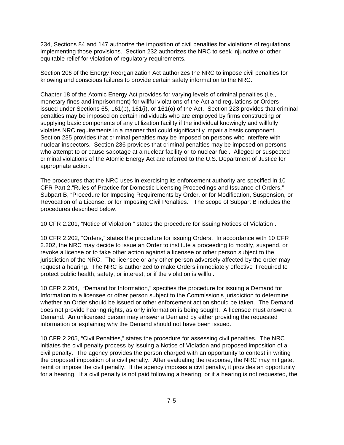234, Sections 84 and 147 authorize the imposition of civil penalties for violations of regulations implementing those provisions. Section 232 authorizes the NRC to seek injunctive or other equitable relief for violation of regulatory requirements.

Section 206 of the Energy Reorganization Act authorizes the NRC to impose civil penalties for knowing and conscious failures to provide certain safety information to the NRC.

Chapter 18 of the Atomic Energy Act provides for varying levels of criminal penalties (i.e., monetary fines and imprisonment) for willful violations of the Act and regulations or Orders issued under Sections 65, 161(b), 161(i), or 161(o) of the Act. Section 223 provides that criminal penalties may be imposed on certain individuals who are employed by firms constructing or supplying basic components of any utilization facility if the individual knowingly and willfully violates NRC requirements in a manner that could significantly impair a basis component. Section 235 provides that criminal penalties may be imposed on persons who interfere with nuclear inspectors. Section 236 provides that criminal penalties may be imposed on persons who attempt to or cause sabotage at a nuclear facility or to nuclear fuel. Alleged or suspected criminal violations of the Atomic Energy Act are referred to the U.S. Department of Justice for appropriate action.

The procedures that the NRC uses in exercising its enforcement authority are specified in 10 CFR Part 2,"Rules of Practice for Domestic Licensing Proceedings and Issuance of Orders," Subpart B, "Procedure for Imposing Requirements by Order, or for Modification, Suspension, or Revocation of a License, or for Imposing Civil Penalties." The scope of Subpart B includes the procedures described below.

10 CFR 2.201, "Notice of Violation," states the procedure for issuing Notices of Violation .

10 CFR 2.202, "Orders," states the procedure for issuing Orders. In accordance with 10 CFR 2.202, the NRC may decide to issue an Order to institute a proceeding to modify, suspend, or revoke a license or to take other action against a licensee or other person subject to the jurisdiction of the NRC. The licensee or any other person adversely affected by the order may request a hearing. The NRC is authorized to make Orders immediately effective if required to protect public health, safety, or interest, or if the violation is willful.

10 CFR 2.204, "Demand for Information," specifies the procedure for issuing a Demand for Information to a licensee or other person subject to the Commission's jurisdiction to determine whether an Order should be issued or other enforcement action should be taken. The Demand does not provide hearing rights, as only information is being sought. A licensee must answer a Demand. An unlicensed person may answer a Demand by either providing the requested information or explaining why the Demand should not have been issued.

10 CFR 2.205, "Civil Penalties," states the procedure for assessing civil penalties. The NRC initiates the civil penalty process by issuing a Notice of Violation and proposed imposition of a civil penalty. The agency provides the person charged with an opportunity to contest in writing the proposed imposition of a civil penalty. After evaluating the response, the NRC may mitigate, remit or impose the civil penalty. If the agency imposes a civil penalty, it provides an opportunity for a hearing. If a civil penalty is not paid following a hearing, or if a hearing is not requested, the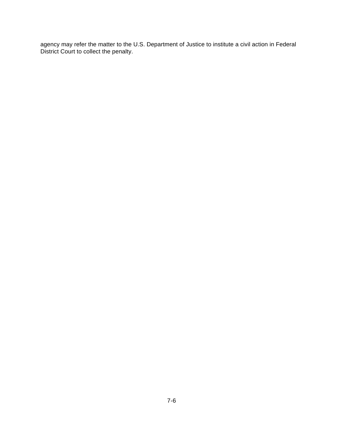agency may refer the matter to the U.S. Department of Justice to institute a civil action in Federal District Court to collect the penalty.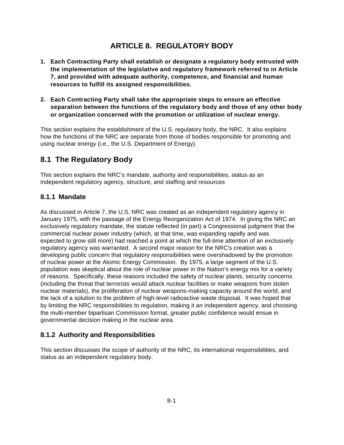# **ARTICLE 8. REGULATORY BODY**

- **1. Each Contracting Party shall establish or designate a regulatory body entrusted with the implementation of the legislative and regulatory framework referred to in Article 7, and provided with adequate authority, competence, and financial and human resources to fulfill its assigned responsibilities.**
- **2. Each Contracting Party shall take the appropriate steps to ensure an effective separation between the functions of the regulatory body and those of any other body or organization concerned with the promotion or utilization of nuclear energy.**

This section explains the establishment of the U.S. regulatory body, the NRC. It also explains how the functions of the NRC are separate from those of bodies responsible for promoting and using nuclear energy (i.e., the U.S. Department of Energy).

# **8.1 The Regulatory Body**

This section explains the NRC's mandate, authority and responsibilities, status as an independent regulatory agency, structure, and staffing and resources

### **8.1.1 Mandate**

As discussed in Article 7, the U.S. NRC was created as an independent regulatory agency in January 1975, with the passage of the Energy Reorganization Act of 1974. In giving the NRC an exclusively regulatory mandate, the statute reflected (in part) a Congressional judgment that the commercial nuclear power industry (which, at that time, was expanding rapidly and was expected to grow still more) had reached a point at which the full-time attention of an exclusively regulatory agency was warranted. A second major reason for the NRC's creation was a developing public concern that regulatory responsibilities were overshadowed by the promotion of nuclear power at the Atomic Energy Commission. By 1975, a large segment of the U.S. population was skeptical about the role of nuclear power in the Nation's energy mix for a variety of reasons. Specifically, these reasons included the safety of nuclear plants, security concerns (including the threat that terrorists would attack nuclear facilities or make weapons from stolen nuclear materials), the proliferation of nuclear weapons-making capacity around the world, and the lack of a solution to the problem of high-level radioactive waste disposal. It was hoped that by limiting the NRC responsibilities to regulation, making it an independent agency, and choosing the multi-member bipartisan Commission format, greater public confidence would ensue in governmental decision making in the nuclear area.

## **8.1.2 Authority and Responsibilities**

This section discusses the scope of authority of the NRC, its international responsibilities, and status as an independent regulatory body.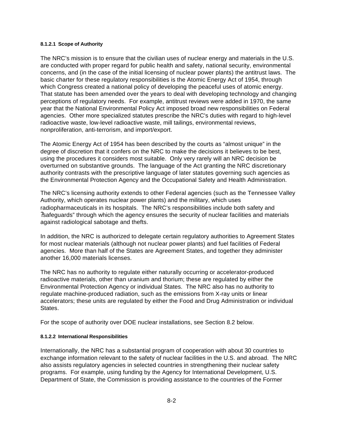#### **8.1.2.1 Scope of Authority**

The NRC's mission is to ensure that the civilian uses of nuclear energy and materials in the U.S. are conducted with proper regard for public health and safety, national security, environmental concerns, and (in the case of the initial licensing of nuclear power plants) the antitrust laws. The basic charter for these regulatory responsibilities is the Atomic Energy Act of 1954, through which Congress created a national policy of developing the peaceful uses of atomic energy. That statute has been amended over the years to deal with developing technology and changing perceptions of regulatory needs. For example, antitrust reviews were added in 1970, the same year that the National Environmental Policy Act imposed broad new responsibilities on Federal agencies. Other more specialized statutes prescribe the NRC's duties with regard to high-level radioactive waste, low-level radioactive waste, mill tailings, environmental reviews, nonproliferation, anti-terrorism, and import/export.

The Atomic Energy Act of 1954 has been described by the courts as "almost unique" in the degree of discretion that it confers on the NRC to make the decisions it believes to be best, using the procedures it considers most suitable. Only very rarely will an NRC decision be overturned on substantive grounds. The language of the Act granting the NRC discretionary authority contrasts with the prescriptive language of later statutes governing such agencies as the Environmental Protection Agency and the Occupational Safety and Health Administration.

The NRC's licensing authority extends to other Federal agencies (such as the Tennessee Valley Authority, which operates nuclear power plants) and the military, which uses radiopharmaceuticals in its hospitals. The NRC's responsibilities include both safety and ?safeguards" through which the agency ensures the security of nuclear facilities and materials against radiological sabotage and thefts.

In addition, the NRC is authorized to delegate certain regulatory authorities to Agreement States for most nuclear materials (although not nuclear power plants) and fuel facilities of Federal agencies. More than half of the States are Agreement States, and together they administer another 16,000 materials licenses.

The NRC has no authority to regulate either naturally occurring or accelerator-produced radioactive materials, other than uranium and thorium; these are regulated by either the Environmental Protection Agency or individual States. The NRC also has no authority to regulate machine-produced radiation, such as the emissions from X-ray units or linear accelerators; these units are regulated by either the Food and Drug Administration or individual States.

For the scope of authority over DOE nuclear installations, see Section 8.2 below.

#### **8.1.2.2 International Responsibilities**

Internationally, the NRC has a substantial program of cooperation with about 30 countries to exchange information relevant to the safety of nuclear facilities in the U.S. and abroad. The NRC also assists regulatory agencies in selected countries in strengthening their nuclear safety programs. For example, using funding by the Agency for International Development, U.S. Department of State, the Commission is providing assistance to the countries of the Former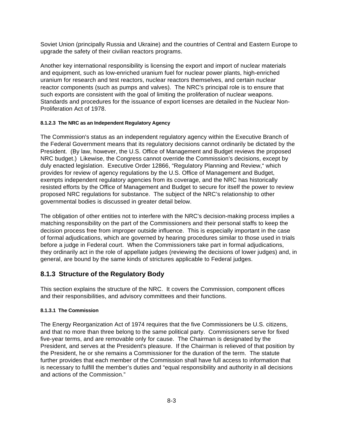Soviet Union (principally Russia and Ukraine) and the countries of Central and Eastern Europe to upgrade the safety of their civilian reactors programs.

Another key international responsibility is licensing the export and import of nuclear materials and equipment, such as low-enriched uranium fuel for nuclear power plants, high-enriched uranium for research and test reactors, nuclear reactors themselves, and certain nuclear reactor components (such as pumps and valves). The NRC's principal role is to ensure that such exports are consistent with the goal of limiting the proliferation of nuclear weapons. Standards and procedures for the issuance of export licenses are detailed in the Nuclear Non-Proliferation Act of 1978.

#### **8.1.2.3 The NRC as an Independent Regulatory Agency**

The Commission's status as an independent regulatory agency within the Executive Branch of the Federal Government means that its regulatory decisions cannot ordinarily be dictated by the President. (By law, however, the U.S. Office of Management and Budget reviews the proposed NRC budget.) Likewise, the Congress cannot override the Commission's decisions, except by duly enacted legislation. Executive Order 12866, "Regulatory Planning and Review," which provides for review of agency regulations by the U.S. Office of Management and Budget, exempts independent regulatory agencies from its coverage, and the NRC has historically resisted efforts by the Office of Management and Budget to secure for itself the power to review proposed NRC regulations for substance. The subject of the NRC's relationship to other governmental bodies is discussed in greater detail below.

The obligation of other entities not to interfere with the NRC's decision-making process implies a matching responsibility on the part of the Commissioners and their personal staffs to keep the decision process free from improper outside influence. This is especially important in the case of formal adjudications, which are governed by hearing procedures similar to those used in trials before a judge in Federal court. When the Commissioners take part in formal adjudications, they ordinarily act in the role of appellate judges (reviewing the decisions of lower judges) and, in general, are bound by the same kinds of strictures applicable to Federal judges.

### **8.1.3 Structure of the Regulatory Body**

This section explains the structure of the NRC. It covers the Commission, component offices and their responsibilities, and advisory committees and their functions.

#### **8.1.3.1 The Commission**

The Energy Reorganization Act of 1974 requires that the five Commissioners be U.S. citizens, and that no more than three belong to the same political party. Commissioners serve for fixed five-year terms, and are removable only for cause. The Chairman is designated by the President, and serves at the President's pleasure. If the Chairman is relieved of that position by the President, he or she remains a Commissioner for the duration of the term. The statute further provides that each member of the Commission shall have full access to information that is necessary to fulfill the member's duties and "equal responsibility and authority in all decisions and actions of the Commission."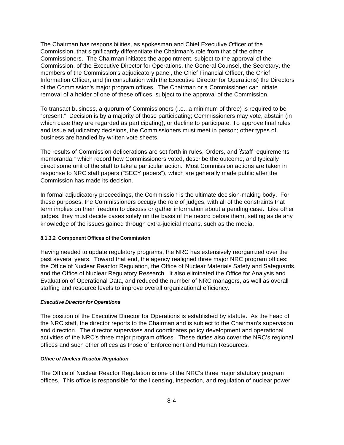The Chairman has responsibilities, as spokesman and Chief Executive Officer of the Commission, that significantly differentiate the Chairman's role from that of the other Commissioners. The Chairman initiates the appointment, subject to the approval of the Commission, of the Executive Director for Operations, the General Counsel, the Secretary, the members of the Commission's adjudicatory panel, the Chief Financial Officer, the Chief Information Officer, and (in consultation with the Executive Director for Operations) the Directors of the Commission's major program offices. The Chairman or a Commissioner can initiate removal of a holder of one of these offices, subject to the approval of the Commission.

To transact business, a quorum of Commissioners (i.e., a minimum of three) is required to be "present." Decision is by a majority of those participating; Commissioners may vote, abstain (in which case they are regarded as participating), or decline to participate. To approve final rules and issue adjudicatory decisions, the Commissioners must meet in person; other types of business are handled by written vote sheets.

The results of Commission deliberations are set forth in rules, Orders, and ?staff requirements memoranda," which record how Commissioners voted, describe the outcome, and typically direct some unit of the staff to take a particular action. Most Commission actions are taken in response to NRC staff papers ("SECY papers"), which are generally made public after the Commission has made its decision.

In formal adjudicatory proceedings, the Commission is the ultimate decision-making body. For these purposes, the Commissioners occupy the role of judges, with all of the constraints that term implies on their freedom to discuss or gather information about a pending case. Like other judges, they must decide cases solely on the basis of the record before them, setting aside any knowledge of the issues gained through extra-judicial means, such as the media.

#### **8.1.3.2 Component Offices of the Commission**

Having needed to update regulatory programs, the NRC has extensively reorganized over the past several years. Toward that end, the agency realigned three major NRC program offices: the Office of Nuclear Reactor Regulation, the Office of Nuclear Materials Safety and Safeguards, and the Office of Nuclear Regulatory Research. It also eliminated the Office for Analysis and Evaluation of Operational Data, and reduced the number of NRC managers, as well as overall staffing and resource levels to improve overall organizational efficiency.

#### *Executive Director for Operations*

The position of the Executive Director for Operations is established by statute. As the head of the NRC staff, the director reports to the Chairman and is subject to the Chairman's supervision and direction. The director supervises and coordinates policy development and operational activities of the NRC's three major program offices. These duties also cover the NRC's regional offices and such other offices as those of Enforcement and Human Resources.

#### *Office of Nuclear Reactor Regulation*

The Office of Nuclear Reactor Regulation is one of the NRC's three major statutory program offices. This office is responsible for the licensing, inspection, and regulation of nuclear power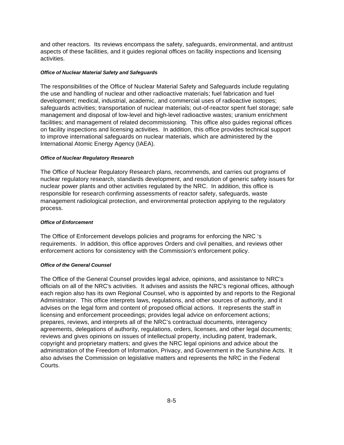and other reactors. Its reviews encompass the safety, safeguards, environmental, and antitrust aspects of these facilities, and it guides regional offices on facility inspections and licensing activities.

#### *Office of Nuclear Material Safety and Safeguards*

The responsibilities of the Office of Nuclear Material Safety and Safeguards include regulating the use and handling of nuclear and other radioactive materials; fuel fabrication and fuel development; medical, industrial, academic, and commercial uses of radioactive isotopes; safeguards activities; transportation of nuclear materials; out-of-reactor spent fuel storage; safe management and disposal of low-level and high-level radioactive wastes; uranium enrichment facilities; and management of related decommissioning. This office also guides regional offices on facility inspections and licensing activities. In addition, this office provides technical support to improve international safeguards on nuclear materials, which are administered by the International Atomic Energy Agency (IAEA).

#### *Office of Nuclear Regulatory Research*

The Office of Nuclear Regulatory Research plans, recommends, and carries out programs of nuclear regulatory research, standards development, and resolution of generic safety issues for nuclear power plants and other activities regulated by the NRC. In addition, this office is responsible for research confirming assessments of reactor safety, safeguards, waste management radiological protection, and environmental protection applying to the regulatory process.

#### *Office of Enforcement*

The Office of Enforcement develops policies and programs for enforcing the NRC 's requirements. In addition, this office approves Orders and civil penalties, and reviews other enforcement actions for consistency with the Commission's enforcement policy.

#### *Office of the General Counsel*

The Office of the General Counsel provides legal advice, opinions, and assistance to NRC's officials on all of the NRC's activities. It advises and assists the NRC's regional offices, although each region also has its own Regional Counsel, who is appointed by and reports to the Regional Administrator. This office interprets laws, regulations, and other sources of authority, and it advises on the legal form and content of proposed official actions. It represents the staff in licensing and enforcement proceedings; provides legal advice on enforcement actions; prepares, reviews, and interprets all of the NRC's contractual documents, interagency agreements, delegations of authority, regulations, orders, licenses, and other legal documents; reviews and gives opinions on issues of intellectual property, including patent, trademark, copyright and proprietary matters; and gives the NRC legal opinions and advice about the administration of the Freedom of Information, Privacy, and Government in the Sunshine Acts. It also advises the Commission on legislative matters and represents the NRC in the Federal Courts.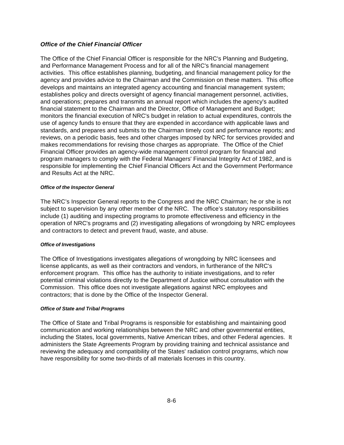### *Office of the Chief Financial Officer*

The Office of the Chief Financial Officer is responsible for the NRC's Planning and Budgeting, and Performance Management Process and for all of the NRC's financial management activities. This office establishes planning, budgeting, and financial management policy for the agency and provides advice to the Chairman and the Commission on these matters. This office develops and maintains an integrated agency accounting and financial management system; establishes policy and directs oversight of agency financial management personnel, activities, and operations; prepares and transmits an annual report which includes the agency's audited financial statement to the Chairman and the Director, Office of Management and Budget; monitors the financial execution of NRC's budget in relation to actual expenditures, controls the use of agency funds to ensure that they are expended in accordance with applicable laws and standards, and prepares and submits to the Chairman timely cost and performance reports; and reviews, on a periodic basis, fees and other charges imposed by NRC for services provided and makes recommendations for revising those charges as appropriate. The Office of the Chief Financial Officer provides an agency-wide management control program for financial and program managers to comply with the Federal Managers' Financial Integrity Act of 1982, and is responsible for implementing the Chief Financial Officers Act and the Government Performance and Results Act at the NRC.

#### *Office of the Inspector General*

The NRC's Inspector General reports to the Congress and the NRC Chairman; he or she is not subject to supervision by any other member of the NRC. The office's statutory responsibilities include (1) auditing and inspecting programs to promote effectiveness and efficiency in the operation of NRC's programs and (2) investigating allegations of wrongdoing by NRC employees and contractors to detect and prevent fraud, waste, and abuse.

#### *Office of Investigations*

The Office of Investigations investigates allegations of wrongdoing by NRC licensees and license applicants, as well as their contractors and vendors, in furtherance of the NRC's enforcement program. This office has the authority to initiate investigations, and to refer potential criminal violations directly to the Department of Justice without consultation with the Commission. This office does not investigate allegations against NRC employees and contractors; that is done by the Office of the Inspector General.

#### *Office of State and Tribal Programs*

The Office of State and Tribal Programs is responsible for establishing and maintaining good communication and working relationships between the NRC and other governmental entities, including the States, local governments, Native American tribes, and other Federal agencies. It administers the State Agreements Program by providing training and technical assistance and reviewing the adequacy and compatibility of the States' radiation control programs, which now have responsibility for some two-thirds of all materials licenses in this country.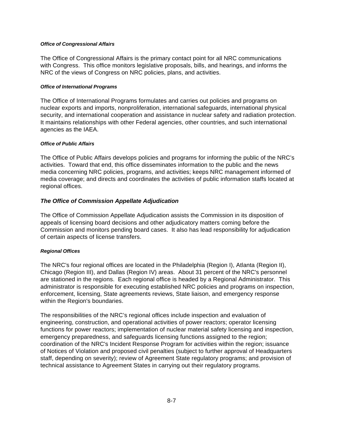#### *Office of Congressional Affairs*

The Office of Congressional Affairs is the primary contact point for all NRC communications with Congress. This office monitors legislative proposals, bills, and hearings, and informs the NRC of the views of Congress on NRC policies, plans, and activities.

#### *Office of International Programs*

The Office of International Programs formulates and carries out policies and programs on nuclear exports and imports, nonproliferation, international safeguards, international physical security, and international cooperation and assistance in nuclear safety and radiation protection. It maintains relationships with other Federal agencies, other countries, and such international agencies as the IAEA.

#### *Office of Public Affairs*

The Office of Public Affairs develops policies and programs for informing the public of the NRC's activities. Toward that end, this office disseminates information to the public and the news media concerning NRC policies, programs, and activities; keeps NRC management informed of media coverage; and directs and coordinates the activities of public information staffs located at regional offices.

### *The Office of Commission Appellate Adjudication*

The Office of Commission Appellate Adjudication assists the Commission in its disposition of appeals of licensing board decisions and other adjudicatory matters coming before the Commission and monitors pending board cases. It also has lead responsibility for adjudication of certain aspects of license transfers.

#### *Regional Offices*

The NRC's four regional offices are located in the Philadelphia (Region I), Atlanta (Region II), Chicago (Region III), and Dallas (Region IV) areas. About 31 percent of the NRC's personnel are stationed in the regions. Each regional office is headed by a Regional Administrator. This administrator is responsible for executing established NRC policies and programs on inspection, enforcement, licensing, State agreements reviews, State liaison, and emergency response within the Region's boundaries.

The responsibilities of the NRC's regional offices include inspection and evaluation of engineering, construction, and operational activities of power reactors; operator licensing functions for power reactors; implementation of nuclear material safety licensing and inspection, emergency preparedness, and safeguards licensing functions assigned to the region; coordination of the NRC's Incident Response Program for activities within the region; issuance of Notices of Violation and proposed civil penalties (subject to further approval of Headquarters staff, depending on severity); review of Agreement State regulatory programs; and provision of technical assistance to Agreement States in carrying out their regulatory programs.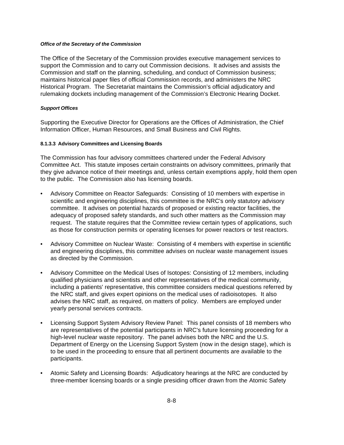#### *Office of the Secretary of the Commission*

The Office of the Secretary of the Commission provides executive management services to support the Commission and to carry out Commission decisions. It advises and assists the Commission and staff on the planning, scheduling, and conduct of Commission business; maintains historical paper files of official Commission records, and administers the NRC Historical Program. The Secretariat maintains the Commission's official adjudicatory and rulemaking dockets including management of the Commission's Electronic Hearing Docket.

### *Support Offices*

Supporting the Executive Director for Operations are the Offices of Administration, the Chief Information Officer, Human Resources, and Small Business and Civil Rights.

#### **8.1.3.3 Advisory Committees and Licensing Boards**

The Commission has four advisory committees chartered under the Federal Advisory Committee Act. This statute imposes certain constraints on advisory committees, primarily that they give advance notice of their meetings and, unless certain exemptions apply, hold them open to the public. The Commission also has licensing boards.

- Advisory Committee on Reactor Safeguards: Consisting of 10 members with expertise in scientific and engineering disciplines, this committee is the NRC's only statutory advisory committee. It advises on potential hazards of proposed or existing reactor facilities, the adequacy of proposed safety standards, and such other matters as the Commission may request. The statute requires that the Committee review certain types of applications, such as those for construction permits or operating licenses for power reactors or test reactors.
- Advisory Committee on Nuclear Waste: Consisting of 4 members with expertise in scientific and engineering disciplines, this committee advises on nuclear waste management issues as directed by the Commission.
- Advisory Committee on the Medical Uses of Isotopes: Consisting of 12 members, including qualified physicians and scientists and other representatives of the medical community, including a patients' representative, this committee considers medical questions referred by the NRC staff, and gives expert opinions on the medical uses of radioisotopes. It also advises the NRC staff, as required, on matters of policy. Members are employed under yearly personal services contracts.
- Licensing Support System Advisory Review Panel: This panel consists of 18 members who are representatives of the potential participants in NRC's future licensing proceeding for a high-level nuclear waste repository. The panel advises both the NRC and the U.S. Department of Energy on the Licensing Support System (now in the design stage), which is to be used in the proceeding to ensure that all pertinent documents are available to the participants.
- Atomic Safety and Licensing Boards: Adjudicatory hearings at the NRC are conducted by three-member licensing boards or a single presiding officer drawn from the Atomic Safety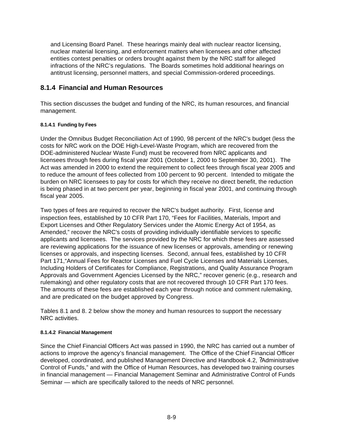and Licensing Board Panel. These hearings mainly deal with nuclear reactor licensing, nuclear material licensing, and enforcement matters when licensees and other affected entities contest penalties or orders brought against them by the NRC staff for alleged infractions of the NRC's regulations. The Boards sometimes hold additional hearings on antitrust licensing, personnel matters, and special Commission-ordered proceedings.

## **8.1.4 Financial and Human Resources**

This section discusses the budget and funding of the NRC, its human resources, and financial management.

### **8.1.4.1 Funding by Fees**

Under the Omnibus Budget Reconciliation Act of 1990, 98 percent of the NRC's budget (less the costs for NRC work on the DOE High-Level-Waste Program, which are recovered from the DOE-administered Nuclear Waste Fund) must be recovered from NRC applicants and licensees through fees during fiscal year 2001 (October 1, 2000 to September 30, 2001). The Act was amended in 2000 to extend the requirement to collect fees through fiscal year 2005 and to reduce the amount of fees collected from 100 percent to 90 percent. Intended to mitigate the burden on NRC licensees to pay for costs for which they receive no direct benefit, the reduction is being phased in at two percent per year, beginning in fiscal year 2001, and continuing through fiscal year 2005.

Two types of fees are required to recover the NRC's budget authority. First, license and inspection fees, established by 10 CFR Part 170, "Fees for Facilities, Materials, Import and Export Licenses and Other Regulatory Services under the Atomic Energy Act of 1954, as Amended," recover the NRC's costs of providing individually identifiable services to specific applicants and licensees. The services provided by the NRC for which these fees are assessed are reviewing applications for the issuance of new licenses or approvals, amending or renewing licenses or approvals, and inspecting licenses. Second, annual fees, established by 10 CFR Part 171,"Annual Fees for Reactor Licenses and Fuel Cycle Licenses and Materials Licenses, Including Holders of Certificates for Compliance, Registrations, and Quality Assurance Program Approvals and Government Agencies Licensed by the NRC," recover generic (e.g., research and rulemaking) and other regulatory costs that are not recovered through 10 CFR Part 170 fees. The amounts of these fees are established each year through notice and comment rulemaking, and are predicated on the budget approved by Congress.

Tables 8.1 and 8. 2 below show the money and human resources to support the necessary NRC activities.

### **8.1.4.2 Financial Management**

Since the Chief Financial Officers Act was passed in 1990, the NRC has carried out a number of actions to improve the agency's financial management. The Office of the Chief Financial Officer developed, coordinated, and published Management Directive and Handbook 4.2, ?Administrative Control of Funds," and with the Office of Human Resources, has developed two training courses in financial management — Financial Management Seminar and Administrative Control of Funds Seminar — which are specifically tailored to the needs of NRC personnel.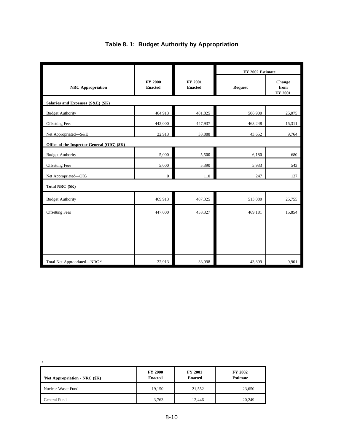|                                             |                                  |                           | FY 2002 Estimate |                           |  |  |  |
|---------------------------------------------|----------------------------------|---------------------------|------------------|---------------------------|--|--|--|
| <b>NRC</b> Appropriation                    | <b>FY 2000</b><br><b>Enacted</b> | FY 2001<br><b>Enacted</b> | <b>Request</b>   | Change<br>from<br>FY 2001 |  |  |  |
| Salaries and Expenses (S&E) (\$K)           |                                  |                           |                  |                           |  |  |  |
| <b>Budget Authority</b>                     | 464,913                          | 481,825                   | 506,900          | 25,075                    |  |  |  |
| Offsetting Fees                             | 442,000                          | 447,937                   | 463,248          | 15,311                    |  |  |  |
| Net Appropriated-S&E                        | 22,913                           | 33,888                    | 43,652           | 9,764                     |  |  |  |
| Office of the Inspector General (OIG) (\$K) |                                  |                           |                  |                           |  |  |  |
| <b>Budget Authority</b>                     | 5,000                            | 5,500                     | 6,180            | 680                       |  |  |  |
| <b>Offsetting Fees</b>                      | 5,000                            | 5,390                     | 5,933            | 543                       |  |  |  |
| Net Appropriated-OIG                        | $\boldsymbol{0}$                 | 110                       | 247              | 137                       |  |  |  |
| Total NRC (\$K)                             |                                  |                           |                  |                           |  |  |  |
| <b>Budget Authority</b>                     | 469,913                          | 487,325                   | 513,080          | 25,755                    |  |  |  |
| <b>Offsetting Fees</b>                      | 447,000                          | 453,327                   | 469,181          | 15,854                    |  |  |  |
|                                             |                                  |                           |                  |                           |  |  |  |
|                                             |                                  |                           |                  |                           |  |  |  |
|                                             |                                  |                           |                  |                           |  |  |  |
| Total Net Appropriated-NRC <sup>2</sup>     | 22,913                           | 33,998                    | 43,899           | 9,901                     |  |  |  |

## **Table 8. 1: Budget Authority by Appropriation**

| <sup>1</sup> Net Appropriation - NRC $(\frac{K}{6})$ | <b>FY 2000</b><br><b>Enacted</b> | <b>FY 2001</b><br><b>Enacted</b> | <b>FY 2002</b><br><b>Estimate</b> |
|------------------------------------------------------|----------------------------------|----------------------------------|-----------------------------------|
| Nuclear Waste Fund                                   | 19.150                           | 21,552                           | 23,650                            |
| General Fund                                         | 3,763                            | 12.446                           | 20,249                            |

2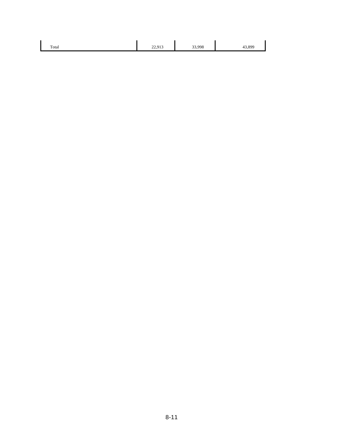| Total | 012<br><i>44,713</i> | .998 | 900 |
|-------|----------------------|------|-----|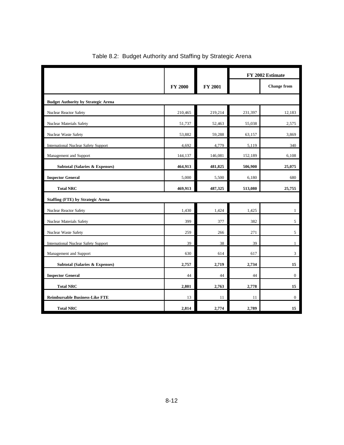|                                             |                |                | FY 2002 Estimate |                    |  |  |
|---------------------------------------------|----------------|----------------|------------------|--------------------|--|--|
|                                             | <b>FY 2000</b> | <b>FY 2001</b> |                  | <b>Change from</b> |  |  |
| <b>Budget Authority by Strategic Arena</b>  |                |                |                  |                    |  |  |
| Nuclear Reactor Safety                      | 210,465        | 219,214        | 231,397          | 12,183             |  |  |
| Nuclear Materials Safety                    | 51,737         | 52,463         | 55,038           | 2,575              |  |  |
| Nuclear Waste Safety                        | 53,882         | 59,288         | 63,157           | 3,869              |  |  |
| <b>International Nuclear Safety Support</b> | 4,692          | 4,779          | 5,119            | 340                |  |  |
| Management and Support                      | 144,137        | 146,081        | 152,189          | 6,108              |  |  |
| <b>Subtotal (Salaries &amp; Expenses)</b>   | 464,913        | 481,825        | 506,900          | 25,075             |  |  |
| <b>Inspector General</b>                    | 5,000          | 5,500          | 6,180            | 680                |  |  |
| <b>Total NRC</b>                            | 469,913        | 487,325        | 513,080          | 25,755             |  |  |
| <b>Staffing (FTE) by Strategic Arena</b>    |                |                |                  |                    |  |  |
| Nuclear Reactor Safety                      | 1,430          | 1,424          | 1,425            | $\mathbf{1}$       |  |  |
| Nuclear Materials Safety                    | 399            | 377            | 382              | 5                  |  |  |
| Nuclear Waste Safety                        | 259            | 266            | 271              | 5                  |  |  |
| <b>International Nuclear Safety Support</b> | 39             | 38             | 39               | $\mathbf{1}$       |  |  |
| Management and Support                      | 630            | 614            | 617              | 3                  |  |  |
| <b>Subtotal (Salaries &amp; Expenses)</b>   | 2,757          | 2,719          | 2,734            | 15                 |  |  |
| <b>Inspector General</b>                    | 44             | 44             | 44               | $\boldsymbol{0}$   |  |  |
| <b>Total NRC</b>                            | 2,801          | 2,763          | 2,778            | 15                 |  |  |
| <b>Reimbursable Business-Like FTE</b>       | 13             | 11             | 11               | $\mathbf{0}$       |  |  |
| <b>Total NRC</b>                            | 2,814          | 2,774          | 2,789            | 15                 |  |  |

## Table 8.2: Budget Authority and Staffing by Strategic Arena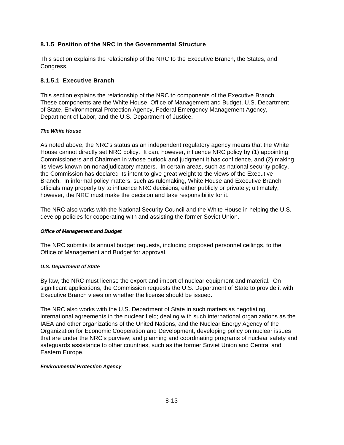### **8.1.5 Position of the NRC in the Governmental Structure**

This section explains the relationship of the NRC to the Executive Branch, the States, and Congress.

### **8.1.5.1 Executive Branch**

This section explains the relationship of the NRC to components of the Executive Branch. These components are the White House, Office of Management and Budget, U.S. Department of State, Environmental Protection Agency, Federal Emergency Management Agency, Department of Labor, and the U.S. Department of Justice.

### *The White House*

As noted above, the NRC's status as an independent regulatory agency means that the White House cannot directly set NRC policy. It can, however, influence NRC policy by (1) appointing Commissioners and Chairmen in whose outlook and judgment it has confidence, and (2) making its views known on nonadjudicatory matters. In certain areas, such as national security policy, the Commission has declared its intent to give great weight to the views of the Executive Branch. In informal policy matters, such as rulemaking, White House and Executive Branch officials may properly try to influence NRC decisions, either publicly or privately; ultimately, however, the NRC must make the decision and take responsibility for it.

The NRC also works with the National Security Council and the White House in helping the U.S. develop policies for cooperating with and assisting the former Soviet Union.

#### *Office of Management and Budget*

The NRC submits its annual budget requests, including proposed personnel ceilings, to the Office of Management and Budget for approval.

### *U.S. Department of State*

By law, the NRC must license the export and import of nuclear equipment and material. On significant applications, the Commission requests the U.S. Department of State to provide it with Executive Branch views on whether the license should be issued.

The NRC also works with the U.S. Department of State in such matters as negotiating international agreements in the nuclear field; dealing with such international organizations as the IAEA and other organizations of the United Nations, and the Nuclear Energy Agency of the Organization for Economic Cooperation and Development, developing policy on nuclear issues that are under the NRC's purview; and planning and coordinating programs of nuclear safety and safeguards assistance to other countries, such as the former Soviet Union and Central and Eastern Europe.

### *Environmental Protection Agency*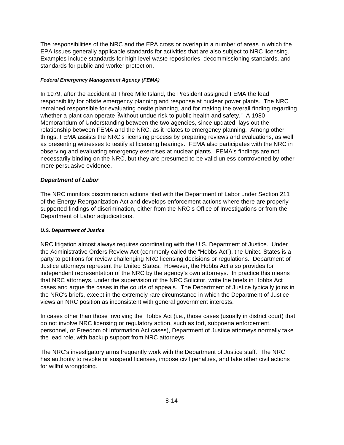The responsibilities of the NRC and the EPA cross or overlap in a number of areas in which the EPA issues generally applicable standards for activities that are also subject to NRC licensing. Examples include standards for high level waste repositories, decommissioning standards, and standards for public and worker protection.

### *Federal Emergency Management Agency (FEMA)*

In 1979, after the accident at Three Mile Island, the President assigned FEMA the lead responsibility for offsite emergency planning and response at nuclear power plants. The NRC remained responsible for evaluating onsite planning, and for making the overall finding regarding whether a plant can operate ?without undue risk to public health and safety." A 1980 Memorandum of Understanding between the two agencies, since updated, lays out the relationship between FEMA and the NRC, as it relates to emergency planning. Among other things, FEMA assists the NRC's licensing process by preparing reviews and evaluations, as well as presenting witnesses to testify at licensing hearings. FEMA also participates with the NRC in observing and evaluating emergency exercises at nuclear plants. FEMA's findings are not necessarily binding on the NRC, but they are presumed to be valid unless controverted by other more persuasive evidence.

### *Department of Labor*

The NRC monitors discrimination actions filed with the Department of Labor under Section 211 of the Energy Reorganization Act and develops enforcement actions where there are properly supported findings of discrimination, either from the NRC's Office of Investigations or from the Department of Labor adjudications.

### *U.S. Department of Justice*

NRC litigation almost always requires coordinating with the U.S. Department of Justice. Under the Administrative Orders Review Act (commonly called the "Hobbs Act"), the United States is a party to petitions for review challenging NRC licensing decisions or regulations. Department of Justice attorneys represent the United States. However, the Hobbs Act also provides for independent representation of the NRC by the agency's own attorneys. In practice this means that NRC attorneys, under the supervision of the NRC Solicitor, write the briefs in Hobbs Act cases and argue the cases in the courts of appeals. The Department of Justice typically joins in the NRC's briefs, except in the extremely rare circumstance in which the Department of Justice views an NRC position as inconsistent with general government interests.

In cases other than those involving the Hobbs Act (i.e., those cases (usually in district court) that do not involve NRC licensing or regulatory action, such as tort, subpoena enforcement, personnel, or Freedom of Information Act cases), Department of Justice attorneys normally take the lead role, with backup support from NRC attorneys.

The NRC's investigatory arms frequently work with the Department of Justice staff. The NRC has authority to revoke or suspend licenses, impose civil penalties, and take other civil actions for willful wrongdoing.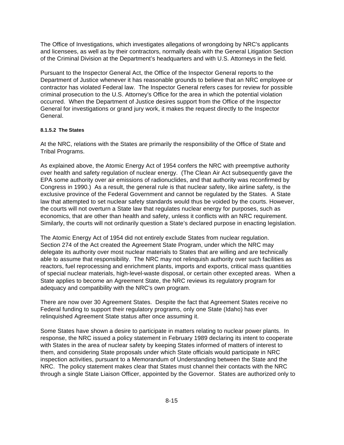The Office of Investigations, which investigates allegations of wrongdoing by NRC's applicants and licensees, as well as by their contractors, normally deals with the General Litigation Section of the Criminal Division at the Department's headquarters and with U.S. Attorneys in the field.

Pursuant to the Inspector General Act, the Office of the Inspector General reports to the Department of Justice whenever it has reasonable grounds to believe that an NRC employee or contractor has violated Federal law. The Inspector General refers cases for review for possible criminal prosecution to the U.S. Attorney's Office for the area in which the potential violation occurred. When the Department of Justice desires support from the Office of the Inspector General for investigations or grand jury work, it makes the request directly to the Inspector General.

### **8.1.5.2 The States**

At the NRC, relations with the States are primarily the responsibility of the Office of State and Tribal Programs.

As explained above, the Atomic Energy Act of 1954 confers the NRC with preemptive authority over health and safety regulation of nuclear energy. (The Clean Air Act subsequently gave the EPA some authority over air emissions of radionuclides, and that authority was reconfirmed by Congress in 1990.) As a result, the general rule is that nuclear safety, like airline safety, is the exclusive province of the Federal Government and cannot be regulated by the States. A State law that attempted to set nuclear safety standards would thus be voided by the courts. However, the courts will not overturn a State law that regulates nuclear energy for purposes, such as economics, that are other than health and safety, unless it conflicts with an NRC requirement. Similarly, the courts will not ordinarily question a State's declared purpose in enacting legislation.

The Atomic Energy Act of 1954 did not entirely exclude States from nuclear regulation. Section 274 of the Act created the Agreement State Program, under which the NRC may delegate its authority over most nuclear materials to States that are willing and are technically able to assume that responsibility. The NRC may not relinquish authority over such facilities as reactors, fuel reprocessing and enrichment plants, imports and exports, critical mass quantities of special nuclear materials, high-level-waste disposal, or certain other excepted areas. When a State applies to become an Agreement State, the NRC reviews its regulatory program for adequacy and compatibility with the NRC's own program.

There are now over 30 Agreement States. Despite the fact that Agreement States receive no Federal funding to support their regulatory programs, only one State (Idaho) has ever relinquished Agreement State status after once assuming it.

Some States have shown a desire to participate in matters relating to nuclear power plants. In response, the NRC issued a policy statement in February 1989 declaring its intent to cooperate with States in the area of nuclear safety by keeping States informed of matters of interest to them, and considering State proposals under which State officials would participate in NRC inspection activities, pursuant to a Memorandum of Understanding between the State and the NRC. The policy statement makes clear that States must channel their contacts with the NRC through a single State Liaison Officer, appointed by the Governor. States are authorized only to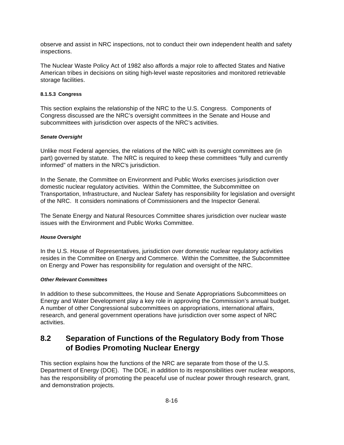observe and assist in NRC inspections, not to conduct their own independent health and safety inspections.

The Nuclear Waste Policy Act of 1982 also affords a major role to affected States and Native American tribes in decisions on siting high-level waste repositories and monitored retrievable storage facilities.

#### **8.1.5.3 Congress**

This section explains the relationship of the NRC to the U.S. Congress. Components of Congress discussed are the NRC's oversight committees in the Senate and House and subcommittees with jurisdiction over aspects of the NRC's activities.

### *Senate Oversight*

Unlike most Federal agencies, the relations of the NRC with its oversight committees are (in part) governed by statute. The NRC is required to keep these committees "fully and currently informed" of matters in the NRC's jurisdiction.

In the Senate, the Committee on Environment and Public Works exercises jurisdiction over domestic nuclear regulatory activities. Within the Committee, the Subcommittee on Transportation, Infrastructure, and Nuclear Safety has responsibility for legislation and oversight of the NRC. It considers nominations of Commissioners and the Inspector General.

The Senate Energy and Natural Resources Committee shares jurisdiction over nuclear waste issues with the Environment and Public Works Committee.

#### *House Oversight*

In the U.S. House of Representatives, jurisdiction over domestic nuclear regulatory activities resides in the Committee on Energy and Commerce. Within the Committee, the Subcommittee on Energy and Power has responsibility for regulation and oversight of the NRC.

#### *Other Relevant Committees*

In addition to these subcommittees, the House and Senate Appropriations Subcommittees on Energy and Water Development play a key role in approving the Commission's annual budget. A number of other Congressional subcommittees on appropriations, international affairs, research, and general government operations have jurisdiction over some aspect of NRC activities.

# **8.2 Separation of Functions of the Regulatory Body from Those of Bodies Promoting Nuclear Energy**

This section explains how the functions of the NRC are separate from those of the U.S. Department of Energy (DOE). The DOE, in addition to its responsibilities over nuclear weapons, has the responsibility of promoting the peaceful use of nuclear power through research, grant, and demonstration projects.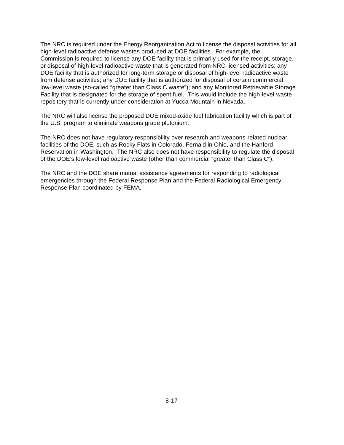The NRC is required under the Energy Reorganization Act to license the disposal activities for all high-level radioactive defense wastes produced at DOE facilities. For example, the Commission is required to license any DOE facility that is primarily used for the receipt, storage, or disposal of high-level radioactive waste that is generated from NRC-licensed activities; any DOE facility that is authorized for long-term storage or disposal of high-level radioactive waste from defense activities; any DOE facility that is authorized for disposal of certain commercial low-level waste (so-called "greater than Class C waste"); and any Monitored Retrievable Storage Facility that is designated for the storage of spent fuel. This would include the high-level-waste repository that is currently under consideration at Yucca Mountain in Nevada.

The NRC will also license the proposed DOE mixed-oxide fuel fabrication facility which is part of the U.S. program to eliminate weapons grade plutonium.

The NRC does not have regulatory responsibility over research and weapons-related nuclear facilities of the DOE, such as Rocky Flats in Colorado, Fernald in Ohio, and the Hanford Reservation in Washington. The NRC also does not have responsibility to regulate the disposal of the DOE's low-level radioactive waste (other than commercial "greater than Class C").

The NRC and the DOE share mutual assistance agreements for responding to radiological emergencies through the Federal Response Plan and the Federal Radiological Emergency Response Plan coordinated by FEMA.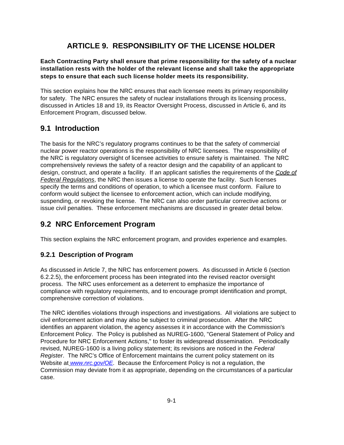# **ARTICLE 9. RESPONSIBILITY OF THE LICENSE HOLDER**

**Each Contracting Party shall ensure that prime responsibility for the safety of a nuclear installation rests with the holder of the relevant license and shall take the appropriate steps to ensure that each such license holder meets its responsibility.** 

This section explains how the NRC ensures that each licensee meets its primary responsibility for safety. The NRC ensures the safety of nuclear installations through its licensing process, discussed in Articles 18 and 19, its Reactor Oversight Process, discussed in Article 6, and its Enforcement Program, discussed below.

## **9.1 Introduction**

The basis for the NRC's regulatory programs continues to be that the safety of commercial nuclear power reactor operations is the responsibility of NRC licensees. The responsibility of the NRC is regulatory oversight of licensee activities to ensure safety is maintained. The NRC comprehensively reviews the safety of a reactor design and the capability of an applicant to design, construct, and operate a facility. If an applicant satisfies the requirements of the *Code of Federal Regulations*, the NRC then issues a license to operate the facility. Such licenses specify the terms and conditions of operation, to which a licensee must conform. Failure to conform would subject the licensee to enforcement action, which can include modifying, suspending, or revoking the license. The NRC can also order particular corrective actions or issue civil penalties. These enforcement mechanisms are discussed in greater detail below.

# **9.2 NRC Enforcement Program**

This section explains the NRC enforcement program, and provides experience and examples.

## **9.2.1 Description of Program**

As discussed in Article 7, the NRC has enforcement powers. As discussed in Article 6 (section 6.2.2.5), the enforcement process has been integrated into the revised reactor oversight process. The NRC uses enforcement as a deterrent to emphasize the importance of compliance with regulatory requirements, and to encourage prompt identification and prompt, comprehensive correction of violations.

The NRC identifies violations through inspections and investigations. All violations are subject to civil enforcement action and may also be subject to criminal prosecution. After the NRC identifies an apparent violation, the agency assesses it in accordance with the Commission's Enforcement Policy. The Policy is published as NUREG-1600, "General Statement of Policy and Procedure for NRC Enforcement Actions," to foster its widespread dissemination. Periodically revised, NUREG-1600 is a living policy statement; its revisions are noticed in the *Federal Register*. The NRC's Office of Enforcement maintains the current policy statement on its Website at *www.nrc.gov/OE*. Because the Enforcement Policy is not a regulation, the Commission may deviate from it as appropriate, depending on the circumstances of a particular case.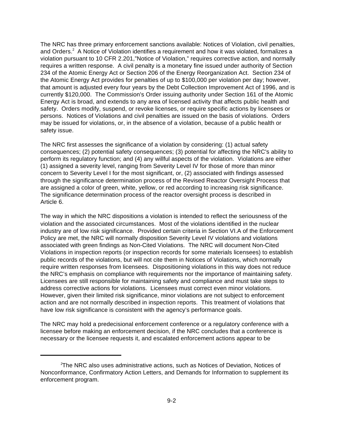The NRC has three primary enforcement sanctions available: Notices of Violation, civil penalties, and Orders.<sup>2</sup> A Notice of Violation identifies a requirement and how it was violated, formalizes a violation pursuant to 10 CFR 2.201,"Notice of Violation," requires corrective action, and normally requires a written response. A civil penalty is a monetary fine issued under authority of Section 234 of the Atomic Energy Act or Section 206 of the Energy Reorganization Act. Section 234 of the Atomic Energy Act provides for penalties of up to \$100,000 per violation per day; however, that amount is adjusted every four years by the Debt Collection Improvement Act of 1996, and is currently \$120,000. The Commission's Order issuing authority under Section 161 of the Atomic Energy Act is broad, and extends to any area of licensed activity that affects public health and safety. Orders modify, suspend, or revoke licenses, or require specific actions by licensees or persons. Notices of Violations and civil penalties are issued on the basis of violations. Orders may be issued for violations, or, in the absence of a violation, because of a public health or safety issue.

The NRC first assesses the significance of a violation by considering: (1) actual safety consequences; (2) potential safety consequences; (3) potential for affecting the NRC's ability to perform its regulatory function; and (4) any willful aspects of the violation. Violations are either (1) assigned a severity level, ranging from Severity Level IV for those of more than minor concern to Severity Level I for the most significant, or, (2) associated with findings assessed through the significance determination process of the Revised Reactor Oversight Process that are assigned a color of green, white, yellow, or red according to increasing risk significance. The significance determination process of the reactor oversight process is described in Article 6.

The way in which the NRC dispositions a violation is intended to reflect the seriousness of the violation and the associated circumstances. Most of the violations identified in the nuclear industry are of low risk significance. Provided certain criteria in Section VI.A of the Enforcement Policy are met, the NRC will normally disposition Severity Level IV violations and violations associated with green findings as Non-Cited Violations. The NRC will document Non-Cited Violations in inspection reports (or inspection records for some materials licensees) to establish public records of the violations, but will not cite them in Notices of Violations, which normally require written responses from licensees. Dispositioning violations in this way does not reduce the NRC's emphasis on compliance with requirements nor the importance of maintaining safety. Licensees are still responsible for maintaining safety and compliance and must take steps to address corrective actions for violations. Licensees must correct even minor violations. However, given their limited risk significance, minor violations are not subject to enforcement action and are not normally described in inspection reports. This treatment of violations that have low risk significance is consistent with the agency's performance goals.

The NRC may hold a predecisional enforcement conference or a regulatory conference with a licensee before making an enforcement decision, if the NRC concludes that a conference is necessary or the licensee requests it, and escalated enforcement actions appear to be

<sup>2</sup>The NRC also uses administrative actions, such as Notices of Deviation, Notices of Nonconformance, Confirmatory Action Letters, and Demands for Information to supplement its enforcement program.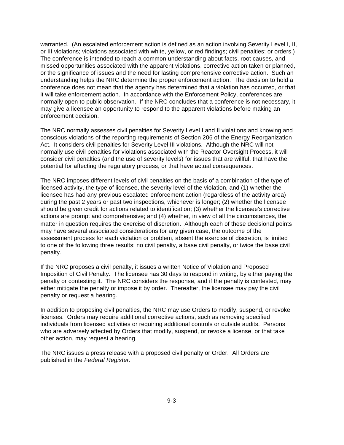warranted. (An escalated enforcement action is defined as an action involving Severity Level I, II, or III violations; violations associated with white, yellow, or red findings; civil penalties; or orders.) The conference is intended to reach a common understanding about facts, root causes, and missed opportunities associated with the apparent violations, corrective action taken or planned, or the significance of issues and the need for lasting comprehensive corrective action. Such an understanding helps the NRC determine the proper enforcement action. The decision to hold a conference does not mean that the agency has determined that a violation has occurred, or that it will take enforcement action. In accordance with the Enforcement Policy, conferences are normally open to public observation. If the NRC concludes that a conference is not necessary, it may give a licensee an opportunity to respond to the apparent violations before making an enforcement decision.

The NRC normally assesses civil penalties for Severity Level I and II violations and knowing and conscious violations of the reporting requirements of Section 206 of the Energy Reorganization Act. It considers civil penalties for Severity Level III violations. Although the NRC will not normally use civil penalties for violations associated with the Reactor Oversight Process, it will consider civil penalties (and the use of severity levels) for issues that are willful, that have the potential for affecting the regulatory process, or that have actual consequences.

The NRC imposes different levels of civil penalties on the basis of a combination of the type of licensed activity, the type of licensee, the severity level of the violation, and (1) whether the licensee has had any previous escalated enforcement action (regardless of the activity area) during the past 2 years or past two inspections, whichever is longer; (2) whether the licensee should be given credit for actions related to identification; (3) whether the licensee's corrective actions are prompt and comprehensive; and (4) whether, in view of all the circumstances, the matter in question requires the exercise of discretion. Although each of these decisional points may have several associated considerations for any given case, the outcome of the assessment process for each violation or problem, absent the exercise of discretion, is limited to one of the following three results: no civil penalty, a base civil penalty, or twice the base civil penalty.

If the NRC proposes a civil penalty, it issues a written Notice of Violation and Proposed Imposition of Civil Penalty. The licensee has 30 days to respond in writing, by either paying the penalty or contesting it. The NRC considers the response, and if the penalty is contested, may either mitigate the penalty or impose it by order. Thereafter, the licensee may pay the civil penalty or request a hearing.

In addition to proposing civil penalties, the NRC may use Orders to modify, suspend, or revoke licenses. Orders may require additional corrective actions, such as removing specified individuals from licensed activities or requiring additional controls or outside audits. Persons who are adversely affected by Orders that modify, suspend, or revoke a license, or that take other action, may request a hearing.

The NRC issues a press release with a proposed civil penalty or Order. All Orders are published in the *Federal Register*.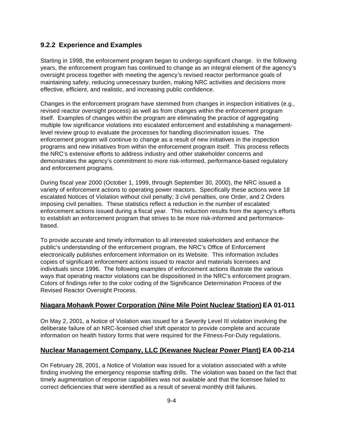### **9.2.2 Experience and Examples**

Starting in 1998, the enforcement program began to undergo significant change. In the following years, the enforcement program has continued to change as an integral element of the agency's oversight process together with meeting the agency's revised reactor performance goals of maintaining safety, reducing unnecessary burden, making NRC activities and decisions more effective, efficient, and realistic, and increasing public confidence.

Changes in the enforcement program have stemmed from changes in inspection initiatives (e.g., revised reactor oversight process) as well as from changes within the enforcement program itself. Examples of changes within the program are eliminating the practice of aggregating multiple low significance violations into escalated enforcement and establishing a managementlevel review group to evaluate the processes for handling discrimination issues. The enforcement program will continue to change as a result of new initiatives in the inspection programs and new initiatives from within the enforcement program itself. This process reflects the NRC's extensive efforts to address industry and other stakeholder concerns and demonstrates the agency's commitment to more risk-informed, performance-based regulatory and enforcement programs.

During fiscal year 2000 (October 1, 1999, through September 30, 2000), the NRC issued a variety of enforcement actions to operating power reactors. Specifically these actions were 18 escalated Notices of Violation without civil penalty; 3 civil penalties, one Order, and 2 Orders imposing civil penalties. These statistics reflect a reduction in the number of escalated enforcement actions issued during a fiscal year. This reduction results from the agency's efforts to establish an enforcement program that strives to be more risk-informed and performancebased.

To provide accurate and timely information to all interested stakeholders and enhance the public's understanding of the enforcement program, the NRC's Office of Enforcement electronically publishes enforcement information on its Website. This information includes copies of significant enforcement actions issued to reactor and materials licensees and individuals since 1996. The following examples of enforcement actions illustrate the various ways that operating reactor violations can be dispositioned in the NRC's enforcement program. Colors of findings refer to the color coding of the Significance Determination Process of the Revised Reactor Oversight Process.

### **Niagara Mohawk Power Corporation (Nine Mile Point Nuclear Station) EA 01-011**

On May 2, 2001, a Notice of Violation was issued for a Severity Level III violation involving the deliberate failure of an NRC-licensed chief shift operator to provide complete and accurate information on health history forms that were required for the Fitness-For-Duty regulations.

## **Nuclear Management Company, LLC (Kewanee Nuclear Power Plant) EA 00-214**

On February 28, 2001, a Notice of Violation was issued for a violation associated with a white finding involving the emergency response staffing drills. The violation was based on the fact that timely augmentation of response capabilities was not available and that the licensee failed to correct deficiencies that were identified as a result of several monthly drill failures.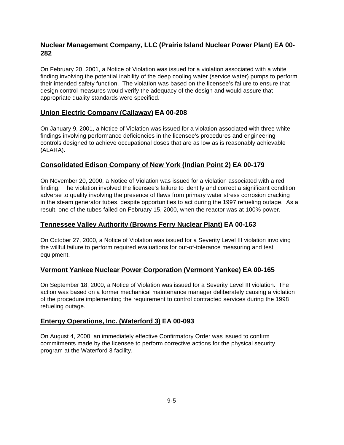## **Nuclear Management Company, LLC (Prairie Island Nuclear Power Plant) EA 00- 282**

On February 20, 2001, a Notice of Violation was issued for a violation associated with a white finding involving the potential inability of the deep cooling water (service water) pumps to perform their intended safety function. The violation was based on the licensee's failure to ensure that design control measures would verify the adequacy of the design and would assure that appropriate quality standards were specified.

## **Union Electric Company (Callaway) EA 00-208**

On January 9, 2001, a Notice of Violation was issued for a violation associated with three white findings involving performance deficiencies in the licensee's procedures and engineering controls designed to achieve occupational doses that are as low as is reasonably achievable (ALARA).

## **Consolidated Edison Company of New York (Indian Point 2) EA 00-179**

On November 20, 2000, a Notice of Violation was issued for a violation associated with a red finding. The violation involved the licensee's failure to identify and correct a significant condition adverse to quality involving the presence of flaws from primary water stress corrosion cracking in the steam generator tubes, despite opportunities to act during the 1997 refueling outage. As a result, one of the tubes failed on February 15, 2000, when the reactor was at 100% power.

## **Tennessee Valley Authority (Browns Ferry Nuclear Plant) EA 00-163**

On October 27, 2000, a Notice of Violation was issued for a Severity Level III violation involving the willful failure to perform required evaluations for out-of-tolerance measuring and test equipment.

## **Vermont Yankee Nuclear Power Corporation (Vermont Yankee) EA 00-165**

On September 18, 2000, a Notice of Violation was issued for a Severity Level III violation. The action was based on a former mechanical maintenance manager deliberately causing a violation of the procedure implementing the requirement to control contracted services during the 1998 refueling outage.

## **Entergy Operations, Inc. (Waterford 3) EA 00-093**

On August 4, 2000, an immediately effective Confirmatory Order was issued to confirm commitments made by the licensee to perform corrective actions for the physical security program at the Waterford 3 facility.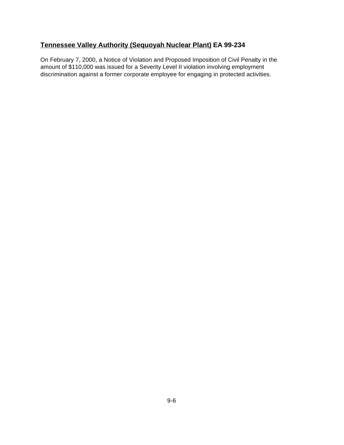## **Tennessee Valley Authority (Sequoyah Nuclear Plant) EA 99-234**

On February 7, 2000, a Notice of Violation and Proposed Imposition of Civil Penalty in the amount of \$110,000 was issued for a Severity Level II violation involving employment discrimination against a former corporate employee for engaging in protected activities.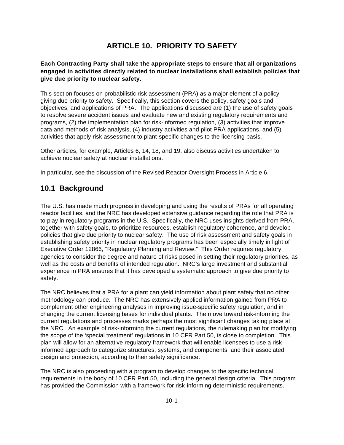# **ARTICLE 10. PRIORITY TO SAFETY**

### **Each Contracting Party shall take the appropriate steps to ensure that all organizations engaged in activities directly related to nuclear installations shall establish policies that give due priority to nuclear safety.**

This section focuses on probabilistic risk assessment (PRA) as a major element of a policy giving due priority to safety. Specifically, this section covers the policy, safety goals and objectives, and applications of PRA. The applications discussed are (1) the use of safety goals to resolve severe accident issues and evaluate new and existing regulatory requirements and programs, (2) the implementation plan for risk-informed regulation, (3) activities that improve data and methods of risk analysis, (4) industry activities and pilot PRA applications, and (5) activities that apply risk assessment to plant-specific changes to the licensing basis.

Other articles, for example, Articles 6, 14, 18, and 19, also discuss activities undertaken to achieve nuclear safety at nuclear installations.

In particular, see the discussion of the Revised Reactor Oversight Process in Article 6.

# **10.1 Background**

The U.S. has made much progress in developing and using the results of PRAs for all operating reactor facilities, and the NRC has developed extensive guidance regarding the role that PRA is to play in regulatory programs in the U.S. Specifically, the NRC uses insights derived from PRA, together with safety goals, to prioritize resources, establish regulatory coherence, and develop policies that give due priority to nuclear safety. The use of risk assessment and safety goals in establishing safety priority in nuclear regulatory programs has been especially timely in light of Executive Order 12866, "Regulatory Planning and Review." This Order requires regulatory agencies to consider the degree and nature of risks posed in setting their regulatory priorities, as well as the costs and benefits of intended regulation. NRC's large investment and substantial experience in PRA ensures that it has developed a systematic approach to give due priority to safety.

The NRC believes that a PRA for a plant can yield information about plant safety that no other methodology can produce. The NRC has extensively applied information gained from PRA to complement other engineering analyses in improving issue-specific safety regulation, and in changing the current licensing bases for individual plants. The move toward risk-informing the current regulations and processes marks perhaps the most significant changes taking place at the NRC. An example of risk-informing the current regulations, the rulemaking plan for modifying the scope of the 'special treatment' regulations in 10 CFR Part 50, is close to completion. This plan will allow for an alternative regulatory framework that will enable licensees to use a riskinformed approach to categorize structures, systems, and components, and their associated design and protection, according to their safety significance.

The NRC is also proceeding with a program to develop changes to the specific technical requirements in the body of 10 CFR Part 50, including the general design criteria. This program has provided the Commission with a framework for risk-informing deterministic requirements.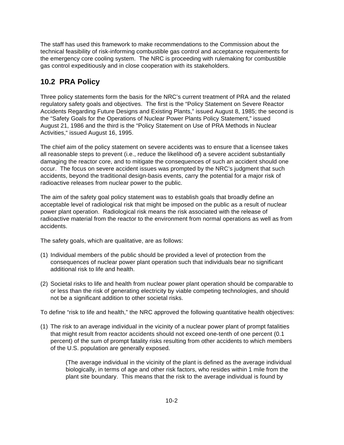The staff has used this framework to make recommendations to the Commission about the technical feasibility of risk-informing combustible gas control and acceptance requirements for the emergency core cooling system. The NRC is proceeding with rulemaking for combustible gas control expeditiously and in close cooperation with its stakeholders.

# **10.2 PRA Policy**

Three policy statements form the basis for the NRC's current treatment of PRA and the related regulatory safety goals and objectives. The first is the "Policy Statement on Severe Reactor Accidents Regarding Future Designs and Existing Plants," issued August 8, 1985; the second is the "Safety Goals for the Operations of Nuclear Power Plants Policy Statement," issued August 21, 1986 and the third is the "Policy Statement on Use of PRA Methods in Nuclear Activities," issued August 16, 1995.

The chief aim of the policy statement on severe accidents was to ensure that a licensee takes all reasonable steps to prevent (i.e., reduce the likelihood of) a severe accident substantially damaging the reactor core, and to mitigate the consequences of such an accident should one occur. The focus on severe accident issues was prompted by the NRC's judgment that such accidents, beyond the traditional design-basis events, carry the potential for a major risk of radioactive releases from nuclear power to the public.

The aim of the safety goal policy statement was to establish goals that broadly define an acceptable level of radiological risk that might be imposed on the public as a result of nuclear power plant operation. Radiological risk means the risk associated with the release of radioactive material from the reactor to the environment from normal operations as well as from accidents.

The safety goals, which are qualitative, are as follows:

- (1) Individual members of the public should be provided a level of protection from the consequences of nuclear power plant operation such that individuals bear no significant additional risk to life and health.
- (2) Societal risks to life and health from nuclear power plant operation should be comparable to or less than the risk of generating electricity by viable competing technologies, and should not be a significant addition to other societal risks.

To define "risk to life and health," the NRC approved the following quantitative health objectives:

(1) The risk to an average individual in the vicinity of a nuclear power plant of prompt fatalities that might result from reactor accidents should not exceed one-tenth of one percent (0.1 percent) of the sum of prompt fatality risks resulting from other accidents to which members of the U.S. population are generally exposed.

(The average individual in the vicinity of the plant is defined as the average individual biologically, in terms of age and other risk factors, who resides within 1 mile from the plant site boundary. This means that the risk to the average individual is found by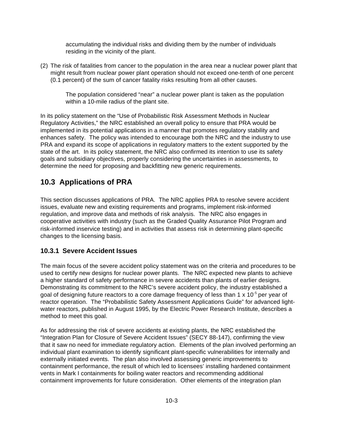accumulating the individual risks and dividing them by the number of individuals residing in the vicinity of the plant.

(2) The risk of fatalities from cancer to the population in the area near a nuclear power plant that might result from nuclear power plant operation should not exceed one-tenth of one percent (0.1 percent) of the sum of cancer fatality risks resulting from all other causes.

The population considered "near" a nuclear power plant is taken as the population within a 10-mile radius of the plant site.

In its policy statement on the "Use of Probabilistic Risk Assessment Methods in Nuclear Regulatory Activities," the NRC established an overall policy to ensure that PRA would be implemented in its potential applications in a manner that promotes regulatory stability and enhances safety. The policy was intended to encourage both the NRC and the industry to use PRA and expand its scope of applications in regulatory matters to the extent supported by the state of the art. In its policy statement, the NRC also confirmed its intention to use its safety goals and subsidiary objectives, properly considering the uncertainties in assessments, to determine the need for proposing and backfitting new generic requirements.

# **10.3 Applications of PRA**

This section discusses applications of PRA. The NRC applies PRA to resolve severe accident issues, evaluate new and existing requirements and programs, implement risk-informed regulation, and improve data and methods of risk analysis. The NRC also engages in cooperative activities with industry (such as the Graded Quality Assurance Pilot Program and risk-informed inservice testing) and in activities that assess risk in determining plant-specific changes to the licensing basis.

### **10.3.1 Severe Accident Issues**

The main focus of the severe accident policy statement was on the criteria and procedures to be used to certify new designs for nuclear power plants. The NRC expected new plants to achieve a higher standard of safety performance in severe accidents than plants of earlier designs. Demonstrating its commitment to the NRC's severe accident policy, the industry established a goal of designing future reactors to a core damage frequency of less than 1  $\times$  10<sup>-5</sup> per year of reactor operation. The "Probabilistic Safety Assessment Applications Guide" for advanced lightwater reactors, published in August 1995, by the Electric Power Research Institute, describes a method to meet this goal.

As for addressing the risk of severe accidents at existing plants, the NRC established the "Integration Plan for Closure of Severe Accident Issues" (SECY 88-147), confirming the view that it saw no need for immediate regulatory action. Elements of the plan involved performing an individual plant examination to identify significant plant-specific vulnerabilities for internally and externally initiated events. The plan also involved assessing generic improvements to containment performance, the result of which led to licensees' installing hardened containment vents in Mark I containments for boiling water reactors and recommending additional containment improvements for future consideration. Other elements of the integration plan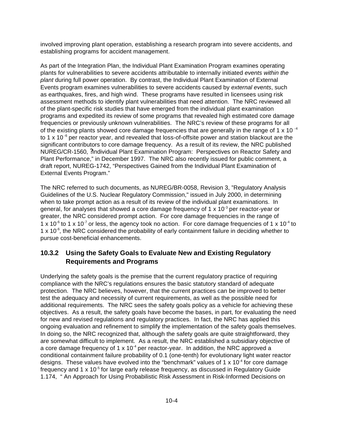involved improving plant operation, establishing a research program into severe accidents, and establishing programs for accident management.

As part of the Integration Plan, the Individual Plant Examination Program examines operating plants for vulnerabilities to severe accidents attributable to internally initiated *events within the plant* during full power operation. By contrast, the Individual Plant Examination of External Events program examines vulnerabilities to severe accidents caused by *external events*, such as earthquakes, fires, and high wind. These programs have resulted in licensees using risk assessment methods to identify plant vulnerabilities that need attention. The NRC reviewed all of the plant-specific risk studies that have emerged from the individual plant examination programs and expedited its review of some programs that revealed high estimated core damage frequencies or previously unknown vulnerabilities. The NRC's review of these programs for all of the existing plants showed core damage frequencies that are generally in the range of 1  $\times$  10<sup>-4</sup> to 1 x 10 $\degree$  per reactor year, and revealed that loss-of-offsite power and station blackout are the significant contributors to core damage frequency. As a result of its review, the NRC published NUREG/CR-1560, ?Individual Plant Examination Program: Perspectives on Reactor Safety and Plant Performance," in December 1997. The NRC also recently issued for public comment, a draft report, NUREG-1742, "Perspectives Gained from the Individual Plant Examination of External Events Program."

The NRC referred to such documents, as NUREG/BR-0058, Revision 3, "Regulatory Analysis Guidelines of the U.S. Nuclear Regulatory Commission," issued in July 2000, in determining when to take prompt action as a result of its review of the individual plant examinations. In general, for analyses that showed a core damage frequency of 1 x 10<sup>-3</sup> per reactor-year or greater, the NRC considered prompt action. For core damage frequencies in the range of 1 x 10<sup>-6</sup> to 1 x 10<sup>-7</sup> or less, the agency took no action. For core damage frequencies of 1 x 10<sup>-4</sup> to  $1 \times 10^{-6}$ , the NRC considered the probability of early containment failure in deciding whether to pursue cost-beneficial enhancements.

### **10.3.2 Using the Safety Goals to Evaluate New and Existing Regulatory Requirements and Programs**

Underlying the safety goals is the premise that the current regulatory practice of requiring compliance with the NRC's regulations ensures the basic statutory standard of adequate protection. The NRC believes, however, that the current practices can be improved to better test the adequacy and necessity of current requirements, as well as the possible need for additional requirements. The NRC sees the safety goals policy as a vehicle for achieving these objectives. As a result, the safety goals have become the bases, in part, for evaluating the need for new and revised regulations and regulatory practices. In fact, the NRC has applied this ongoing evaluation and refinement to simplify the implementation of the safety goals themselves. In doing so, the NRC recognized that, although the safety goals are quite straightforward, they are somewhat difficult to implement. As a result, the NRC established a subsidiary objective of a core damage frequency of 1 x  $10^{-4}$  per reactor-year. In addition, the NRC approved a conditional containment failure probability of 0.1 (one-tenth) for evolutionary light water reactor designs. These values have evolved into the "benchmark" values of 1 x 10 $4$  for core damage frequency and 1 x  $10^{-5}$  for large early release frequency, as discussed in Regulatory Guide 1.174, " An Approach for Using Probabilistic Risk Assessment in Risk-Informed Decisions on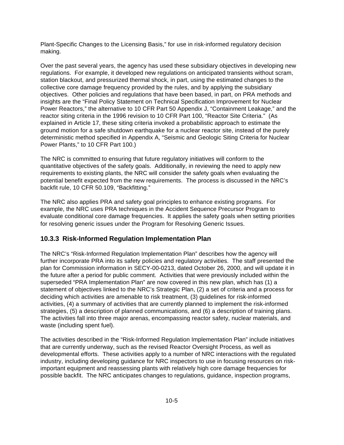Plant-Specific Changes to the Licensing Basis," for use in risk-informed regulatory decision making.

Over the past several years, the agency has used these subsidiary objectives in developing new regulations. For example, it developed new regulations on anticipated transients without scram, station blackout, and pressurized thermal shock, in part, using the estimated changes to the collective core damage frequency provided by the rules, and by applying the subsidiary objectives. Other policies and regulations that have been based, in part, on PRA methods and insights are the "Final Policy Statement on Technical Specification Improvement for Nuclear Power Reactors," the alternative to 10 CFR Part 50 Appendix J, "Containment Leakage," and the reactor siting criteria in the 1996 revision to 10 CFR Part 100, "Reactor Site Criteria." (As explained in Article 17, these siting criteria invoked a probabilistic approach to estimate the ground motion for a safe shutdown earthquake for a nuclear reactor site, instead of the purely deterministic method specified in Appendix A, "Seismic and Geologic Siting Criteria for Nuclear Power Plants," to 10 CFR Part 100.)

The NRC is committed to ensuring that future regulatory initiatives will conform to the quantitative objectives of the safety goals. Additionally, in reviewing the need to apply new requirements to existing plants, the NRC will consider the safety goals when evaluating the potential benefit expected from the new requirements. The process is discussed in the NRC's backfit rule, 10 CFR 50.109, "Backfitting."

The NRC also applies PRA and safety goal principles to enhance existing programs. For example, the NRC uses PRA techniques in the Accident Sequence Precursor Program to evaluate conditional core damage frequencies. It applies the safety goals when setting priorities for resolving generic issues under the Program for Resolving Generic Issues.

### **10.3.3 Risk-Informed Regulation Implementation Plan**

The NRC's "Risk-Informed Regulation Implementation Plan" describes how the agency will further incorporate PRA into its safety policies and regulatory activities. The staff presented the plan for Commission information in SECY-00-0213, dated October 26, 2000, and will update it in the future after a period for public comment. Activities that were previously included within the superseded "PRA Implementation Plan" are now covered in this new plan, which has (1) a statement of objectives linked to the NRC's Strategic Plan, (2) a set of criteria and a process for deciding which activities are amenable to risk treatment, (3) guidelines for risk-informed activities, (4) a summary of activities that are currently planned to implement the risk-informed strategies, (5) a description of planned communications, and (6) a description of training plans. The activities fall into three major arenas, encompassing reactor safety, nuclear materials, and waste (including spent fuel).

The activities described in the "Risk-Informed Regulation Implementation Plan" include initiatives that are currently underway, such as the revised Reactor Oversight Process, as well as developmental efforts. These activities apply to a number of NRC interactions with the regulated industry, including developing guidance for NRC inspectors to use in focusing resources on riskimportant equipment and reassessing plants with relatively high core damage frequencies for possible backfit. The NRC anticipates changes to regulations, guidance, inspection programs,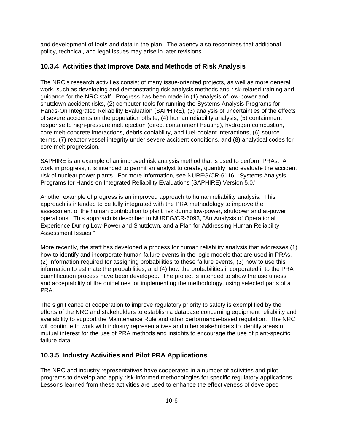and development of tools and data in the plan. The agency also recognizes that additional policy, technical, and legal issues may arise in later revisions.

## **10.3.4 Activities that Improve Data and Methods of Risk Analysis**

The NRC's research activities consist of many issue-oriented projects, as well as more general work, such as developing and demonstrating risk analysis methods and risk-related training and guidance for the NRC staff. Progress has been made in (1) analysis of low-power and shutdown accident risks, (2) computer tools for running the Systems Analysis Programs for Hands-On Integrated Reliability Evaluation (SAPHIRE), (3) analysis of uncertainties of the effects of severe accidents on the population offsite, (4) human reliability analysis, (5) containment response to high-pressure melt ejection (direct containment heating), hydrogen combustion, core melt-concrete interactions, debris coolability, and fuel-coolant interactions, (6) source terms, (7) reactor vessel integrity under severe accident conditions, and (8) analytical codes for core melt progression.

SAPHIRE is an example of an improved risk analysis method that is used to perform PRAs. A work in progress, it is intended to permit an analyst to create, quantify, and evaluate the accident risk of nuclear power plants. For more information, see NUREG/CR-6116, "Systems Analysis Programs for Hands-on Integrated Reliability Evaluations (SAPHIRE) Version 5.0."

Another example of progress is an improved approach to human reliability analysis. This approach is intended to be fully integrated with the PRA methodology to improve the assessment of the human contribution to plant risk during low-power, shutdown and at-power operations. This approach is described in NUREG/CR-6093, "An Analysis of Operational Experience During Low-Power and Shutdown, and a Plan for Addressing Human Reliability Assessment Issues."

More recently, the staff has developed a process for human reliability analysis that addresses (1) how to identify and incorporate human failure events in the logic models that are used in PRAs, (2) information required for assigning probabilities to these failure events, (3) how to use this information to estimate the probabilities, and (4) how the probabilities incorporated into the PRA quantification process have been developed. The project is intended to show the usefulness and acceptability of the guidelines for implementing the methodology, using selected parts of a PRA.

The significance of cooperation to improve regulatory priority to safety is exemplified by the efforts of the NRC and stakeholders to establish a database concerning equipment reliability and availability to support the Maintenance Rule and other performance-based regulation. The NRC will continue to work with industry representatives and other stakeholders to identify areas of mutual interest for the use of PRA methods and insights to encourage the use of plant-specific failure data.

## **10.3.5 Industry Activities and Pilot PRA Applications**

The NRC and industry representatives have cooperated in a number of activities and pilot programs to develop and apply risk-informed methodologies for specific regulatory applications. Lessons learned from these activities are used to enhance the effectiveness of developed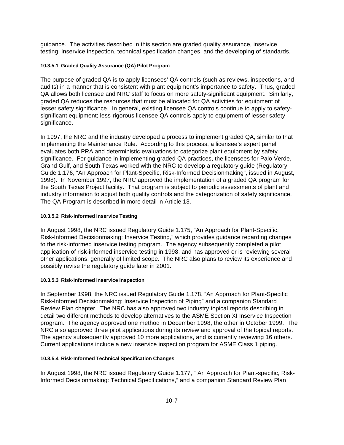guidance. The activities described in this section are graded quality assurance, inservice testing, inservice inspection, technical specification changes, and the developing of standards.

### **10.3.5.1 Graded Quality Assurance (QA) Pilot Program**

The purpose of graded QA is to apply licensees' QA controls (such as reviews, inspections, and audits) in a manner that is consistent with plant equipment's importance to safety. Thus, graded QA allows both licensee and NRC staff to focus on more safety-significant equipment. Similarly, graded QA reduces the resources that must be allocated for QA activities for equipment of lesser safety significance. In general, existing licensee QA controls continue to apply to safetysignificant equipment; less-rigorous licensee QA controls apply to equipment of lesser safety significance.

In 1997, the NRC and the industry developed a process to implement graded QA, similar to that implementing the Maintenance Rule. According to this process, a licensee's expert panel evaluates both PRA and deterministic evaluations to categorize plant equipment by safety significance. For guidance in implementing graded QA practices, the licensees for Palo Verde, Grand Gulf, and South Texas worked with the NRC to develop a regulatory guide (Regulatory Guide 1.176, "An Approach for Plant-Specific, Risk-Informed Decisionmaking", issued in August, 1998). In November 1997, the NRC approved the implementation of a graded QA program for the South Texas Project facility. That program is subject to periodic assessments of plant and industry information to adjust both quality controls and the categorization of safety significance. The QA Program is described in more detail in Article 13.

### **10.3.5.2 Risk-Informed Inservice Testing**

In August 1998, the NRC issued Regulatory Guide 1.175, "An Approach for Plant-Specific, Risk-Informed Decisionmaking: Inservice Testing," which provides guidance regarding changes to the risk-informed inservice testing program. The agency subsequently completed a pilot application of risk-informed inservice testing in 1998, and has approved or is reviewing several other applications, generally of limited scope. The NRC also plans to review its experience and possibly revise the regulatory guide later in 2001.

### **10.3.5.3 Risk-Informed Inservice Inspection**

In September 1998, the NRC issued Regulatory Guide 1.178, "An Approach for Plant-Specific Risk-Informed Decisionmaking: Inservice Inspection of Piping" and a companion Standard Review Plan chapter. The NRC has also approved two industry topical reports describing in detail two different methods to develop alternatives to the ASME Section XI Inservice Inspection program. The agency approved one method in December 1998, the other in October 1999. The NRC also approved three pilot applications during its review and approval of the topical reports. The agency subsequently approved 10 more applications, and is currently reviewing 16 others. Current applications include a new inservice inspection program for ASME Class 1 piping.

### **10.3.5.4 Risk-Informed Technical Specification Changes**

In August 1998, the NRC issued Regulatory Guide 1.177, " An Approach for Plant-specific, Risk-Informed Decisionmaking: Technical Specifications," and a companion Standard Review Plan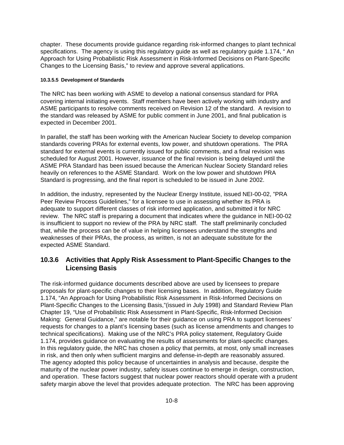chapter. These documents provide guidance regarding risk-informed changes to plant technical specifications. The agency is using this regulatory guide as well as regulatory guide 1.174, " An Approach for Using Probabilistic Risk Assessment in Risk-Informed Decisions on Plant-Specific Changes to the Licensing Basis," to review and approve several applications.

### **10.3.5.5 Development of Standards**

The NRC has been working with ASME to develop a national consensus standard for PRA covering internal initiating events. Staff members have been actively working with industry and ASME participants to resolve comments received on Revision 12 of the standard. A revision to the standard was released by ASME for public comment in June 2001, and final publication is expected in December 2001.

In parallel, the staff has been working with the American Nuclear Society to develop companion standards covering PRAs for external events, low power, and shutdown operations. The PRA standard for external events is currently issued for public comments, and a final revision was scheduled for August 2001. However, issuance of the final revision is being delayed until the ASME PRA Standard has been issued because the American Nuclear Society Standard relies heavily on references to the ASME Standard. Work on the low power and shutdown PRA Standard is progressing, and the final report is scheduled to be issued in June 2002.

In addition, the industry, represented by the Nuclear Energy Institute, issued NEI-00-02, "PRA Peer Review Process Guidelines," for a licensee to use in assessing whether its PRA is adequate to support different classes of risk informed application, and submitted it for NRC review. The NRC staff is preparing a document that indicates where the guidance in NEI-00-02 is insufficient to support no review of the PRA by NRC staff. The staff preliminarily concluded that, while the process can be of value in helping licensees understand the strengths and weaknesses of their PRAs, the process, as written, is not an adequate substitute for the expected ASME Standard.

## **10.3.6 Activities that Apply Risk Assessment to Plant-Specific Changes to the Licensing Basis**

The risk-informed guidance documents described above are used by licensees to prepare proposals for plant-specific changes to their licensing bases. In addition, Regulatory Guide 1.174, "An Approach for Using Probabilistic Risk Assessment in Risk-Informed Decisions on Plant-Specific Changes to the Licensing Basis,"(issued in July 1998) and Standard Review Plan Chapter 19, "Use of Probabilistic Risk Assessment in Plant-Specific, Risk-Informed Decision Making: General Guidance," are notable for their guidance on using PRA to support licensees' requests for changes to a plant's licensing bases (such as license amendments and changes to technical specifications). Making use of the NRC's PRA policy statement, Regulatory Guide 1.174, provides guidance on evaluating the results of assessments for plant-specific changes. In this regulatory guide, the NRC has chosen a policy that permits, at most, only small increases in risk, and then only when sufficient margins and defense-in-depth are reasonably assured. The agency adopted this policy because of uncertainties in analysis and because, despite the maturity of the nuclear power industry, safety issues continue to emerge in design, construction, and operation. These factors suggest that nuclear power reactors should operate with a prudent safety margin above the level that provides adequate protection. The NRC has been approving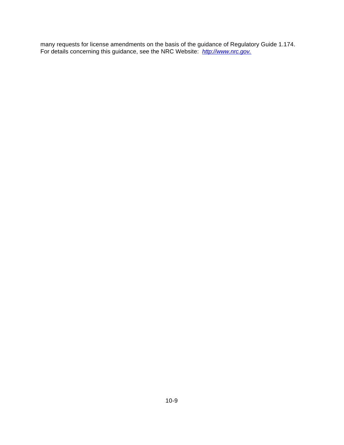many requests for license amendments on the basis of the guidance of Regulatory Guide 1.174. For details concerning this guidance, see the NRC Website: *http://www.nrc.gov.*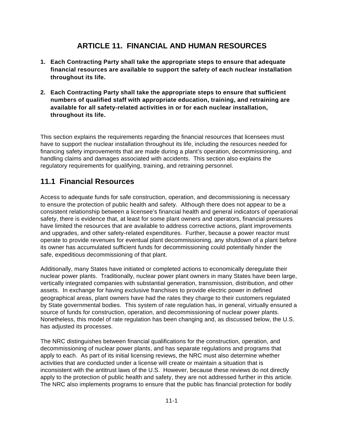# **ARTICLE 11. FINANCIAL AND HUMAN RESOURCES**

- **1. Each Contracting Party shall take the appropriate steps to ensure that adequate financial resources are available to support the safety of each nuclear installation throughout its life.**
- **2. Each Contracting Party shall take the appropriate steps to ensure that sufficient numbers of qualified staff with appropriate education, training, and retraining are available for all safety-related activities in or for each nuclear installation, throughout its life.**

This section explains the requirements regarding the financial resources that licensees must have to support the nuclear installation throughout its life, including the resources needed for financing safety improvements that are made during a plant's operation, decommissioning, and handling claims and damages associated with accidents. This section also explains the regulatory requirements for qualifying, training, and retraining personnel.

# **11.1 Financial Resources**

Access to adequate funds for safe construction, operation, and decommissioning is necessary to ensure the protection of public health and safety. Although there does not appear to be a consistent relationship between a licensee's financial health and general indicators of operational safety, there is evidence that, at least for some plant owners and operators, financial pressures have limited the resources that are available to address corrective actions, plant improvements and upgrades, and other safety-related expenditures. Further, because a power reactor must operate to provide revenues for eventual plant decommissioning, any shutdown of a plant before its owner has accumulated sufficient funds for decommissioning could potentially hinder the safe, expeditious decommissioning of that plant.

Additionally, many States have initiated or completed actions to economically deregulate their nuclear power plants. Traditionally, nuclear power plant owners in many States have been large, vertically integrated companies with substantial generation, transmission, distribution, and other assets. In exchange for having exclusive franchises to provide electric power in defined geographical areas, plant owners have had the rates they charge to their customers regulated by State governmental bodies. This system of rate regulation has, in general, virtually ensured a source of funds for construction, operation, and decommissioning of nuclear power plants. Nonetheless, this model of rate regulation has been changing and, as discussed below, the U.S. has adjusted its processes.

The NRC distinguishes between financial qualifications for the construction, operation, and decommissioning of nuclear power plants, and has separate regulations and programs that apply to each. As part of its initial licensing reviews, the NRC must also determine whether activities that are conducted under a license will create or maintain a situation that is inconsistent with the antitrust laws of the U.S. However, because these reviews do not directly apply to the protection of public health and safety, they are not addressed further in this article. The NRC also implements programs to ensure that the public has financial protection for bodily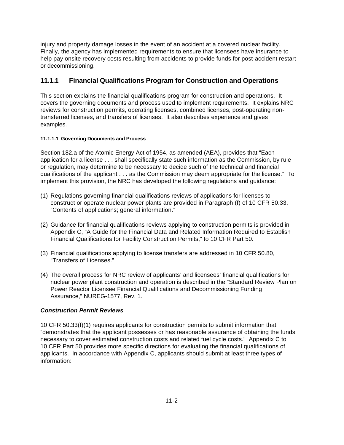injury and property damage losses in the event of an accident at a covered nuclear facility. Finally, the agency has implemented requirements to ensure that licensees have insurance to help pay onsite recovery costs resulting from accidents to provide funds for post-accident restart or decommissioning.

## **11.1.1 Financial Qualifications Program for Construction and Operations**

This section explains the financial qualifications program for construction and operations. It covers the governing documents and process used to implement requirements. It explains NRC reviews for construction permits, operating licenses, combined licenses, post-operating nontransferred licenses, and transfers of licenses. It also describes experience and gives examples.

### **11.1.1.1 Governing Documents and Process**

Section 182.a of the Atomic Energy Act of 1954, as amended (AEA), provides that "Each application for a license . . . shall specifically state such information as the Commission, by rule or regulation, may determine to be necessary to decide such of the technical and financial qualifications of the applicant . . . as the Commission may deem appropriate for the license." To implement this provision, the NRC has developed the following regulations and guidance:

- (1) Regulations governing financial qualifications reviews of applications for licenses to construct or operate nuclear power plants are provided in Paragraph (f) of 10 CFR 50.33, "Contents of applications; general information."
- (2) Guidance for financial qualifications reviews applying to construction permits is provided in Appendix C, "A Guide for the Financial Data and Related Information Required to Establish Financial Qualifications for Facility Construction Permits," to 10 CFR Part 50.
- (3) Financial qualifications applying to license transfers are addressed in 10 CFR 50.80, "Transfers of Licenses."
- (4) The overall process for NRC review of applicants' and licensees' financial qualifications for nuclear power plant construction and operation is described in the "Standard Review Plan on Power Reactor Licensee Financial Qualifications and Decommissioning Funding Assurance," NUREG-1577, Rev. 1.

### *Construction Permit Reviews*

10 CFR 50.33(f)(1) requires applicants for construction permits to submit information that "demonstrates that the applicant possesses or has reasonable assurance of obtaining the funds necessary to cover estimated construction costs and related fuel cycle costs." Appendix C to 10 CFR Part 50 provides more specific directions for evaluating the financial qualifications of applicants. In accordance with Appendix C, applicants should submit at least three types of information: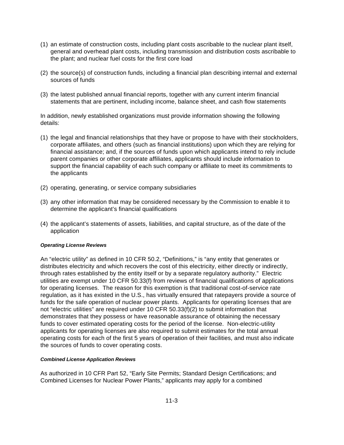- (1) an estimate of construction costs, including plant costs ascribable to the nuclear plant itself, general and overhead plant costs, including transmission and distribution costs ascribable to the plant; and nuclear fuel costs for the first core load
- (2) the source(s) of construction funds, including a financial plan describing internal and external sources of funds
- (3) the latest published annual financial reports, together with any current interim financial statements that are pertinent, including income, balance sheet, and cash flow statements

In addition, newly established organizations must provide information showing the following details:

- (1) the legal and financial relationships that they have or propose to have with their stockholders, corporate affiliates, and others (such as financial institutions) upon which they are relying for financial assistance; and, if the sources of funds upon which applicants intend to rely include parent companies or other corporate affiliates, applicants should include information to support the financial capability of each such company or affiliate to meet its commitments to the applicants
- (2) operating, generating, or service company subsidiaries
- (3) any other information that may be considered necessary by the Commission to enable it to determine the applicant's financial qualifications
- (4) the applicant's statements of assets, liabilities, and capital structure, as of the date of the application

### *Operating License Reviews*

An "electric utility" as defined in 10 CFR 50.2, "Definitions," is "any entity that generates or distributes electricity and which recovers the cost of this electricity, either directly or indirectly, through rates established by the entity itself or by a separate regulatory authority." Electric utilities are exempt under 10 CFR 50.33(f) from reviews of financial qualifications of applications for operating licenses. The reason for this exemption is that traditional cost-of-service rate regulation, as it has existed in the U.S., has virtually ensured that ratepayers provide a source of funds for the safe operation of nuclear power plants. Applicants for operating licenses that are not "electric utilities" are required under 10 CFR 50.33(f)(2) to submit information that demonstrates that they possess or have reasonable assurance of obtaining the necessary funds to cover estimated operating costs for the period of the license. Non-electric-utility applicants for operating licenses are also required to submit estimates for the total annual operating costs for each of the first 5 years of operation of their facilities, and must also indicate the sources of funds to cover operating costs.

#### *Combined License Application Reviews*

As authorized in 10 CFR Part 52, "Early Site Permits; Standard Design Certifications; and Combined Licenses for Nuclear Power Plants," applicants may apply for a combined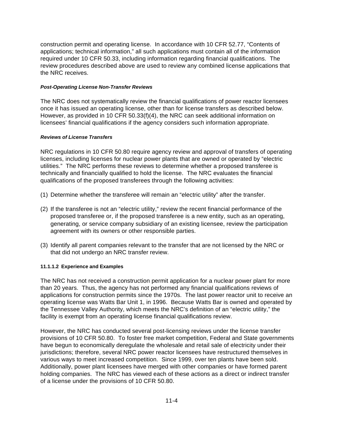construction permit and operating license. In accordance with 10 CFR 52.77, "Contents of applications; technical information," all such applications must contain all of the information required under 10 CFR 50.33, including information regarding financial qualifications. The review procedures described above are used to review any combined license applications that the NRC receives.

### *Post-Operating License Non-Transfer Reviews*

The NRC does not systematically review the financial qualifications of power reactor licensees once it has issued an operating license, other than for license transfers as described below. However, as provided in 10 CFR 50.33(f)(4), the NRC can seek additional information on licensees' financial qualifications if the agency considers such information appropriate.

### *Reviews of License Transfers*

NRC regulations in 10 CFR 50.80 require agency review and approval of transfers of operating licenses, including licenses for nuclear power plants that are owned or operated by "electric utilities." The NRC performs these reviews to determine whether a proposed transferee is technically and financially qualified to hold the license. The NRC evaluates the financial qualifications of the proposed transferees through the following activities:

- (1) Determine whether the transferee will remain an "electric utility" after the transfer.
- (2) If the transferee is not an "electric utility," review the recent financial performance of the proposed transferee or, if the proposed transferee is a new entity, such as an operating, generating, or service company subsidiary of an existing licensee, review the participation agreement with its owners or other responsible parties.
- (3) Identify all parent companies relevant to the transfer that are not licensed by the NRC or that did not undergo an NRC transfer review.

### **11.1.1.2 Experience and Examples**

The NRC has not received a construction permit application for a nuclear power plant for more than 20 years. Thus, the agency has not performed any financial qualifications reviews of applications for construction permits since the 1970s. The last power reactor unit to receive an operating license was Watts Bar Unit 1, in 1996. Because Watts Bar is owned and operated by the Tennessee Valley Authority, which meets the NRC's definition of an "electric utility," the facility is exempt from an operating license financial qualifications review.

However, the NRC has conducted several post-licensing reviews under the license transfer provisions of 10 CFR 50.80. To foster free market competition, Federal and State governments have begun to economically deregulate the wholesale and retail sale of electricity under their jurisdictions; therefore, several NRC power reactor licensees have restructured themselves in various ways to meet increased competition. Since 1999, over ten plants have been sold. Additionally, power plant licensees have merged with other companies or have formed parent holding companies. The NRC has viewed each of these actions as a direct or indirect transfer of a license under the provisions of 10 CFR 50.80.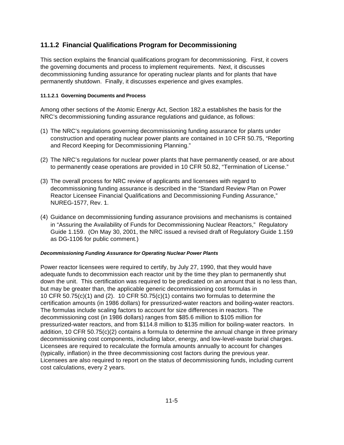## **11.1.2 Financial Qualifications Program for Decommissioning**

This section explains the financial qualifications program for decommissioning. First, it covers the governing documents and process to implement requirements. Next, it discusses decommissioning funding assurance for operating nuclear plants and for plants that have permanently shutdown. Finally, it discusses experience and gives examples.

### **11.1.2.1 Governing Documents and Process**

Among other sections of the Atomic Energy Act, Section 182.a establishes the basis for the NRC's decommissioning funding assurance regulations and guidance, as follows:

- (1) The NRC's regulations governing decommissioning funding assurance for plants under construction and operating nuclear power plants are contained in 10 CFR 50.75, "Reporting and Record Keeping for Decommissioning Planning."
- (2) The NRC's regulations for nuclear power plants that have permanently ceased, or are about to permanently cease operations are provided in 10 CFR 50.82, "Termination of License."
- (3) The overall process for NRC review of applicants and licensees with regard to decommissioning funding assurance is described in the "Standard Review Plan on Power Reactor Licensee Financial Qualifications and Decommissioning Funding Assurance," NUREG-1577, Rev. 1.
- (4) Guidance on decommissioning funding assurance provisions and mechanisms is contained in "Assuring the Availability of Funds for Decommissioning Nuclear Reactors," Regulatory Guide 1.159. (On May 30, 2001, the NRC issued a revised draft of Regulatory Guide 1.159 as DG-1106 for public comment.)

### *Decommissioning Funding Assurance for Operating Nuclear Power Plants*

Power reactor licensees were required to certify, by July 27, 1990, that they would have adequate funds to decommission each reactor unit by the time they plan to permanently shut down the unit. This certification was required to be predicated on an amount that is no less than, but may be greater than, the applicable generic decommissioning cost formulas in 10 CFR 50.75 $(c)(1)$  and (2). 10 CFR 50.75 $(c)(1)$  contains two formulas to determine the certification amounts (in 1986 dollars) for pressurized-water reactors and boiling-water reactors. The formulas include scaling factors to account for size differences in reactors. The decommissioning cost (in 1986 dollars) ranges from \$85.6 million to \$105 million for pressurized-water reactors, and from \$114.8 million to \$135 million for boiling-water reactors. In addition, 10 CFR 50.75(c)(2) contains a formula to determine the annual change in three primary decommissioning cost components, including labor, energy, and low-level-waste burial charges. Licensees are required to recalculate the formula amounts annually to account for changes (typically, inflation) in the three decommissioning cost factors during the previous year. Licensees are also required to report on the status of decommissioning funds, including current cost calculations, every 2 years.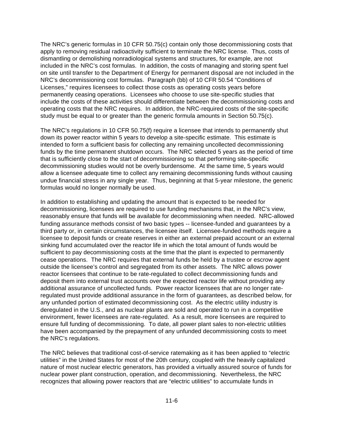The NRC's generic formulas in 10 CFR 50.75(c) contain only those decommissioning costs that apply to removing residual radioactivity sufficient to terminate the NRC license. Thus, costs of dismantling or demolishing nonradiological systems and structures, for example, are not included in the NRC's cost formulas. In addition, the costs of managing and storing spent fuel on site until transfer to the Department of Energy for permanent disposal are not included in the NRC's decommissioning cost formulas. Paragraph (bb) of 10 CFR 50.54 "Conditions of Licenses," requires licensees to collect those costs as operating costs years before permanently ceasing operations. Licensees who choose to use site-specific studies that include the costs of these activities should differentiate between the decommissioning costs and operating costs that the NRC requires. In addition, the NRC-required costs of the site-specific study must be equal to or greater than the generic formula amounts in Section 50.75(c).

The NRC's regulations in 10 CFR 50.75(f) require a licensee that intends to permanently shut down its power reactor within 5 years to develop a site-specific estimate. This estimate is intended to form a sufficient basis for collecting any remaining uncollected decommissioning funds by the time permanent shutdown occurs. The NRC selected 5 years as the period of time that is sufficiently close to the start of decommissioning so that performing site-specific decommissioning studies would not be overly burdensome. At the same time, 5 years would allow a licensee adequate time to collect any remaining decommissioning funds without causing undue financial stress in any single year. Thus, beginning at that 5-year milestone, the generic formulas would no longer normally be used.

In addition to establishing and updating the amount that is expected to be needed for decommissioning, licensees are required to use funding mechanisms that, in the NRC's view, reasonably ensure that funds will be available for decommissioning when needed. NRC-allowed funding assurance methods consist of two basic types -- licensee-funded and guarantees by a third party or, in certain circumstances, the licensee itself. Licensee-funded methods require a licensee to deposit funds or create reserves in either an external prepaid account or an external sinking fund accumulated over the reactor life in which the total amount of funds would be sufficient to pay decommissioning costs at the time that the plant is expected to permanently cease operations. The NRC requires that external funds be held by a trustee or escrow agent outside the licensee's control and segregated from its other assets. The NRC allows power reactor licensees that continue to be rate-regulated to collect decommissioning funds and deposit them into external trust accounts over the expected reactor life without providing any additional assurance of uncollected funds. Power reactor licensees that are no longer rateregulated must provide additional assurance in the form of guarantees, as described below, for any unfunded portion of estimated decommissioning cost. As the electric utility industry is deregulated in the U.S., and as nuclear plants are sold and operated to run in a competitive environment, fewer licensees are rate-regulated. As a result, more licensees are required to ensure full funding of decommissioning. To date, all power plant sales to non-electric utilities have been accompanied by the prepayment of any unfunded decommissioning costs to meet the NRC's regulations.

The NRC believes that traditional cost-of-service ratemaking as it has been applied to "electric utilities" in the United States for most of the 20th century, coupled with the heavily capitalized nature of most nuclear electric generators, has provided a virtually assured source of funds for nuclear power plant construction, operation, and decommissioning. Nevertheless, the NRC recognizes that allowing power reactors that are "electric utilities" to accumulate funds in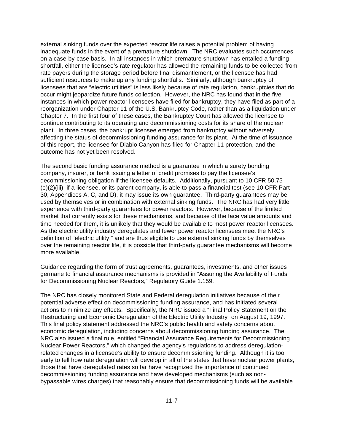external sinking funds over the expected reactor life raises a potential problem of having inadequate funds in the event of a premature shutdown. The NRC evaluates such occurrences on a case-by-case basis. In all instances in which premature shutdown has entailed a funding shortfall, either the licensee's rate regulator has allowed the remaining funds to be collected from rate payers during the storage period before final dismantlement, or the licensee has had sufficient resources to make up any funding shortfalls. Similarly, although bankruptcy of licensees that are "electric utilities" is less likely because of rate regulation, bankruptcies that do occur might jeopardize future funds collection. However, the NRC has found that in the five instances in which power reactor licensees have filed for bankruptcy, they have filed as part of a reorganization under Chapter 11 of the U.S. Bankruptcy Code, rather than as a liquidation under Chapter 7. In the first four of these cases, the Bankruptcy Court has allowed the licensee to continue contributing to its operating and decommissioning costs for its share of the nuclear plant. In three cases, the bankrupt licensee emerged from bankruptcy without adversely affecting the status of decommissioning funding assurance for its plant. At the time of issuance of this report, the licensee for Diablo Canyon has filed for Chapter 11 protection, and the outcome has not yet been resolved.

The second basic funding assurance method is a guarantee in which a surety bonding company, insurer, or bank issuing a letter of credit promises to pay the licensee's decommissioning obligation if the licensee defaults. Additionally, pursuant to 10 CFR 50.75 (e)(2)(iii), if a licensee, or its parent company, is able to pass a financial test (see 10 CFR Part 30, Appendices A, C, and D), it may issue its own guarantee. Third-party guarantees may be used by themselves or in combination with external sinking funds. The NRC has had very little experience with third-party guarantees for power reactors. However, because of the limited market that currently exists for these mechanisms, and because of the face value amounts and time needed for them, it is unlikely that they would be available to most power reactor licensees. As the electric utility industry deregulates and fewer power reactor licensees meet the NRC's definition of "electric utility," and are thus eligible to use external sinking funds by themselves over the remaining reactor life, it is possible that third-party guarantee mechanisms will become more available.

Guidance regarding the form of trust agreements, guarantees, investments, and other issues germane to financial assurance mechanisms is provided in "Assuring the Availability of Funds for Decommissioning Nuclear Reactors," Regulatory Guide 1.159.

The NRC has closely monitored State and Federal deregulation initiatives because of their potential adverse effect on decommissioning funding assurance, and has initiated several actions to minimize any effects. Specifically, the NRC issued a "Final Policy Statement on the Restructuring and Economic Deregulation of the Electric Utility Industry" on August 19, 1997. This final policy statement addressed the NRC's public health and safety concerns about economic deregulation, including concerns about decommissioning funding assurance. The NRC also issued a final rule, entitled "Financial Assurance Requirements for Decommissioning Nuclear Power Reactors," which changed the agency's regulations to address deregulationrelated changes in a licensee's ability to ensure decommissioning funding. Although it is too early to tell how rate deregulation will develop in all of the states that have nuclear power plants, those that have deregulated rates so far have recognized the importance of continued decommissioning funding assurance and have developed mechanisms (such as nonbypassable wires charges) that reasonably ensure that decommissioning funds will be available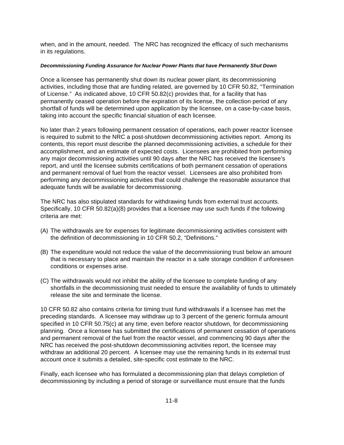when, and in the amount, needed. The NRC has recognized the efficacy of such mechanisms in its regulations.

### *Decommissioning Funding Assurance for Nuclear Power Plants that have Permanently Shut Down*

Once a licensee has permanently shut down its nuclear power plant, its decommissioning activities, including those that are funding related, are governed by 10 CFR 50.82, "Termination of License." As indicated above, 10 CFR 50.82(c) provides that, for a facility that has permanently ceased operation before the expiration of its license, the collection period of any shortfall of funds will be determined upon application by the licensee, on a case-by-case basis, taking into account the specific financial situation of each licensee.

No later than 2 years following permanent cessation of operations, each power reactor licensee is required to submit to the NRC a post-shutdown decommissioning activities report. Among its contents, this report must describe the planned decommissioning activities, a schedule for their accomplishment, and an estimate of expected costs. Licensees are prohibited from performing any major decommissioning activities until 90 days after the NRC has received the licensee's report, and until the licensee submits certifications of both permanent cessation of operations and permanent removal of fuel from the reactor vessel. Licensees are also prohibited from performing any decommissioning activities that could challenge the reasonable assurance that adequate funds will be available for decommissioning.

The NRC has also stipulated standards for withdrawing funds from external trust accounts. Specifically, 10 CFR 50.82(a)(8) provides that a licensee may use such funds if the following criteria are met:

- (A) The withdrawals are for expenses for legitimate decommissioning activities consistent with the definition of decommissioning in 10 CFR 50.2, "Definitions."
- (B) The expenditure would not reduce the value of the decommissioning trust below an amount that is necessary to place and maintain the reactor in a safe storage condition if unforeseen conditions or expenses arise.
- (C) The withdrawals would not inhibit the ability of the licensee to complete funding of any shortfalls in the decommissioning trust needed to ensure the availability of funds to ultimately release the site and terminate the license.

10 CFR 50.82 also contains criteria for timing trust fund withdrawals if a licensee has met the preceding standards. A licensee may withdraw up to 3 percent of the generic formula amount specified in 10 CFR 50.75(c) at any time, even before reactor shutdown, for decommissioning planning. Once a licensee has submitted the certifications of permanent cessation of operations and permanent removal of the fuel from the reactor vessel, and commencing 90 days after the NRC has received the post-shutdown decommissioning activities report, the licensee may withdraw an additional 20 percent. A licensee may use the remaining funds in its external trust account once it submits a detailed, site-specific cost estimate to the NRC.

Finally, each licensee who has formulated a decommissioning plan that delays completion of decommissioning by including a period of storage or surveillance must ensure that the funds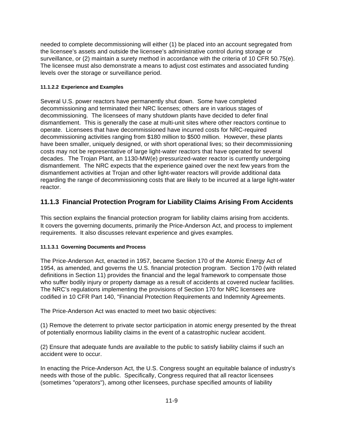needed to complete decommissioning will either (1) be placed into an account segregated from the licensee's assets and outside the licensee's administrative control during storage or surveillance, or (2) maintain a surety method in accordance with the criteria of 10 CFR 50.75(e). The licensee must also demonstrate a means to adjust cost estimates and associated funding levels over the storage or surveillance period.

### **11.1.2.2 Experience and Examples**

Several U.S. power reactors have permanently shut down. Some have completed decommissioning and terminated their NRC licenses; others are in various stages of decommissioning. The licensees of many shutdown plants have decided to defer final dismantlement. This is generally the case at multi-unit sites where other reactors continue to operate. Licensees that have decommissioned have incurred costs for NRC-required decommissioning activities ranging from \$180 million to \$500 million. However, these plants have been smaller, uniquely designed, or with short operational lives; so their decommissioning costs may not be representative of large light-water reactors that have operated for several decades. The Trojan Plant, an 1130-MW(e) pressurized-water reactor is currently undergoing dismantlement. The NRC expects that the experience gained over the next few years from the dismantlement activities at Trojan and other light-water reactors will provide additional data regarding the range of decommissioning costs that are likely to be incurred at a large light-water reactor.

## **11.1.3 Financial Protection Program for Liability Claims Arising From Accidents**

This section explains the financial protection program for liability claims arising from accidents. It covers the governing documents, primarily the Price-Anderson Act, and process to implement requirements. It also discusses relevant experience and gives examples.

### **11.1.3.1 Governing Documents and Process**

The Price-Anderson Act, enacted in 1957, became Section 170 of the Atomic Energy Act of 1954, as amended, and governs the U.S. financial protection program. Section 170 (with related definitions in Section 11) provides the financial and the legal framework to compensate those who suffer bodily injury or property damage as a result of accidents at covered nuclear facilities. The NRC's regulations implementing the provisions of Section 170 for NRC licensees are codified in 10 CFR Part 140, "Financial Protection Requirements and Indemnity Agreements.

The Price-Anderson Act was enacted to meet two basic objectives:

(1) Remove the deterrent to private sector participation in atomic energy presented by the threat of potentially enormous liability claims in the event of a catastrophic nuclear accident.

(2) Ensure that adequate funds are available to the public to satisfy liability claims if such an accident were to occur.

In enacting the Price-Anderson Act, the U.S. Congress sought an equitable balance of industry's needs with those of the public. Specifically, Congress required that all reactor licensees (sometimes "operators"), among other licensees, purchase specified amounts of liability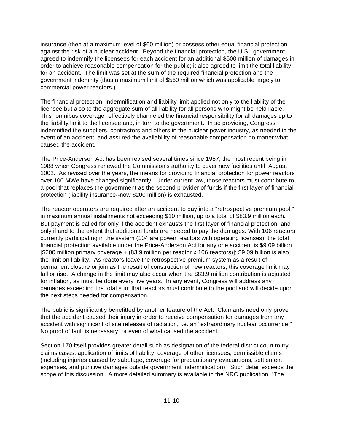insurance (then at a maximum level of \$60 million) or possess other equal financial protection against the risk of a nuclear accident. Beyond the financial protection, the U.S. government agreed to indemnify the licensees for each accident for an additional \$500 million of damages in order to achieve reasonable compensation for the public; it also agreed to limit the total liability for an accident. The limit was set at the sum of the required financial protection and the government indemnity (thus a maximum limit of \$560 million which was applicable largely to commercial power reactors.)

The financial protection, indemnification and liability limit applied not only to the liability of the licensee but also to the aggregate sum of all liability for all persons who might be held liable. This "omnibus coverage" effectively channeled the financial responsibility for all damages up to the liability limit to the licensee and, in turn to the government. In so providing, Congress indemnified the suppliers, contractors and others in the nuclear power industry, as needed in the event of an accident, and assured the availability of reasonable compensation no matter what caused the accident.

The Price-Anderson Act has been revised several times since 1957, the most recent being in 1988 when Congress renewed the Commission's authority to cover new facilities until August 2002. As revised over the years, the means for providing financial protection for power reactors over 100 MWe have changed significantly. Under current law, those reactors must contribute to a pool that replaces the government as the second provider of funds if the first layer of financial protection (liability insurance--now \$200 million) is exhausted.

The reactor operators are required after an accident to pay into a "retrospective premium pool," in maximum annual installments not exceeding \$10 million, up to a total of \$83.9 million each. But payment is called for only if the accident exhausts the first layer of financial protection, and only if and to the extent that additional funds are needed to pay the damages. With 106 reactors currently participating in the system (104 are power reactors with operating licenses), the total financial protection available under the Price-Anderson Act for any one accident is \$9.09 billion [\$200 million primary coverage + (83.9 million per reactor x 106 reactors)]; \$9.09 billion is also the limit on liability. As reactors leave the retrospective premium system as a result of permanent closure or join as the result of construction of new reactors, this coverage limit may fall or rise. A change in the limit may also occur when the \$83.9 million contribution is adjusted for inflation, as must be done every five years. In any event, Congress will address any damages exceeding the total sum that reactors must contribute to the pool and will decide upon the next steps needed for compensation.

The public is significantly benefitted by another feature of the Act. Claimants need only prove that the accident caused their injury in order to receive compensation for damages from any accident with significant offsite releases of radiation, i.e. an "extraordinary nuclear occurrence." No proof of fault is necessary, or even of what caused the accident.

Section 170 itself provides greater detail such as designation of the federal district court to try claims cases, application of limits of liability, coverage of other licensees, permissible claims (including injuries caused by sabotage, coverage for precautionary evacuations, settlement expenses, and punitive damages outside government indemnification). Such detail exceeds the scope of this discussion. A more detailed summary is available in the NRC publication, "The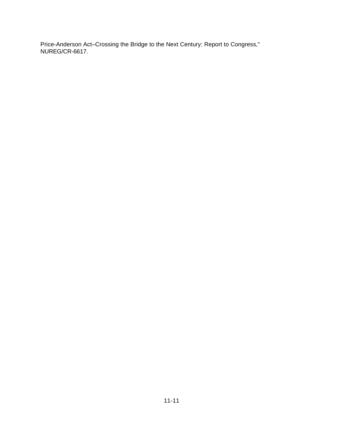Price-Anderson Act–Crossing the Bridge to the Next Century: Report to Congress," NUREG/CR-6617.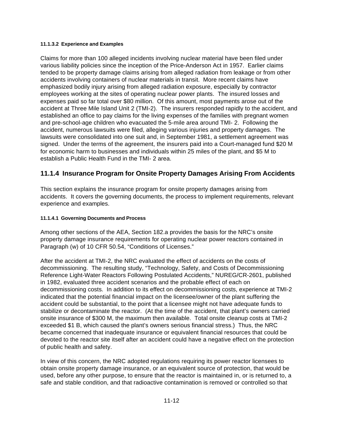### **11.1.3.2 Experience and Examples**

Claims for more than 100 alleged incidents involving nuclear material have been filed under various liability policies since the inception of the Price-Anderson Act in 1957. Earlier claims tended to be property damage claims arising from alleged radiation from leakage or from other accidents involving containers of nuclear materials in transit. More recent claims have emphasized bodily injury arising from alleged radiation exposure, especially by contractor employees working at the sites of operating nuclear power plants. The insured losses and expenses paid so far total over \$80 million. Of this amount, most payments arose out of the accident at Three Mile Island Unit 2 (TMI-2). The insurers responded rapidly to the accident, and established an office to pay claims for the living expenses of the families with pregnant women and pre-school-age children who evacuated the 5-mile area around TMI- 2. Following the accident, numerous lawsuits were filed, alleging various injuries and property damages. The lawsuits were consolidated into one suit and, in September 1981, a settlement agreement was signed. Under the terms of the agreement, the insurers paid into a Court-managed fund \$20 M for economic harm to businesses and individuals within 25 miles of the plant, and \$5 M to establish a Public Health Fund in the TMI- 2 area.

## **11.1.4 Insurance Program for Onsite Property Damages Arising From Accidents**

This section explains the insurance program for onsite property damages arising from accidents. It covers the governing documents, the process to implement requirements, relevant experience and examples.

### **11.1.4.1 Governing Documents and Process**

Among other sections of the AEA, Section 182.a provides the basis for the NRC's onsite property damage insurance requirements for operating nuclear power reactors contained in Paragraph (w) of 10 CFR 50.54, "Conditions of Licenses."

After the accident at TMI-2, the NRC evaluated the effect of accidents on the costs of decommissioning. The resulting study, "Technology, Safety, and Costs of Decommissioning Reference Light-Water Reactors Following Postulated Accidents," NUREG/CR-2601, published in 1982, evaluated three accident scenarios and the probable effect of each on decommissioning costs. In addition to its effect on decommissioning costs, experience at TMI-2 indicated that the potential financial impact on the licensee/owner of the plant suffering the accident could be substantial, to the point that a licensee might not have adequate funds to stabilize or decontaminate the reactor. (At the time of the accident, that plant's owners carried onsite insurance of \$300 M, the maximum then available. Total onsite cleanup costs at TMI-2 exceeded \$1 B, which caused the plant's owners serious financial stress.) Thus, the NRC became concerned that inadequate insurance or equivalent financial resources that could be devoted to the reactor site itself after an accident could have a negative effect on the protection of public health and safety.

In view of this concern, the NRC adopted regulations requiring its power reactor licensees to obtain onsite property damage insurance, or an equivalent source of protection, that would be used, before any other purpose, to ensure that the reactor is maintained in, or is returned to, a safe and stable condition, and that radioactive contamination is removed or controlled so that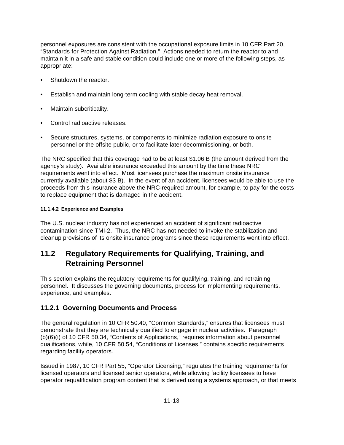personnel exposures are consistent with the occupational exposure limits in 10 CFR Part 20, "Standards for Protection Against Radiation." Actions needed to return the reactor to and maintain it in a safe and stable condition could include one or more of the following steps, as appropriate:

- Shutdown the reactor.
- Establish and maintain long-term cooling with stable decay heat removal.
- Maintain subcriticality.
- Control radioactive releases.
- Secure structures, systems, or components to minimize radiation exposure to onsite personnel or the offsite public, or to facilitate later decommissioning, or both.

The NRC specified that this coverage had to be at least \$1.06 B (the amount derived from the agency's study). Available insurance exceeded this amount by the time these NRC requirements went into effect. Most licensees purchase the maximum onsite insurance currently available (about \$3 B). In the event of an accident, licensees would be able to use the proceeds from this insurance above the NRC-required amount, for example, to pay for the costs to replace equipment that is damaged in the accident.

### **11.1.4.2 Experience and Examples**

The U.S. nuclear industry has not experienced an accident of significant radioactive contamination since TMI-2. Thus, the NRC has not needed to invoke the stabilization and cleanup provisions of its onsite insurance programs since these requirements went into effect.

# **11.2 Regulatory Requirements for Qualifying, Training, and Retraining Personnel**

This section explains the regulatory requirements for qualifying, training, and retraining personnel. It discusses the governing documents, process for implementing requirements, experience, and examples.

## **11.2.1 Governing Documents and Process**

The general regulation in 10 CFR 50.40, "Common Standards," ensures that licensees must demonstrate that they are technically qualified to engage in nuclear activities. Paragraph (b)(6)(i) of 10 CFR 50.34, "Contents of Applications," requires information about personnel qualifications, while, 10 CFR 50.54, "Conditions of Licenses," contains specific requirements regarding facility operators.

Issued in 1987, 10 CFR Part 55, "Operator Licensing," regulates the training requirements for licensed operators and licensed senior operators, while allowing facility licensees to have operator requalification program content that is derived using a systems approach, or that meets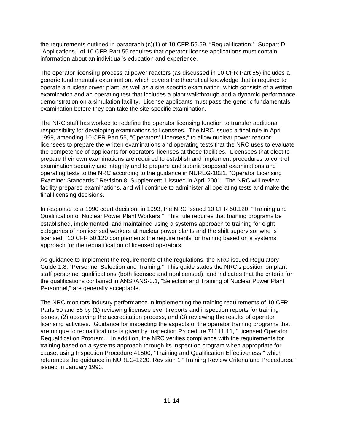the requirements outlined in paragraph (c)(1) of 10 CFR 55.59, "Requalification." Subpart D, "Applications," of 10 CFR Part 55 requires that operator license applications must contain information about an individual's education and experience.

The operator licensing process at power reactors (as discussed in 10 CFR Part 55) includes a generic fundamentals examination, which covers the theoretical knowledge that is required to operate a nuclear power plant, as well as a site-specific examination, which consists of a written examination and an operating test that includes a plant walkthrough and a dynamic performance demonstration on a simulation facility. License applicants must pass the generic fundamentals examination before they can take the site-specific examination.

The NRC staff has worked to redefine the operator licensing function to transfer additional responsibility for developing examinations to licensees. The NRC issued a final rule in April 1999, amending 10 CFR Part 55, "Operators' Licenses," to allow nuclear power reactor licensees to prepare the written examinations and operating tests that the NRC uses to evaluate the competence of applicants for operators' licenses at those facilities. Licensees that elect to prepare their own examinations are required to establish and implement procedures to control examination security and integrity and to prepare and submit proposed examinations and operating tests to the NRC according to the guidance in NUREG-1021, "Operator Licensing Examiner Standards," Revision 8, Supplement 1 issued in April 2001. The NRC will review facility-prepared examinations, and will continue to administer all operating tests and make the final licensing decisions.

In response to a 1990 court decision, in 1993, the NRC issued 10 CFR 50.120, "Training and Qualification of Nuclear Power Plant Workers." This rule requires that training programs be established, implemented, and maintained using a systems approach to training for eight categories of nonlicensed workers at nuclear power plants and the shift supervisor who is licensed. 10 CFR 50.120 complements the requirements for training based on a systems approach for the requalification of licensed operators.

As guidance to implement the requirements of the regulations, the NRC issued Regulatory Guide 1.8, "Personnel Selection and Training." This guide states the NRC's position on plant staff personnel qualifications (both licensed and nonlicensed), and indicates that the criteria for the qualifications contained in ANSI/ANS-3.1, "Selection and Training of Nuclear Power Plant Personnel," are generally acceptable.

The NRC monitors industry performance in implementing the training requirements of 10 CFR Parts 50 and 55 by (1) reviewing licensee event reports and inspection reports for training issues, (2) observing the accreditation process, and (3) reviewing the results of operator licensing activities. Guidance for inspecting the aspects of the operator training programs that are unique to requalifications is given by Inspection Procedure 71111.11, "Licensed Operator Requalification Program." In addition, the NRC verifies compliance with the requirements for training based on a systems approach through its inspection program when appropriate for cause, using Inspection Procedure 41500, "Training and Qualification Effectiveness," which references the guidance in NUREG-1220, Revision 1 "Training Review Criteria and Procedures," issued in January 1993.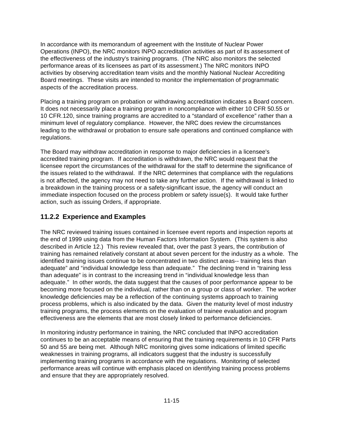In accordance with its memorandum of agreement with the Institute of Nuclear Power Operations (INPO), the NRC monitors INPO accreditation activities as part of its assessment of the effectiveness of the industry's training programs. (The NRC also monitors the selected performance areas of its licensees as part of its assessment.) The NRC monitors INPO activities by observing accreditation team visits and the monthly National Nuclear Accrediting Board meetings. These visits are intended to monitor the implementation of programmatic aspects of the accreditation process.

Placing a training program on probation or withdrawing accreditation indicates a Board concern. It does not necessarily place a training program in noncompliance with either 10 CFR 50.55 or 10 CFR.120, since training programs are accredited to a "standard of excellence" rather than a minimum level of regulatory compliance. However, the NRC does review the circumstances leading to the withdrawal or probation to ensure safe operations and continued compliance with regulations.

The Board may withdraw accreditation in response to major deficiencies in a licensee's accredited training program. If accreditation is withdrawn, the NRC would request that the licensee report the circumstances of the withdrawal for the staff to determine the significance of the issues related to the withdrawal. If the NRC determines that compliance with the regulations is not affected, the agency may not need to take any further action. If the withdrawal is linked to a breakdown in the training process or a safety-significant issue, the agency will conduct an immediate inspection focused on the process problem or safety issue(s). It would take further action, such as issuing Orders, if appropriate.

## **11.2.2 Experience and Examples**

The NRC reviewed training issues contained in licensee event reports and inspection reports at the end of 1999 using data from the Human Factors Information System. (This system is also described in Article 12.) This review revealed that, over the past 3 years, the contribution of training has remained relatively constant at about seven percent for the industry as a whole. The identified training issues continue to be concentrated in two distinct areas-- training less than adequate" and "individual knowledge less than adequate." The declining trend in "training less than adequate" is in contrast to the increasing trend in "individual knowledge less than adequate." In other words, the data suggest that the causes of poor performance appear to be becoming more focused on the individual, rather than on a group or class of worker. The worker knowledge deficiencies may be a reflection of the continuing systems approach to training process problems, which is also indicated by the data. Given the maturity level of most industry training programs, the process elements on the evaluation of trainee evaluation and program effectiveness are the elements that are most closely linked to performance deficiencies.

In monitoring industry performance in training, the NRC concluded that INPO accreditation continues to be an acceptable means of ensuring that the training requirements in 10 CFR Parts 50 and 55 are being met. Although NRC monitoring gives some indications of limited specific weaknesses in training programs, all indicators suggest that the industry is successfully implementing training programs in accordance with the regulations. Monitoring of selected performance areas will continue with emphasis placed on identifying training process problems and ensure that they are appropriately resolved.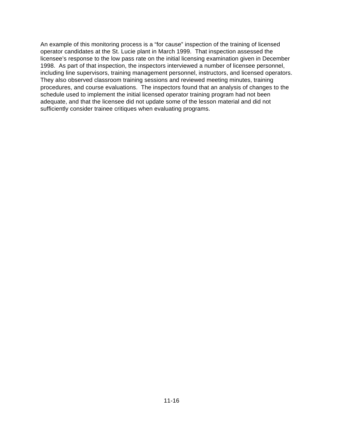An example of this monitoring process is a "for cause" inspection of the training of licensed operator candidates at the St. Lucie plant in March 1999. That inspection assessed the licensee's response to the low pass rate on the initial licensing examination given in December 1998. As part of that inspection, the inspectors interviewed a number of licensee personnel, including line supervisors, training management personnel, instructors, and licensed operators. They also observed classroom training sessions and reviewed meeting minutes, training procedures, and course evaluations. The inspectors found that an analysis of changes to the schedule used to implement the initial licensed operator training program had not been adequate, and that the licensee did not update some of the lesson material and did not sufficiently consider trainee critiques when evaluating programs.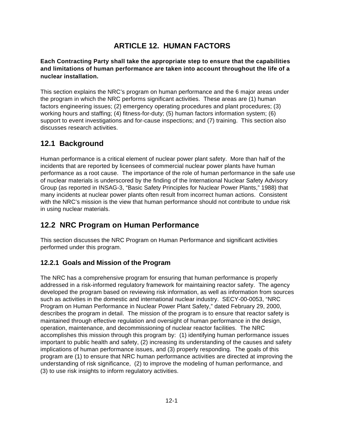# **ARTICLE 12. HUMAN FACTORS**

### **Each Contracting Party shall take the appropriate step to ensure that the capabilities and limitations of human performance are taken into account throughout the life of a nuclear installation.**

This section explains the NRC's program on human performance and the 6 major areas under the program in which the NRC performs significant activities. These areas are (1) human factors engineering issues; (2) emergency operating procedures and plant procedures; (3) working hours and staffing; (4) fitness-for-duty; (5) human factors information system; (6) support to event investigations and for-cause inspections; and (7) training. This section also discusses research activities.

## **12.1 Background**

Human performance is a critical element of nuclear power plant safety. More than half of the incidents that are reported by licensees of commercial nuclear power plants have human performance as a root cause. The importance of the role of human performance in the safe use of nuclear materials is underscored by the finding of the International Nuclear Safety Advisory Group (as reported in INSAG-3, "Basic Safety Principles for Nuclear Power Plants," 1988) that many incidents at nuclear power plants often result from incorrect human actions. Consistent with the NRC's mission is the view that human performance should not contribute to undue risk in using nuclear materials.

# **12.2 NRC Program on Human Performance**

This section discusses the NRC Program on Human Performance and significant activities performed under this program.

## **12.2.1 Goals and Mission of the Program**

The NRC has a comprehensive program for ensuring that human performance is properly addressed in a risk-informed regulatory framework for maintaining reactor safety. The agency developed the program based on reviewing risk information, as well as information from sources such as activities in the domestic and international nuclear industry. SECY-00-0053, "NRC Program on Human Performance in Nuclear Power Plant Safety," dated February 29, 2000, describes the program in detail. The mission of the program is to ensure that reactor safety is maintained through effective regulation and oversight of human performance in the design, operation, maintenance, and decommissioning of nuclear reactor facilities. The NRC accomplishes this mission through this program by: (1) identifying human performance issues important to public health and safety, (2) increasing its understanding of the causes and safety implications of human performance issues, and (3) properly responding. The goals of this program are (1) to ensure that NRC human performance activities are directed at improving the understanding of risk significance, (2) to improve the modeling of human performance, and (3) to use risk insights to inform regulatory activities.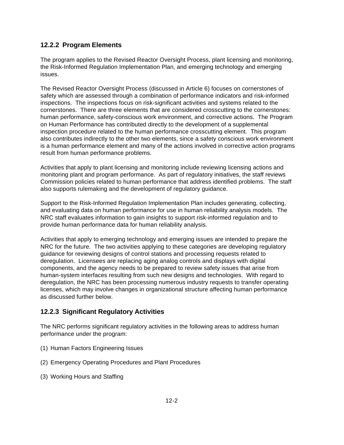## **12.2.2 Program Elements**

The program applies to the Revised Reactor Oversight Process, plant licensing and monitoring, the Risk-Informed Regulation Implementation Plan, and emerging technology and emerging issues.

The Revised Reactor Oversight Process (discussed in Article 6) focuses on cornerstones of safety which are assessed through a combination of performance indicators and risk-informed inspections. The inspections focus on risk-significant activities and systems related to the cornerstones. There are three elements that are considered crosscutting to the cornerstones: human performance, safety-conscious work environment, and corrective actions. The Program on Human Performance has contributed directly to the development of a supplemental inspection procedure related to the human performance crosscutting element. This program also contributes indirectly to the other two elements, since a safety conscious work environment is a human performance element and many of the actions involved in corrective action programs result from human performance problems.

Activities that apply to plant licensing and monitoring include reviewing licensing actions and monitoring plant and program performance. As part of regulatory initiatives, the staff reviews Commission policies related to human performance that address identified problems. The staff also supports rulemaking and the development of regulatory guidance.

Support to the Risk-Informed Regulation Implementation Plan includes generating, collecting, and evaluating data on human performance for use in human reliability analysis models. The NRC staff evaluates information to gain insights to support risk-informed regulation and to provide human performance data for human reliability analysis.

Activities that apply to emerging technology and emerging issues are intended to prepare the NRC for the future. The two activities applying to these categories are developing regulatory guidance for reviewing designs of control stations and processing requests related to deregulation. Licensees are replacing aging analog controls and displays with digital components, and the agency needs to be prepared to review safety issues that arise from human-system interfaces resulting from such new designs and technologies. With regard to deregulation, the NRC has been processing numerous industry requests to transfer operating licenses, which may involve changes in organizational structure affecting human performance as discussed further below.

## **12.2.3 Significant Regulatory Activities**

The NRC performs significant regulatory activities in the following areas to address human performance under the program:

- (1) Human Factors Engineering Issues
- (2) Emergency Operating Procedures and Plant Procedures
- (3) Working Hours and Staffing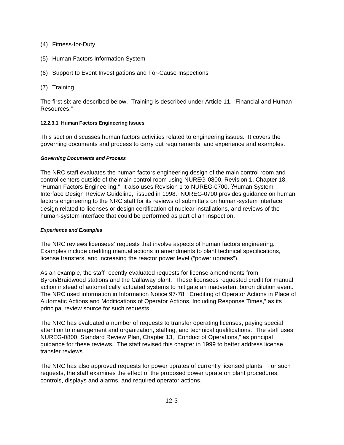- (4) Fitness-for-Duty
- (5) Human Factors Information System
- (6) Support to Event Investigations and For-Cause Inspections
- (7) Training

The first six are described below. Training is described under Article 11, "Financial and Human Resources."

### **12.2.3.1 Human Factors Engineering Issues**

This section discusses human factors activities related to engineering issues. It covers the governing documents and process to carry out requirements, and experience and examples.

### *Governing Documents and Process*

The NRC staff evaluates the human factors engineering design of the main control room and control centers outside of the main control room using NUREG-0800, Revision 1, Chapter 18, "Human Factors Engineering." It also uses Revision 1 to NUREG-0700, ?Human System Interface Design Review Guideline," issued in 1998. NUREG-0700 provides guidance on human factors engineering to the NRC staff for its reviews of submittals on human-system interface design related to licenses or design certification of nuclear installations, and reviews of the human-system interface that could be performed as part of an inspection.

### *Experience and Examples*

The NRC reviews licensees' requests that involve aspects of human factors engineering. Examples include crediting manual actions in amendments to plant technical specifications, license transfers, and increasing the reactor power level ("power uprates").

As an example, the staff recently evaluated requests for license amendments from Byron/Braidwood stations and the Callaway plant. These licensees requested credit for manual action instead of automatically actuated systems to mitigate an inadvertent boron dilution event. The NRC used information in Information Notice 97-78, "Crediting of Operator Actions in Place of Automatic Actions and Modifications of Operator Actions, Including Response Times," as its principal review source for such requests.

The NRC has evaluated a number of requests to transfer operating licenses, paying special attention to management and organization, staffing, and technical qualifications. The staff uses NUREG-0800, Standard Review Plan, Chapter 13, "Conduct of Operations," as principal guidance for these reviews. The staff revised this chapter in 1999 to better address license transfer reviews.

The NRC has also approved requests for power uprates of currently licensed plants. For such requests, the staff examines the effect of the proposed power uprate on plant procedures, controls, displays and alarms, and required operator actions.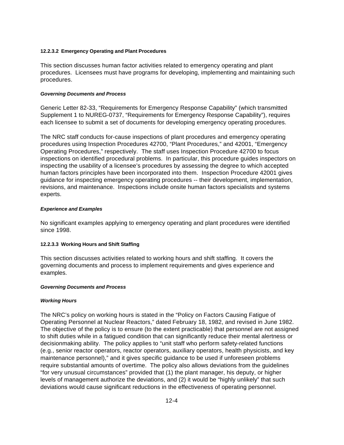### **12.2.3.2 Emergency Operating and Plant Procedures**

This section discusses human factor activities related to emergency operating and plant procedures. Licensees must have programs for developing, implementing and maintaining such procedures.

#### *Governing Documents and Process*

Generic Letter 82-33, "Requirements for Emergency Response Capability" (which transmitted Supplement 1 to NUREG-0737, "Requirements for Emergency Response Capability"), requires each licensee to submit a set of documents for developing emergency operating procedures.

The NRC staff conducts for-cause inspections of plant procedures and emergency operating procedures using Inspection Procedures 42700, "Plant Procedures," and 42001, "Emergency Operating Procedures," respectively. The staff uses Inspection Procedure 42700 to focus inspections on identified procedural problems. In particular, this procedure guides inspectors on inspecting the usability of a licensee's procedures by assessing the degree to which accepted human factors principles have been incorporated into them. Inspection Procedure 42001 gives guidance for inspecting emergency operating procedures -- their development, implementation, revisions, and maintenance. Inspections include onsite human factors specialists and systems experts.

### *Experience and Examples*

No significant examples applying to emergency operating and plant procedures were identified since 1998.

### **12.2.3.3 Working Hours and Shift Staffing**

This section discusses activities related to working hours and shift staffing. It covers the governing documents and process to implement requirements and gives experience and examples.

#### *Governing Documents and Process*

### *Working Hours*

The NRC's policy on working hours is stated in the "Policy on Factors Causing Fatigue of Operating Personnel at Nuclear Reactors," dated February 18, 1982, and revised in June 1982. The objective of the policy is to ensure (to the extent practicable) that personnel are not assigned to shift duties while in a fatigued condition that can significantly reduce their mental alertness or decisionmaking ability. The policy applies to "unit staff who perform safety-related functions (e.g., senior reactor operators, reactor operators, auxiliary operators, health physicists, and key maintenance personnel)," and it gives specific guidance to be used if unforeseen problems require substantial amounts of overtime. The policy also allows deviations from the guidelines "for very unusual circumstances" provided that (1) the plant manager, his deputy, or higher levels of management authorize the deviations, and (2) it would be "highly unlikely" that such deviations would cause significant reductions in the effectiveness of operating personnel.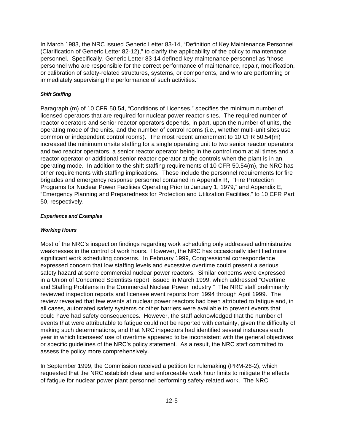In March 1983, the NRC issued Generic Letter 83-14, "Definition of Key Maintenance Personnel (Clarification of Generic Letter 82-12)," to clarify the applicability of the policy to maintenance personnel. Specifically, Generic Letter 83-14 defined key maintenance personnel as "those personnel who are responsible for the correct performance of maintenance, repair, modification, or calibration of safety-related structures, systems, or components, and who are performing or immediately supervising the performance of such activities."

#### *Shift Staffing*

Paragraph (m) of 10 CFR 50.54, "Conditions of Licenses," specifies the minimum number of licensed operators that are required for nuclear power reactor sites. The required number of reactor operators and senior reactor operators depends, in part, upon the number of units, the operating mode of the units, and the number of control rooms (i.e., whether multi-unit sites use common or independent control rooms). The most recent amendment to 10 CFR 50.54(m) increased the minimum onsite staffing for a single operating unit to two senior reactor operators and two reactor operators, a senior reactor operator being in the control room at all times and a reactor operator or additional senior reactor operator at the controls when the plant is in an operating mode. In addition to the shift staffing requirements of 10 CFR 50.54(m), the NRC has other requirements with staffing implications. These include the personnel requirements for fire brigades and emergency response personnel contained in Appendix R, "Fire Protection Programs for Nuclear Power Facilities Operating Prior to January 1, 1979," and Appendix E, "Emergency Planning and Preparedness for Protection and Utilization Facilities," to 10 CFR Part 50, respectively.

#### *Experience and Examples*

#### *Working Hours*

Most of the NRC's inspection findings regarding work scheduling only addressed administrative weaknesses in the control of work hours. However, the NRC has occasionally identified more significant work scheduling concerns. In February 1999, Congressional correspondence expressed concern that low staffing levels and excessive overtime could present a serious safety hazard at some commercial nuclear power reactors. Similar concerns were expressed in a Union of Concerned Scientists report, issued in March 1999, which addressed "Overtime and Staffing Problems in the Commercial Nuclear Power Industry." The NRC staff preliminarily reviewed inspection reports and licensee event reports from 1994 through April 1999. The review revealed that few events at nuclear power reactors had been attributed to fatigue and, in all cases, automated safety systems or other barriers were available to prevent events that could have had safety consequences. However, the staff acknowledged that the number of events that were attributable to fatigue could not be reported with certainty, given the difficulty of making such determinations, and that NRC inspectors had identified several instances each year in which licensees' use of overtime appeared to be inconsistent with the general objectives or specific guidelines of the NRC's policy statement. As a result, the NRC staff committed to assess the policy more comprehensively.

In September 1999, the Commission received a petition for rulemaking (PRM-26-2), which requested that the NRC establish clear and enforceable work hour limits to mitigate the effects of fatigue for nuclear power plant personnel performing safety-related work. The NRC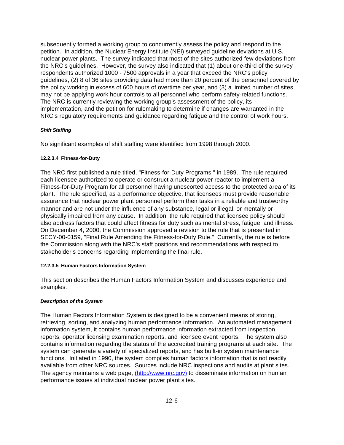subsequently formed a working group to concurrently assess the policy and respond to the petition. In addition, the Nuclear Energy Institute (NEI) surveyed guideline deviations at U.S. nuclear power plants. The survey indicated that most of the sites authorized few deviations from the NRC's guidelines. However, the survey also indicated that (1) about one-third of the survey respondents authorized 1000 - 7500 approvals in a year that exceed the NRC's policy guidelines, (2) 8 of 36 sites providing data had more than 20 percent of the personnel covered by the policy working in excess of 600 hours of overtime per year, and (3) a limited number of sites may not be applying work hour controls to all personnel who perform safety-related functions. The NRC is currently reviewing the working group's assessment of the policy, its implementation, and the petition for rulemaking to determine if changes are warranted in the NRC's regulatory requirements and guidance regarding fatigue and the control of work hours.

### *Shift Staffing*

No significant examples of shift staffing were identified from 1998 through 2000.

### **12.2.3.4 Fitness-for-Duty**

The NRC first published a rule titled, "Fitness-for-Duty Programs," in 1989. The rule required each licensee authorized to operate or construct a nuclear power reactor to implement a Fitness-for-Duty Program for all personnel having unescorted access to the protected area of its plant. The rule specified, as a performance objective, that licensees must provide reasonable assurance that nuclear power plant personnel perform their tasks in a reliable and trustworthy manner and are not under the influence of any substance, legal or illegal, or mentally or physically impaired from any cause. In addition, the rule required that licensee policy should also address factors that could affect fitness for duty such as mental stress, fatigue, and illness. On December 4, 2000, the Commission approved a revision to the rule that is presented in SECY-00-0159, "Final Rule Amending the Fitness-for-Duty Rule." Currently, the rule is before the Commission along with the NRC's staff positions and recommendations with respect to stakeholder's concerns regarding implementing the final rule.

### **12.2.3.5 Human Factors Information System**

This section describes the Human Factors Information System and discusses experience and examples.

### *Description of the System*

The Human Factors Information System is designed to be a convenient means of storing, retrieving, sorting, and analyzing human performance information. An automated management information system, it contains human performance information extracted from inspection reports, operator licensing examination reports, and licensee event reports. The system also contains information regarding the status of the accredited training programs at each site. The system can generate a variety of specialized reports, and has built-in system maintenance functions. Initiated in 1990, the system compiles human factors information that is not readily available from other NRC sources. Sources include NRC inspections and audits at plant sites. The agency maintains a web page, (http://www.nrc.gov) to disseminate information on human performance issues at individual nuclear power plant sites.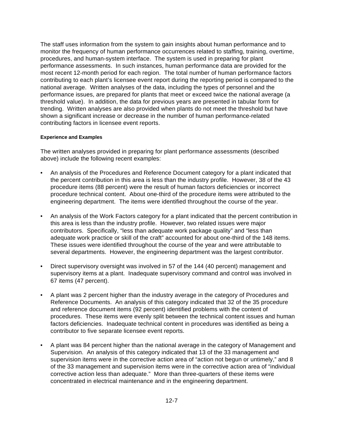The staff uses information from the system to gain insights about human performance and to monitor the frequency of human performance occurrences related to staffing, training, overtime, procedures, and human-system interface. The system is used in preparing for plant performance assessments. In such instances, human performance data are provided for the most recent 12-month period for each region. The total number of human performance factors contributing to each plant's licensee event report during the reporting period is compared to the national average. Written analyses of the data, including the types of personnel and the performance issues, are prepared for plants that meet or exceed twice the national average (a threshold value). In addition, the data for previous years are presented in tabular form for trending. Written analyses are also provided when plants do not meet the threshold but have shown a significant increase or decrease in the number of human performance-related contributing factors in licensee event reports.

### **Experience and Examples**

The written analyses provided in preparing for plant performance assessments (described above) include the following recent examples:

- An analysis of the Procedures and Reference Document category for a plant indicated that the percent contribution in this area is less than the industry profile. However, 38 of the 43 procedure items (88 percent) were the result of human factors deficiencies or incorrect procedure technical content. About one-third of the procedure items were attributed to the engineering department. The items were identified throughout the course of the year.
- An analysis of the Work Factors category for a plant indicated that the percent contribution in this area is less than the industry profile. However, two related issues were major contributors. Specifically, "less than adequate work package quality" and "less than adequate work practice or skill of the craft" accounted for about one-third of the 148 items. These issues were identified throughout the course of the year and were attributable to several departments. However, the engineering department was the largest contributor.
- Direct supervisory oversight was involved in 57 of the 144 (40 percent) management and supervisory items at a plant. Inadequate supervisory command and control was involved in 67 items (47 percent).
- A plant was 2 percent higher than the industry average in the category of Procedures and Reference Documents. An analysis of this category indicated that 32 of the 35 procedure and reference document items (92 percent) identified problems with the content of procedures. These items were evenly split between the technical content issues and human factors deficiencies. Inadequate technical content in procedures was identified as being a contributor to five separate licensee event reports.
- A plant was 84 percent higher than the national average in the category of Management and Supervision. An analysis of this category indicated that 13 of the 33 management and supervision items were in the corrective action area of "action not begun or untimely," and 8 of the 33 management and supervision items were in the corrective action area of "individual corrective action less than adequate." More than three-quarters of these items were concentrated in electrical maintenance and in the engineering department.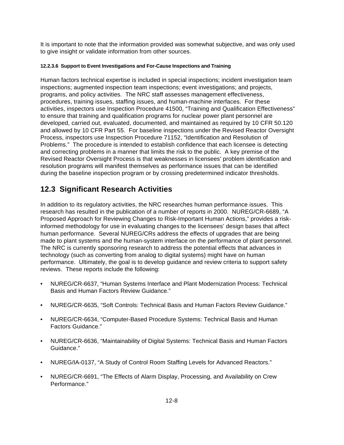It is important to note that the information provided was somewhat subjective, and was only used to give insight or validate information from other sources.

### **12.2.3.6 Support to Event Investigations and For-Cause Inspections and Training**

Human factors technical expertise is included in special inspections; incident investigation team inspections; augmented inspection team inspections; event investigations; and projects, programs, and policy activities. The NRC staff assesses management effectiveness, procedures, training issues, staffing issues, and human-machine interfaces. For these activities, inspectors use Inspection Procedure 41500, "Training and Qualification Effectiveness" to ensure that training and qualification programs for nuclear power plant personnel are developed, carried out, evaluated, documented, and maintained as required by 10 CFR 50.120 and allowed by 10 CFR Part 55. For baseline inspections under the Revised Reactor Oversight Process, inspectors use Inspection Procedure 71152, "Identification and Resolution of Problems." The procedure is intended to establish confidence that each licensee is detecting and correcting problems in a manner that limits the risk to the public. A key premise of the Revised Reactor Oversight Process is that weaknesses in licensees' problem identification and resolution programs will manifest themselves as performance issues that can be identified during the baseline inspection program or by crossing predetermined indicator thresholds.

# **12.3 Significant Research Activities**

In addition to its regulatory activities, the NRC researches human performance issues. This research has resulted in the publication of a number of reports in 2000. NUREG/CR-6689, "A Proposed Approach for Reviewing Changes to Risk-Important Human Actions," provides a riskinformed methodology for use in evaluating changes to the licensees' design bases that affect human performance. Several NUREG/CRs address the effects of upgrades that are being made to plant systems and the human-system interface on the performance of plant personnel. The NRC is currently sponsoring research to address the potential effects that advances in technology (such as converting from analog to digital systems) might have on human performance. Ultimately, the goal is to develop guidance and review criteria to support safety reviews. These reports include the following:

- NUREG/CR-6637, "Human Systems Interface and Plant Modernization Process: Technical Basis and Human Factors Review Guidance."
- NUREG/CR-6635, "Soft Controls: Technical Basis and Human Factors Review Guidance."
- NUREG/CR-6634, "Computer-Based Procedure Systems: Technical Basis and Human Factors Guidance."
- NUREG/CR-6636, "Maintainability of Digital Systems: Technical Basis and Human Factors Guidance."
- NUREG/IA-0137, "A Study of Control Room Staffing Levels for Advanced Reactors."
- NUREG/CR-6691, "The Effects of Alarm Display, Processing, and Availability on Crew Performance."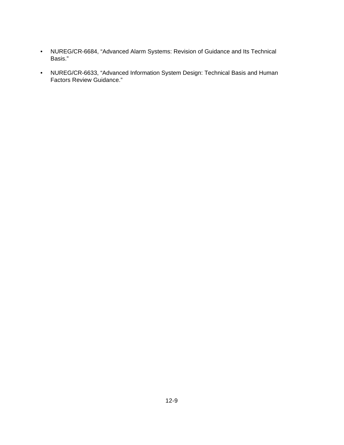- NUREG/CR-6684, "Advanced Alarm Systems: Revision of Guidance and Its Technical Basis."
- NUREG/CR-6633, "Advanced Information System Design: Technical Basis and Human Factors Review Guidance."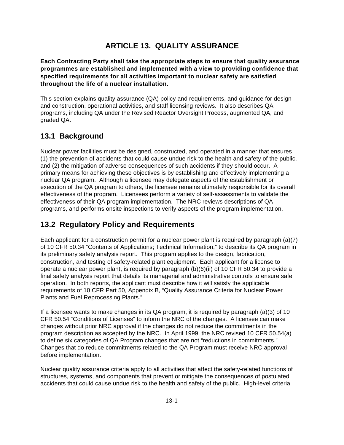# **ARTICLE 13. QUALITY ASSURANCE**

**Each Contracting Party shall take the appropriate steps to ensure that quality assurance programmes are established and implemented with a view to providing confidence that specified requirements for all activities important to nuclear safety are satisfied throughout the life of a nuclear installation.**

This section explains quality assurance (QA) policy and requirements, and guidance for design and construction, operational activities, and staff licensing reviews. It also describes QA programs, including QA under the Revised Reactor Oversight Process, augmented QA, and graded QA.

# **13.1 Background**

Nuclear power facilities must be designed, constructed, and operated in a manner that ensures (1) the prevention of accidents that could cause undue risk to the health and safety of the public, and (2) the mitigation of adverse consequences of such accidents if they should occur. A primary means for achieving these objectives is by establishing and effectively implementing a nuclear QA program. Although a licensee may delegate aspects of the establishment or execution of the QA program to others, the licensee remains ultimately responsible for its overall effectiveness of the program. Licensees perform a variety of self-assessments to validate the effectiveness of their QA program implementation. The NRC reviews descriptions of QA programs, and performs onsite inspections to verify aspects of the program implementation.

# **13.2 Regulatory Policy and Requirements**

Each applicant for a construction permit for a nuclear power plant is required by paragraph (a)(7) of 10 CFR 50.34 "Contents of Applications; Technical Information," to describe its QA program in its preliminary safety analysis report. This program applies to the design, fabrication, construction, and testing of safety-related plant equipment. Each applicant for a license to operate a nuclear power plant, is required by paragraph (b)(6)(ii) of 10 CFR 50.34 to provide a final safety analysis report that details its managerial and administrative controls to ensure safe operation. In both reports, the applicant must describe how it will satisfy the applicable requirements of 10 CFR Part 50, Appendix B, "Quality Assurance Criteria for Nuclear Power Plants and Fuel Reprocessing Plants."

If a licensee wants to make changes in its QA program, it is required by paragraph (a)(3) of 10 CFR 50.54 "Conditions of Licenses" to inform the NRC of the changes. A licensee can make changes without prior NRC approval if the changes do not reduce the commitments in the program description as accepted by the NRC. In April 1999, the NRC revised 10 CFR 50.54(a) to define six categories of QA Program changes that are not "reductions in commitments." Changes that do reduce commitments related to the QA Program must receive NRC approval before implementation.

Nuclear quality assurance criteria apply to all activities that affect the safety-related functions of structures, systems, and components that prevent or mitigate the consequences of postulated accidents that could cause undue risk to the health and safety of the public. High-level criteria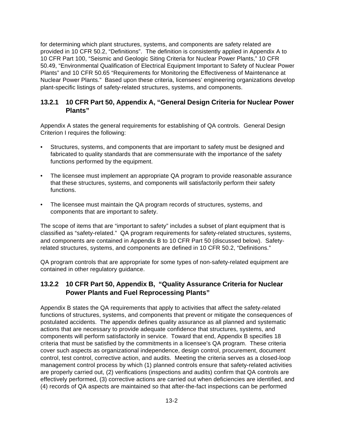for determining which plant structures, systems, and components are safety related are provided in 10 CFR 50.2, "Definitions". The definition is consistently applied in Appendix A to 10 CFR Part 100, "Seismic and Geologic Siting Criteria for Nuclear Power Plants," 10 CFR 50.49, "Environmental Qualification of Electrical Equipment Important to Safety of Nuclear Power Plants" and 10 CFR 50.65 "Requirements for Monitoring the Effectiveness of Maintenance at Nuclear Power Plants." Based upon these criteria, licensees' engineering organizations develop plant-specific listings of safety-related structures, systems, and components.

## **13.2.1 10 CFR Part 50, Appendix A, "General Design Criteria for Nuclear Power Plants"**

Appendix A states the general requirements for establishing of QA controls. General Design Criterion I requires the following:

- Structures, systems, and components that are important to safety must be designed and fabricated to quality standards that are commensurate with the importance of the safety functions performed by the equipment.
- The licensee must implement an appropriate QA program to provide reasonable assurance that these structures, systems, and components will satisfactorily perform their safety functions.
- The licensee must maintain the QA program records of structures, systems, and components that are important to safety.

The scope of items that are "important to safety" includes a subset of plant equipment that is classified as "safety-related." QA program requirements for safety-related structures, systems, and components are contained in Appendix B to 10 CFR Part 50 (discussed below). Safetyrelated structures, systems, and components are defined in 10 CFR 50.2, "Definitions."

QA program controls that are appropriate for some types of non-safety-related equipment are contained in other regulatory guidance.

## **13.2.2 10 CFR Part 50, Appendix B, "Quality Assurance Criteria for Nuclear Power Plants and Fuel Reprocessing Plants"**

Appendix B states the QA requirements that apply to activities that affect the safety-related functions of structures, systems, and components that prevent or mitigate the consequences of postulated accidents. The appendix defines quality assurance as all planned and systematic actions that are necessary to provide adequate confidence that structures, systems, and components will perform satisfactorily in service. Toward that end, Appendix B specifies 18 criteria that must be satisfied by the commitments in a licensee's QA program. These criteria cover such aspects as organizational independence, design control, procurement, document control, test control, corrective action, and audits. Meeting the criteria serves as a closed-loop management control process by which (1) planned controls ensure that safety-related activities are properly carried out, (2) verifications (inspections and audits) confirm that QA controls are effectively performed, (3) corrective actions are carried out when deficiencies are identified, and (4) records of QA aspects are maintained so that after-the-fact inspections can be performed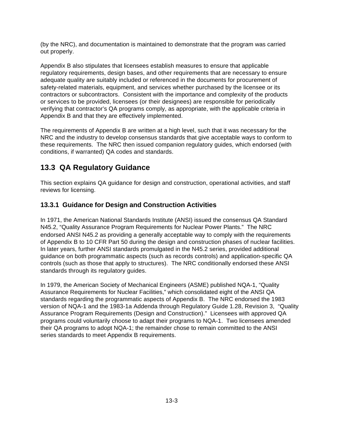(by the NRC), and documentation is maintained to demonstrate that the program was carried out properly.

Appendix B also stipulates that licensees establish measures to ensure that applicable regulatory requirements, design bases, and other requirements that are necessary to ensure adequate quality are suitably included or referenced in the documents for procurement of safety-related materials, equipment, and services whether purchased by the licensee or its contractors or subcontractors. Consistent with the importance and complexity of the products or services to be provided, licensees (or their designees) are responsible for periodically verifying that contractor's QA programs comply, as appropriate, with the applicable criteria in Appendix B and that they are effectively implemented.

The requirements of Appendix B are written at a high level, such that it was necessary for the NRC and the industry to develop consensus standards that give acceptable ways to conform to these requirements. The NRC then issued companion regulatory guides, which endorsed (with conditions, if warranted) QA codes and standards.

# **13.3 QA Regulatory Guidance**

This section explains QA guidance for design and construction, operational activities, and staff reviews for licensing.

## **13.3.1 Guidance for Design and Construction Activities**

In 1971, the American National Standards Institute (ANSI) issued the consensus QA Standard N45.2, "Quality Assurance Program Requirements for Nuclear Power Plants." The NRC endorsed ANSI N45.2 as providing a generally acceptable way to comply with the requirements of Appendix B to 10 CFR Part 50 during the design and construction phases of nuclear facilities. In later years, further ANSI standards promulgated in the N45.2 series, provided additional guidance on both programmatic aspects (such as records controls) and application-specific QA controls (such as those that apply to structures). The NRC conditionally endorsed these ANSI standards through its regulatory guides.

In 1979, the American Society of Mechanical Engineers (ASME) published NQA-1, "Quality Assurance Requirements for Nuclear Facilities," which consolidated eight of the ANSI QA standards regarding the programmatic aspects of Appendix B. The NRC endorsed the 1983 version of NQA-1 and the 1983-1a Addenda through Regulatory Guide 1.28, Revision 3, "Quality Assurance Program Requirements (Design and Construction)." Licensees with approved QA programs could voluntarily choose to adapt their programs to NQA-1. Two licensees amended their QA programs to adopt NQA-1; the remainder chose to remain committed to the ANSI series standards to meet Appendix B requirements.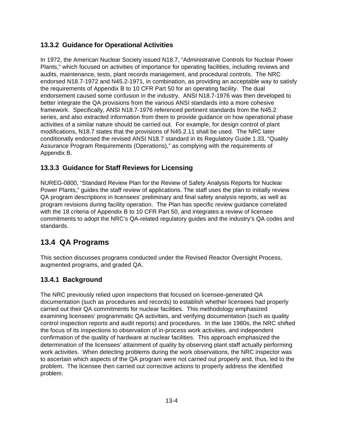## **13.3.2 Guidance for Operational Activities**

In 1972, the American Nuclear Society issued N18.7, "Administrative Controls for Nuclear Power Plants," which focused on activities of importance for operating facilities, including reviews and audits, maintenance, tests, plant records management, and procedural controls. The NRC endorsed N18.7-1972 and N45.2-1971, in combination, as providing an acceptable way to satisfy the requirements of Appendix B to 10 CFR Part 50 for an operating facility. The dual endorsement caused some confusion in the industry. ANSI N18.7-1976 was then developed to better integrate the QA provisions from the various ANSI standards into a more cohesive framework. Specifically, ANSI N18.7-1976 referenced pertinent standards from the N45.2 series, and also extracted information from them to provide guidance on how operational phase activities of a similar nature should be carried out. For example, for design control of plant modifications, N18.7 states that the provisions of N45.2.11 shall be used. The NRC later conditionally endorsed the revised ANSI N18.7 standard in its Regulatory Guide 1.33, "Quality Assurance Program Requirements (Operations)," as complying with the requirements of Appendix B.

## **13.3.3 Guidance for Staff Reviews for Licensing**

NUREG-0800, "Standard Review Plan for the Review of Safety Analysis Reports for Nuclear Power Plants," guides the staff review of applications. The staff uses the plan to initially review QA program descriptions in licensees' preliminary and final safety analysis reports, as well as program revisions during facility operation. The Plan has specific review guidance correlated with the 18 criteria of Appendix B to 10 CFR Part 50, and integrates a review of licensee commitments to adopt the NRC's QA-related regulatory guides and the industry's QA codes and standards.

# **13.4 QA Programs**

This section discusses programs conducted under the Revised Reactor Oversight Process, augmented programs, and graded QA.

# **13.4.1 Background**

The NRC previously relied upon inspections that focused on licensee-generated QA documentation (such as procedures and records) to establish whether licensees had properly carried out their QA commitments for nuclear facilities. This methodology emphasized examining licensees' programmatic QA activities, and verifying documentation (such as quality control inspection reports and audit reports) and procedures. In the late 1980s, the NRC shifted the focus of its inspections to observation of in-process work activities, and independent confirmation of the quality of hardware at nuclear facilities. This approach emphasized the determination of the licensees' attainment of quality by observing plant staff actually performing work activities. When detecting problems during the work observations, the NRC inspector was to ascertain which aspects of the QA program were not carried out properly and, thus, led to the problem. The licensee then carried out corrective actions to properly address the identified problem.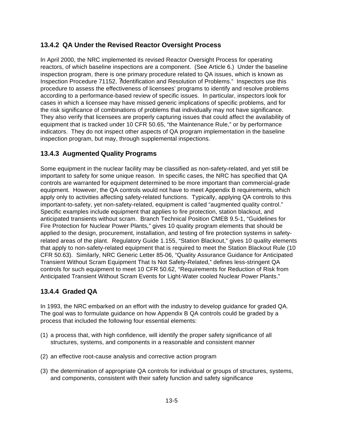### **13.4.2 QA Under the Revised Reactor Oversight Process**

In April 2000, the NRC implemented its revised Reactor Oversight Process for operating reactors, of which baseline inspections are a component. (See Article 6.) Under the baseline inspection program, there is one primary procedure related to QA issues, which is known as Inspection Procedure 71152, ?Identification and Resolution of Problems." Inspectors use this procedure to assess the effectiveness of licensees' programs to identify and resolve problems according to a performance-based review of specific issues. In particular, inspectors look for cases in which a licensee may have missed generic implications of specific problems, and for the risk significance of combinations of problems that individually may not have significance. They also verify that licensees are properly capturing issues that could affect the availability of equipment that is tracked under 10 CFR 50.65, "the Maintenance Rule," or by performance indicators. They do not inspect other aspects of QA program implementation in the baseline inspection program, but may, through supplemental inspections.

### **13.4.3 Augmented Quality Programs**

Some equipment in the nuclear facility may be classified as non-safety-related, and yet still be important to safety for some unique reason. In specific cases, the NRC has specified that QA controls are warranted for equipment determined to be more important than commercial-grade equipment. However, the QA controls would not have to meet Appendix B requirements, which apply only to activities affecting safety-related functions. Typically, applying QA controls to this important-to-safety, yet non-safety-related, equipment is called "augmented quality control." Specific examples include equipment that applies to fire protection, station blackout, and anticipated transients without scram. Branch Technical Position CMEB 9.5-1, "Guidelines for Fire Protection for Nuclear Power Plants," gives 10 quality program elements that should be applied to the design, procurement, installation, and testing of fire protection systems in safetyrelated areas of the plant. Regulatory Guide 1.155, "Station Blackout," gives 10 quality elements that apply to non-safety-related equipment that is required to meet the Station Blackout Rule (10 CFR 50.63). Similarly, NRC Generic Letter 85-06, "Quality Assurance Guidance for Anticipated Transient Without Scram Equipment That Is Not Safety-Related," defines less-stringent QA controls for such equipment to meet 10 CFR 50.62, "Requirements for Reduction of Risk from Anticipated Transient Without Scram Events for Light-Water cooled Nuclear Power Plants."

### **13.4.4 Graded QA**

In 1993, the NRC embarked on an effort with the industry to develop guidance for graded QA. The goal was to formulate guidance on how Appendix B QA controls could be graded by a process that included the following four essential elements:

- (1) a process that, with high confidence, will identify the proper safety significance of all structures, systems, and components in a reasonable and consistent manner
- (2) an effective root-cause analysis and corrective action program
- (3) the determination of appropriate QA controls for individual or groups of structures, systems, and components, consistent with their safety function and safety significance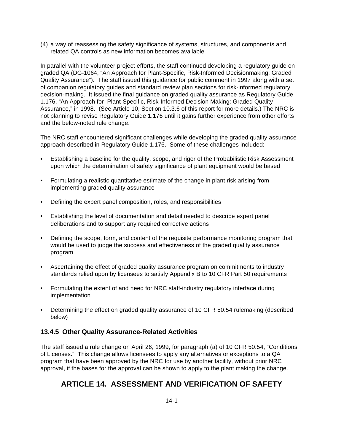(4) a way of reassessing the safety significance of systems, structures, and components and related QA controls as new information becomes available

In parallel with the volunteer project efforts, the staff continued developing a regulatory guide on graded QA (DG-1064, "An Approach for Plant-Specific, Risk-Informed Decisionmaking: Graded Quality Assurance"). The staff issued this guidance for public comment in 1997 along with a set of companion regulatory guides and standard review plan sections for risk-informed regulatory decision-making. It issued the final guidance on graded quality assurance as Regulatory Guide 1.176, "An Approach for Plant-Specific, Risk-Informed Decision Making: Graded Quality Assurance," in 1998. (See Article 10, Section 10.3.6 of this report for more details.) The NRC is not planning to revise Regulatory Guide 1.176 until it gains further experience from other efforts and the below-noted rule change.

The NRC staff encountered significant challenges while developing the graded quality assurance approach described in Regulatory Guide 1.176. Some of these challenges included:

- Establishing a baseline for the quality, scope, and rigor of the Probabilistic Risk Assessment upon which the determination of safety significance of plant equipment would be based
- Formulating a realistic quantitative estimate of the change in plant risk arising from implementing graded quality assurance
- Defining the expert panel composition, roles, and responsibilities
- Establishing the level of documentation and detail needed to describe expert panel deliberations and to support any required corrective actions
- Defining the scope, form, and content of the requisite performance monitoring program that would be used to judge the success and effectiveness of the graded quality assurance program
- Ascertaining the effect of graded quality assurance program on commitments to industry standards relied upon by licensees to satisfy Appendix B to 10 CFR Part 50 requirements
- Formulating the extent of and need for NRC staff-industry regulatory interface during implementation
- Determining the effect on graded quality assurance of 10 CFR 50.54 rulemaking (described below)

#### **13.4.5 Other Quality Assurance-Related Activities**

The staff issued a rule change on April 26, 1999, for paragraph (a) of 10 CFR 50.54, "Conditions of Licenses." This change allows licensees to apply any alternatives or exceptions to a QA program that have been approved by the NRC for use by another facility, without prior NRC approval, if the bases for the approval can be shown to apply to the plant making the change.

## **ARTICLE 14. ASSESSMENT AND VERIFICATION OF SAFETY**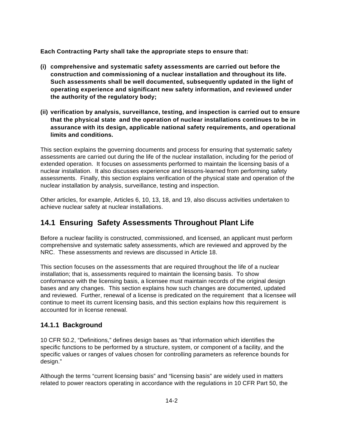**Each Contracting Party shall take the appropriate steps to ensure that:**

- **(i) comprehensive and systematic safety assessments are carried out before the construction and commissioning of a nuclear installation and throughout its life. Such assessments shall be well documented, subsequently updated in the light of operating experience and significant new safety information, and reviewed under the authority of the regulatory body;**
- **(ii) verification by analysis, surveillance, testing, and inspection is carried out to ensure that the physical state and the operation of nuclear installations continues to be in assurance with its design, applicable national safety requirements, and operational limits and conditions.**

This section explains the governing documents and process for ensuring that systematic safety assessments are carried out during the life of the nuclear installation, including for the period of extended operation. It focuses on assessments performed to maintain the licensing basis of a nuclear installation. It also discusses experience and lessons-learned from performing safety assessments. Finally, this section explains verification of the physical state and operation of the nuclear installation by analysis, surveillance, testing and inspection.

Other articles, for example, Articles 6, 10, 13, 18, and 19, also discuss activities undertaken to achieve nuclear safety at nuclear installations.

## **14.1 Ensuring Safety Assessments Throughout Plant Life**

Before a nuclear facility is constructed, commissioned, and licensed, an applicant must perform comprehensive and systematic safety assessments, which are reviewed and approved by the NRC. These assessments and reviews are discussed in Article 18.

This section focuses on the assessments that are required throughout the life of a nuclear installation; that is, assessments required to maintain the licensing basis. To show conformance with the licensing basis, a licensee must maintain records of the original design bases and any changes. This section explains how such changes are documented, updated and reviewed. Further, renewal of a license is predicated on the requirement that a licensee will continue to meet its current licensing basis, and this section explains how this requirement is accounted for in license renewal.

#### **14.1.1 Background**

10 CFR 50.2, "Definitions," defines design bases as "that information which identifies the specific functions to be performed by a structure, system, or component of a facility, and the specific values or ranges of values chosen for controlling parameters as reference bounds for design."

Although the terms "current licensing basis" and "licensing basis" are widely used in matters related to power reactors operating in accordance with the regulations in 10 CFR Part 50, the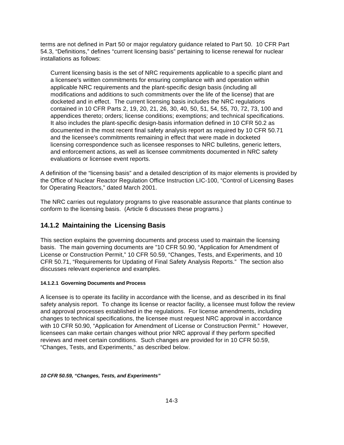terms are not defined in Part 50 or major regulatory guidance related to Part 50. 10 CFR Part 54.3, "Definitions," defines "current licensing basis" pertaining to license renewal for nuclear installations as follows:

Current licensing basis is the set of NRC requirements applicable to a specific plant and a licensee's written commitments for ensuring compliance with and operation within applicable NRC requirements and the plant-specific design basis (including all modifications and additions to such commitments over the life of the license) that are docketed and in effect. The current licensing basis includes the NRC regulations contained in 10 CFR Parts 2, 19, 20, 21, 26, 30, 40, 50, 51, 54, 55, 70, 72, 73, 100 and appendices thereto; orders; license conditions; exemptions; and technical specifications. It also includes the plant-specific design-basis information defined in 10 CFR 50.2 as documented in the most recent final safety analysis report as required by 10 CFR 50.71 and the licensee's commitments remaining in effect that were made in docketed licensing correspondence such as licensee responses to NRC bulletins, generic letters, and enforcement actions, as well as licensee commitments documented in NRC safety evaluations or licensee event reports.

A definition of the "licensing basis" and a detailed description of its major elements is provided by the Office of Nuclear Reactor Regulation Office Instruction LIC-100, "Control of Licensing Bases for Operating Reactors," dated March 2001.

The NRC carries out regulatory programs to give reasonable assurance that plants continue to conform to the licensing basis. (Article 6 discusses these programs.)

#### **14.1.2 Maintaining the Licensing Basis**

This section explains the governing documents and process used to maintain the licensing basis. The main governing documents are "10 CFR 50.90, "Application for Amendment of License or Construction Permit," 10 CFR 50.59, "Changes, Tests, and Experiments, and 10 CFR 50.71, "Requirements for Updating of Final Safety Analysis Reports." The section also discusses relevant experience and examples.

#### **14.1.2.1 Governing Documents and Process**

A licensee is to operate its facility in accordance with the license, and as described in its final safety analysis report. To change its license or reactor facility, a licensee must follow the review and approval processes established in the regulations. For license amendments, including changes to technical specifications, the licensee must request NRC approval in accordance with 10 CFR 50.90, "Application for Amendment of License or Construction Permit." However, licensees can make certain changes without prior NRC approval if they perform specified reviews and meet certain conditions. Such changes are provided for in 10 CFR 50.59, "Changes, Tests, and Experiments," as described below.

*10 CFR 50.59, "Changes, Tests, and Experiments"*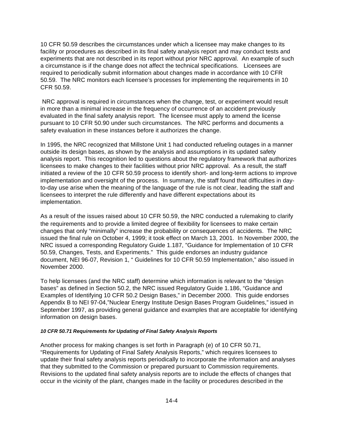10 CFR 50.59 describes the circumstances under which a licensee may make changes to its facility or procedures as described in its final safety analysis report and may conduct tests and experiments that are not described in its report without prior NRC approval. An example of such a circumstance is if the change does not affect the technical specifications. Licensees are required to periodically submit information about changes made in accordance with 10 CFR 50.59. The NRC monitors each licensee's processes for implementing the requirements in 10 CFR 50.59.

 NRC approval is required in circumstances when the change, test, or experiment would result in more than a minimal increase in the frequency of occurrence of an accident previously evaluated in the final safety analysis report. The licensee must apply to amend the license pursuant to 10 CFR 50.90 under such circumstances. The NRC performs and documents a safety evaluation in these instances before it authorizes the change.

In 1995, the NRC recognized that Millstone Unit 1 had conducted refueling outages in a manner outside its design bases, as shown by the analysis and assumptions in its updated safety analysis report. This recognition led to questions about the regulatory framework that authorizes licensees to make changes to their facilities without prior NRC approval. As a result, the staff initiated a review of the 10 CFR 50.59 process to identify short- and long-term actions to improve implementation and oversight of the process. In summary, the staff found that difficulties in dayto-day use arise when the meaning of the language of the rule is not clear, leading the staff and licensees to interpret the rule differently and have different expectations about its implementation.

As a result of the issues raised about 10 CFR 50.59, the NRC conducted a rulemaking to clarify the requirements and to provide a limited degree of flexibility for licensees to make certain changes that only "minimally" increase the probability or consequences of accidents. The NRC issued the final rule on October 4, 1999; it took effect on March 13, 2001. In November 2000, the NRC issued a corresponding Regulatory Guide 1.187, "Guidance for Implementation of 10 CFR 50.59, Changes, Tests, and Experiments." This guide endorses an industry guidance document, NEI 96-07, Revision 1, " Guidelines for 10 CFR 50.59 Implementation," also issued in November 2000.

To help licensees (and the NRC staff) determine which information is relevant to the "design bases" as defined in Section 50.2, the NRC issued Regulatory Guide 1.186, "Guidance and Examples of Identifying 10 CFR 50.2 Design Bases," in December 2000. This guide endorses Appendix B to NEI 97-04,"Nuclear Energy Institute Design Bases Program Guidelines," issued in September 1997, as providing general guidance and examples that are acceptable for identifying information on design bases.

#### *10 CFR 50.71 Requirements for Updating of Final Safety Analysis Reports*

Another process for making changes is set forth in Paragraph (e) of 10 CFR 50.71, "Requirements for Updating of Final Safety Analysis Reports," which requires licensees to update their final safety analysis reports periodically to incorporate the information and analyses that they submitted to the Commission or prepared pursuant to Commission requirements. Revisions to the updated final safety analysis reports are to include the effects of changes that occur in the vicinity of the plant, changes made in the facility or procedures described in the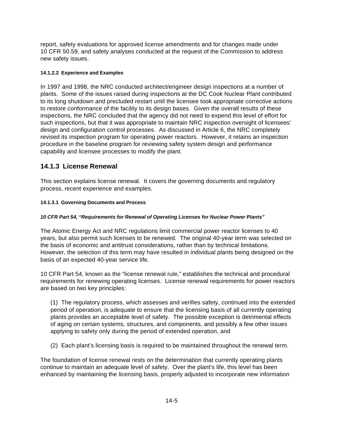report, safety evaluations for approved license amendments and for changes made under 10 CFR 50.59, and safety analyses conducted at the request of the Commission to address new safety issues.

#### **14.1.2.2 Experience and Examples**

In 1997 and 1998, the NRC conducted architect/engineer design inspections at a number of plants. Some of the issues raised during inspections at the DC Cook Nuclear Plant contributed to its long shutdown and precluded restart until the licensee took appropriate corrective actions to restore conformance of the facility to its design bases. Given the overall results of these inspections, the NRC concluded that the agency did not need to expend this level of effort for such inspections, but that it was appropriate to maintain NRC inspection oversight of licensees' design and configuration control processes. As discussed in Article 6, the NRC completely revised its inspection program for operating power reactors. However, it retains an inspection procedure in the baseline program for reviewing safety system design and performance capability and licensee processes to modify the plant.

#### **14.1.3 License Renewal**

This section explains license renewal. It covers the governing documents and regulatory process, recent experience and examples.

#### **14.1.3.1 Governing Documents and Process**

#### *10 CFR Part 54, "Requirements for Renewal of Operating Licenses for Nuclear Power Plants"*

The Atomic Energy Act and NRC regulations limit commercial power reactor licenses to 40 years, but also permit such licenses to be renewed. The original 40-year term was selected on the basis of economic and antitrust considerations, rather than by technical limitations. However, the selection of this term may have resulted in individual plants being designed on the basis of an expected 40-year service life.

10 CFR Part 54, known as the "license renewal rule," establishes the technical and procedural requirements for renewing operating licenses. License renewal requirements for power reactors are based on two key principles:

(1) The regulatory process, which assesses and verifies safety, continued into the extended period of operation, is adequate to ensure that the licensing basis of all currently operating plants provides an acceptable level of safety. The possible exception is detrimental effects of aging on certain systems, structures, and components, and possibly a few other issues applying to safety only during the period of extended operation, and

(2) Each plant's licensing basis is required to be maintained throughout the renewal term.

The foundation of license renewal rests on the determination that currently operating plants continue to maintain an adequate level of safety. Over the plant's life, this level has been enhanced by maintaining the licensing basis, properly adjusted to incorporate new information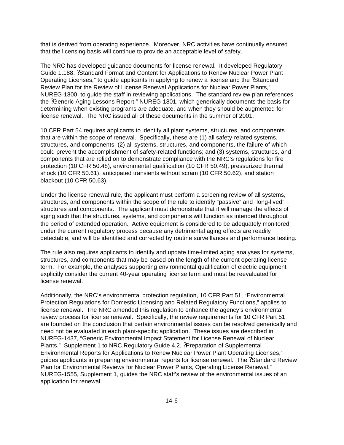that is derived from operating experience. Moreover, NRC activities have continually ensured that the licensing basis will continue to provide an acceptable level of safety.

The NRC has developed guidance documents for license renewal. It developed Regulatory Guide 1.188, ?Standard Format and Content for Applications to Renew Nuclear Power Plant Operating Licenses," to guide applicants in applying to renew a license and the ?Standard Review Plan for the Review of License Renewal Applications for Nuclear Power Plants," NUREG-1800, to guide the staff in reviewing applications. The standard review plan references the ?Generic Aging Lessons Report," NUREG-1801, which generically documents the basis for determining when existing programs are adequate, and when they should be augmented for license renewal. The NRC issued all of these documents in the summer of 2001.

10 CFR Part 54 requires applicants to identify all plant systems, structures, and components that are within the scope of renewal. Specifically, these are (1) all safety-related systems, structures, and components; (2) all systems, structures, and components, the failure of which could prevent the accomplishment of safety-related functions; and (3) systems, structures, and components that are relied on to demonstrate compliance with the NRC's regulations for fire protection (10 CFR 50.48), environmental qualification (10 CFR 50.49), pressurized thermal shock (10 CFR 50.61), anticipated transients without scram (10 CFR 50.62), and station blackout (10 CFR 50.63).

Under the license renewal rule, the applicant must perform a screening review of all systems, structures, and components within the scope of the rule to identify "passive" and "long-lived" structures and components. The applicant must demonstrate that it will manage the effects of aging such that the structures, systems, and components will function as intended throughout the period of extended operation. Active equipment is considered to be adequately monitored under the current regulatory process because any detrimental aging effects are readily detectable, and will be identified and corrected by routine surveillances and performance testing.

The rule also requires applicants to identify and update time-limited aging analyses for systems, structures, and components that may be based on the length of the current operating license term. For example, the analyses supporting environmental qualification of electric equipment explicitly consider the current 40-year operating license term and must be reevaluated for license renewal.

Additionally, the NRC's environmental protection regulation, 10 CFR Part 51, "Environmental Protection Regulations for Domestic Licensing and Related Regulatory Functions," applies to license renewal. The NRC amended this regulation to enhance the agency's environmental review process for license renewal. Specifically, the review requirements for 10 CFR Part 51 are founded on the conclusion that certain environmental issues can be resolved generically and need not be evaluated in each plant-specific application. These issues are described in NUREG-1437, "Generic Environmental Impact Statement for License Renewal of Nuclear Plants." Supplement 1 to NRC Regulatory Guide 4.2, ?Preparation of Supplemental Environmental Reports for Applications to Renew Nuclear Power Plant Operating Licenses," guides applicants in preparing environmental reports for license renewal. The ?Standard Review Plan for Environmental Reviews for Nuclear Power Plants, Operating License Renewal," NUREG-1555, Supplement 1, guides the NRC staff's review of the environmental issues of an application for renewal.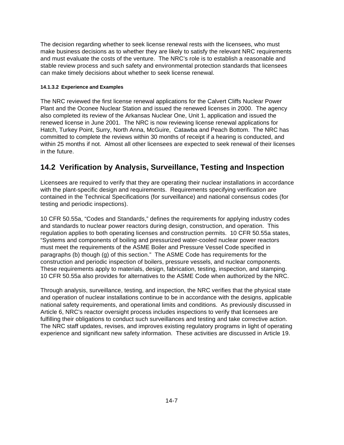The decision regarding whether to seek license renewal rests with the licensees, who must make business decisions as to whether they are likely to satisfy the relevant NRC requirements and must evaluate the costs of the venture. The NRC's role is to establish a reasonable and stable review process and such safety and environmental protection standards that licensees can make timely decisions about whether to seek license renewal.

#### **14.1.3.2 Experience and Examples**

The NRC reviewed the first license renewal applications for the Calvert Cliffs Nuclear Power Plant and the Oconee Nuclear Station and issued the renewed licenses in 2000. The agency also completed its review of the Arkansas Nuclear One, Unit 1, application and issued the renewed license in June 2001. The NRC is now reviewing license renewal applications for Hatch, Turkey Point, Surry, North Anna, McGuire, Catawba and Peach Bottom. The NRC has committed to complete the reviews within 30 months of receipt if a hearing is conducted, and within 25 months if not. Almost all other licensees are expected to seek renewal of their licenses in the future.

## **14.2 Verification by Analysis, Surveillance, Testing and Inspection**

Licensees are required to verify that they are operating their nuclear installations in accordance with the plant-specific design and requirements. Requirements specifying verification are contained in the Technical Specifications (for surveillance) and national consensus codes (for testing and periodic inspections).

10 CFR 50.55a, "Codes and Standards," defines the requirements for applying industry codes and standards to nuclear power reactors during design, construction, and operation. This regulation applies to both operating licenses and construction permits. 10 CFR 50.55a states, "Systems and components of boiling and pressurized water-cooled nuclear power reactors must meet the requirements of the ASME Boiler and Pressure Vessel Code specified in paragraphs (b) though (g) of this section." The ASME Code has requirements for the construction and periodic inspection of boilers, pressure vessels, and nuclear components. These requirements apply to materials, design, fabrication, testing, inspection, and stamping. 10 CFR 50.55a also provides for alternatives to the ASME Code when authorized by the NRC.

Through analysis, surveillance, testing, and inspection, the NRC verifies that the physical state and operation of nuclear installations continue to be in accordance with the designs, applicable national safety requirements, and operational limits and conditions. As previously discussed in Article 6, NRC's reactor oversight process includes inspections to verify that licensees are fulfilling their obligations to conduct such surveillances and testing and take corrective action. The NRC staff updates, revises, and improves existing regulatory programs in light of operating experience and significant new safety information. These activities are discussed in Article 19.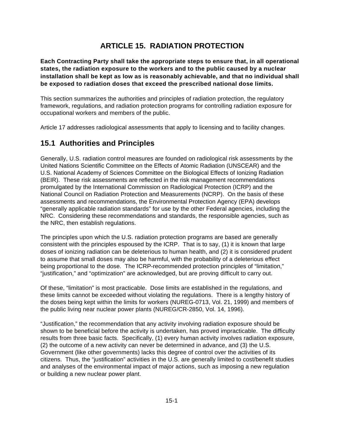# **ARTICLE 15. RADIATION PROTECTION**

**Each Contracting Party shall take the appropriate steps to ensure that, in all operational states, the radiation exposure to the workers and to the public caused by a nuclear installation shall be kept as low as is reasonably achievable, and that no individual shall be exposed to radiation doses that exceed the prescribed national dose limits.**

This section summarizes the authorities and principles of radiation protection, the regulatory framework, regulations, and radiation protection programs for controlling radiation exposure for occupational workers and members of the public.

Article 17 addresses radiological assessments that apply to licensing and to facility changes.

## **15.1 Authorities and Principles**

Generally, U.S. radiation control measures are founded on radiological risk assessments by the United Nations Scientific Committee on the Effects of Atomic Radiation (UNSCEAR) and the U.S. National Academy of Sciences Committee on the Biological Effects of Ionizing Radiation (BEIR). These risk assessments are reflected in the risk management recommendations promulgated by the International Commission on Radiological Protection (ICRP) and the National Council on Radiation Protection and Measurements (NCRP). On the basis of these assessments and recommendations, the Environmental Protection Agency (EPA) develops "generally applicable radiation standards" for use by the other Federal agencies, including the NRC. Considering these recommendations and standards, the responsible agencies, such as the NRC, then establish regulations.

The principles upon which the U.S. radiation protection programs are based are generally consistent with the principles espoused by the ICRP. That is to say, (1) it is known that large doses of ionizing radiation can be deleterious to human health, and (2) it is considered prudent to assume that small doses may also be harmful, with the probability of a deleterious effect being proportional to the dose. The ICRP-recommended protection principles of "limitation," "justification," and "optimization" are acknowledged, but are proving difficult to carry out.

Of these, "limitation" is most practicable. Dose limits are established in the regulations, and these limits cannot be exceeded without violating the regulations. There is a lengthy history of the doses being kept within the limits for workers (NUREG-0713, Vol. 21, 1999) and members of the public living near nuclear power plants (NUREG/CR-2850, Vol. 14, 1996).

"Justification," the recommendation that any activity involving radiation exposure should be shown to be beneficial before the activity is undertaken, has proved impracticable. The difficulty results from three basic facts. Specifically, (1) every human activity involves radiation exposure, (2) the outcome of a new activity can never be determined in advance, and (3) the U.S. Government (like other governments) lacks this degree of control over the activities of its citizens. Thus, the "justification" activities in the U.S. are generally limited to cost/benefit studies and analyses of the environmental impact of major actions, such as imposing a new regulation or building a new nuclear power plant.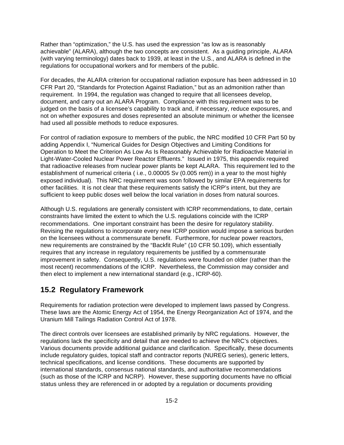Rather than "optimization," the U.S. has used the expression "as low as is reasonably achievable" (ALARA), although the two concepts are consistent. As a guiding principle, ALARA (with varying terminology) dates back to 1939, at least in the U.S., and ALARA is defined in the regulations for occupational workers and for members of the public.

For decades, the ALARA criterion for occupational radiation exposure has been addressed in 10 CFR Part 20, "Standards for Protection Against Radiation," but as an admonition rather than requirement. In 1994, the regulation was changed to require that all licensees develop, document, and carry out an ALARA Program. Compliance with this requirement was to be judged on the basis of a licensee's capability to track and, if necessary, reduce exposures, and not on whether exposures and doses represented an absolute minimum or whether the licensee had used all possible methods to reduce exposures.

For control of radiation exposure to members of the public, the NRC modified 10 CFR Part 50 by adding Appendix I, "Numerical Guides for Design Objectives and Limiting Conditions for Operation to Meet the Criterion As Low As Is Reasonably Achievable for Radioactive Material in Light-Water-Cooled Nuclear Power Reactor Effluents." Issued in 1975, this appendix required that radioactive releases from nuclear power plants be kept ALARA. This requirement led to the establishment of numerical criteria ( i.e., 0.00005 Sv (0.005 rem)) in a year to the most highly exposed individual). This NRC requirement was soon followed by similar EPA requirements for other facilities. It is not clear that these requirements satisfy the ICRP's intent, but they are sufficient to keep public doses well below the local variation in doses from natural sources.

Although U.S. regulations are generally consistent with ICRP recommendations, to date, certain constraints have limited the extent to which the U.S. regulations coincide with the ICRP recommendations. One important constraint has been the desire for regulatory stability. Revising the regulations to incorporate every new ICRP position would impose a serious burden on the licensees without a commensurate benefit. Furthermore, for nuclear power reactors, new requirements are constrained by the "Backfit Rule" (10 CFR 50.109), which essentially requires that any increase in regulatory requirements be justified by a commensurate improvement in safety. Consequently, U.S. regulations were founded on older (rather than the most recent) recommendations of the ICRP. Nevertheless, the Commission may consider and then elect to implement a new international standard (e.g., ICRP-60).

### **15.2 Regulatory Framework**

Requirements for radiation protection were developed to implement laws passed by Congress. These laws are the Atomic Energy Act of 1954, the Energy Reorganization Act of 1974, and the Uranium Mill Tailings Radiation Control Act of 1978.

The direct controls over licensees are established primarily by NRC regulations. However, the regulations lack the specificity and detail that are needed to achieve the NRC's objectives. Various documents provide additional guidance and clarification. Specifically, these documents include regulatory guides, topical staff and contractor reports (NUREG series), generic letters, technical specifications, and license conditions. These documents are supported by international standards, consensus national standards, and authoritative recommendations (such as those of the ICRP and NCRP). However, these supporting documents have no official status unless they are referenced in or adopted by a regulation or documents providing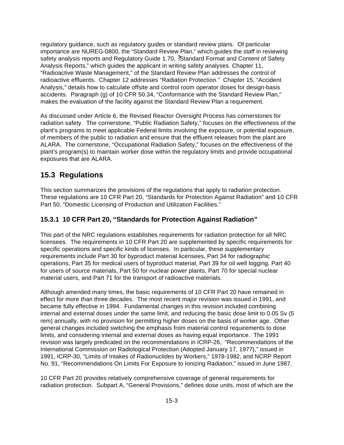regulatory guidance, such as regulatory guides or standard review plans. Of particular importance are NUREG-0800, the "Standard Review Plan," which guides the staff in reviewing safety analysis reports and Regulatory Guide 1.70, ?Standard Format and Content of Safety Analysis Reports," which guides the applicant in writing safety analyses. Chapter 11, "Radioactive Waste Management," of the Standard Review Plan addresses the control of radioactive effluents. Chapter 12 addresses "Radiation Protection." Chapter 15, "Accident Analysis," details how to calculate offsite and control room operator doses for design-basis accidents. Paragraph (g) of 10 CFR 50.34, "Conformance with the Standard Review Plan," makes the evaluation of the facility against the Standard Review Plan a requirement.

As discussed under Article 6, the Revised Reactor Oversight Process has cornerstones for radiation safety. The cornerstone, "Public Radiation Safety," focuses on the effectiveness of the plant's programs to meet applicable Federal limits involving the exposure, or potential exposure, of members of the public to radiation and ensure that the effluent releases from the plant are ALARA. The cornerstone, "Occupational Radiation Safety," focuses on the effectiveness of the plant's program(s) to maintain worker dose within the regulatory limits and provide occupational exposures that are ALARA.

### **15.3 Regulations**

This section summarizes the provisions of the regulations that apply to radiation protection. These regulations are 10 CFR Part 20, "Standards for Protection Against Radiation" and 10 CFR Part 50, "Domestic Licensing of Production and Utilization Facilities."

#### **15.3.1 10 CFR Part 20, "Standards for Protection Against Radiation"**

This part of the NRC regulations establishes requirements for radiation protection for all NRC licensees. The requirements in 10 CFR Part 20 are supplemented by specific requirements for specific operations and specific kinds of licenses. In particular, these supplementary requirements include Part 30 for byproduct material licensees, Part 34 for radiographic operations, Part 35 for medical users of byproduct material, Part 39 for oil well logging, Part 40 for users of source materials, Part 50 for nuclear power plants, Part 70 for special nuclear material users, and Part 71 for the transport of radioactive materials.

Although amended many times, the basic requirements of 10 CFR Part 20 have remained in effect for more than three decades. The most recent major revision was issued in 1991, and became fully effective in 1994. Fundamental changes in this revision included combining internal and external doses under the same limit, and reducing the basic dose limit to 0.05 Sv (5 rem) annually, with no provision for permitting higher doses on the basis of worker age. Other general changes included switching the emphasis from material control requirements to dose limits, and considering internal and external doses as having equal importance. The 1991 revision was largely predicated on the recommendations in ICRP-26, "Recommendations of the International Commission on Radiological Protection (Adopted January 17, 1977)," issued in 1991, ICRP-30, "Limits of Intakes of Radionuclides by Workers," 1978-1982, and NCRP Report No. 91, "Recommendations On Limits For Exposure to Ionizing Radiation," issued in June 1987.

10 CFR Part 20 provides relatively comprehensive coverage of general requirements for radiation protection. Subpart A, "General Provisions," defines dose units, most of which are the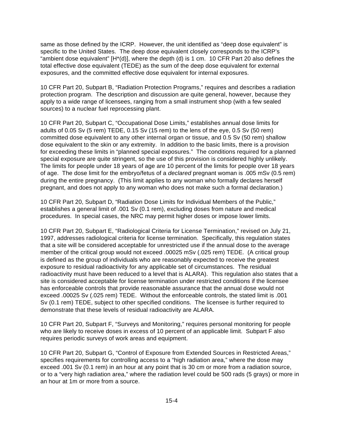same as those defined by the ICRP. However, the unit identified as "deep dose equivalent" is specific to the United States. The deep dose equivalent closely corresponds to the ICRP's "ambient dose equivalent" [H\*(d)], where the depth (d) is 1 cm. 10 CFR Part 20 also defines the total effective dose equivalent (TEDE) as the sum of the deep dose equivalent for external exposures, and the committed effective dose equivalent for internal exposures.

10 CFR Part 20, Subpart B, "Radiation Protection Programs," requires and describes a radiation protection program. The description and discussion are quite general, however, because they apply to a wide range of licensees, ranging from a small instrument shop (with a few sealed sources) to a nuclear fuel reprocessing plant.

10 CFR Part 20, Subpart C, "Occupational Dose Limits," establishes annual dose limits for adults of 0.05 Sv (5 rem) TEDE, 0.15 Sv (15 rem) to the lens of the eye, 0.5 Sv (50 rem) committed dose equivalent to any other internal organ or tissue, and 0.5 Sv (50 rem) shallow dose equivalent to the skin or any extremity. In addition to the basic limits, there is a provision for exceeding these limits in "planned special exposures." The conditions required for a planned special exposure are quite stringent, so the use of this provision is considered highly unlikely. The limits for people under 18 years of age are 10 percent of the limits for people over 18 years of age. The dose limit for the embryo/fetus of a *declared* pregnant woman is .005 mSv (0.5 rem) during the entire pregnancy. (This limit applies to any woman who formally declares herself pregnant, and does not apply to any woman who does not make such a formal declaration.)

10 CFR Part 20, Subpart D, "Radiation Dose Limits for Individual Members of the Public," establishes a general limit of .001 Sv (0.1 rem), excluding doses from nature and medical procedures. In special cases, the NRC may permit higher doses or impose lower limits.

10 CFR Part 20, Subpart E, "Radiological Criteria for License Termination," revised on July 21, 1997, addresses radiological criteria for license termination. Specifically, this regulation states that a site will be considered acceptable for unrestricted use if the annual dose to the average member of the critical group would not exceed .00025 mSv (.025 rem) TEDE. (A critical group is defined as the group of individuals who are reasonably expected to receive the greatest exposure to residual radioactivity for any applicable set of circumstances. The residual radioactivity must have been reduced to a level that is ALARA). This regulation also states that a site is considered acceptable for license termination under restricted conditions if the licensee has enforceable controls that provide reasonable assurance that the annual dose would not exceed .00025 Sv (.025 rem) TEDE. Without the enforceable controls, the stated limit is .001 Sv (0.1 rem) TEDE, subject to other specified conditions. The licensee is further required to demonstrate that these levels of residual radioactivity are ALARA.

10 CFR Part 20, Subpart F, "Surveys and Monitoring," requires personal monitoring for people who are likely to receive doses in excess of 10 percent of an applicable limit. Subpart F also requires periodic surveys of work areas and equipment.

10 CFR Part 20, Subpart G, "Control of Exposure from Extended Sources in Restricted Areas," specifies requirements for controlling access to a "high radiation area," where the dose may exceed .001 Sv (0.1 rem) in an hour at any point that is 30 cm or more from a radiation source, or to a "very high radiation area," where the radiation level could be 500 rads (5 grays) or more in an hour at 1m or more from a source.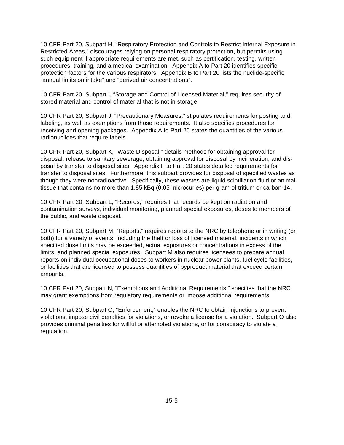10 CFR Part 20, Subpart H, "Respiratory Protection and Controls to Restrict Internal Exposure in Restricted Areas," discourages relying on personal respiratory protection, but permits using such equipment if appropriate requirements are met, such as certification, testing, written procedures, training, and a medical examination. Appendix A to Part 20 identifies specific protection factors for the various respirators. Appendix B to Part 20 lists the nuclide-specific "annual limits on intake" and "derived air concentrations".

10 CFR Part 20, Subpart I, "Storage and Control of Licensed Material," requires security of stored material and control of material that is not in storage.

10 CFR Part 20, Subpart J, "Precautionary Measures," stipulates requirements for posting and labeling, as well as exemptions from those requirements. It also specifies procedures for receiving and opening packages. Appendix A to Part 20 states the quantities of the various radionuclides that require labels.

10 CFR Part 20, Subpart K, "Waste Disposal," details methods for obtaining approval for disposal, release to sanitary sewerage, obtaining approval for disposal by incineration, and disposal by transfer to disposal sites. Appendix F to Part 20 states detailed requirements for transfer to disposal sites. Furthermore, this subpart provides for disposal of specified wastes as though they were nonradioactive. Specifically, these wastes are liquid scintillation fluid or animal tissue that contains no more than 1.85 kBq (0.05 microcuries) per gram of tritium or carbon-14.

10 CFR Part 20, Subpart L, "Records," requires that records be kept on radiation and contamination surveys, individual monitoring, planned special exposures, doses to members of the public, and waste disposal.

10 CFR Part 20, Subpart M, "Reports," requires reports to the NRC by telephone or in writing (or both) for a variety of events, including the theft or loss of licensed material, incidents in which specified dose limits may be exceeded, actual exposures or concentrations in excess of the limits, and planned special exposures. Subpart M also requires licensees to prepare annual reports on individual occupational doses to workers in nuclear power plants, fuel cycle facilities, or facilities that are licensed to possess quantities of byproduct material that exceed certain amounts.

10 CFR Part 20, Subpart N, "Exemptions and Additional Requirements," specifies that the NRC may grant exemptions from regulatory requirements or impose additional requirements.

10 CFR Part 20, Subpart O, "Enforcement," enables the NRC to obtain injunctions to prevent violations, impose civil penalties for violations, or revoke a license for a violation. Subpart O also provides criminal penalties for willful or attempted violations, or for conspiracy to violate a regulation.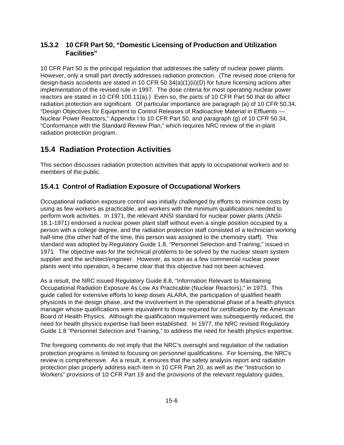### **15.3.2 10 CFR Part 50, "Domestic Licensing of Production and Utilization Facilities"**

10 CFR Part 50 is the principal regulation that addresses the safety of nuclear power plants. However, only a small part directly addresses radiation protection. (The revised dose criteria for design-basis accidents are stated in 10 CFR 50.34(a)(1)(ii)(D) for future licensing actions after implementation of the revised rule in 1997. The dose criteria for most operating nuclear power reactors are stated in 10 CFR 100.11(a).) Even so, the parts of 10 CFR Part 50 that do affect radiation protection are significant. Of particular importance are paragraph (a) of 10 CFR 50.34, "Design Objectives for Equipment to Control Releases of Radioactive Material in Effluents — Nuclear Power Reactors," Appendix I to 10 CFR Part 50, and paragraph (g) of 10 CFR 50.34, "Conformance with the Standard Review Plan," which requires NRC review of the in-plant radiation protection program.

# **15.4 Radiation Protection Activities**

This section discusses radiation protection activities that apply to occupational workers and to members of the public.

### **15.4.1 Control of Radiation Exposure of Occupational Workers**

Occupational radiation exposure control was initially challenged by efforts to minimize costs by using as few workers as practicable, and workers with the minimum qualifications needed to perform work activities. In 1971, the relevant ANSI standard for nuclear power plants (ANSI-18.1-1971) endorsed a nuclear power plant staff without even a single position occupied by a person with a college degree, and the radiation protection staff consisted of a technician working half-time (the other half of the time, this person was assigned to the chemistry staff). This standard was adopted by Regulatory Guide 1.8, "Personnel Selection and Training," issued in 1971. The objective was for the technical problems to be solved by the nuclear steam system supplier and the architect/engineer. However, as soon as a few commercial nuclear power plants went into operation, it became clear that this objective had not been achieved.

As a result, the NRC issued Regulatory Guide 8.8, "Information Relevant to Maintaining Occupational Radiation Exposure As Low As Practicable (Nuclear Reactors)," in 1973. This guide called for extensive efforts to keep doses ALARA, the participation of qualified health physicists in the design phase, and the involvement in the operational phase of a health physics manager whose qualifications were equivalent to those required for certification by the American Board of Health Physics. Although the qualification requirement was subsequently reduced, the need for health physics expertise had been established. In 1977, the NRC revised Regulatory Guide 1.8 "Personnel Selection and Training," to address the need for health physics expertise.

The foregoing comments do not imply that the NRC's oversight and regulation of the radiation protection programs is limited to focusing on personnel qualifications. For licensing, the NRC's review is comprehensive. As a result, it ensures that the safety analysis report and radiation protection plan properly address each item in 10 CFR Part 20, as well as the "Instruction to Workers" provisions of 10 CFR Part 19 and the provisions of the relevant regulatory guides,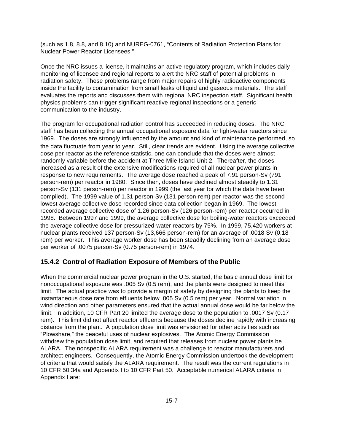(such as 1.8, 8.8, and 8.10) and NUREG-0761, "Contents of Radiation Protection Plans for Nuclear Power Reactor Licensees."

Once the NRC issues a license, it maintains an active regulatory program, which includes daily monitoring of licensee and regional reports to alert the NRC staff of potential problems in radiation safety. These problems range from major repairs of highly radioactive components inside the facility to contamination from small leaks of liquid and gaseous materials. The staff evaluates the reports and discusses them with regional NRC inspection staff. Significant health physics problems can trigger significant reactive regional inspections or a generic communication to the industry.

The program for occupational radiation control has succeeded in reducing doses. The NRC staff has been collecting the annual occupational exposure data for light-water reactors since 1969. The doses are strongly influenced by the amount and kind of maintenance performed, so the data fluctuate from year to year. Still, clear trends are evident. Using the average collective dose per reactor as the reference statistic, one can conclude that the doses were almost randomly variable before the accident at Three Mile Island Unit 2. Thereafter, the doses increased as a result of the extensive modifications required of all nuclear power plants in response to new requirements. The average dose reached a peak of 7.91 person-Sv (791 person-rem) per reactor in 1980. Since then, doses have declined almost steadily to 1.31 person-Sv (131 person-rem) per reactor in 1999 (the last year for which the data have been compiled). The 1999 value of 1.31 person-Sv (131 person-rem) per reactor was the second lowest average collective dose recorded since data collection began in 1969. The lowest recorded average collective dose of 1.26 person-Sv (126 person-rem) per reactor occurred in 1998. Between 1997 and 1999, the average collective dose for boiling-water reactors exceeded the average collective dose for pressurized-water reactors by 75%. In 1999, 75,420 workers at nuclear plants received 137 person-Sv (13,666 person-rem) for an average of .0018 Sv (0.18 rem) per worker. This average worker dose has been steadily declining from an average dose per worker of .0075 person-Sv (0.75 person-rem) in 1974.

#### **15.4.2 Control of Radiation Exposure of Members of the Public**

When the commercial nuclear power program in the U.S. started, the basic annual dose limit for nonoccupational exposure was .005 Sv (0.5 rem), and the plants were designed to meet this limit. The actual practice was to provide a margin of safety by designing the plants to keep the instantaneous dose rate from effluents below .005 Sv (0.5 rem) per year. Normal variation in wind direction and other parameters ensured that the actual annual dose would be far below the limit. In addition, 10 CFR Part 20 limited the average dose to the population to .0017 Sv (0.17 rem). This limit did not affect reactor effluents because the doses decline rapidly with increasing distance from the plant. A population dose limit was envisioned for other activities such as "Plowshare," the peaceful uses of nuclear explosives. The Atomic Energy Commission withdrew the population dose limit, and required that releases from nuclear power plants be ALARA. The nonspecific ALARA requirement was a challenge to reactor manufacturers and architect engineers. Consequently, the Atomic Energy Commission undertook the development of criteria that would satisfy the ALARA requirement. The result was the current regulations in 10 CFR 50.34a and Appendix I to 10 CFR Part 50. Acceptable numerical ALARA criteria in Appendix I are: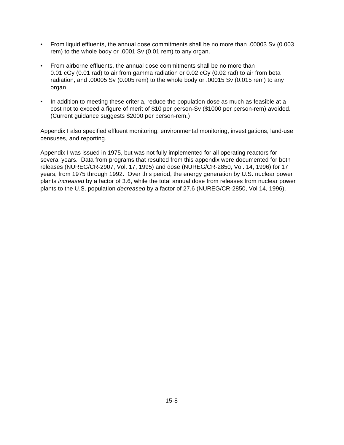- From liquid effluents, the annual dose commitments shall be no more than .00003 Sv (0.003 rem) to the whole body or .0001 Sv (0.01 rem) to any organ.
- From airborne effluents, the annual dose commitments shall be no more than 0.01 cGy (0.01 rad) to air from gamma radiation or 0.02 cGy (0.02 rad) to air from beta radiation, and .00005 Sv (0.005 rem) to the whole body or .00015 Sv (0.015 rem) to any organ
- In addition to meeting these criteria, reduce the population dose as much as feasible at a cost not to exceed a figure of merit of \$10 per person-Sv (\$1000 per person-rem) avoided. (Current guidance suggests \$2000 per person-rem.)

Appendix I also specified effluent monitoring, environmental monitoring, investigations, land-use censuses, and reporting.

Appendix I was issued in 1975, but was not fully implemented for all operating reactors for several years. Data from programs that resulted from this appendix were documented for both releases (NUREG/CR-2907, Vol. 17, 1995) and dose (NUREG/CR-2850, Vol. 14, 1996) for 17 years, from 1975 through 1992. Over this period, the energy generation by U.S. nuclear power plants *increased* by a factor of 3.6, while the total annual dose from releases from nuclear power plants to the U.S. population *decreased* by a factor of 27.6 (NUREG/CR-2850, Vol 14, 1996).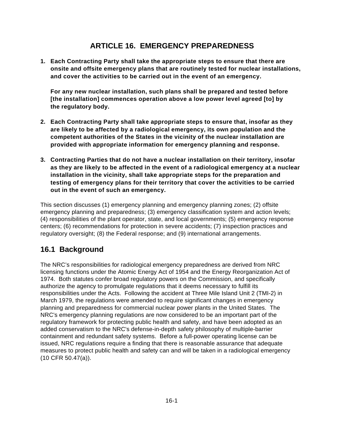## **ARTICLE 16. EMERGENCY PREPAREDNESS**

**1. Each Contracting Party shall take the appropriate steps to ensure that there are onsite and offsite emergency plans that are routinely tested for nuclear installations, and cover the activities to be carried out in the event of an emergency.** 

**For any new nuclear installation, such plans shall be prepared and tested before [the installation] commences operation above a low power level agreed [to] by the regulatory body.**

- **2. Each Contracting Party shall take appropriate steps to ensure that, insofar as they are likely to be affected by a radiological emergency, its own population and the competent authorities of the States in the vicinity of the nuclear installation are provided with appropriate information for emergency planning and response.**
- **3. Contracting Parties that do not have a nuclear installation on their territory, insofar as they are likely to be affected in the event of a radiological emergency at a nuclear installation in the vicinity, shall take appropriate steps for the preparation and testing of emergency plans for their territory that cover the activities to be carried out in the event of such an emergency.**

This section discusses (1) emergency planning and emergency planning zones; (2) offsite emergency planning and preparedness; (3) emergency classification system and action levels; (4) responsibilities of the plant operator, state, and local governments; (5) emergency response centers; (6) recommendations for protection in severe accidents; (7) inspection practices and regulatory oversight; (8) the Federal response; and (9) international arrangements.

## **16.1 Background**

The NRC's responsibilities for radiological emergency preparedness are derived from NRC licensing functions under the Atomic Energy Act of 1954 and the Energy Reorganization Act of 1974. Both statutes confer broad regulatory powers on the Commission, and specifically authorize the agency to promulgate regulations that it deems necessary to fulfill its responsibilities under the Acts. Following the accident at Three Mile Island Unit 2 (TMI-2) in March 1979, the regulations were amended to require significant changes in emergency planning and preparedness for commercial nuclear power plants in the United States. The NRC's emergency planning regulations are now considered to be an important part of the regulatory framework for protecting public health and safety, and have been adopted as an added conservatism to the NRC's defense-in-depth safety philosophy of multiple-barrier containment and redundant safety systems. Before a full-power operating license can be issued, NRC regulations require a finding that there is reasonable assurance that adequate measures to protect public health and safety can and will be taken in a radiological emergency (10 CFR 50.47(a)).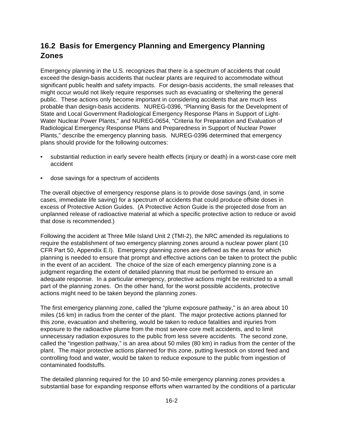# **16.2 Basis for Emergency Planning and Emergency Planning Zones**

Emergency planning in the U.S. recognizes that there is a spectrum of accidents that could exceed the design-basis accidents that nuclear plants are required to accommodate without significant public health and safety impacts. For design-basis accidents, the small releases that might occur would not likely require responses such as evacuating or sheltering the general public. These actions only become important in considering accidents that are much less probable than design-basis accidents. NUREG-0396, "Planning Basis for the Development of State and Local Government Radiological Emergency Response Plans in Support of Light-Water Nuclear Power Plants," and NUREG-0654, "Criteria for Preparation and Evaluation of Radiological Emergency Response Plans and Preparedness in Support of Nuclear Power Plants," describe the emergency planning basis. NUREG-0396 determined that emergency plans should provide for the following outcomes:

- substantial reduction in early severe health effects (injury or death) in a worst-case core melt accident
- dose savings for a spectrum of accidents

The overall objective of emergency response plans is to provide dose savings (and, in some cases, immediate life saving) for a spectrum of accidents that could produce offsite doses in excess of Protective Action Guides. (A Protective Action Guide is the projected dose from an unplanned release of radioactive material at which a specific protective action to reduce or avoid that dose is recommended.)

Following the accident at Three Mile Island Unit 2 (TMI-2), the NRC amended its regulations to require the establishment of two emergency planning zones around a nuclear power plant (10 CFR Part 50, Appendix E.I). Emergency planning zones are defined as the areas for which planning is needed to ensure that prompt and effective actions can be taken to protect the public in the event of an accident. The choice of the size of each emergency planning zone is a judgment regarding the extent of detailed planning that must be performed to ensure an adequate response. In a particular emergency, protective actions might be restricted to a small part of the planning zones. On the other hand, for the worst possible accidents, protective actions might need to be taken beyond the planning zones.

The first emergency planning zone, called the "plume exposure pathway," is an area about 10 miles (16 km) in radius from the center of the plant. The major protective actions planned for this zone, evacuation and sheltering, would be taken to reduce fatalities and injuries from exposure to the radioactive plume from the most severe core melt accidents, and to limit unnecessary radiation exposures to the public from less severe accidents. The second zone, called the "ingestion pathway," is an area about 50 miles (80 km) in radius from the center of the plant. The major protective actions planned for this zone, putting livestock on stored feed and controlling food and water, would be taken to reduce exposure to the public from ingestion of contaminated foodstuffs.

The detailed planning required for the 10 and 50-mile emergency planning zones provides a substantial base for expanding response efforts when warranted by the conditions of a particular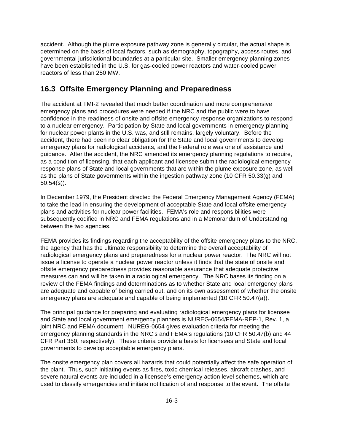accident. Although the plume exposure pathway zone is generally circular, the actual shape is determined on the basis of local factors, such as demography, topography, access routes, and governmental jurisdictional boundaries at a particular site. Smaller emergency planning zones have been established in the U.S. for gas-cooled power reactors and water-cooled power reactors of less than 250 MW.

## **16.3 Offsite Emergency Planning and Preparedness**

The accident at TMI-2 revealed that much better coordination and more comprehensive emergency plans and procedures were needed if the NRC and the public were to have confidence in the readiness of onsite and offsite emergency response organizations to respond to a nuclear emergency. Participation by State and local governments in emergency planning for nuclear power plants in the U.S. was, and still remains, largely voluntary. Before the accident, there had been no clear obligation for the State and local governments to develop emergency plans for radiological accidents, and the Federal role was one of assistance and guidance. After the accident, the NRC amended its emergency planning regulations to require, as a condition of licensing, that each applicant and licensee submit the radiological emergency response plans of State and local governments that are within the plume exposure zone, as well as the plans of State governments within the ingestion pathway zone (10 CFR 50.33(g) and 50.54(s)).

In December 1979, the President directed the Federal Emergency Management Agency (FEMA) to take the lead in ensuring the development of acceptable State and local offsite emergency plans and activities for nuclear power facilities. FEMA's role and responsibilities were subsequently codified in NRC and FEMA regulations and in a Memorandum of Understanding between the two agencies.

FEMA provides its findings regarding the acceptability of the offsite emergency plans to the NRC, the agency that has the ultimate responsibility to determine the overall acceptability of radiological emergency plans and preparedness for a nuclear power reactor. The NRC will not issue a license to operate a nuclear power reactor unless it finds that the state of onsite and offsite emergency preparedness provides reasonable assurance that adequate protective measures can and will be taken in a radiological emergency. The NRC bases its finding on a review of the FEMA findings and determinations as to whether State and local emergency plans are adequate and capable of being carried out, and on its own assessment of whether the onsite emergency plans are adequate and capable of being implemented (10 CFR 50.47(a)).

The principal guidance for preparing and evaluating radiological emergency plans for licensee and State and local government emergency planners is NUREG-0654/FEMA-REP-1, Rev. 1, a joint NRC and FEMA document. NUREG-0654 gives evaluation criteria for meeting the emergency planning standards in the NRC's and FEMA's regulations (10 CFR 50.47(b) and 44 CFR Part 350, respectively). These criteria provide a basis for licensees and State and local governments to develop acceptable emergency plans.

The onsite emergency plan covers all hazards that could potentially affect the safe operation of the plant. Thus, such initiating events as fires, toxic chemical releases, aircraft crashes, and severe natural events are included in a licensee's emergency action level schemes, which are used to classify emergencies and initiate notification of and response to the event. The offsite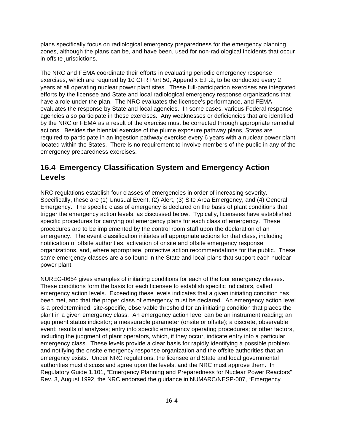plans specifically focus on radiological emergency preparedness for the emergency planning zones, although the plans can be, and have been, used for non-radiological incidents that occur in offsite jurisdictions.

The NRC and FEMA coordinate their efforts in evaluating periodic emergency response exercises, which are required by 10 CFR Part 50, Appendix E.F.2, to be conducted every 2 years at all operating nuclear power plant sites. These full-participation exercises are integrated efforts by the licensee and State and local radiological emergency response organizations that have a role under the plan. The NRC evaluates the licensee's performance, and FEMA evaluates the response by State and local agencies. In some cases, various Federal response agencies also participate in these exercises. Any weaknesses or deficiencies that are identified by the NRC or FEMA as a result of the exercise must be corrected through appropriate remedial actions. Besides the biennial exercise of the plume exposure pathway plans, States are required to participate in an ingestion pathway exercise every 6 years with a nuclear power plant located within the States. There is no requirement to involve members of the public in any of the emergency preparedness exercises.

# **16.4 Emergency Classification System and Emergency Action Levels**

NRC regulations establish four classes of emergencies in order of increasing severity. Specifically, these are (1) Unusual Event, (2) Alert, (3) Site Area Emergency, and (4) General Emergency. The specific class of emergency is declared on the basis of plant conditions that trigger the emergency action levels, as discussed below. Typically, licensees have established specific procedures for carrying out emergency plans for each class of emergency. These procedures are to be implemented by the control room staff upon the declaration of an emergency. The event classification initiates all appropriate actions for that class, including notification of offsite authorities, activation of onsite and offsite emergency response organizations, and, where appropriate, protective action recommendations for the public. These same emergency classes are also found in the State and local plans that support each nuclear power plant.

NUREG-0654 gives examples of initiating conditions for each of the four emergency classes. These conditions form the basis for each licensee to establish specific indicators, called emergency action levels. Exceeding these levels indicates that a given initiating condition has been met, and that the proper class of emergency must be declared. An emergency action level is a predetermined, site-specific, observable threshold for an initiating condition that places the plant in a given emergency class. An emergency action level can be an instrument reading; an equipment status indicator; a measurable parameter (onsite or offsite); a discrete, observable event; results of analyses; entry into specific emergency operating procedures; or other factors, including the judgment of plant operators, which, if they occur, indicate entry into a particular emergency class. These levels provide a clear basis for rapidly identifying a possible problem and notifying the onsite emergency response organization and the offsite authorities that an emergency exists. Under NRC regulations, the licensee and State and local governmental authorities must discuss and agree upon the levels, and the NRC must approve them. In Regulatory Guide 1.101, "Emergency Planning and Preparedness for Nuclear Power Reactors" Rev. 3, August 1992, the NRC endorsed the guidance in NUMARC/NESP-007, "Emergency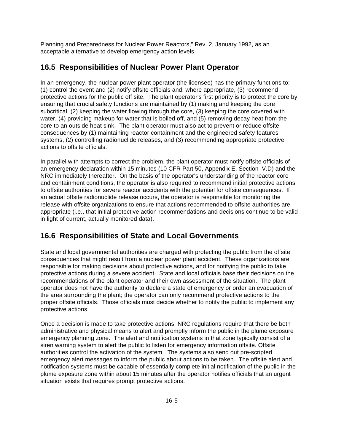Planning and Preparedness for Nuclear Power Reactors," Rev. 2, January 1992, as an acceptable alternative to develop emergency action levels.

## **16.5 Responsibilities of Nuclear Power Plant Operator**

In an emergency, the nuclear power plant operator (the licensee) has the primary functions to: (1) control the event and (2) notify offsite officials and, where appropriate, (3) recommend protective actions for the public off site. The plant operator's first priority is to protect the core by ensuring that crucial safety functions are maintained by (1) making and keeping the core subcritical, (2) keeping the water flowing through the core, (3) keeping the core covered with water, (4) providing makeup for water that is boiled off, and (5) removing decay heat from the core to an outside heat sink. The plant operator must also act to prevent or reduce offsite consequences by (1) maintaining reactor containment and the engineered safety features systems, (2) controlling radionuclide releases, and (3) recommending appropriate protective actions to offsite officials.

In parallel with attempts to correct the problem, the plant operator must notify offsite officials of an emergency declaration within 15 minutes (10 CFR Part 50, Appendix E, Section IV.D) and the NRC immediately thereafter. On the basis of the operator's understanding of the reactor core and containment conditions, the operator is also required to recommend initial protective actions to offsite authorities for severe reactor accidents with the potential for offsite consequences. If an actual offsite radionuclide release occurs, the operator is responsible for monitoring the release with offsite organizations to ensure that actions recommended to offsite authorities are appropriate (i.e., that initial protective action recommendations and decisions continue to be valid in light of current, actually monitored data).

# **16.6 Responsibilities of State and Local Governments**

State and local governmental authorities are charged with protecting the public from the offsite consequences that might result from a nuclear power plant accident. These organizations are responsible for making decisions about protective actions, and for notifying the public to take protective actions during a severe accident. State and local officials base their decisions on the recommendations of the plant operator and their own assessment of the situation. The plant operator does not have the authority to declare a state of emergency or order an evacuation of the area surrounding the plant; the operator can only recommend protective actions to the proper offsite officials. Those officials must decide whether to notify the public to implement any protective actions.

Once a decision is made to take protective actions, NRC regulations require that there be both administrative and physical means to alert and promptly inform the public in the plume exposure emergency planning zone. The alert and notification systems in that zone typically consist of a siren warning system to alert the public to listen for emergency information offsite. Offsite authorities control the activation of the system. The systems also send out pre-scripted emergency alert messages to inform the public about actions to be taken. The offsite alert and notification systems must be capable of essentially complete initial notification of the public in the plume exposure zone within about 15 minutes after the operator notifies officials that an urgent situation exists that requires prompt protective actions.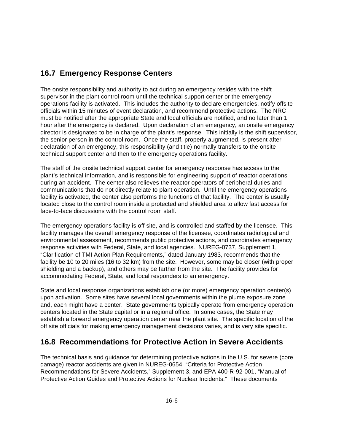## **16.7 Emergency Response Centers**

The onsite responsibility and authority to act during an emergency resides with the shift supervisor in the plant control room until the technical support center or the emergency operations facility is activated. This includes the authority to declare emergencies, notify offsite officials within 15 minutes of event declaration, and recommend protective actions. The NRC must be notified after the appropriate State and local officials are notified, and no later than 1 hour after the emergency is declared. Upon declaration of an emergency, an onsite emergency director is designated to be in charge of the plant's response. This initially is the shift supervisor, the senior person in the control room. Once the staff, properly augmented, is present after declaration of an emergency, this responsibility (and title) normally transfers to the onsite technical support center and then to the emergency operations facility.

The staff of the onsite technical support center for emergency response has access to the plant's technical information, and is responsible for engineering support of reactor operations during an accident. The center also relieves the reactor operators of peripheral duties and communications that do not directly relate to plant operation. Until the emergency operations facility is activated, the center also performs the functions of that facility. The center is usually located close to the control room inside a protected and shielded area to allow fast access for face-to-face discussions with the control room staff.

The emergency operations facility is off site, and is controlled and staffed by the licensee. This facility manages the overall emergency response of the licensee, coordinates radiological and environmental assessment, recommends public protective actions, and coordinates emergency response activities with Federal, State, and local agencies. NUREG-0737, Supplement 1, "Clarification of TMI Action Plan Requirements," dated January 1983, recommends that the facility be 10 to 20 miles (16 to 32 km) from the site. However, some may be closer (with proper shielding and a backup), and others may be farther from the site. The facility provides for accommodating Federal, State, and local responders to an emergency.

State and local response organizations establish one (or more) emergency operation center(s) upon activation. Some sites have several local governments within the plume exposure zone and, each might have a center. State governments typically operate from emergency operation centers located in the State capital or in a regional office. In some cases, the State may establish a forward emergency operation center near the plant site. The specific location of the off site officials for making emergency management decisions varies, and is very site specific.

## **16.8 Recommendations for Protective Action in Severe Accidents**

The technical basis and guidance for determining protective actions in the U.S. for severe (core damage) reactor accidents are given in NUREG-0654, "Criteria for Protective Action Recommendations for Severe Accidents," Supplement 3, and EPA 400-R-92-001, "Manual of Protective Action Guides and Protective Actions for Nuclear Incidents." These documents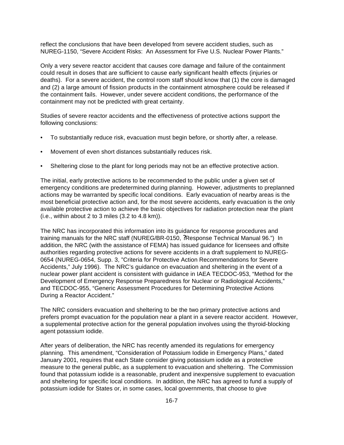reflect the conclusions that have been developed from severe accident studies, such as NUREG-1150, "Severe Accident Risks: An Assessment for Five U.S. Nuclear Power Plants."

Only a very severe reactor accident that causes core damage and failure of the containment could result in doses that are sufficient to cause early significant health effects (injuries or deaths). For a severe accident, the control room staff should know that (1) the core is damaged and (2) a large amount of fission products in the containment atmosphere could be released if the containment fails. However, under severe accident conditions, the performance of the containment may not be predicted with great certainty.

Studies of severe reactor accidents and the effectiveness of protective actions support the following conclusions:

- To substantially reduce risk, evacuation must begin before, or shortly after, a release.
- Movement of even short distances substantially reduces risk.
- Sheltering close to the plant for long periods may not be an effective protective action.

The initial, early protective actions to be recommended to the public under a given set of emergency conditions are predetermined during planning. However, adjustments to preplanned actions may be warranted by specific local conditions. Early evacuation of nearby areas is the most beneficial protective action and, for the most severe accidents, early evacuation is the only available protective action to achieve the basic objectives for radiation protection near the plant  $(i.e., within about 2 to 3 miles (3.2 to 4.8 km)).$ 

The NRC has incorporated this information into its guidance for response procedures and training manuals for the NRC staff (NUREG/BR-0150, ?Response Technical Manual 96.") In addition, the NRC (with the assistance of FEMA) has issued guidance for licensees and offsite authorities regarding protective actions for severe accidents in a draft supplement to NUREG-0654 (NUREG-0654, Supp. 3, "Criteria for Protective Action Recommendations for Severe Accidents," July 1996). The NRC's guidance on evacuation and sheltering in the event of a nuclear power plant accident is consistent with guidance in IAEA TECDOC-953, "Method for the Development of Emergency Response Preparedness for Nuclear or Radiological Accidents," and TECDOC-955, "Generic Assessment Procedures for Determining Protective Actions During a Reactor Accident."

The NRC considers evacuation and sheltering to be the two primary protective actions and prefers prompt evacuation for the population near a plant in a severe reactor accident. However, a supplemental protective action for the general population involves using the thyroid-blocking agent potassium iodide.

After years of deliberation, the NRC has recently amended its regulations for emergency planning. This amendment, "Consideration of Potassium Iodide in Emergency Plans," dated January 2001, requires that each State consider giving potassium iodide as a protective measure to the general public, as a supplement to evacuation and sheltering. The Commission found that potassium iodide is a reasonable, prudent and inexpensive supplement to evacuation and sheltering for specific local conditions. In addition, the NRC has agreed to fund a supply of potassium iodide for States or, in some cases, local governments, that choose to give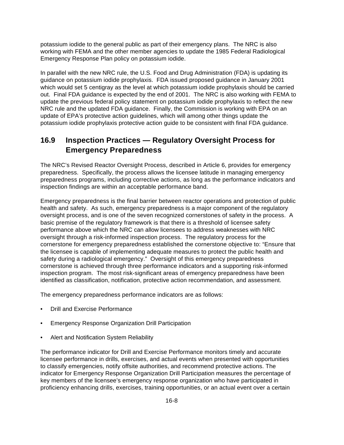potassium iodide to the general public as part of their emergency plans. The NRC is also working with FEMA and the other member agencies to update the 1985 Federal Radiological Emergency Response Plan policy on potassium iodide.

In parallel with the new NRC rule, the U.S. Food and Drug Administration (FDA) is updating its guidance on potassium iodide prophylaxis. FDA issued proposed guidance in January 2001 which would set 5 centigray as the level at which potassium iodide prophylaxis should be carried out. Final FDA guidance is expected by the end of 2001. The NRC is also working with FEMA to update the previous federal policy statement on potassium iodide prophylaxis to reflect the new NRC rule and the updated FDA guidance. Finally, the Commission is working with EPA on an update of EPA's protective action guidelines, which will among other things update the potassium iodide prophylaxis protective action guide to be consistent with final FDA guidance.

## **16.9 Inspection Practices — Regulatory Oversight Process for Emergency Preparedness**

The NRC's Revised Reactor Oversight Process, described in Article 6, provides for emergency preparedness. Specifically, the process allows the licensee latitude in managing emergency preparedness programs, including corrective actions, as long as the performance indicators and inspection findings are within an acceptable performance band.

Emergency preparedness is the final barrier between reactor operations and protection of public health and safety. As such, emergency preparedness is a major component of the regulatory oversight process, and is one of the seven recognized cornerstones of safety in the process. A basic premise of the regulatory framework is that there is a threshold of licensee safety performance above which the NRC can allow licensees to address weaknesses with NRC oversight through a risk-informed inspection process. The regulatory process for the cornerstone for emergency preparedness established the cornerstone objective to: "Ensure that the licensee is capable of implementing adequate measures to protect the public health and safety during a radiological emergency." Oversight of this emergency preparedness cornerstone is achieved through three performance indicators and a supporting risk-informed inspection program. The most risk-significant areas of emergency preparedness have been identified as classification, notification, protective action recommendation, and assessment.

The emergency preparedness performance indicators are as follows:

- Drill and Exercise Performance
- Emergency Response Organization Drill Participation
- Alert and Notification System Reliability

The performance indicator for Drill and Exercise Performance monitors timely and accurate licensee performance in drills, exercises, and actual events when presented with opportunities to classify emergencies, notify offsite authorities, and recommend protective actions. The indicator for Emergency Response Organization Drill Participation measures the percentage of key members of the licensee's emergency response organization who have participated in proficiency enhancing drills, exercises, training opportunities, or an actual event over a certain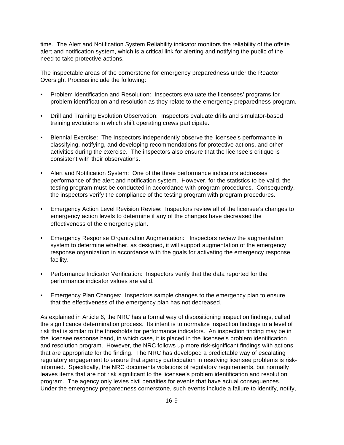time. The Alert and Notification System Reliability indicator monitors the reliability of the offsite alert and notification system, which is a critical link for alerting and notifying the public of the need to take protective actions.

The inspectable areas of the cornerstone for emergency preparedness under the Reactor Oversight Process include the following:

- Problem Identification and Resolution: Inspectors evaluate the licensees' programs for problem identification and resolution as they relate to the emergency preparedness program.
- Drill and Training Evolution Observation: Inspectors evaluate drills and simulator-based training evolutions in which shift operating crews participate.
- Biennial Exercise: The Inspectors independently observe the licensee's performance in classifying, notifying, and developing recommendations for protective actions, and other activities during the exercise. The inspectors also ensure that the licensee's critique is consistent with their observations.
- Alert and Notification System: One of the three performance indicators addresses performance of the alert and notification system. However, for the statistics to be valid, the testing program must be conducted in accordance with program procedures. Consequently, the inspectors verify the compliance of the testing program with program procedures.
- Emergency Action Level Revision Review: Inspectors review all of the licensee's changes to emergency action levels to determine if any of the changes have decreased the effectiveness of the emergency plan.
- Emergency Response Organization Augmentation: Inspectors review the augmentation system to determine whether, as designed, it will support augmentation of the emergency response organization in accordance with the goals for activating the emergency response facility.
- Performance Indicator Verification: Inspectors verify that the data reported for the performance indicator values are valid.
- Emergency Plan Changes: Inspectors sample changes to the emergency plan to ensure that the effectiveness of the emergency plan has not decreased.

As explained in Article 6, the NRC has a formal way of dispositioning inspection findings, called the significance determination process. Its intent is to normalize inspection findings to a level of risk that is similar to the thresholds for performance indicators. An inspection finding may be in the licensee response band, in which case, it is placed in the licensee's problem identification and resolution program. However, the NRC follows up more risk-significant findings with actions that are appropriate for the finding. The NRC has developed a predictable way of escalating regulatory engagement to ensure that agency participation in resolving licensee problems is riskinformed. Specifically, the NRC documents violations of regulatory requirements, but normally leaves items that are not risk significant to the licensee's problem identification and resolution program. The agency only levies civil penalties for events that have actual consequences. Under the emergency preparedness cornerstone, such events include a failure to identify, notify,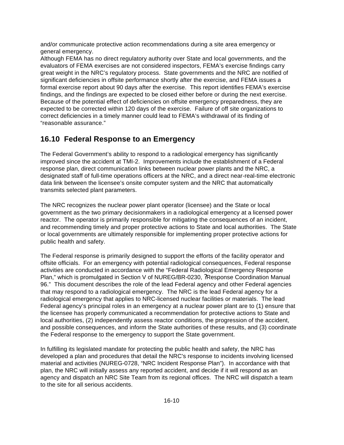and/or communicate protective action recommendations during a site area emergency or general emergency.

Although FEMA has no direct regulatory authority over State and local governments, and the evaluators of FEMA exercises are not considered inspectors, FEMA's exercise findings carry great weight in the NRC's regulatory process. State governments and the NRC are notified of significant deficiencies in offsite performance shortly after the exercise, and FEMA issues a formal exercise report about 90 days after the exercise. This report identifies FEMA's exercise findings, and the findings are expected to be closed either before or during the next exercise. Because of the potential effect of deficiencies on offsite emergency preparedness, they are expected to be corrected within 120 days of the exercise. Failure of off site organizations to correct deficiencies in a timely manner could lead to FEMA's withdrawal of its finding of "reasonable assurance."

## **16.10 Federal Response to an Emergency**

The Federal Government's ability to respond to a radiological emergency has significantly improved since the accident at TMI-2. Improvements include the establishment of a Federal response plan, direct communication links between nuclear power plants and the NRC, a designated staff of full-time operations officers at the NRC, and a direct near-real-time electronic data link between the licensee's onsite computer system and the NRC that automatically transmits selected plant parameters.

The NRC recognizes the nuclear power plant operator (licensee) and the State or local government as the two primary decisionmakers in a radiological emergency at a licensed power reactor. The operator is primarily responsible for mitigating the consequences of an incident, and recommending timely and proper protective actions to State and local authorities. The State or local governments are ultimately responsible for implementing proper protective actions for public health and safety.

The Federal response is primarily designed to support the efforts of the facility operator and offsite officials. For an emergency with potential radiological consequences, Federal response activities are conducted in accordance with the "Federal Radiological Emergency Response Plan," which is promulgated in Section V of NUREG/BR-0230, ?Response Coordination Manual 96." This document describes the role of the lead Federal agency and other Federal agencies that may respond to a radiological emergency. The NRC is the lead Federal agency for a radiological emergency that applies to NRC-licensed nuclear facilities or materials. The lead Federal agency's principal roles in an emergency at a nuclear power plant are to (1) ensure that the licensee has properly communicated a recommendation for protective actions to State and local authorities, (2) independently assess reactor conditions, the progression of the accident, and possible consequences, and inform the State authorities of these results, and (3) coordinate the Federal response to the emergency to support the State government.

In fulfilling its legislated mandate for protecting the public health and safety, the NRC has developed a plan and procedures that detail the NRC's response to incidents involving licensed material and activities (NUREG-0728, "NRC Incident Response Plan"). In accordance with that plan, the NRC will initially assess any reported accident, and decide if it will respond as an agency and dispatch an NRC Site Team from its regional offices. The NRC will dispatch a team to the site for all serious accidents.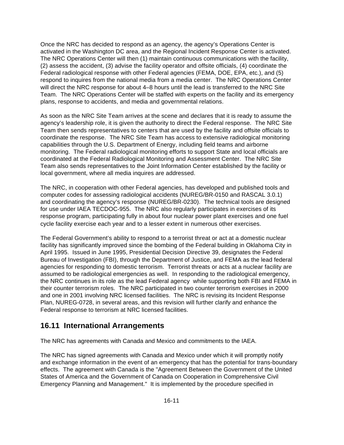Once the NRC has decided to respond as an agency, the agency's Operations Center is activated in the Washington DC area, and the Regional Incident Response Center is activated. The NRC Operations Center will then (1) maintain continuous communications with the facility, (2) assess the accident, (3) advise the facility operator and offsite officials, (4) coordinate the Federal radiological response with other Federal agencies (FEMA, DOE, EPA, etc.), and (5) respond to inquires from the national media from a media center. The NRC Operations Center will direct the NRC response for about 4–8 hours until the lead is transferred to the NRC Site Team. The NRC Operations Center will be staffed with experts on the facility and its emergency plans, response to accidents, and media and governmental relations.

As soon as the NRC Site Team arrives at the scene and declares that it is ready to assume the agency's leadership role, it is given the authority to direct the Federal response. The NRC Site Team then sends representatives to centers that are used by the facility and offsite officials to coordinate the response. The NRC Site Team has access to extensive radiological monitoring capabilities through the U.S. Department of Energy, including field teams and airborne monitoring. The Federal radiological monitoring efforts to support State and local officials are coordinated at the Federal Radiological Monitoring and Assessment Center. The NRC Site Team also sends representatives to the Joint Information Center established by the facility or local government, where all media inquires are addressed.

The NRC, in cooperation with other Federal agencies, has developed and published tools and computer codes for assessing radiological accidents (NUREG/BR-0150 and RASCAL 3.0.1) and coordinating the agency's response (NUREG/BR-0230). The technical tools are designed for use under IAEA TECDOC-955. The NRC also regularly participates in exercises of its response program, participating fully in about four nuclear power plant exercises and one fuel cycle facility exercise each year and to a lesser extent in numerous other exercises.

The Federal Government's ability to respond to a terrorist threat or act at a domestic nuclear facility has significantly improved since the bombing of the Federal building in Oklahoma City in April 1995. Issued in June 1995, Presidential Decision Directive 39, designates the Federal Bureau of Investigation (FBI), through the Department of Justice, and FEMA as the lead federal agencies for responding to domestic terrorism. Terrorist threats or acts at a nuclear facility are assumed to be radiological emergencies as well. In responding to the radiological emergency, the NRC continues in its role as the lead Federal agency while supporting both FBI and FEMA in their counter terrorism roles. The NRC participated in two counter terrorism exercises in 2000 and one in 2001 involving NRC licensed facilities. The NRC is revising its Incident Response Plan, NUREG-0728, in several areas, and this revision will further clarify and enhance the Federal response to terrorism at NRC licensed facilities.

### **16.11 International Arrangements**

The NRC has agreements with Canada and Mexico and commitments to the IAEA.

The NRC has signed agreements with Canada and Mexico under which it will promptly notify and exchange information in the event of an emergency that has the potential for trans-boundary effects. The agreement with Canada is the "Agreement Between the Government of the United States of America and the Government of Canada on Cooperation in Comprehensive Civil Emergency Planning and Management." It is implemented by the procedure specified in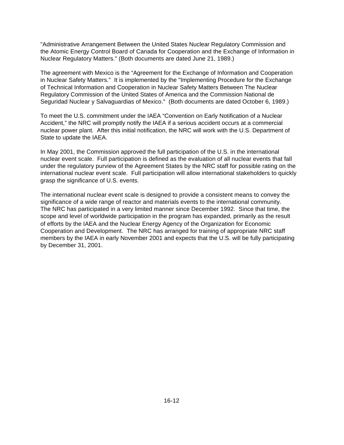"Administrative Arrangement Between the United States Nuclear Regulatory Commission and the Atomic Energy Control Board of Canada for Cooperation and the Exchange of Information in Nuclear Regulatory Matters." (Both documents are dated June 21, 1989.)

The agreement with Mexico is the "Agreement for the Exchange of Information and Cooperation in Nuclear Safety Matters." It is implemented by the "Implementing Procedure for the Exchange of Technical Information and Cooperation in Nuclear Safety Matters Between The Nuclear Regulatory Commission of the United States of America and the Commission National de Seguridad Nuclear y Salvaguardias of Mexico." (Both documents are dated October 6, 1989.)

To meet the U.S. commitment under the IAEA "Convention on Early Notification of a Nuclear Accident," the NRC will promptly notify the IAEA if a serious accident occurs at a commercial nuclear power plant. After this initial notification, the NRC will work with the U.S. Department of State to update the IAEA.

In May 2001, the Commission approved the full participation of the U.S. in the international nuclear event scale. Full participation is defined as the evaluation of all nuclear events that fall under the regulatory purview of the Agreement States by the NRC staff for possible rating on the international nuclear event scale. Full participation will allow international stakeholders to quickly grasp the significance of U.S. events.

The international nuclear event scale is designed to provide a consistent means to convey the significance of a wide range of reactor and materials events to the international community. The NRC has participated in a very limited manner since December 1992. Since that time, the scope and level of worldwide participation in the program has expanded, primarily as the result of efforts by the IAEA and the Nuclear Energy Agency of the Organization for Economic Cooperation and Development. The NRC has arranged for training of appropriate NRC staff members by the IAEA in early November 2001 and expects that the U.S. will be fully participating by December 31, 2001.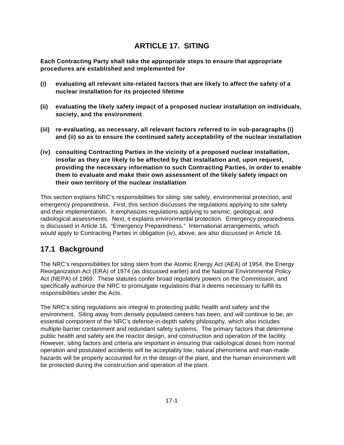# **ARTICLE 17. SITING**

**Each Contracting Party shall take the appropriate steps to ensure that appropriate procedures are established and implemented for**

- **(i) evaluating all relevant site-related factors that are likely to affect the safety of a nuclear installation for its projected lifetime**
- **(ii) evaluating the likely safety impact of a proposed nuclear installation on individuals, society, and the environment**
- **(iii) re-evaluating, as necessary, all relevant factors referred to in sub-paragraphs (i) and (ii) so as to ensure the continued safety acceptability of the nuclear installation**
- **(iv) consulting Contracting Parties in the vicinity of a proposed nuclear installation, insofar as they are likely to be affected by that installation and, upon request, providing the necessary information to such Contracting Parties, in order to enable them to evaluate and make their own assessment of the likely safety impact on their own territory of the nuclear installation**

This section explains NRC's responsibilities for siting: site safety, environmental protection, and emergency preparedness. First, this section discusses the regulations applying to site safety and their implementation. It emphasizes regulations applying to seismic, geological, and radiological assessments. Next, it explains environmental protection. Emergency preparedness is discussed in Article 16, "Emergency Preparedness." International arrangements, which would apply to Contracting Parties in obligation (iv), above, are also discussed in Article 16.

### **17.1 Background**

The NRC's responsibilities for siting stem from the Atomic Energy Act (AEA) of 1954, the Energy Reorganization Act (ERA) of 1974 (as discussed earlier) and the National Environmental Policy Act (NEPA) of 1969. These statutes confer broad regulatory powers on the Commission, and specifically authorize the NRC to promulgate regulations that it deems necessary to fulfill its responsibilities under the Acts.

The NRC's siting regulations are integral to protecting public health and safety and the environment. Siting away from densely populated centers has been, and will continue to be, an essential component of the NRC's defense-in-depth safety philosophy, which also includes multiple-barrier containment and redundant safety systems. The primary factors that determine public health and safety are the reactor design, and construction and operation of the facility. However, siting factors and criteria are important in ensuring that radiological doses from normal operation and postulated accidents will be acceptably low, natural phenomena and man-made hazards will be properly accounted for in the design of the plant, and the human environment will be protected during the construction and operation of the plant.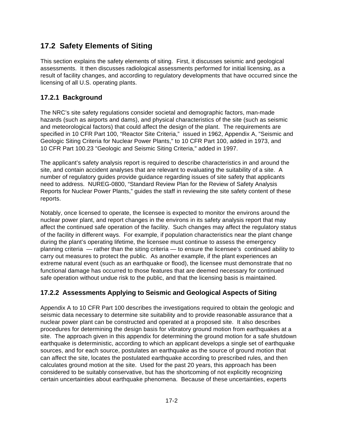## **17.2 Safety Elements of Siting**

This section explains the safety elements of siting. First, it discusses seismic and geological assessments. It then discusses radiological assessments performed for initial licensing, as a result of facility changes, and according to regulatory developments that have occurred since the licensing of all U.S. operating plants.

### **17.2.1 Background**

The NRC's site safety regulations consider societal and demographic factors, man-made hazards (such as airports and dams), and physical characteristics of the site (such as seismic and meteorological factors) that could affect the design of the plant. The requirements are specified in 10 CFR Part 100, "Reactor Site Criteria," issued in 1962, Appendix A, "Seismic and Geologic Siting Criteria for Nuclear Power Plants," to 10 CFR Part 100, added in 1973, and 10 CFR Part 100.23 "Geologic and Seismic Siting Criteria," added in 1997.

The applicant's safety analysis report is required to describe characteristics in and around the site, and contain accident analyses that are relevant to evaluating the suitability of a site. A number of regulatory guides provide guidance regarding issues of site safety that applicants need to address. NUREG-0800, "Standard Review Plan for the Review of Safety Analysis Reports for Nuclear Power Plants," guides the staff in reviewing the site safety content of these reports.

Notably, once licensed to operate, the licensee is expected to monitor the environs around the nuclear power plant, and report changes in the environs in its safety analysis report that may affect the continued safe operation of the facility. Such changes may affect the regulatory status of the facility in different ways. For example, if population characteristics near the plant change during the plant's operating lifetime, the licensee must continue to assess the emergency planning criteria — rather than the siting criteria — to ensure the licensee's continued ability to carry out measures to protect the public. As another example, if the plant experiences an extreme natural event (such as an earthquake or flood), the licensee must demonstrate that no functional damage has occurred to those features that are deemed necessary for continued safe operation without undue risk to the public, and that the licensing basis is maintained.

#### **17.2.2 Assessments Applying to Seismic and Geological Aspects of Siting**

Appendix A to 10 CFR Part 100 describes the investigations required to obtain the geologic and seismic data necessary to determine site suitability and to provide reasonable assurance that a nuclear power plant can be constructed and operated at a proposed site. It also describes procedures for determining the design basis for vibratory ground motion from earthquakes at a site. The approach given in this appendix for determining the ground motion for a safe shutdown earthquake is deterministic, according to which an applicant develops a single set of earthquake sources, and for each source, postulates an earthquake as the source of ground motion that can affect the site, locates the postulated earthquake according to prescribed rules, and then calculates ground motion at the site. Used for the past 20 years, this approach has been considered to be suitably conservative, but has the shortcoming of not explicitly recognizing certain uncertainties about earthquake phenomena. Because of these uncertainties, experts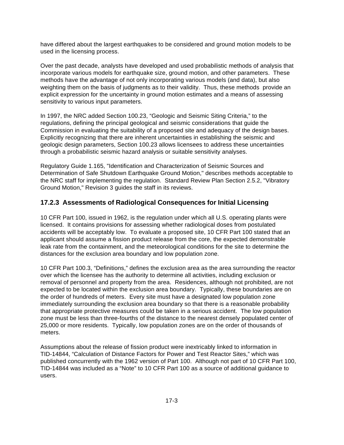have differed about the largest earthquakes to be considered and ground motion models to be used in the licensing process.

Over the past decade, analysts have developed and used probabilistic methods of analysis that incorporate various models for earthquake size, ground motion, and other parameters. These methods have the advantage of not only incorporating various models (and data), but also weighting them on the basis of judgments as to their validity. Thus, these methods provide an explicit expression for the uncertainty in ground motion estimates and a means of assessing sensitivity to various input parameters.

In 1997, the NRC added Section 100.23, "Geologic and Seismic Siting Criteria," to the regulations, defining the principal geological and seismic considerations that guide the Commission in evaluating the suitability of a proposed site and adequacy of the design bases. Explicitly recognizing that there are inherent uncertainties in establishing the seismic and geologic design parameters, Section 100.23 allows licensees to address these uncertainties through a probabilistic seismic hazard analysis or suitable sensitivity analyses.

Regulatory Guide 1.165, "Identification and Characterization of Seismic Sources and Determination of Safe Shutdown Earthquake Ground Motion," describes methods acceptable to the NRC staff for implementing the regulation. Standard Review Plan Section 2.5.2, "Vibratory Ground Motion," Revision 3 guides the staff in its reviews.

#### **17.2.3 Assessments of Radiological Consequences for Initial Licensing**

10 CFR Part 100, issued in 1962, is the regulation under which all U.S. operating plants were licensed. It contains provisions for assessing whether radiological doses from postulated accidents will be acceptably low. To evaluate a proposed site, 10 CFR Part 100 stated that an applicant should assume a fission product release from the core, the expected demonstrable leak rate from the containment, and the meteorological conditions for the site to determine the distances for the exclusion area boundary and low population zone.

10 CFR Part 100.3, "Definitions," defines the exclusion area as the area surrounding the reactor over which the licensee has the authority to determine all activities, including exclusion or removal of personnel and property from the area. Residences, although not prohibited, are not expected to be located within the exclusion area boundary. Typically, these boundaries are on the order of hundreds of meters. Every site must have a designated low population zone immediately surrounding the exclusion area boundary so that there is a reasonable probability that appropriate protective measures could be taken in a serious accident. The low population zone must be less than three-fourths of the distance to the nearest densely populated center of 25,000 or more residents. Typically, low population zones are on the order of thousands of meters.

Assumptions about the release of fission product were inextricably linked to information in TID-14844, "Calculation of Distance Factors for Power and Test Reactor Sites," which was published concurrently with the 1962 version of Part 100. Although not part of 10 CFR Part 100, TID-14844 was included as a "Note" to 10 CFR Part 100 as a source of additional guidance to users.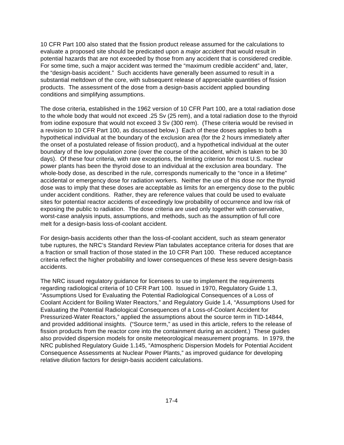10 CFR Part 100 also stated that the fission product release assumed for the calculations to evaluate a proposed site should be predicated upon a *major accident* that would result in potential hazards that are not exceeded by those from any accident that is considered credible. For some time, such a major accident was termed the "maximum credible accident" and, later, the "design-basis accident." Such accidents have generally been assumed to result in a substantial meltdown of the core, with subsequent release of appreciable quantities of fission products. The assessment of the dose from a design-basis accident applied bounding conditions and simplifying assumptions.

The dose criteria, established in the 1962 version of 10 CFR Part 100, are a total radiation dose to the whole body that would not exceed .25 Sv (25 rem), and a total radiation dose to the thyroid from iodine exposure that would not exceed 3 Sv (300 rem). (These criteria would be revised in a revision to 10 CFR Part 100, as discussed below.) Each of these doses applies to both a hypothetical individual at the boundary of the exclusion area (for the 2 hours immediately after the onset of a postulated release of fission product), and a hypothetical individual at the outer boundary of the low population zone (over the course of the accident, which is taken to be 30 days). Of these four criteria, with rare exceptions, the limiting criterion for most U.S. nuclear power plants has been the thyroid dose to an individual at the exclusion area boundary. The whole-body dose, as described in the rule, corresponds numerically to the "once in a lifetime" accidental or emergency dose for radiation workers. Neither the use of this dose nor the thyroid dose was to imply that these doses are acceptable as limits for an emergency dose to the public under accident conditions. Rather, they are reference values that could be used to evaluate sites for potential reactor accidents of exceedingly low probability of occurrence and low risk of exposing the public to radiation. The dose criteria are used only together with conservative, worst-case analysis inputs, assumptions, and methods, such as the assumption of full core melt for a design-basis loss-of-coolant accident.

For design-basis accidents other than the loss-of-coolant accident, such as steam generator tube ruptures, the NRC's Standard Review Plan tabulates acceptance criteria for doses that are a fraction or small fraction of those stated in the 10 CFR Part 100. These reduced acceptance criteria reflect the higher probability and lower consequences of these less severe design-basis accidents.

The NRC issued regulatory guidance for licensees to use to implement the requirements regarding radiological criteria of 10 CFR Part 100. Issued in 1970, Regulatory Guide 1.3, "Assumptions Used for Evaluating the Potential Radiological Consequences of a Loss of Coolant Accident for Boiling Water Reactors," and Regulatory Guide 1.4, "Assumptions Used for Evaluating the Potential Radiological Consequences of a Loss-of-Coolant Accident for Pressurized-Water Reactors," applied the assumptions about the source term in TID-14844, and provided additional insights. ("Source term," as used in this article, refers to the release of fission products from the reactor core into the containment during an accident.) These guides also provided dispersion models for onsite meteorological measurement programs. In 1979, the NRC published Regulatory Guide 1.145, "Atmospheric Dispersion Models for Potential Accident Consequence Assessments at Nuclear Power Plants," as improved guidance for developing relative dilution factors for design-basis accident calculations.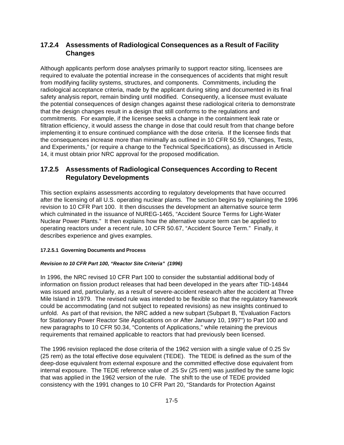### **17.2.4 Assessments of Radiological Consequences as a Result of Facility Changes**

Although applicants perform dose analyses primarily to support reactor siting, licensees are required to evaluate the potential increase in the consequences of accidents that might result from modifying facility systems, structures, and components. Commitments, including the radiological acceptance criteria, made by the applicant during siting and documented in its final safety analysis report, remain binding until modified. Consequently, a licensee must evaluate the potential consequences of design changes against these radiological criteria to demonstrate that the design changes result in a design that still conforms to the regulations and commitments. For example, if the licensee seeks a change in the containment leak rate or filtration efficiency, it would assess the change in dose that could result from that change before implementing it to ensure continued compliance with the dose criteria. If the licensee finds that the consequences increase more than minimally as outlined in 10 CFR 50.59, "Changes, Tests, and Experiments," (or require a change to the Technical Specifications), as discussed in Article 14, it must obtain prior NRC approval for the proposed modification.

### **17.2.5 Assessments of Radiological Consequences According to Recent Regulatory Developments**

This section explains assessments according to regulatory developments that have occurred after the licensing of all U.S. operating nuclear plants. The section begins by explaining the 1996 revision to 10 CFR Part 100. It then discusses the development an alternative source term which culminated in the issuance of NUREG-1465, "Accident Source Terms for Light-Water Nuclear Power Plants." It then explains how the alternative source term can be applied to operating reactors under a recent rule, 10 CFR 50.67, "Accident Source Term." Finally, it describes experience and gives examples.

#### **17.2.5.1 Governing Documents and Process**

#### *Revision to 10 CFR Part 100, "Reactor Site Criteria" (1996)*

In 1996, the NRC revised 10 CFR Part 100 to consider the substantial additional body of information on fission product releases that had been developed in the years after TID-14844 was issued and, particularly, as a result of severe-accident research after the accident at Three Mile Island in 1979. The revised rule was intended to be flexible so that the regulatory framework could be accommodating (and not subject to repeated revisions) as new insights continued to unfold. As part of that revision, the NRC added a new subpart (Subpart B, "Evaluation Factors for Stationary Power Reactor Site Applications on or After January 10, 1997") to Part 100 and new paragraphs to 10 CFR 50.34, "Contents of Applications," while retaining the previous requirements that remained applicable to reactors that had previously been licensed.

The 1996 revision replaced the dose criteria of the 1962 version with a single value of 0.25 Sv (25 rem) as the total effective dose equivalent (TEDE). The TEDE is defined as the sum of the deep-dose equivalent from external exposure and the committed effective dose equivalent from internal exposure. The TEDE reference value of .25 Sv (25 rem) was justified by the same logic that was applied in the 1962 version of the rule. The shift to the use of TEDE provided consistency with the 1991 changes to 10 CFR Part 20, "Standards for Protection Against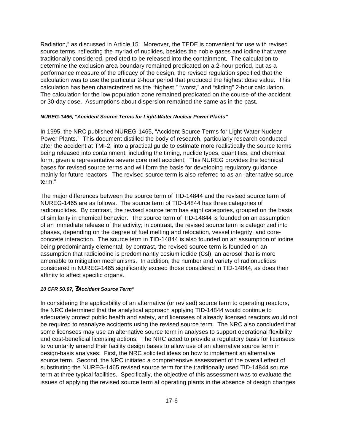Radiation," as discussed in Article 15. Moreover, the TEDE is convenient for use with revised source terms, reflecting the myriad of nuclides, besides the noble gases and iodine that were traditionally considered, predicted to be released into the containment. The calculation to determine the exclusion area boundary remained predicated on a 2-hour period, but as a performance measure of the efficacy of the design, the revised regulation specified that the calculation was to use the particular 2-hour period that produced the highest dose value. This calculation has been characterized as the "highest," "worst," and "sliding" 2-hour calculation. The calculation for the low population zone remained predicated on the course-of-the-accident or 30-day dose. Assumptions about dispersion remained the same as in the past.

#### *NUREG-1465, "Accident Source Terms for Light-Water Nuclear Power Plants"*

In 1995, the NRC published NUREG-1465, "Accident Source Terms for Light-Water Nuclear Power Plants." This document distilled the body of research, particularly research conducted after the accident at TMI-2, into a practical guide to estimate more realistically the source terms being released into containment, including the timing, nuclide types, quantities, and chemical form, given a representative severe core melt accident. This NUREG provides the technical bases for revised source terms and will form the basis for developing regulatory guidance mainly for future reactors. The revised source term is also referred to as an "alternative source term."

The major differences between the source term of TID-14844 and the revised source term of NUREG-1465 are as follows. The source term of TID-14844 has three categories of radionuclides. By contrast, the revised source term has eight categories, grouped on the basis of similarity in chemical behavior. The source term of TID-14844 is founded on an assumption of an immediate release of the activity; in contrast, the revised source term is categorized into phases, depending on the degree of fuel melting and relocation, vessel integrity, and coreconcrete interaction. The source term in TID-14844 is also founded on an assumption of iodine being predominantly elemental; by contrast, the revised source term is founded on an assumption that radioiodine is predominantly cesium iodide (Csl), an aerosol that is more amenable to mitigation mechanisms. In addition, the number and variety of radionuclides considered in NUREG-1465 significantly exceed those considered in TID-14844, as does their affinity to affect specific organs.

#### *10 CFR 50.67, ?Accident Source Term"*

In considering the applicability of an alternative (or revised) source term to operating reactors, the NRC determined that the analytical approach applying TID-14844 would continue to adequately protect public health and safety, and licensees of already licensed reactors would not be required to reanalyze accidents using the revised source term. The NRC also concluded that some licensees may use an alternative source term in analyses to support operational flexibility and cost-beneficial licensing actions. The NRC acted to provide a regulatory basis for licensees to voluntarily amend their facility design bases to allow use of an alternative source term in design-basis analyses. First, the NRC solicited ideas on how to implement an alternative source term. Second, the NRC initiated a comprehensive assessment of the overall effect of substituting the NUREG-1465 revised source term for the traditionally used TID-14844 source term at three typical facilities. Specifically, the objective of this assessment was to evaluate the issues of applying the revised source term at operating plants in the absence of design changes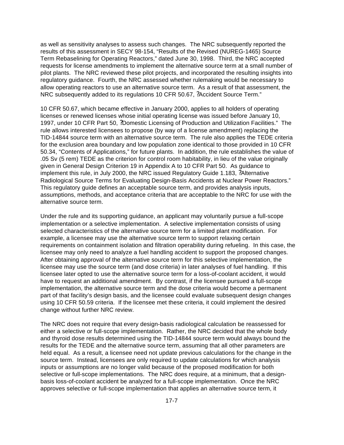as well as sensitivity analyses to assess such changes. The NRC subsequently reported the results of this assessment in SECY 98-154, "Results of the Revised (NUREG-1465) Source Term Rebaselining for Operating Reactors," dated June 30, 1998. Third, the NRC accepted requests for license amendments to implement the alternative source term at a small number of pilot plants. The NRC reviewed these pilot projects, and incorporated the resulting insights into regulatory guidance. Fourth, the NRC assessed whether rulemaking would be necessary to allow operating reactors to use an alternative source term. As a result of that assessment, the NRC subsequently added to its regulations 10 CFR 50.67, ?Accident Source Term."

10 CFR 50.67, which became effective in January 2000, applies to all holders of operating licenses or renewed licenses whose initial operating license was issued before January 10, 1997, under 10 CFR Part 50, ?Domestic Licensing of Production and Utilization Facilities." The rule allows interested licensees to propose (by way of a license amendment) replacing the TID-14844 source term with an alternative source term. The rule also applies the TEDE criteria for the exclusion area boundary and low population zone identical to those provided in 10 CFR 50.34, "Contents of Applications," for future plants. In addition, the rule establishes the value of .05 Sv (5 rem) TEDE as the criterion for control room habitability, in lieu of the value originally given in General Design Criterion 19 in Appendix A to 10 CFR Part 50. As guidance to implement this rule, in July 2000, the NRC issued Regulatory Guide 1.183, ?Alternative Radiological Source Terms for Evaluating Design-Basis Accidents at Nuclear Power Reactors." This regulatory guide defines an acceptable source term, and provides analysis inputs, assumptions, methods, and acceptance criteria that are acceptable to the NRC for use with the alternative source term.

Under the rule and its supporting guidance, an applicant may voluntarily pursue a full-scope implementation or a selective implementation. A selective implementation consists of using selected characteristics of the alternative source term for a limited plant modification. For example, a licensee may use the alternative source term to support relaxing certain requirements on containment isolation and filtration operability during refueling. In this case, the licensee may only need to analyze a fuel handling accident to support the proposed changes. After obtaining approval of the alternative source term for this selective implementation, the licensee may use the source term (and dose criteria) in later analyses of fuel handling. If this licensee later opted to use the alternative source term for a loss-of-coolant accident, it would have to request an additional amendment. By contrast, if the licensee pursued a full-scope implementation, the alternative source term and the dose criteria would become a permanent part of that facility's design basis, and the licensee could evaluate subsequent design changes using 10 CFR 50.59 criteria. If the licensee met these criteria, it could implement the desired change without further NRC review.

The NRC does not require that every design-basis radiological calculation be reassessed for either a selective or full-scope implementation. Rather, the NRC decided that the whole body and thyroid dose results determined using the TID-14844 source term would always bound the results for the TEDE and the alternative source term, assuming that all other parameters are held equal. As a result, a licensee need not update previous calculations for the change in the source term. Instead, licensees are only required to update calculations for which analysis inputs or assumptions are no longer valid because of the proposed modification for both selective or full-scope implementations. The NRC does require, at a minimum, that a designbasis loss-of-coolant accident be analyzed for a full-scope implementation. Once the NRC approves selective or full-scope implementation that applies an alternative source term, it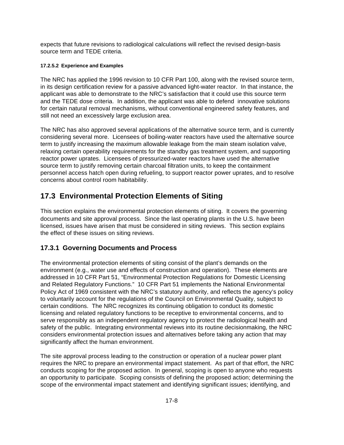expects that future revisions to radiological calculations will reflect the revised design-basis source term and TEDE criteria.

#### **17.2.5.2 Experience and Examples**

The NRC has applied the 1996 revision to 10 CFR Part 100, along with the revised source term, in its design certification review for a passive advanced light-water reactor. In that instance, the applicant was able to demonstrate to the NRC's satisfaction that it could use this source term and the TEDE dose criteria. In addition, the applicant was able to defend innovative solutions for certain natural removal mechanisms, without conventional engineered safety features, and still not need an excessively large exclusion area.

The NRC has also approved several applications of the alternative source term, and is currently considering several more. Licensees of boiling-water reactors have used the alternative source term to justify increasing the maximum allowable leakage from the main steam isolation valve, relaxing certain operability requirements for the standby gas treatment system, and supporting reactor power uprates. Licensees of pressurized-water reactors have used the alternative source term to justify removing certain charcoal filtration units, to keep the containment personnel access hatch open during refueling, to support reactor power uprates, and to resolve concerns about control room habitability.

# **17.3 Environmental Protection Elements of Siting**

This section explains the environmental protection elements of siting. It covers the governing documents and site approval process. Since the last operating plants in the U.S. have been licensed, issues have arisen that must be considered in siting reviews. This section explains the effect of these issues on siting reviews.

### **17.3.1 Governing Documents and Process**

The environmental protection elements of siting consist of the plant's demands on the environment (e.g., water use and effects of construction and operation). These elements are addressed in 10 CFR Part 51, "Environmental Protection Regulations for Domestic Licensing and Related Regulatory Functions." 10 CFR Part 51 implements the National Environmental Policy Act of 1969 consistent with the NRC's statutory authority, and reflects the agency's policy to voluntarily account for the regulations of the Council on Environmental Quality, subject to certain conditions. The NRC recognizes its continuing obligation to conduct its domestic licensing and related regulatory functions to be receptive to environmental concerns, and to serve responsibly as an independent regulatory agency to protect the radiological health and safety of the public. Integrating environmental reviews into its routine decisionmaking, the NRC considers environmental protection issues and alternatives before taking any action that may significantly affect the human environment.

The site approval process leading to the construction or operation of a nuclear power plant requires the NRC to prepare an environmental impact statement. As part of that effort, the NRC conducts scoping for the proposed action. In general, scoping is open to anyone who requests an opportunity to participate. Scoping consists of defining the proposed action; determining the scope of the environmental impact statement and identifying significant issues; identifying, and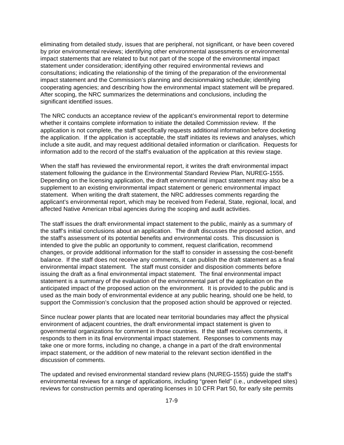eliminating from detailed study, issues that are peripheral, not significant, or have been covered by prior environmental reviews; identifying other environmental assessments or environmental impact statements that are related to but not part of the scope of the environmental impact statement under consideration; identifying other required environmental reviews and consultations; indicating the relationship of the timing of the preparation of the environmental impact statement and the Commission's planning and decisionmaking schedule; identifying cooperating agencies; and describing how the environmental impact statement will be prepared. After scoping, the NRC summarizes the determinations and conclusions, including the significant identified issues.

The NRC conducts an acceptance review of the applicant's environmental report to determine whether it contains complete information to initiate the detailed Commission review. If the application is not complete, the staff specifically requests additional information before docketing the application. If the application is acceptable, the staff initiates its reviews and analyses, which include a site audit, and may request additional detailed information or clarification. Requests for information add to the record of the staff's evaluation of the application at this review stage.

When the staff has reviewed the environmental report, it writes the draft environmental impact statement following the guidance in the Environmental Standard Review Plan, NUREG-1555. Depending on the licensing application, the draft environmental impact statement may also be a supplement to an existing environmental impact statement or generic environmental impact statement. When writing the draft statement, the NRC addresses comments regarding the applicant's environmental report, which may be received from Federal, State, regional, local, and affected Native American tribal agencies during the scoping and audit activities.

The staff issues the draft environmental impact statement to the public, mainly as a summary of the staff's initial conclusions about an application. The draft discusses the proposed action, and the staff's assessment of its potential benefits and environmental costs. This discussion is intended to give the public an opportunity to comment, request clarification, recommend changes, or provide additional information for the staff to consider in assessing the cost-benefit balance. If the staff does not receive any comments, it can publish the draft statement as a final environmental impact statement. The staff must consider and disposition comments before issuing the draft as a final environmental impact statement. The final environmental impact statement is a summary of the evaluation of the environmental part of the application on the anticipated impact of the proposed action on the environment. It is provided to the public and is used as the main body of environmental evidence at any public hearing, should one be held, to support the Commission's conclusion that the proposed action should be approved or rejected.

Since nuclear power plants that are located near territorial boundaries may affect the physical environment of adjacent countries, the draft environmental impact statement is given to governmental organizations for comment in those countries. If the staff receives comments, it responds to them in its final environmental impact statement. Responses to comments may take one or more forms, including no change, a change in a part of the draft environmental impact statement, or the addition of new material to the relevant section identified in the discussion of comments.

The updated and revised environmental standard review plans (NUREG-1555) guide the staff's environmental reviews for a range of applications, including "green field" (i.e., undeveloped sites) reviews for construction permits and operating licenses in 10 CFR Part 50, for early site permits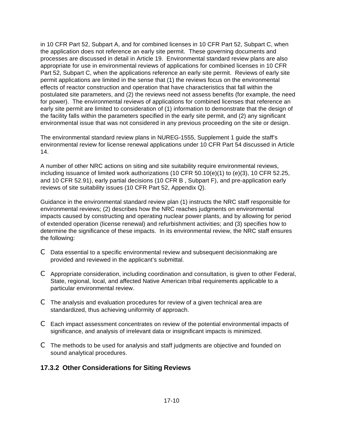in 10 CFR Part 52, Subpart A, and for combined licenses in 10 CFR Part 52, Subpart C, when the application does not reference an early site permit. These governing documents and processes are discussed in detail in Article 19. Environmental standard review plans are also appropriate for use in environmental reviews of applications for combined licenses in 10 CFR Part 52, Subpart C, when the applications reference an early site permit. Reviews of early site permit applications are limited in the sense that (1) the reviews focus on the environmental effects of reactor construction and operation that have characteristics that fall within the postulated site parameters, and (2) the reviews need not assess benefits (for example, the need for power). The environmental reviews of applications for combined licenses that reference an early site permit are limited to consideration of (1) information to demonstrate that the design of the facility falls within the parameters specified in the early site permit, and (2) any significant environmental issue that was not considered in any previous proceeding on the site or design.

The environmental standard review plans in NUREG-1555, Supplement 1 guide the staff's environmental review for license renewal applications under 10 CFR Part 54 discussed in Article 14.

A number of other NRC actions on siting and site suitability require environmental reviews, including issuance of limited work authorizations (10 CFR 50.10(e)(1) to (e)(3), 10 CFR 52.25, and 10 CFR 52.91), early partial decisions (10 CFR B , Subpart F), and pre-application early reviews of site suitability issues (10 CFR Part 52, Appendix Q).

Guidance in the environmental standard review plan (1) instructs the NRC staff responsible for environmental reviews; (2) describes how the NRC reaches judgments on environmental impacts caused by constructing and operating nuclear power plants, and by allowing for period of extended operation (license renewal) and refurbishment activities; and (3) specifies how to determine the significance of these impacts. In its environmental review, the NRC staff ensures the following:

- C Data essential to a specific environmental review and subsequent decisionmaking are provided and reviewed in the applicant's submittal.
- C Appropriate consideration, including coordination and consultation, is given to other Federal, State, regional, local, and affected Native American tribal requirements applicable to a particular environmental review.
- C The analysis and evaluation procedures for review of a given technical area are standardized, thus achieving uniformity of approach.
- C Each impact assessment concentrates on review of the potential environmental impacts of significance, and analysis of irrelevant data or insignificant impacts is minimized.
- C The methods to be used for analysis and staff judgments are objective and founded on sound analytical procedures.

#### **17.3.2 Other Considerations for Siting Reviews**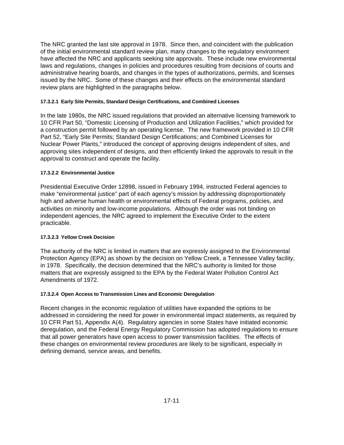The NRC granted the last site approval in 1978. Since then, and coincident with the publication of the initial environmental standard review plan, many changes to the regulatory environment have affected the NRC and applicants seeking site approvals. These include new environmental laws and regulations, changes in policies and procedures resulting from decisions of courts and administrative hearing boards, and changes in the types of authorizations, permits, and licenses issued by the NRC. Some of these changes and their effects on the environmental standard review plans are highlighted in the paragraphs below.

#### **17.3.2.1 Early Site Permits, Standard Design Certifications, and Combined Licenses**

In the late 1980s, the NRC issued regulations that provided an alternative licensing framework to 10 CFR Part 50, "Domestic Licensing of Production and Utilization Facilities," which provided for a construction permit followed by an operating license. The new framework provided in 10 CFR Part 52, "Early Site Permits; Standard Design Certifications; and Combined Licenses for Nuclear Power Plants," introduced the concept of approving designs independent of sites, and approving sites independent of designs, and then efficiently linked the approvals to result in the approval to construct and operate the facility.

#### **17.3.2.2 Environmental Justice**

Presidential Executive Order 12898, issued in February 1994, instructed Federal agencies to make "environmental justice" part of each agency's mission by addressing disproportionately high and adverse human health or environmental effects of Federal programs, policies, and activities on minority and low-income populations. Although the order was not binding on independent agencies, the NRC agreed to implement the Executive Order to the extent practicable.

#### **17.3.2.3 Yellow Creek Decision**

The authority of the NRC is limited in matters that are expressly assigned to the Environmental Protection Agency (EPA) as shown by the decision on Yellow Creek, a Tennessee Valley facility, in 1978. Specifically, the decision determined that the NRC's authority is limited for those matters that are expressly assigned to the EPA by the Federal Water Pollution Control Act Amendments of 1972.

#### **17.3.2.4 Open Access to Transmission Lines and Economic Deregulation**

Recent changes in the economic regulation of utilities have expanded the options to be addressed in considering the need for power in environmental impact statements, as required by 10 CFR Part 51, Appendix A(4). Regulatory agencies in some States have initiated economic deregulation, and the Federal Energy Regulatory Commission has adopted regulations to ensure that all power generators have open access to power transmission facilities. The effects of these changes on environmental review procedures are likely to be significant, especially in defining demand, service areas, and benefits.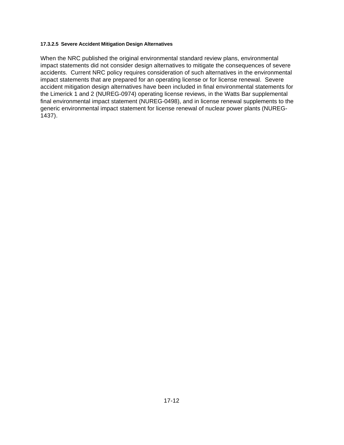#### **17.3.2.5 Severe Accident Mitigation Design Alternatives**

When the NRC published the original environmental standard review plans, environmental impact statements did not consider design alternatives to mitigate the consequences of severe accidents. Current NRC policy requires consideration of such alternatives in the environmental impact statements that are prepared for an operating license or for license renewal. Severe accident mitigation design alternatives have been included in final environmental statements for the Limerick 1 and 2 (NUREG-0974) operating license reviews, in the Watts Bar supplemental final environmental impact statement (NUREG-0498), and in license renewal supplements to the generic environmental impact statement for license renewal of nuclear power plants (NUREG-1437).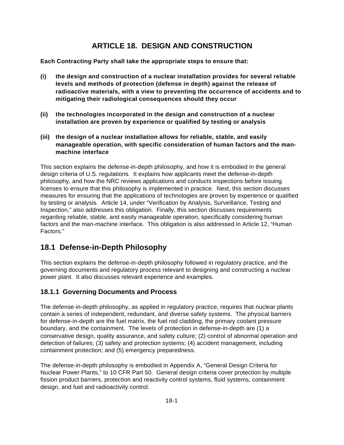## **ARTICLE 18. DESIGN AND CONSTRUCTION**

**Each Contracting Party shall take the appropriate steps to ensure that:**

- **(i) the design and construction of a nuclear installation provides for several reliable levels and methods of protection (defense in depth) against the release of radioactive materials, with a view to preventing the occurrence of accidents and to mitigating their radiological consequences should they occur**
- **(ii) the technologies incorporated in the design and construction of a nuclear installation are proven by experience or qualified by testing or analysis**
- **(iii) the design of a nuclear installation allows for reliable, stable, and easily manageable operation, with specific consideration of human factors and the manmachine interface**

This section explains the defense-in-depth philosophy, and how it is embodied in the general design criteria of U.S. regulations. It explains how applicants meet the defense-in-depth philosophy, and how the NRC reviews applications and conducts inspections before issuing licenses to ensure that this philosophy is implemented in practice. Next, this section discusses measures for ensuring that the applications of technologies are proven by experience or qualified by testing or analysis. Article 14, under "Verification by Analysis, Surveillance, Testing and Inspection," also addresses this obligation. Finally, this section discusses requirements regarding reliable, stable, and easily manageable operation, specifically considering human factors and the man-machine interface. This obligation is also addressed in Article 12, "Human Factors."

### **18.1 Defense-in-Depth Philosophy**

This section explains the defense-in-depth philosophy followed in regulatory practice, and the governing documents and regulatory process relevant to designing and constructing a nuclear power plant. It also discusses relevant experience and examples.

#### **18.1.1 Governing Documents and Process**

The defense-in-depth philosophy, as applied in regulatory practice, requires that nuclear plants contain a series of independent, redundant, and diverse safety systems. The physical barriers for defense-in-depth are the fuel matrix, the fuel rod cladding, the primary coolant pressure boundary, and the containment. The levels of protection in defense-in-depth are (1) a conservative design, quality assurance, and safety culture; (2) control of abnormal operation and detection of failures; (3) safety and protection systems; (4) accident management, including containment protection; and (5) emergency preparedness.

The defense-in-depth philosophy is embodied in Appendix A, "General Design Criteria for Nuclear Power Plants," to 10 CFR Part 50. General design criteria cover protection by multiple fission product barriers, protection and reactivity control systems, fluid systems, containment design, and fuel and radioactivity control.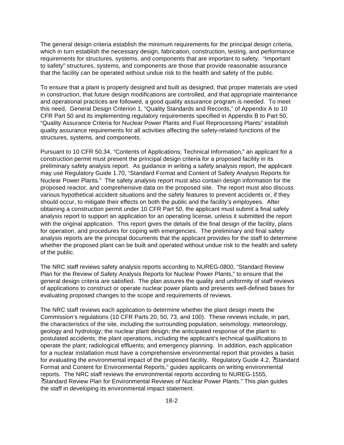The general design criteria establish the minimum requirements for the principal design criteria, which in turn establish the necessary design, fabrication, construction, testing, and performance requirements for structures, systems, and components that are important to safety. "Important to safety" structures, systems, and components are those that provide reasonable assurance that the facility can be operated without undue risk to the health and safety of the public.

To ensure that a plant is properly designed and built as designed, that proper materials are used in construction, that future design modifications are controlled, and that appropriate maintenance and operational practices are followed, a good quality assurance program is needed. To meet this need, General Design Criterion 1, "Quality Standards and Records," of Appendix A to 10 CFR Part 50 and its implementing regulatory requirements specified in Appendix B to Part 50, "Quality Assurance Criteria for Nuclear Power Plants and Fuel Reprocessing Plants" establish quality assurance requirements for all activities affecting the safety-related functions of the structures, systems, and components.

Pursuant to 10 CFR 50.34, "Contents of Applications; Technical Information," an applicant for a construction permit must present the principal design criteria for a proposed facility in its preliminary safety analysis report. As guidance in writing a safety analysis report, the applicant may use Regulatory Guide 1.70, "Standard Format and Content of Safety Analysis Reports for Nuclear Power Plants." The safety analysis report must also contain design information for the proposed reactor, and comprehensive data on the proposed site. The report must also discuss various hypothetical accident situations and the safety features to prevent accidents or, if they should occur, to mitigate their effects on both the public and the facility's employees. After obtaining a construction permit under 10 CFR Part 50, the applicant must submit a final safety analysis report to support an application for an operating license, unless it submitted the report with the original application. This report gives the details of the final design of the facility, plans for operation, and procedures for coping with emergencies. The preliminary and final safety analysis reports are the principal documents that the applicant provides for the staff to determine whether the proposed plant can be built and operated without undue risk to the health and safety of the public.

The NRC staff reviews safety analysis reports according to NUREG-0800, "Standard Review Plan for the Review of Safety Analysis Reports for Nuclear Power Plants," to ensure that the general design criteria are satisfied. The plan assures the quality and uniformity of staff reviews of applications to construct or operate nuclear power plants and presents well-defined bases for evaluating proposed changes to the scope and requirements of reviews.

The NRC staff reviews each application to determine whether the plant design meets the Commission's regulations (10 CFR Parts 20, 50, 73, and 100). These reviews include, in part, the characteristics of the site, including the surrounding population, seismology, meteorology, geology and hydrology; the nuclear plant design; the anticipated response of the plant to postulated accidents; the plant operations, including the applicant's technical qualifications to operate the plant; radiological effluents; and emergency planning. In addition, each application for a nuclear installation must have a comprehensive environmental report that provides a basis for evaluating the environmental impact of the proposed facility. Regulatory Guide 4.2, ?Standard Format and Content for Environmental Reports," guides applicants on writing environmental reports. The NRC staff reviews the environmental reports according to NUREG-1555, ?Standard Review Plan for Environmental Reviews of Nuclear Power Plants." This plan guides the staff in developing its environmental impact statement.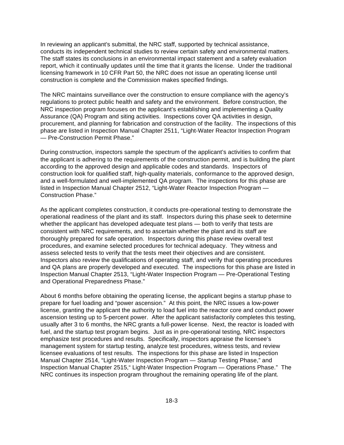In reviewing an applicant's submittal, the NRC staff, supported by technical assistance, conducts its independent technical studies to review certain safety and environmental matters. The staff states its conclusions in an environmental impact statement and a safety evaluation report, which it continually updates until the time that it grants the license. Under the traditional licensing framework in 10 CFR Part 50, the NRC does not issue an operating license until construction is complete and the Commission makes specified findings.

The NRC maintains surveillance over the construction to ensure compliance with the agency's regulations to protect public health and safety and the environment. Before construction, the NRC inspection program focuses on the applicant's establishing and implementing a Quality Assurance (QA) Program and siting activities. Inspections cover QA activities in design, procurement, and planning for fabrication and construction of the facility. The inspections of this phase are listed in Inspection Manual Chapter 2511, "Light-Water Reactor Inspection Program — Pre-Construction Permit Phase."

During construction, inspectors sample the spectrum of the applicant's activities to confirm that the applicant is adhering to the requirements of the construction permit, and is building the plant according to the approved design and applicable codes and standards. Inspectors of construction look for qualified staff, high-quality materials, conformance to the approved design, and a well-formulated and well-implemented QA program. The inspections for this phase are listed in Inspection Manual Chapter 2512, "Light-Water Reactor Inspection Program — Construction Phase."

As the applicant completes construction, it conducts pre-operational testing to demonstrate the operational readiness of the plant and its staff. Inspectors during this phase seek to determine whether the applicant has developed adequate test plans — both to verify that tests are consistent with NRC requirements, and to ascertain whether the plant and its staff are thoroughly prepared for safe operation. Inspectors during this phase review overall test procedures, and examine selected procedures for technical adequacy. They witness and assess selected tests to verify that the tests meet their objectives and are consistent. Inspectors also review the qualifications of operating staff, and verify that operating procedures and QA plans are properly developed and executed. The inspections for this phase are listed in Inspection Manual Chapter 2513, "Light-Water Inspection Program — Pre-Operational Testing and Operational Preparedness Phase."

About 6 months before obtaining the operating license, the applicant begins a startup phase to prepare for fuel loading and "power ascension." At this point, the NRC issues a low-power license, granting the applicant the authority to load fuel into the reactor core and conduct power ascension testing up to 5-percent power. After the applicant satisfactorily completes this testing, usually after 3 to 6 months, the NRC grants a full-power license. Next, the reactor is loaded with fuel, and the startup test program begins. Just as in pre-operational testing, NRC inspectors emphasize test procedures and results. Specifically, inspectors appraise the licensee's management system for startup testing, analyze test procedures, witness tests, and review licensee evaluations of test results. The inspections for this phase are listed in Inspection Manual Chapter 2514, "Light-Water Inspection Program — Startup Testing Phase," and Inspection Manual Chapter 2515," Light-Water Inspection Program — Operations Phase." The NRC continues its inspection program throughout the remaining operating life of the plant.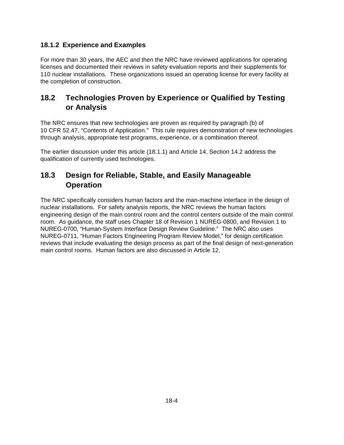#### **18.1.2 Experience and Examples**

For more than 30 years, the AEC and then the NRC have reviewed applications for operating licenses and documented their reviews in safety evaluation reports and their supplements for 110 nuclear installations. These organizations issued an operating license for every facility at the completion of construction.

## **18.2 Technologies Proven by Experience or Qualified by Testing or Analysis**

The NRC ensures that new technologies are proven as required by paragraph (b) of 10 CFR 52.47, "Contents of Application." This rule requires demonstration of new technologies through analysis, appropriate test programs, experience, or a combination thereof.

The earlier discussion under this article (18.1.1) and Article 14, Section 14.2 address the qualification of currently used technologies.

## **18.3 Design for Reliable, Stable, and Easily Manageable Operation**

The NRC specifically considers human factors and the man-machine interface in the design of nuclear installations. For safety analysis reports, the NRC reviews the human factors engineering design of the main control room and the control centers outside of the main control room. As guidance, the staff uses Chapter 18 of Revision 1 NUREG-0800, and Revision 1 to NUREG-0700, "Human-System Interface Design Review Guideline." The NRC also uses NUREG-0711, "Human Factors Engineering Program Review Model," for design certification reviews that include evaluating the design process as part of the final design of next-generation main control rooms. Human factors are also discussed in Article 12.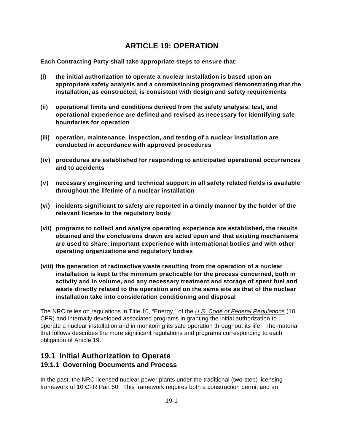## **ARTICLE 19: OPERATION**

**Each Contracting Party shall take appropriate steps to ensure that:**

- **(i) the initial authorization to operate a nuclear installation is based upon an appropriate safety analysis and a commissioning programed demonstrating that the installation, as constructed, is consistent with design and safety requirements**
- **(ii) operational limits and conditions derived from the safety analysis, test, and operational experience are defined and revised as necessary for identifying safe boundaries for operation**
- **(iii) operation, maintenance, inspection, and testing of a nuclear installation are conducted in accordance with approved procedures**
- **(iv) procedures are established for responding to anticipated operational occurrences and to accidents**
- **(v) necessary engineering and technical support in all safety related fields is available throughout the lifetime of a nuclear installation**
- **(vi) incidents significant to safety are reported in a timely manner by the holder of the relevant license to the regulatory body**
- **(vii) programs to collect and analyze operating experience are established, the results obtained and the conclusions drawn are acted upon and that existing mechanisms are used to share, important experience with international bodies and with other operating organizations and regulatory bodies**
- **(viii) the generation of radioactive waste resulting from the operation of a nuclear installation is kept to the minimum practicable for the process concerned, both in activity and in volume, and any necessary treatment and storage of spent fuel and waste directly related to the operation and on the same site as that of the nuclear installation take into consideration conditioning and disposal**

The NRC relies on regulations in Title 10, "Energy," of the *U.S. Code of Federal Regulations* (10 CFR) and internally developed associated programs in granting the initial authorization to operate a nuclear installation and in monitoring its safe operation throughout its life. The material that follows describes the more significant regulations and programs corresponding to each obligation of Article 19.

### **19.1 Initial Authorization to Operate 19.1.1 Governing Documents and Process**

In the past, the NRC licensed nuclear power plants under the traditional (two-step) licensing framework of 10 CFR Part 50. This framework requires both a construction permit and an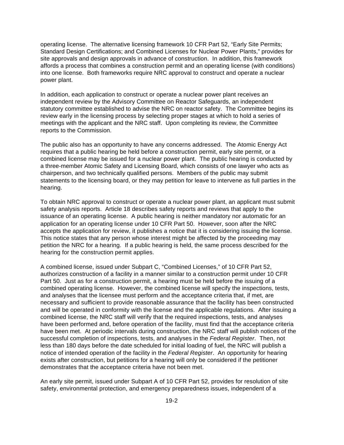operating license. The alternative licensing framework 10 CFR Part 52, "Early Site Permits; Standard Design Certifications; and Combined Licenses for Nuclear Power Plants," provides for site approvals and design approvals in advance of construction. In addition, this framework affords a process that combines a construction permit and an operating license (with conditions) into one license. Both frameworks require NRC approval to construct and operate a nuclear power plant.

In addition, each application to construct or operate a nuclear power plant receives an independent review by the Advisory Committee on Reactor Safeguards, an independent statutory committee established to advise the NRC on reactor safety. The Committee begins its review early in the licensing process by selecting proper stages at which to hold a series of meetings with the applicant and the NRC staff. Upon completing its review, the Committee reports to the Commission.

The public also has an opportunity to have any concerns addressed. The Atomic Energy Act requires that a public hearing be held before a construction permit, early site permit, or a combined license may be issued for a nuclear power plant. The public hearing is conducted by a three-member Atomic Safety and Licensing Board, which consists of one lawyer who acts as chairperson, and two technically qualified persons. Members of the public may submit statements to the licensing board, or they may petition for leave to intervene as full parties in the hearing.

To obtain NRC approval to construct or operate a nuclear power plant, an applicant must submit safety analysis reports. Article 18 describes safety reports and reviews that apply to the issuance of an operating license. A public hearing is neither mandatory nor automatic for an application for an operating license under 10 CFR Part 50. However, soon after the NRC accepts the application for review, it publishes a notice that it is considering issuing the license. This notice states that any person whose interest might be affected by the proceeding may petition the NRC for a hearing. If a public hearing is held, the same process described for the hearing for the construction permit applies.

A combined license, issued under Subpart C, "Combined Licenses," of 10 CFR Part 52, authorizes construction of a facility in a manner similar to a construction permit under 10 CFR Part 50. Just as for a construction permit, a hearing must be held before the issuing of a combined operating license. However, the combined license will specify the inspections, tests, and analyses that the licensee must perform and the acceptance criteria that, if met, are necessary and sufficient to provide reasonable assurance that the facility has been constructed and will be operated in conformity with the license and the applicable regulations. After issuing a combined license, the NRC staff will verify that the required inspections, tests, and analyses have been performed and, before operation of the facility, must find that the acceptance criteria have been met. At periodic intervals during construction, the NRC staff will publish notices of the successful completion of inspections, tests, and analyses in the *Federal Register*. Then, not less than 180 days before the date scheduled for initial loading of fuel, the NRC will publish a notice of intended operation of the facility in the *Federal Register*. An opportunity for hearing exists after construction, but petitions for a hearing will only be considered if the petitioner demonstrates that the acceptance criteria have not been met.

An early site permit, issued under Subpart A of 10 CFR Part 52, provides for resolution of site safety, environmental protection, and emergency preparedness issues, independent of a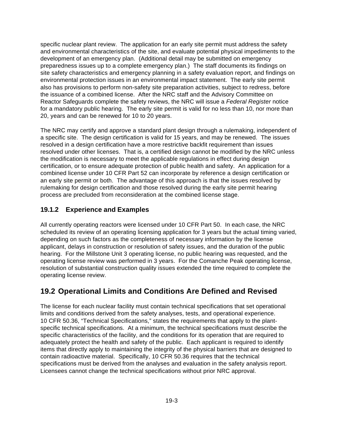specific nuclear plant review. The application for an early site permit must address the safety and environmental characteristics of the site, and evaluate potential physical impediments to the development of an emergency plan. (Additional detail may be submitted on emergency preparedness issues up to a complete emergency plan.) The staff documents its findings on site safety characteristics and emergency planning in a safety evaluation report, and findings on environmental protection issues in an environmental impact statement. The early site permit also has provisions to perform non-safety site preparation activities, subject to redress, before the issuance of a combined license. After the NRC staff and the Advisory Committee on Reactor Safeguards complete the safety reviews, the NRC will issue a *Federal Register* notice for a mandatory public hearing. The early site permit is valid for no less than 10, nor more than 20, years and can be renewed for 10 to 20 years.

The NRC may certify and approve a standard plant design through a rulemaking, independent of a specific site. The design certification is valid for 15 years, and may be renewed. The issues resolved in a design certification have a more restrictive backfit requirement than issues resolved under other licenses. That is, a certified design cannot be modified by the NRC unless the modification is necessary to meet the applicable regulations in effect during design certification, or to ensure adequate protection of public health and safety. An application for a combined license under 10 CFR Part 52 can incorporate by reference a design certification or an early site permit or both. The advantage of this approach is that the issues resolved by rulemaking for design certification and those resolved during the early site permit hearing process are precluded from reconsideration at the combined license stage.

#### **19.1.2 Experience and Examples**

All currently operating reactors were licensed under 10 CFR Part 50. In each case, the NRC scheduled its review of an operating licensing application for 3 years but the actual timing varied, depending on such factors as the completeness of necessary information by the license applicant, delays in construction or resolution of safety issues, and the duration of the public hearing. For the Millstone Unit 3 operating license, no public hearing was requested, and the operating license review was performed in 3 years. For the Comanche Peak operating license, resolution of substantial construction quality issues extended the time required to complete the operating license review.

## **19.2 Operational Limits and Conditions Are Defined and Revised**

The license for each nuclear facility must contain technical specifications that set operational limits and conditions derived from the safety analyses, tests, and operational experience. 10 CFR 50.36, "Technical Specifications," states the requirements that apply to the plantspecific technical specifications. At a minimum, the technical specifications must describe the specific characteristics of the facility, and the conditions for its operation that are required to adequately protect the health and safety of the public. Each applicant is required to identify items that directly apply to maintaining the integrity of the physical barriers that are designed to contain radioactive material. Specifically, 10 CFR 50.36 requires that the technical specifications must be derived from the analyses and evaluation in the safety analysis report. Licensees cannot change the technical specifications without prior NRC approval.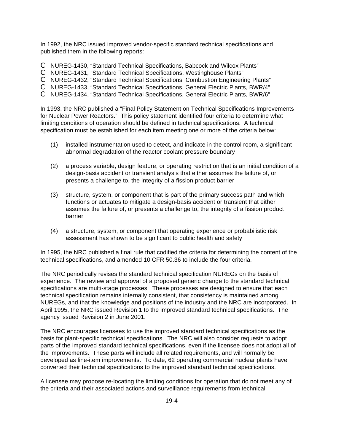In 1992, the NRC issued improved vendor-specific standard technical specifications and published them in the following reports:

- C NUREG-1430, "Standard Technical Specifications, Babcock and Wilcox Plants"
- C NUREG-1431, "Standard Technical Specifications, Westinghouse Plants"
- C NUREG-1432, "Standard Technical Specifications, Combustion Engineering Plants"
- C NUREG-1433, "Standard Technical Specifications, General Electric Plants, BWR/4"
- C NUREG-1434, "Standard Technical Specifications, General Electric Plants, BWR/6"

In 1993, the NRC published a "Final Policy Statement on Technical Specifications Improvements for Nuclear Power Reactors." This policy statement identified four criteria to determine what limiting conditions of operation should be defined in technical specifications. A technical specification must be established for each item meeting one or more of the criteria below:

- (1) installed instrumentation used to detect, and indicate in the control room, a significant abnormal degradation of the reactor coolant pressure boundary
- (2) a process variable, design feature, or operating restriction that is an initial condition of a design-basis accident or transient analysis that either assumes the failure of, or presents a challenge to, the integrity of a fission product barrier
- (3) structure, system, or component that is part of the primary success path and which functions or actuates to mitigate a design-basis accident or transient that either assumes the failure of, or presents a challenge to, the integrity of a fission product barrier
- (4) a structure, system, or component that operating experience or probabilistic risk assessment has shown to be significant to public health and safety

In 1995, the NRC published a final rule that codified the criteria for determining the content of the technical specifications, and amended 10 CFR 50.36 to include the four criteria.

The NRC periodically revises the standard technical specification NUREGs on the basis of experience. The review and approval of a proposed generic change to the standard technical specifications are multi-stage processes. These processes are designed to ensure that each technical specification remains internally consistent, that consistency is maintained among NUREGs, and that the knowledge and positions of the industry and the NRC are incorporated. In April 1995, the NRC issued Revision 1 to the improved standard technical specifications. The agency issued Revision 2 in June 2001.

The NRC encourages licensees to use the improved standard technical specifications as the basis for plant-specific technical specifications. The NRC will also consider requests to adopt parts of the improved standard technical specifications, even if the licensee does not adopt all of the improvements. These parts will include all related requirements, and will normally be developed as line-item improvements. To date, 62 operating commercial nuclear plants have converted their technical specifications to the improved standard technical specifications.

A licensee may propose re-locating the limiting conditions for operation that do not meet any of the criteria and their associated actions and surveillance requirements from technical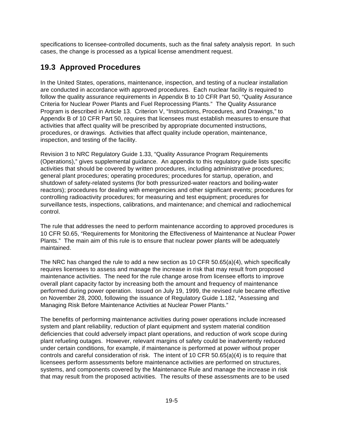specifications to licensee-controlled documents, such as the final safety analysis report. In such cases, the change is processed as a typical license amendment request.

## **19.3 Approved Procedures**

In the United States, operations, maintenance, inspection, and testing of a nuclear installation are conducted in accordance with approved procedures. Each nuclear facility is required to follow the quality assurance requirements in Appendix B to 10 CFR Part 50, "Quality Assurance Criteria for Nuclear Power Plants and Fuel Reprocessing Plants." The Quality Assurance Program is described in Article 13. Criterion V, "Instructions, Procedures, and Drawings," to Appendix B of 10 CFR Part 50, requires that licensees must establish measures to ensure that activities that affect quality will be prescribed by appropriate documented instructions, procedures, or drawings. Activities that affect quality include operation, maintenance, inspection, and testing of the facility.

Revision 3 to NRC Regulatory Guide 1.33, "Quality Assurance Program Requirements (Operations)," gives supplemental guidance. An appendix to this regulatory guide lists specific activities that should be covered by written procedures, including administrative procedures; general plant procedures; operating procedures; procedures for startup, operation, and shutdown of safety-related systems (for both pressurized-water reactors and boiling-water reactors); procedures for dealing with emergencies and other significant events; procedures for controlling radioactivity procedures; for measuring and test equipment; procedures for surveillance tests, inspections, calibrations, and maintenance; and chemical and radiochemical control.

The rule that addresses the need to perform maintenance according to approved procedures is 10 CFR 50.65, "Requirements for Monitoring the Effectiveness of Maintenance at Nuclear Power Plants." The main aim of this rule is to ensure that nuclear power plants will be adequately maintained.

The NRC has changed the rule to add a new section as 10 CFR 50.65(a)(4), which specifically requires licensees to assess and manage the increase in risk that may result from proposed maintenance activities. The need for the rule change arose from licensee efforts to improve overall plant capacity factor by increasing both the amount and frequency of maintenance performed during power operation. Issued on July 19, 1999, the revised rule became effective on November 28, 2000, following the issuance of Regulatory Guide 1.182, "Assessing and Managing Risk Before Maintenance Activities at Nuclear Power Plants."

The benefits of performing maintenance activities during power operations include increased system and plant reliability, reduction of plant equipment and system material condition deficiencies that could adversely impact plant operations, and reduction of work scope during plant refueling outages. However, relevant margins of safety could be inadvertently reduced under certain conditions, for example, if maintenance is performed at power without proper controls and careful consideration of risk. The intent of 10 CFR 50.65(a)(4) is to require that licensees perform assessments before maintenance activities are performed on structures, systems, and components covered by the Maintenance Rule and manage the increase in risk that may result from the proposed activities. The results of these assessments are to be used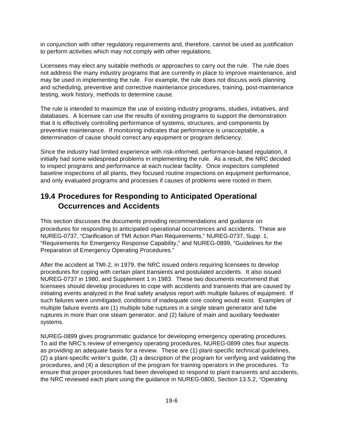in conjunction with other regulatory requirements and, therefore, cannot be used as justification to perform activities which may not comply with other regulations.

Licensees may elect any suitable methods or approaches to carry out the rule. The rule does not address the many industry programs that are currently in place to improve maintenance, and may be used in implementing the rule. For example, the rule does not discuss work planning and scheduling, preventive and corrective maintenance procedures, training, post-maintenance testing, work history, methods to determine cause.

The rule is intended to maximize the use of existing industry programs, studies, initiatives, and databases. A licensee can use the results of existing programs to support the demonstration that it is effectively controlling performance of systems, structures, and components by preventive maintenance. If monitoring indicates that performance is unacceptable, a determination of cause should correct any equipment or program deficiency.

Since the industry had limited experience with risk-informed, performance-based regulation, it initially had some widespread problems in implementing the rule. As a result, the NRC decided to inspect programs and performance at each nuclear facility. Once inspectors completed baseline inspections of all plants, they focused routine inspections on equipment performance, and only evaluated programs and processes if causes of problems were rooted in them.

## **19.4 Procedures for Responding to Anticipated Operational Occurrences and Accidents**

This section discusses the documents providing recommendations and guidance on procedures for responding to anticipated operational occurrences and accidents. These are NUREG-0737, "Clarification of TMI Action Plan Requirements," NUREG-0737, Supp. 1, "Requirements for Emergency Response Capability," and NUREG-0899, "Guidelines for the Preparation of Emergency Operating Procedures."

After the accident at TMI-2, in 1979, the NRC issued orders requiring licensees to develop procedures for coping with certain plant transients and postulated accidents. It also issued NUREG-0737 in 1980, and Supplement 1 in 1983. These two documents recommend that licensees should develop procedures to cope with accidents and transients that are caused by initiating events analyzed in the final safety analysis report with multiple failures of equipment. If such failures were unmitigated, conditions of inadequate core cooling would exist. Examples of multiple failure events are (1) multiple tube ruptures in a single steam generator and tube ruptures in more than one steam generator, and (2) failure of main and auxiliary feedwater systems.

NUREG-0899 gives programmatic guidance for developing emergency operating procedures. To aid the NRC's review of emergency operating procedures, NUREG-0899 cites four aspects as providing an adequate basis for a review. These are (1) plant-specific technical guidelines, (2) a plant-specific writer's guide, (3) a description of the program for verifying and validating the procedures, and (4) a description of the program for training operators in the procedures. To ensure that proper procedures had been developed to respond to plant transients and accidents, the NRC reviewed each plant using the guidance in NUREG-0800, Section 13.5.2, "Operating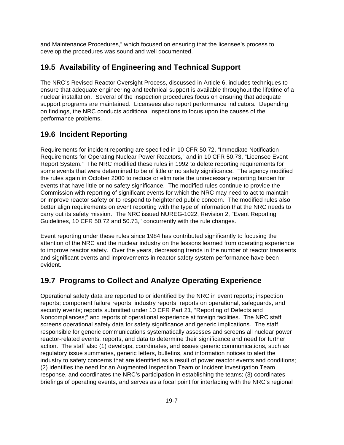and Maintenance Procedures," which focused on ensuring that the licensee's process to develop the procedures was sound and well documented.

### **19.5 Availability of Engineering and Technical Support**

The NRC's Revised Reactor Oversight Process, discussed in Article 6, includes techniques to ensure that adequate engineering and technical support is available throughout the lifetime of a nuclear installation. Several of the inspection procedures focus on ensuring that adequate support programs are maintained. Licensees also report performance indicators. Depending on findings, the NRC conducts additional inspections to focus upon the causes of the performance problems.

## **19.6 Incident Reporting**

Requirements for incident reporting are specified in 10 CFR 50.72, "Immediate Notification Requirements for Operating Nuclear Power Reactors," and in 10 CFR 50.73, "Licensee Event Report System." The NRC modified these rules in 1992 to delete reporting requirements for some events that were determined to be of little or no safety significance. The agency modified the rules again in October 2000 to reduce or eliminate the unnecessary reporting burden for events that have little or no safety significance. The modified rules continue to provide the Commission with reporting of significant events for which the NRC may need to act to maintain or improve reactor safety or to respond to heightened public concern. The modified rules also better align requirements on event reporting with the type of information that the NRC needs to carry out its safety mission. The NRC issued NUREG-1022, Revision 2, "Event Reporting Guidelines, 10 CFR 50.72 and 50.73," concurrently with the rule changes.

Event reporting under these rules since 1984 has contributed significantly to focusing the attention of the NRC and the nuclear industry on the lessons learned from operating experience to improve reactor safety. Over the years, decreasing trends in the number of reactor transients and significant events and improvements in reactor safety system performance have been evident.

## **19.7 Programs to Collect and Analyze Operating Experience**

Operational safety data are reported to or identified by the NRC in event reports; inspection reports; component failure reports; industry reports; reports on operational, safeguards, and security events; reports submitted under 10 CFR Part 21, "Reporting of Defects and Noncompliances;" and reports of operational experience at foreign facilities. The NRC staff screens operational safety data for safety significance and generic implications. The staff responsible for generic communications systematically assesses and screens all nuclear power reactor-related events, reports, and data to determine their significance and need for further action. The staff also (1) develops, coordinates, and issues generic communications, such as regulatory issue summaries, generic letters, bulletins, and information notices to alert the industry to safety concerns that are identified as a result of power reactor events and conditions; (2) identifies the need for an Augmented Inspection Team or Incident Investigation Team response, and coordinates the NRC's participation in establishing the teams; (3) coordinates briefings of operating events, and serves as a focal point for interfacing with the NRC's regional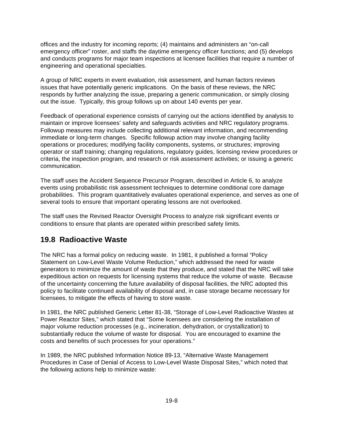offices and the industry for incoming reports; (4) maintains and administers an "on-call emergency officer" roster, and staffs the daytime emergency officer functions; and (5) develops and conducts programs for major team inspections at licensee facilities that require a number of engineering and operational specialties.

A group of NRC experts in event evaluation, risk assessment, and human factors reviews issues that have potentially generic implications. On the basis of these reviews, the NRC responds by further analyzing the issue, preparing a generic communication, or simply closing out the issue. Typically, this group follows up on about 140 events per year.

Feedback of operational experience consists of carrying out the actions identified by analysis to maintain or improve licensees' safety and safeguards activities and NRC regulatory programs. Followup measures may include collecting additional relevant information, and recommending immediate or long-term changes. Specific followup action may involve changing facility operations or procedures; modifying facility components, systems, or structures; improving operator or staff training; changing regulations, regulatory guides, licensing review procedures or criteria, the inspection program, and research or risk assessment activities; or issuing a generic communication.

The staff uses the Accident Sequence Precursor Program, described in Article 6, to analyze events using probabilistic risk assessment techniques to determine conditional core damage probabilities. This program quantitatively evaluates operational experience, and serves as one of several tools to ensure that important operating lessons are not overlooked.

The staff uses the Revised Reactor Oversight Process to analyze risk significant events or conditions to ensure that plants are operated within prescribed safety limits.

#### **19.8 Radioactive Waste**

The NRC has a formal policy on reducing waste. In 1981, it published a formal "Policy Statement on Low-Level Waste Volume Reduction," which addressed the need for waste generators to minimize the amount of waste that they produce, and stated that the NRC will take expeditious action on requests for licensing systems that reduce the volume of waste. Because of the uncertainty concerning the future availability of disposal facilities, the NRC adopted this policy to facilitate continued availability of disposal and, in case storage became necessary for licensees, to mitigate the effects of having to store waste.

In 1981, the NRC published Generic Letter 81-38, "Storage of Low-Level Radioactive Wastes at Power Reactor Sites," which stated that "Some licensees are considering the installation of major volume reduction processes (e.g., incineration, dehydration, or crystallization) to substantially reduce the volume of waste for disposal. You are encouraged to examine the costs and benefits of such processes for your operations."

In 1989, the NRC published Information Notice 89-13, "Alternative Waste Management Procedures in Case of Denial of Access to Low-Level Waste Disposal Sites," which noted that the following actions help to minimize waste: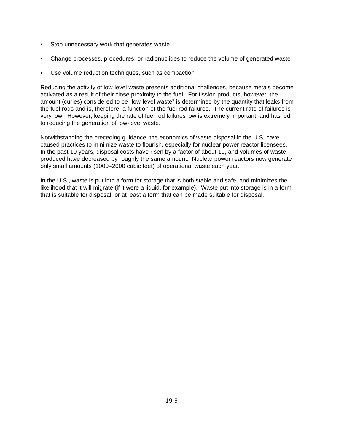- Stop unnecessary work that generates waste
- Change processes, procedures, or radionuclides to reduce the volume of generated waste
- Use volume reduction techniques, such as compaction

Reducing the activity of low-level waste presents additional challenges, because metals become activated as a result of their close proximity to the fuel. For fission products, however, the amount (curies) considered to be "low-level waste" is determined by the quantity that leaks from the fuel rods and is, therefore, a function of the fuel rod failures. The current rate of failures is very low. However, keeping the rate of fuel rod failures low is extremely important, and has led to reducing the generation of low-level waste.

Notwithstanding the preceding guidance, the economics of waste disposal in the U.S. have caused practices to minimize waste to flourish, especially for nuclear power reactor licensees. In the past 10 years, disposal costs have risen by a factor of about 10, and volumes of waste produced have decreased by roughly the same amount. Nuclear power reactors now generate only small amounts (1000–2000 cubic feet) of operational waste each year.

In the U.S., waste is put into a form for storage that is both stable and safe, and minimizes the likelihood that it will migrate (if it were a liquid, for example). Waste put into storage is in a form that is suitable for disposal, or at least a form that can be made suitable for disposal.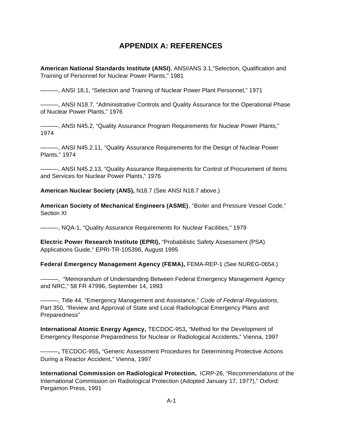### **APPENDIX A: REFERENCES**

**American National Standards Institute (ANSI)**, ANSI/ANS 3.1,"Selection, Qualification and Training of Personnel for Nuclear Power Plants," 1981

———, ANSI 18,1, "Selection and Training of Nuclear Power Plant Personnel," 1971

———, ANSI N18.7, "Administrative Controls and Quality Assurance for the Operational Phase of Nuclear Power Plants," 1976

———, ANSI N45.2, "Quality Assurance Program Requirements for Nuclear Power Plants," 1974

———, ANSI N45.2.11, "Quality Assurance Requirements for the Design of Nuclear Power Plants," 1974

———, ANSI N45.2.13, "Quality Assurance Requirements for Control of Procurement of Items and Services for Nuclear Power Plants," 1976

**American Nuclear Society (ANS),** N18.7 (See ANSI N18.7 above.)

**American Society of Mechanical Engineers (ASME)**, "Boiler and Pressure Vessel Code," Section XI

———, NQA-1, "Quality Assurance Requirements for Nuclear Facilities," 1979

**Electric Power Research Institute (EPRI),** "Probabilistic Safety Assessment (PSA) Applications Guide," EPRI-TR-105396, August 1995

**Federal Emergency Management Agency (FEMA),** FEMA-REP-1 (See NUREG-0654.)

———, "Memorandum of Understanding Between Federal Emergency Management Agency and NRC," 58 FR 47996, September 14, 1993

———, Title 44, "Emergency Management and Assistance," *Code of Federal Regulations,* Part 350, "Review and Approval of State and Local Radiological Emergency Plans and Preparedness"

**International Atomic Energy Agency,** TECDOC-953**,** "Method for the Development of Emergency Response Preparedness for Nuclear or Radiological Accidents," Vienna, 1997

———**,** TECDOC-955**,** "Generic Assessment Procedures for Determining Protective Actions During a Reactor Accident," Vienna, 1997

**International Commission on Radiological Protection,** ICRP-26, "Recommendations of the International Commission on Radiological Protection (Adopted January 17, 1977)," Oxford: Pergamon Press, 1991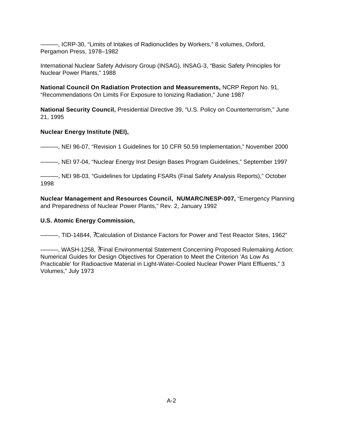———, ICRP-30, "Limits of Intakes of Radionuclides by Workers," 8 volumes, Oxford, Pergamon Press, 1978–1982

International Nuclear Safety Advisory Group (INSAG), INSAG-3, "Basic Safety Principles for Nuclear Power Plants," 1988

**National Council On Radiation Protection and Measurements,** NCRP Report No. 91, "Recommendations On Limits For Exposure to Ionizing Radiation," June 1987

**National Security Council,** Presidential Directive 39, "U.S. Policy on Counterterrorism," June 21, 1995

#### **Nuclear Energy Institute (NEI),**

———, NEI 96-07, "Revision 1 Guidelines for 10 CFR 50.59 Implementation," November 2000

———, NEI 97-04, "Nuclear Energy Inst Design Bases Program Guidelines," September 1997

———, NEI 98-03, "Guidelines for Updating FSARs (Final Safety Analysis Reports)," October 1998

**Nuclear Management and Resources Council, NUMARC/NESP-007,** "Emergency Planning and Preparedness of Nuclear Power Plants," Rev. 2, January 1992

#### **U.S. Atomic Energy Commission,**

———, TID-14844, ?Calculation of Distance Factors for Power and Test Reactor Sites, 1962"

| - WASH-1258, ?Final Environmental Statement Concerning Proposed Rulemaking Action:            |
|-----------------------------------------------------------------------------------------------|
| Numerical Guides for Design Objectives for Operation to Meet the Criterion 'As Low As         |
| Practicable' for Radioactive Material in Light-Water-Cooled Nuclear Power Plant Effluents," 3 |
| Volumes," July 1973                                                                           |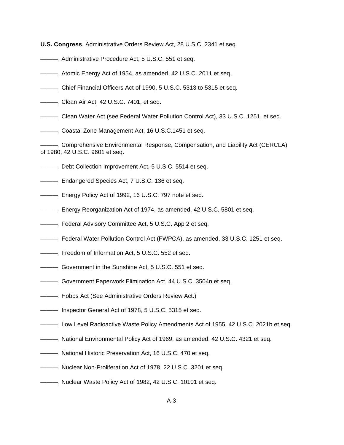**U.S. Congress**, Administrative Orders Review Act, 28 U.S.C. 2341 et seq.

- ———, Administrative Procedure Act, 5 U.S.C. 551 et seq.
- ———, Atomic Energy Act of 1954, as amended, 42 U.S.C. 2011 et seq.
- ———, Chief Financial Officers Act of 1990, 5 U.S.C. 5313 to 5315 et seq.
- ———, Clean Air Act, 42 U.S.C. 7401, et seq.
- ———, Clean Water Act (see Federal Water Pollution Control Act), 33 U.S.C. 1251, et seq.
- ———, Coastal Zone Management Act, 16 U.S.C.1451 et seq.
- ———, Comprehensive Environmental Response, Compensation, and Liability Act (CERCLA) of 1980, 42 U.S.C. 9601 et seq.
- ———, Debt Collection Improvement Act, 5 U.S.C. 5514 et seq.
- ———, Endangered Species Act, 7 U.S.C. 136 et seq.
- ———, Energy Policy Act of 1992, 16 U.S.C. 797 note et seq.
- ———, Energy Reorganization Act of 1974, as amended, 42 U.S.C. 5801 et seq.
- ———, Federal Advisory Committee Act, 5 U.S.C. App 2 et seq.
- ———, Federal Water Pollution Control Act (FWPCA), as amended, 33 U.S.C. 1251 et seq.
- ———, Freedom of Information Act, 5 U.S.C. 552 et seq.
- ———, Government in the Sunshine Act, 5 U.S.C. 551 et seq.
- ———, Government Paperwork Elimination Act, 44 U.S.C. 3504n et seq.
- ———, Hobbs Act (See Administrative Orders Review Act.)
- ———, Inspector General Act of 1978, 5 U.S.C. 5315 et seq.
- ———, Low Level Radioactive Waste Policy Amendments Act of 1955, 42 U.S.C. 2021b et seq.
- ———, National Environmental Policy Act of 1969, as amended, 42 U.S.C. 4321 et seq.
- ———, National Historic Preservation Act, 16 U.S.C. 470 et seq.
- ———, Nuclear Non-Proliferation Act of 1978, 22 U.S.C. 3201 et seq.
- ———, Nuclear Waste Policy Act of 1982, 42 U.S.C. 10101 et seq.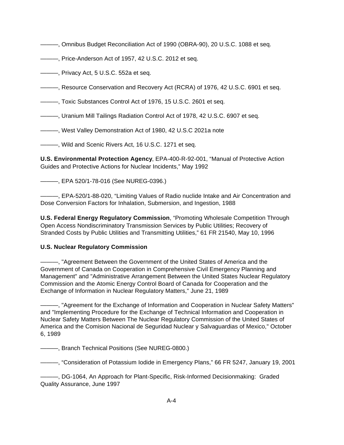———, Omnibus Budget Reconciliation Act of 1990 (OBRA-90), 20 U.S.C. 1088 et seq.

———, Price-Anderson Act of 1957, 42 U.S.C. 2012 et seq.

———, Privacy Act, 5 U.S.C. 552a et seq.

———, Resource Conservation and Recovery Act (RCRA) of 1976, 42 U.S.C. 6901 et seq.

———, Toxic Substances Control Act of 1976, 15 U.S.C. 2601 et seq.

———, Uranium Mill Tailings Radiation Control Act of 1978, 42 U.S.C. 6907 et seq.

———, West Valley Demonstration Act of 1980, 42 U.S.C 2021a note

———, Wild and Scenic Rivers Act, 16 U.S.C. 1271 et seq.

**U.S. Environmental Protection Agency**, EPA-400-R-92-001, "Manual of Protective Action Guides and Protective Actions for Nuclear Incidents," May 1992

———, EPA 520/1-78-016 (See NUREG-0396.)

———, EPA-520/1-88-020, "Limiting Values of Radio nuclide Intake and Air Concentration and Dose Conversion Factors for Inhalation, Submersion, and Ingestion, 1988

**U.S. Federal Energy Regulatory Commission**, "Promoting Wholesale Competition Through Open Access Nondiscriminatory Transmission Services by Public Utilities; Recovery of Stranded Costs by Public Utilities and Transmitting Utilities," 61 FR 21540, May 10, 1996

#### **U.S. Nuclear Regulatory Commission**

———, "Agreement Between the Government of the United States of America and the Government of Canada on Cooperation in Comprehensive Civil Emergency Planning and Management" and "Administrative Arrangement Between the United States Nuclear Regulatory Commission and the Atomic Energy Control Board of Canada for Cooperation and the Exchange of Information in Nuclear Regulatory Matters," June 21, 1989

———, "Agreement for the Exchange of Information and Cooperation in Nuclear Safety Matters" and "Implementing Procedure for the Exchange of Technical Information and Cooperation in Nuclear Safety Matters Between The Nuclear Regulatory Commission of the United States of America and the Comision Nacional de Seguridad Nuclear y Salvaguardias of Mexico," October 6, 1989

———, Branch Technical Positions (See NUREG-0800.)

———, "Consideration of Potassium Iodide in Emergency Plans," 66 FR 5247, January 19, 2001

———, DG-1064, An Approach for Plant-Specific, Risk-Informed Decisionmaking: Graded Quality Assurance, June 1997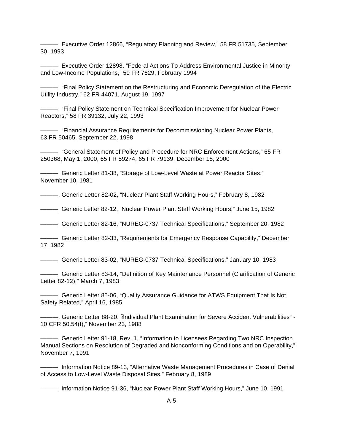———, Executive Order 12866, "Regulatory Planning and Review," 58 FR 51735, September 30, 1993

———, Executive Order 12898, "Federal Actions To Address Environmental Justice in Minority and Low-Income Populations," 59 FR 7629, February 1994

———, "Final Policy Statement on the Restructuring and Economic Deregulation of the Electric Utility Industry," 62 FR 44071, August 19, 1997

———, "Final Policy Statement on Technical Specification Improvement for Nuclear Power Reactors," 58 FR 39132, July 22, 1993

———, "Financial Assurance Requirements for Decommissioning Nuclear Power Plants, 63 FR 50465, September 22, 1998

———, "General Statement of Policy and Procedure for NRC Enforcement Actions," 65 FR 250368, May 1, 2000, 65 FR 59274, 65 FR 79139, December 18, 2000

———, Generic Letter 81-38, "Storage of Low-Level Waste at Power Reactor Sites," November 10, 1981

———, Generic Letter 82-02, "Nuclear Plant Staff Working Hours," February 8, 1982

———, Generic Letter 82-12, "Nuclear Power Plant Staff Working Hours," June 15, 1982

———, Generic Letter 82-16, "NUREG-0737 Technical Specifications," September 20, 1982

———, Generic Letter 82-33, "Requirements for Emergency Response Capability," December 17, 1982

———, Generic Letter 83-02, "NUREG-0737 Technical Specifications," January 10, 1983

———, Generic Letter 83-14, "Definition of Key Maintenance Personnel (Clarification of Generic Letter 82-12)," March 7, 1983

———, Generic Letter 85-06, "Quality Assurance Guidance for ATWS Equipment That Is Not Safety Related," April 16, 1985

———, Generic Letter 88-20, ?Individual Plant Examination for Severe Accident Vulnerabilities" - 10 CFR 50.54(f)," November 23, 1988

———, Generic Letter 91-18, Rev. 1, "Information to Licensees Regarding Two NRC Inspection Manual Sections on Resolution of Degraded and Nonconforming Conditions and on Operability," November 7, 1991

———, Information Notice 89-13, "Alternative Waste Management Procedures in Case of Denial of Access to Low-Level Waste Disposal Sites," February 8, 1989

———, Information Notice 91-36, "Nuclear Power Plant Staff Working Hours," June 10, 1991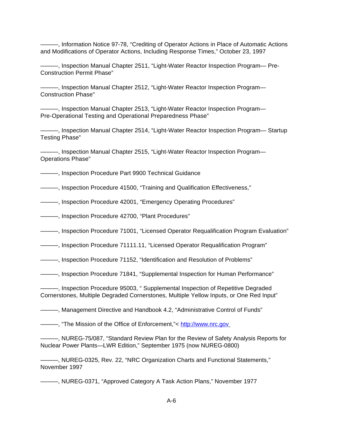———, Information Notice 97-78, "Crediting of Operator Actions in Place of Automatic Actions and Modifications of Operator Actions, Including Response Times," October 23, 1997

———, Inspection Manual Chapter 2511, "Light-Water Reactor Inspection Program— Pre-Construction Permit Phase"

———, Inspection Manual Chapter 2512, "Light-Water Reactor Inspection Program— Construction Phase"

———, Inspection Manual Chapter 2513, "Light-Water Reactor Inspection Program— Pre-Operational Testing and Operational Preparedness Phase"

———, Inspection Manual Chapter 2514, "Light-Water Reactor Inspection Program— Startup Testing Phase"

———, Inspection Manual Chapter 2515, "Light-Water Reactor Inspection Program— Operations Phase"

———, Inspection Procedure Part 9900 Technical Guidance

———, Inspection Procedure 41500, "Training and Qualification Effectiveness,"

———, Inspection Procedure 42001, "Emergency Operating Procedures"

———, Inspection Procedure 42700, "Plant Procedures"

———, Inspection Procedure 71001, "Licensed Operator Requalification Program Evaluation"

———, Inspection Procedure 71111.11, "Licensed Operator Requalification Program"

———, Inspection Procedure 71152, "Identification and Resolution of Problems"

———, Inspection Procedure 71841, "Supplemental Inspection for Human Performance"

———, Inspection Procedure 95003, " Supplemental Inspection of Repetitive Degraded Cornerstones, Multiple Degraded Cornerstones, Multiple Yellow Inputs, or One Red Input"

———, Management Directive and Handbook 4.2, "Administrative Control of Funds"

———, "The Mission of the Office of Enforcement,"< http://www.nrc.gov

———, NUREG-75/087, "Standard Review Plan for the Review of Safety Analysis Reports for Nuclear Power Plants—LWR Edition," September 1975 (now NUREG-0800)

———, NUREG-0325, Rev. 22, "NRC Organization Charts and Functional Statements," November 1997

———, NUREG-0371, "Approved Category A Task Action Plans," November 1977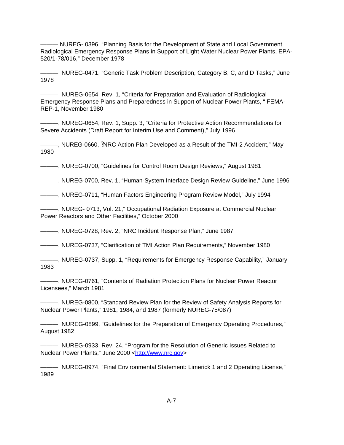——— NUREG- 0396, "Planning Basis for the Development of State and Local Government Radiological Emergency Response Plans in Support of Light Water Nuclear Power Plants, EPA-520/1-78/016," December 1978

———, NUREG-0471, "Generic Task Problem Description, Category B, C, and D Tasks," June 1978

———, NUREG-0654, Rev. 1, "Criteria for Preparation and Evaluation of Radiological Emergency Response Plans and Preparedness in Support of Nuclear Power Plants, " FEMA-REP-1, November 1980

———, NUREG-0654, Rev. 1, Supp. 3, "Criteria for Protective Action Recommendations for Severe Accidents (Draft Report for Interim Use and Comment)," July 1996

———, NUREG-0660, ?NRC Action Plan Developed as a Result of the TMI-2 Accident," May 1980

———, NUREG-0700, "Guidelines for Control Room Design Reviews," August 1981

———, NUREG-0700, Rev. 1, "Human-System Interface Design Review Guideline," June 1996

———, NUREG-0711, "Human Factors Engineering Program Review Model," July 1994

———, NUREG- 0713, Vol. 21," Occupational Radiation Exposure at Commercial Nuclear Power Reactors and Other Facilities," October 2000

———, NUREG-0728, Rev. 2, "NRC Incident Response Plan," June 1987

———, NUREG-0737, "Clarification of TMI Action Plan Requirements," November 1980

———, NUREG-0737, Supp. 1, "Requirements for Emergency Response Capability," January 1983

———, NUREG-0761, "Contents of Radiation Protection Plans for Nuclear Power Reactor Licensees," March 1981

———, NUREG-0800, "Standard Review Plan for the Review of Safety Analysis Reports for Nuclear Power Plants," 1981, 1984, and 1987 (formerly NUREG-75/087)

———, NUREG-0899, "Guidelines for the Preparation of Emergency Operating Procedures," August 1982

———, NUREG-0933, Rev. 24, "Program for the Resolution of Generic Issues Related to Nuclear Power Plants," June 2000 <http://www.nrc.gov>

———, NUREG-0974, "Final Environmental Statement: Limerick 1 and 2 Operating License," 1989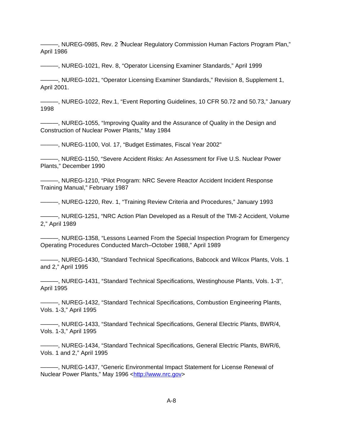———, NUREG-0985, Rev. 2 ?Nuclear Regulatory Commission Human Factors Program Plan," April 1986

———, NUREG-1021, Rev. 8, "Operator Licensing Examiner Standards," April 1999

———, NUREG-1021, "Operator Licensing Examiner Standards," Revision 8, Supplement 1, April 2001.

———, NUREG-1022, Rev.1, "Event Reporting Guidelines, 10 CFR 50.72 and 50.73," January 1998

———, NUREG-1055, "Improving Quality and the Assurance of Quality in the Design and Construction of Nuclear Power Plants," May 1984

———, NUREG-1100, Vol. 17, "Budget Estimates, Fiscal Year 2002"

———, NUREG-1150, "Severe Accident Risks: An Assessment for Five U.S. Nuclear Power Plants," December 1990

———, NUREG-1210, "Pilot Program: NRC Severe Reactor Accident Incident Response Training Manual," February 1987

———, NUREG-1220, Rev. 1, "Training Review Criteria and Procedures," January 1993

———, NUREG-1251, "NRC Action Plan Developed as a Result of the TMI-2 Accident, Volume 2," April 1989

———, NUREG-1358, "Lessons Learned From the Special Inspection Program for Emergency Operating Procedures Conducted March–October 1988," April 1989

———, NUREG-1430, "Standard Technical Specifications, Babcock and Wilcox Plants, Vols. 1 and 2," April 1995

———, NUREG-1431, "Standard Technical Specifications, Westinghouse Plants, Vols. 1-3", April 1995

———, NUREG-1432, "Standard Technical Specifications, Combustion Engineering Plants, Vols. 1-3," April 1995

———, NUREG-1433, "Standard Technical Specifications, General Electric Plants, BWR/4, Vols. 1-3," April 1995

———, NUREG-1434, "Standard Technical Specifications, General Electric Plants, BWR/6, Vols. 1 and 2," April 1995

———, NUREG-1437, "Generic Environmental Impact Statement for License Renewal of Nuclear Power Plants," May 1996 <http://www.nrc.gov>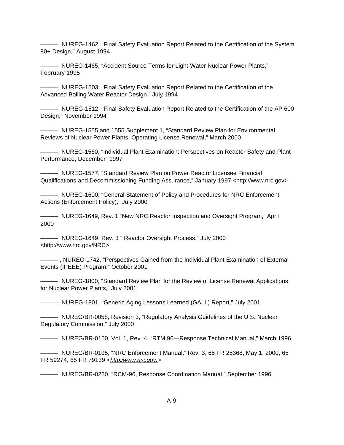———, NUREG-1462, "Final Safety Evaluation Report Related to the Certification of the System 80+ Design," August 1994

———, NUREG-1465, "Accident Source Terms for Light-Water Nuclear Power Plants," February 1995

———, NUREG-1503, "Final Safety Evaluation Report Related to the Certification of the Advanced Boiling Water Reactor Design," July 1994

———, NUREG-1512, "Final Safety Evaluation Report Related to the Certification of the AP 600 Design," November 1994

———, NUREG-1555 and 1555 Supplement 1, "Standard Review Plan for Environmental Reviews of Nuclear Power Plants, Operating License Renewal," March 2000

———, NUREG-1560, "Individual Plant Examination: Perspectives on Reactor Safety and Plant Performance, December" 1997

———, NUREG-1577, "Standard Review Plan on Power Reactor Licensee Financial Qualifications and Decommissioning Funding Assurance," January 1997 <http://www.nrc.gov>

 $-$ , NUREG-1600, "General Statement of Policy and Procedures for NRC Enforcement Actions (Enforcement Policy)," July 2000

———, NUREG-1649, Rev. 1 "New NRC Reactor Inspection and Oversight Program," April 2000

———, NUREG-1649, Rev. 3 " Reactor Oversight Process," July 2000 <http://www.nrc.gov/NRC>

——— , NUREG-1742, "Perspectives Gained from the Individual Plant Examination of External Events (IPEEE) Program," October 2001

———, NUREG-1800, "Standard Review Plan for the Review of License Renewal Applications for Nuclear Power Plants," July 2001

———, NUREG-1801, "Generic Aging Lessons Learned (GALL) Report," July 2001

———, NUREG/BR-0058, Revision 3, "Regulatory Analysis Guidelines of the U.S. Nuclear Regulatory Commission," July 2000

———, NUREG/BR-0150, Vol. 1, Rev. 4, "RTM 96—Response Technical Manual," March 1996

———, NUREG/BR-0195, "NRC Enforcement Manual," Rev. 3, 65 FR 25368, May 1, 2000, 65 FR 59274, 65 FR 79139 <*http:/www.nrc.gov.*>

———, NUREG/BR-0230, "RCM-96, Response Coordination Manual," September 1996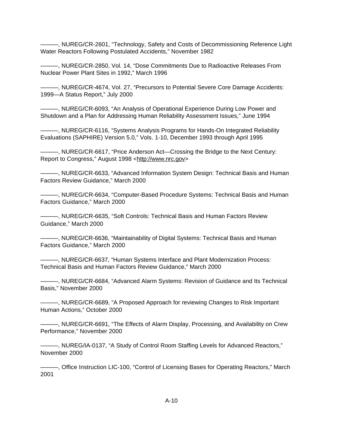———, NUREG/CR-2601, "Technology, Safety and Costs of Decommissioning Reference Light Water Reactors Following Postulated Accidents," November 1982

———, NUREG/CR-2850, Vol. 14, "Dose Commitments Due to Radioactive Releases From Nuclear Power Plant Sites in 1992," March 1996

———, NUREG/CR-4674, Vol. 27, "Precursors to Potential Severe Core Damage Accidents: 1999—A Status Report," July 2000

———, NUREG/CR-6093, "An Analysis of Operational Experience During Low Power and Shutdown and a Plan for Addressing Human Reliability Assessment Issues," June 1994

———, NUREG/CR-6116, "Systems Analysis Programs for Hands-On Integrated Reliability Evaluations (SAPHIRE) Version 5.0," Vols. 1-10, December 1993 through April 1995

———, NUREG/CR-6617, "Price Anderson Act—Crossing the Bridge to the Next Century: Report to Congress," August 1998 <http://www.nrc.gov>

———, NUREG/CR-6633, "Advanced Information System Design: Technical Basis and Human Factors Review Guidance," March 2000

———, NUREG/CR-6634, "Computer-Based Procedure Systems: Technical Basis and Human Factors Guidance," March 2000

———, NUREG/CR-6635, "Soft Controls: Technical Basis and Human Factors Review Guidance," March 2000

———, NUREG/CR-6636, "Maintainability of Digital Systems: Technical Basis and Human Factors Guidance," March 2000

———, NUREG/CR-6637, "Human Systems Interface and Plant Modernization Process: Technical Basis and Human Factors Review Guidance," March 2000

———, NUREG/CR-6684, "Advanced Alarm Systems: Revision of Guidance and Its Technical Basis," November 2000

———, NUREG/CR-6689, "A Proposed Approach for reviewing Changes to Risk Important Human Actions," October 2000

———, NUREG/CR-6691, "The Effects of Alarm Display, Processing, and Availability on Crew Performance," November 2000

———, NUREG/IA-0137, "A Study of Control Room Staffing Levels for Advanced Reactors," November 2000

———, Office Instruction LIC-100, "Control of Licensing Bases for Operating Reactors," March 2001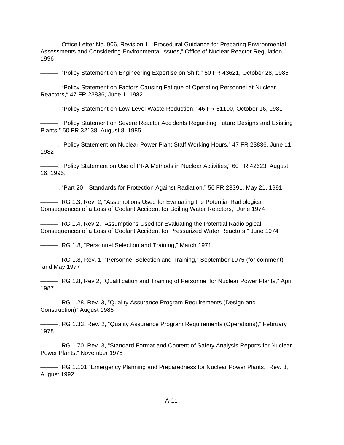———, Office Letter No. 906, Revision 1, "Procedural Guidance for Preparing Environmental Assessments and Considering Environmental Issues," Office of Nuclear Reactor Regulation," 1996

———, "Policy Statement on Engineering Expertise on Shift," 50 FR 43621, October 28, 1985

———, "Policy Statement on Factors Causing Fatigue of Operating Personnel at Nuclear Reactors," 47 FR 23836, June 1, 1982

———, "Policy Statement on Low-Level Waste Reduction," 46 FR 51100, October 16, 1981

———, "Policy Statement on Severe Reactor Accidents Regarding Future Designs and Existing Plants," 50 FR 32138, August 8, 1985

———, "Policy Statement on Nuclear Power Plant Staff Working Hours," 47 FR 23836, June 11, 1982

———, "Policy Statement on Use of PRA Methods in Nuclear Activities," 60 FR 42623, August 16, 1995.

———, "Part 20—Standards for Protection Against Radiation," 56 FR 23391, May 21, 1991

———, RG 1.3, Rev. 2, "Assumptions Used for Evaluating the Potential Radiological Consequences of a Loss of Coolant Accident for Boiling Water Reactors," June 1974

———, RG 1.4, Rev 2, "Assumptions Used for Evaluating the Potential Radiological Consequences of a Loss of Coolant Accident for Pressurized Water Reactors," June 1974

———, RG 1.8, "Personnel Selection and Training," March 1971

———, RG 1.8, Rev. 1, "Personnel Selection and Training," September 1975 (for comment) and May 1977

———, RG 1.8, Rev.2, "Qualification and Training of Personnel for Nuclear Power Plants," April 1987

-, RG 1.28, Rev. 3, "Quality Assurance Program Requirements (Design and Construction)" August 1985

———, RG 1.33, Rev. 2, "Quality Assurance Program Requirements (Operations)," February 1978

———, RG 1.70, Rev. 3, "Standard Format and Content of Safety Analysis Reports for Nuclear Power Plants," November 1978

———, RG 1.101 "Emergency Planning and Preparedness for Nuclear Power Plants," Rev. 3, August 1992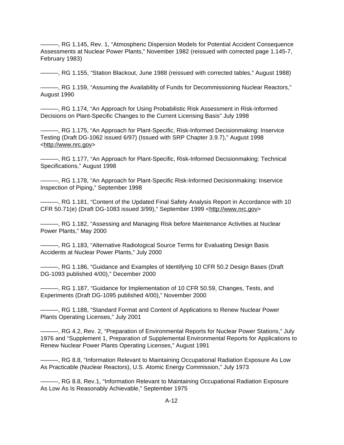———, RG 1.145, Rev. 1, "Atmospheric Dispersion Models for Potential Accident Consequence Assessments at Nuclear Power Plants," November 1982 (reissued with corrected page 1.145-7, February 1983)

———, RG 1.155, "Station Blackout, June 1988 (reissued with corrected tables," August 1988)

———, RG 1.159, "Assuming the Availability of Funds for Decommissioning Nuclear Reactors," August 1990

———, RG 1.174, "An Approach for Using Probabilistic Risk Assessment in Risk-Informed Decisions on Plant-Specific Changes to the Current Licensing Basis" July 1998

———, RG 1.175, "An Approach for Plant-Specific, Risk-Informed Decisionmaking: Inservice Testing (Draft DG-1062 issued 6/97) (Issued with SRP Chapter 3.9.7)," August 1998 <http://www.nrc.gov>

———, RG 1.177, "An Approach for Plant-Specific, Risk-Informed Decisionmaking: Technical Specifications," August 1998

———, RG 1.178, "An Approach for Plant-Specific Risk-Informed Decisionmaking: Inservice Inspection of Piping," September 1998

———, RG 1.181, "Content of the Updated Final Safety Analysis Report in Accordance with 10 CFR 50.71(e) (Draft DG-1083 issued 3/99)," September 1999 <http://www.nrc.gov>

———, RG 1.182, "Assessing and Managing Risk before Maintenance Activities at Nuclear Power Plants," May 2000

———, RG 1.183, "Alternative Radiological Source Terms for Evaluating Design Basis Accidents at Nuclear Power Plants," July 2000

———, RG 1.186, "Guidance and Examples of Identifying 10 CFR 50.2 Design Bases (Draft DG-1093 published 4/00)," December 2000

———, RG 1.187, "Guidance for Implementation of 10 CFR 50.59, Changes, Tests, and Experiments (Draft DG-1095 published 4/00)," November 2000

———, RG 1.188, "Standard Format and Content of Applications to Renew Nuclear Power Plants Operating Licenses," July 2001

———, RG 4.2, Rev. 2, "Preparation of Environmental Reports for Nuclear Power Stations," July 1976 and "Supplement 1, Preparation of Supplemental Environmental Reports for Applications to Renew Nuclear Power Plants Operating Licenses," August 1991

———, RG 8.8, "Information Relevant to Maintaining Occupational Radiation Exposure As Low As Practicable (Nuclear Reactors), U.S. Atomic Energy Commission," July 1973

———, RG 8.8, Rev.1, "Information Relevant to Maintaining Occupational Radiation Exposure As Low As Is Reasonably Achievable," September 1975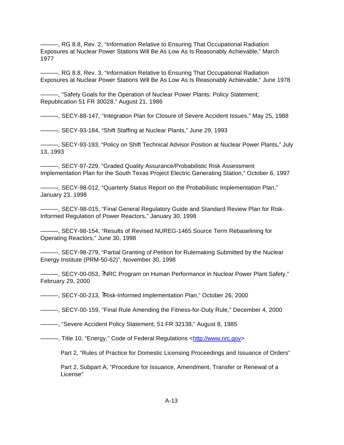———, RG 8.8, Rev. 2, "Information Relative to Ensuring That Occupational Radiation Exposures at Nuclear Power Stations Will Be As Low As Is Reasonably Achievable," March 1977

———, RG 8.8, Rev. 3, "Information Relative to Ensuring That Occupational Radiation Exposures at Nuclear Power Stations Will Be As Low As Is Reasonably Achievable," June 1978

———, "Safety Goals for the Operation of Nuclear Power Plants: Policy Statement; Republication 51 FR 30028," August 21, 1986

———, SECY-88-147, "Integration Plan for Closure of Severe Accident Issues," May 25, 1988

———, SECY-93-184, "Shift Staffing at Nuclear Plants," June 29, 1993

———, SECY-93-193, "Policy on Shift Technical Advisor Position at Nuclear Power Plants," July 13, 1993

———, SECY-97-229, "Graded Quality Assurance/Probabilistic Risk Assessment Implementation Plan for the South Texas Project Electric Generating Station," October 6, 1997

———, SECY-98-012, "Quarterly Status Report on the Probabilistic Implementation Plan," January 23, 1998

———, SECY-98-015, "Final General Regulatory Guide and Standard Review Plan for Risk-Informed Regulation of Power Reactors," January 30, 1998

———, SECY-98-154, "Results of Revised NUREG-1465 Source Term Rebaselining for Operating Reactors," June 30, 1998

———, SECY-98-279, "Partial Granting of Petition for Rulemaking Submitted by the Nuclear Energy Institute (PRM-50-62)", November 30, 1998

———, SECY-00-053, ?NRC Program on Human Performance in Nuclear Power Plant Safety," February 29, 2000

———, SECY-00-213, ?Risk-Informed Implementation Plan," October 26, 2000

———, SECY-00-159, "Final Rule Amending the Fitness-for-Duty Rule," December 4, 2000

———, "Severe Accident Policy Statement, 51 FR 32138," August 8, 1985

———, Title 10, "Energy," Code of Federal Regulations <http://www.nrc.gov*>*

Part 2, "Rules of Practice for Domestic Licensing Proceedings and Issuance of Orders"

Part 2, Subpart A, "Procedure for Issuance, Amendment, Transfer or Renewal of a License"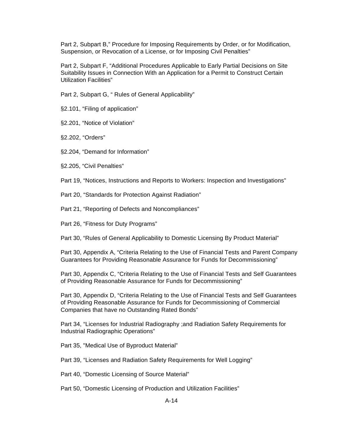Part 2, Subpart B," Procedure for Imposing Requirements by Order, or for Modification, Suspension, or Revocation of a License, or for Imposing Civil Penalties"

Part 2, Subpart F, "Additional Procedures Applicable to Early Partial Decisions on Site Suitability Issues in Connection With an Application for a Permit to Construct Certain Utilization Facilities"

Part 2, Subpart G, " Rules of General Applicability"

§2.101, "Filing of application"

§2.201, "Notice of Violation"

§2.202, "Orders"

§2.204, "Demand for Information"

§2.205, "Civil Penalties"

Part 19, "Notices, Instructions and Reports to Workers: Inspection and Investigations"

Part 20, "Standards for Protection Against Radiation"

Part 21, "Reporting of Defects and Noncompliances"

Part 26, "Fitness for Duty Programs"

Part 30, "Rules of General Applicability to Domestic Licensing By Product Material"

Part 30, Appendix A, "Criteria Relating to the Use of Financial Tests and Parent Company Guarantees for Providing Reasonable Assurance for Funds for Decommissioning"

Part 30, Appendix C, "Criteria Relating to the Use of Financial Tests and Self Guarantees of Providing Reasonable Assurance for Funds for Decommissioning"

Part 30, Appendix D, "Criteria Relating to the Use of Financial Tests and Self Guarantees of Providing Reasonable Assurance for Funds for Decommissioning of Commercial Companies that have no Outstanding Rated Bonds"

Part 34, "Licenses for Industrial Radiography ;and Radiation Safety Requirements for Industrial Radiographic Operations"

Part 35, "Medical Use of Byproduct Material"

Part 39, "Licenses and Radiation Safety Requirements for Well Logging"

Part 40, "Domestic Licensing of Source Material"

Part 50, "Domestic Licensing of Production and Utilization Facilities"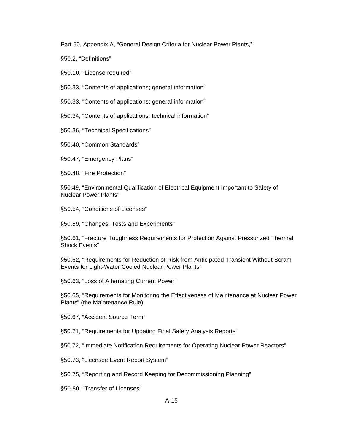Part 50, Appendix A, "General Design Criteria for Nuclear Power Plants,"

§50.2, "Definitions"

§50.10, "License required"

§50.33, "Contents of applications; general information"

§50.33, "Contents of applications; general information"

§50.34, "Contents of applications; technical information"

§50.36, "Technical Specifications"

§50.40, "Common Standards"

§50.47, "Emergency Plans"

§50.48, "Fire Protection"

§50.49, "Environmental Qualification of Electrical Equipment Important to Safety of Nuclear Power Plants"

§50.54, "Conditions of Licenses"

§50.59, "Changes, Tests and Experiments"

§50.61, "Fracture Toughness Requirements for Protection Against Pressurized Thermal Shock Events"

§50.62, "Requirements for Reduction of Risk from Anticipated Transient Without Scram Events for Light-Water Cooled Nuclear Power Plants"

§50.63, "Loss of Alternating Current Power"

§50.65, "Requirements for Monitoring the Effectiveness of Maintenance at Nuclear Power Plants" (the Maintenance Rule)

§50.67, "Accident Source Term"

§50.71, "Requirements for Updating Final Safety Analysis Reports"

§50.72, "Immediate Notification Requirements for Operating Nuclear Power Reactors"

§50.73, "Licensee Event Report System"

§50.75, "Reporting and Record Keeping for Decommissioning Planning"

§50.80, "Transfer of Licenses"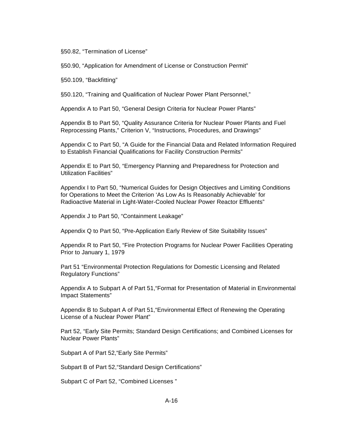§50.82, "Termination of License"

§50.90, "Application for Amendment of License or Construction Permit"

§50.109, "Backfitting"

§50.120, "Training and Qualification of Nuclear Power Plant Personnel,"

Appendix A to Part 50, "General Design Criteria for Nuclear Power Plants"

Appendix B to Part 50, "Quality Assurance Criteria for Nuclear Power Plants and Fuel Reprocessing Plants," Criterion V, "Instructions, Procedures, and Drawings"

Appendix C to Part 50, "A Guide for the Financial Data and Related Information Required to Establish Financial Qualifications for Facility Construction Permits"

Appendix E to Part 50, "Emergency Planning and Preparedness for Protection and Utilization Facilities"

Appendix I to Part 50, "Numerical Guides for Design Objectives and Limiting Conditions for Operations to Meet the Criterion 'As Low As Is Reasonably Achievable' for Radioactive Material in Light-Water-Cooled Nuclear Power Reactor Effluents"

Appendix J to Part 50, "Containment Leakage"

Appendix Q to Part 50, "Pre-Application Early Review of Site Suitability Issues"

Appendix R to Part 50, "Fire Protection Programs for Nuclear Power Facilities Operating Prior to January 1, 1979

Part 51 "Environmental Protection Regulations for Domestic Licensing and Related Regulatory Functions"

Appendix A to Subpart A of Part 51,"Format for Presentation of Material in Environmental Impact Statements"

Appendix B to Subpart A of Part 51,"Environmental Effect of Renewing the Operating License of a Nuclear Power Plant"

Part 52, "Early Site Permits; Standard Design Certifications; and Combined Licenses for Nuclear Power Plants"

Subpart A of Part 52,"Early Site Permits"

Subpart B of Part 52,"Standard Design Certifications"

Subpart C of Part 52, "Combined Licenses "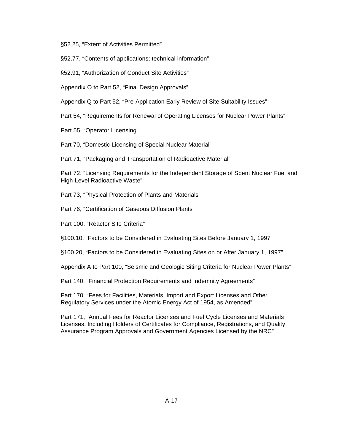§52.25, "Extent of Activities Permitted"

§52.77, "Contents of applications; technical information"

§52.91, "Authorization of Conduct Site Activities"

Appendix O to Part 52, "Final Design Approvals"

Appendix Q to Part 52, "Pre-Application Early Review of Site Suitability Issues"

Part 54, "Requirements for Renewal of Operating Licenses for Nuclear Power Plants"

Part 55, "Operator Licensing"

Part 70, "Domestic Licensing of Special Nuclear Material"

Part 71, "Packaging and Transportation of Radioactive Material"

Part 72, "Licensing Requirements for the Independent Storage of Spent Nuclear Fuel and High-Level Radioactive Waste"

Part 73, "Physical Protection of Plants and Materials"

Part 76, "Certification of Gaseous Diffusion Plants"

Part 100, "Reactor Site Criteria"

§100.10, "Factors to be Considered in Evaluating Sites Before January 1, 1997"

§100.20, "Factors to be Considered in Evaluating Sites on or After January 1, 1997"

Appendix A to Part 100, "Seismic and Geologic Siting Criteria for Nuclear Power Plants"

Part 140, "Financial Protection Requirements and Indemnity Agreements"

Part 170, "Fees for Facilities, Materials, Import and Export Licenses and Other Regulatory Services under the Atomic Energy Act of 1954, as Amended"

Part 171, "Annual Fees for Reactor Licenses and Fuel Cycle Licenses and Materials Licenses, Including Holders of Certificates for Compliance, Registrations, and Quality Assurance Program Approvals and Government Agencies Licensed by the NRC"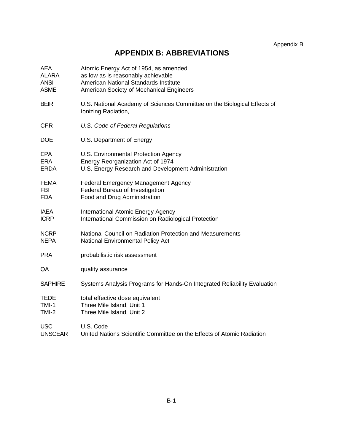Appendix B

# **APPENDIX B: ABBREVIATIONS**

| <b>AEA</b>     | Atomic Energy Act of 1954, as amended                                                           |
|----------------|-------------------------------------------------------------------------------------------------|
| <b>ALARA</b>   | as low as is reasonably achievable                                                              |
| <b>ANSI</b>    | American National Standards Institute                                                           |
| <b>ASME</b>    | American Society of Mechanical Engineers                                                        |
| <b>BEIR</b>    | U.S. National Academy of Sciences Committee on the Biological Effects of<br>Ionizing Radiation, |
| <b>CFR</b>     | U.S. Code of Federal Regulations                                                                |
| <b>DOE</b>     | U.S. Department of Energy                                                                       |
| <b>EPA</b>     | U.S. Environmental Protection Agency                                                            |
| <b>ERA</b>     | Energy Reorganization Act of 1974                                                               |
| <b>ERDA</b>    | U.S. Energy Research and Development Administration                                             |
| <b>FEMA</b>    | <b>Federal Emergency Management Agency</b>                                                      |
| <b>FBI</b>     | Federal Bureau of Investigation                                                                 |
| <b>FDA</b>     | Food and Drug Administration                                                                    |
| <b>IAEA</b>    | International Atomic Energy Agency                                                              |
| <b>ICRP</b>    | International Commission on Radiological Protection                                             |
| <b>NCRP</b>    | National Council on Radiation Protection and Measurements                                       |
| <b>NEPA</b>    | National Environmental Policy Act                                                               |
| <b>PRA</b>     | probabilistic risk assessment                                                                   |
| QA             | quality assurance                                                                               |
| <b>SAPHIRE</b> | Systems Analysis Programs for Hands-On Integrated Reliability Evaluation                        |
| <b>TEDE</b>    | total effective dose equivalent                                                                 |
| <b>TMI-1</b>   | Three Mile Island, Unit 1                                                                       |
| $TMI-2$        | Three Mile Island, Unit 2                                                                       |
| <b>USC</b>     | U.S. Code                                                                                       |
| <b>UNSCEAR</b> | United Nations Scientific Committee on the Effects of Atomic Radiation                          |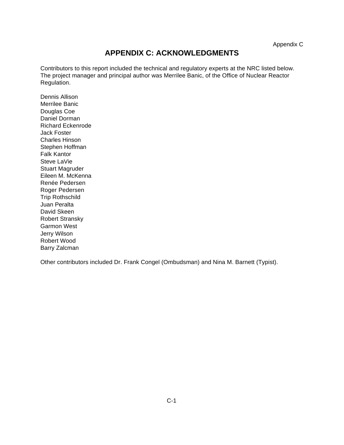### **APPENDIX C: ACKNOWLEDGMENTS**

Contributors to this report included the technical and regulatory experts at the NRC listed below. The project manager and principal author was Merrilee Banic, of the Office of Nuclear Reactor Regulation.

Dennis Allison Merrilee Banic Douglas Coe Daniel Dorman Richard Eckenrode Jack Foster Charles Hinson Stephen Hoffman Falk Kantor Steve LaVie Stuart Magruder Eileen M. McKenna Renée Pedersen Roger Pedersen Trip Rothschild Juan Peralta David Skeen Robert Stransky Garmon West Jerry Wilson Robert Wood Barry Zalcman

Other contributors included Dr. Frank Congel (Ombudsman) and Nina M. Barnett (Typist).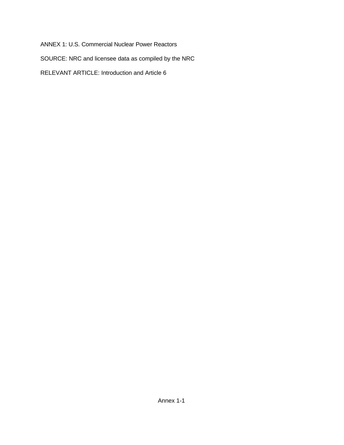ANNEX 1: U.S. Commercial Nuclear Power Reactors

SOURCE: NRC and licensee data as compiled by the NRC

RELEVANT ARTICLE: Introduction and Article 6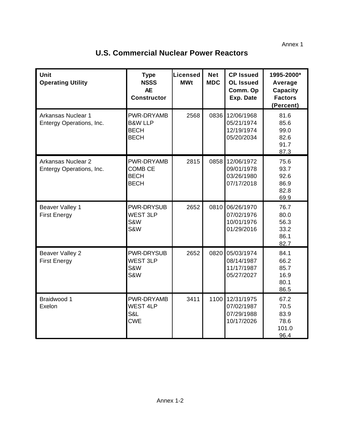Annex 1

| <b>Unit</b><br><b>Operating Utility</b>        | <b>Type</b><br><b>NSSS</b><br><b>AE</b><br><b>Constructor</b>  | <b>Licensed</b><br><b>MWt</b> | <b>Net</b><br><b>MDC</b> | <b>CP Issued</b><br><b>OL Issued</b><br>Comm. Op<br>Exp. Date | 1995-2000*<br>Average<br><b>Capacity</b><br><b>Factors</b><br>(Percent) |
|------------------------------------------------|----------------------------------------------------------------|-------------------------------|--------------------------|---------------------------------------------------------------|-------------------------------------------------------------------------|
| Arkansas Nuclear 1<br>Entergy Operations, Inc. | PWR-DRYAMB<br><b>B&amp;W LLP</b><br><b>BECH</b><br><b>BECH</b> | 2568                          |                          | 0836 12/06/1968<br>05/21/1974<br>12/19/1974<br>05/20/2034     | 81.6<br>85.6<br>99.0<br>82.6<br>91.7<br>87.3                            |
| Arkansas Nuclear 2<br>Entergy Operations, Inc. | PWR-DRYAMB<br><b>COMB CE</b><br><b>BECH</b><br><b>BECH</b>     | 2815                          | 0858                     | 12/06/1972<br>09/01/1978<br>03/26/1980<br>07/17/2018          | 75.6<br>93.7<br>92.6<br>86.9<br>82.8<br>69.9                            |
| Beaver Valley 1<br><b>First Energy</b>         | <b>PWR-DRYSUB</b><br><b>WEST 3LP</b><br>S&W<br>S&W             | 2652                          | 0810                     | 06/26/1970<br>07/02/1976<br>10/01/1976<br>01/29/2016          | 76.7<br>80.0<br>56.3<br>33.2<br>86.1<br>82.7                            |
| <b>Beaver Valley 2</b><br><b>First Energy</b>  | PWR-DRYSUB<br><b>WEST 3LP</b><br>S&W<br>S&W                    | 2652                          | 0820                     | 05/03/1974<br>08/14/1987<br>11/17/1987<br>05/27/2027          | 84.1<br>66.2<br>85.7<br>16.9<br>80.1<br>86.5                            |
| Braidwood 1<br>Exelon                          | PWR-DRYAMB<br><b>WEST 4LP</b><br>S&L<br><b>CWE</b>             | 3411                          |                          | 1100 12/31/1975<br>07/02/1987<br>07/29/1988<br>10/17/2026     | 67.2<br>70.5<br>83.9<br>78.6<br>101.0<br>96.4                           |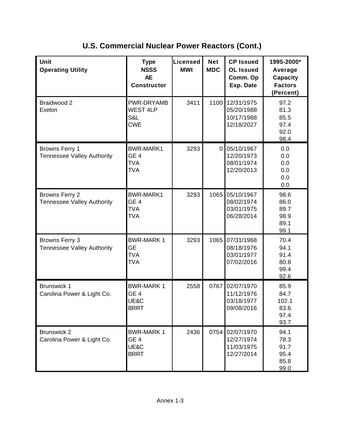| Unit<br><b>Operating Utility</b>                    | <b>Type</b><br><b>NSSS</b><br><b>AE</b><br><b>Constructor</b>   | Licensed<br><b>MWt</b> | <b>Net</b><br><b>MDC</b> | <b>CP Issued</b><br><b>OL Issued</b><br>Comm. Op<br>Exp. Date | 1995-2000*<br>Average<br><b>Capacity</b><br><b>Factors</b><br>(Percent) |
|-----------------------------------------------------|-----------------------------------------------------------------|------------------------|--------------------------|---------------------------------------------------------------|-------------------------------------------------------------------------|
| Braidwood 2<br>Exelon                               | PWR-DRYAMB<br><b>WEST 4LP</b><br>S&L<br><b>CWE</b>              | 3411                   | 1100                     | 12/31/1975<br>05/20/1988<br>10/17/1988<br>12/18/2027          | 97.2<br>81.3<br>85.5<br>97.4<br>92.0<br>98.4                            |
| Browns Ferry 1<br><b>Tennessee Valley Authority</b> | <b>BWR-MARK1</b><br>GE <sub>4</sub><br><b>TVA</b><br><b>TVA</b> | 3293                   | $\overline{0}$           | 05/10/1967<br>12/20/1973<br>08/01/1974<br>12/20/2013          | 0.0<br>0.0<br>0.0<br>0.0<br>0.0<br>0.0                                  |
| Browns Ferry 2<br><b>Tennessee Valley Authority</b> | <b>BWR-MARK1</b><br>GE <sub>4</sub><br><b>TVA</b><br><b>TVA</b> | 3293                   | 1065                     | 05/10/1967<br>08/02/1974<br>03/01/1975<br>06/28/2014          | 98.6<br>86.0<br>89.7<br>98.9<br>89.1<br>99.1                            |
| Browns Ferry 3<br><b>Tennessee Valley Authority</b> | <b>BWR-MARK1</b><br><b>GE</b><br><b>TVA</b><br><b>TVA</b>       | 3293                   | 1065                     | 07/31/1968<br>08/18/1976<br>03/01/1977<br>07/02/2016          | 70.4<br>94.1<br>91.4<br>80.8<br>99.4<br>92.6                            |
| <b>Brunswick 1</b><br>Carolina Power & Light Co.    | <b>BWR-MARK1</b><br>GE <sub>4</sub><br>UE&C<br><b>BRRT</b>      | 2558                   | 0767                     | 02/07/1970<br>11/12/1976<br>03/18/1977<br>09/08/2016          | 85.9<br>84.7<br>102.1<br>83.6<br>97.4<br>93.7                           |
| <b>Brunswick 2</b><br>Carolina Power & Light Co.    | <b>BWR-MARK1</b><br>GE <sub>4</sub><br>UE&C<br><b>BRRT</b>      | 2436                   | 0754                     | 02/07/1970<br>12/27/1974<br>11/03/1975<br>12/27/2014          | 94.1<br>78.3<br>91.7<br>95.4<br>85.8<br>99.0                            |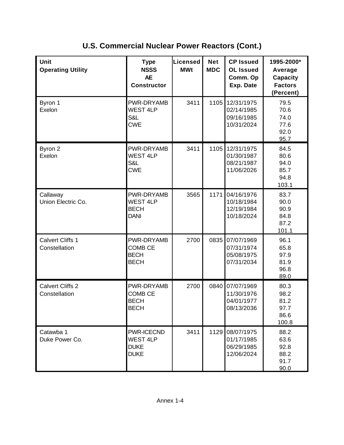| Unit<br><b>Operating Utility</b>         | <b>Type</b><br><b>NSSS</b><br><b>AE</b><br><b>Constructor</b>      | Licensed<br><b>MWt</b> | <b>Net</b><br><b>MDC</b> | <b>CP Issued</b><br><b>OL Issued</b><br>Comm. Op<br>Exp. Date | 1995-2000*<br>Average<br>Capacity<br><b>Factors</b><br>(Percent) |
|------------------------------------------|--------------------------------------------------------------------|------------------------|--------------------------|---------------------------------------------------------------|------------------------------------------------------------------|
| Byron 1<br>Exelon                        | PWR-DRYAMB<br><b>WEST 4LP</b><br>S&L<br><b>CWE</b>                 | 3411                   | 1105                     | 12/31/1975<br>02/14/1985<br>09/16/1985<br>10/31/2024          | 79.5<br>70.6<br>74.0<br>77.6<br>92.0<br>95.7                     |
| Byron 2<br>Exelon                        | PWR-DRYAMB<br><b>WEST 4LP</b><br>S&L<br><b>CWE</b>                 | 3411                   | 1105                     | 12/31/1975<br>01/30/1987<br>08/21/1987<br>11/06/2026          | 84.5<br>80.6<br>94.0<br>85.7<br>94.8<br>103.1                    |
| Callaway<br>Union Electric Co.           | PWR-DRYAMB<br><b>WEST 4LP</b><br><b>BECH</b><br><b>DANI</b>        | 3565                   | 1171                     | 04/16/1976<br>10/18/1984<br>12/19/1984<br>10/18/2024          | 83.7<br>90.0<br>90.9<br>84.8<br>87.2<br>101.1                    |
| <b>Calvert Cliffs 1</b><br>Constellation | PWR-DRYAMB<br><b>COMB CE</b><br><b>BECH</b><br><b>BECH</b>         | 2700                   | 0835                     | 07/07/1969<br>07/31/1974<br>05/08/1975<br>07/31/2034          | 96.1<br>65.8<br>97.9<br>81.9<br>96.8<br>89.0                     |
| <b>Calvert Cliffs 2</b><br>Constellation | PWR-DRYAMB<br><b>COMB CE</b><br><b>BECH</b><br><b>BECH</b>         | 2700                   | 0840                     | 07/07/1969<br>11/30/1976<br>04/01/1977<br>08/13/2036          | 80.3<br>98.2<br>81.2<br>97.7<br>86.6<br>100.8                    |
| Catawba 1<br>Duke Power Co.              | <b>PWR-ICECND</b><br><b>WEST 4LP</b><br><b>DUKE</b><br><b>DUKE</b> | 3411                   | 1129                     | 08/07/1975<br>01/17/1985<br>06/29/1985<br>12/06/2024          | 88.2<br>63.6<br>92.8<br>88.2<br>91.7<br>90.0                     |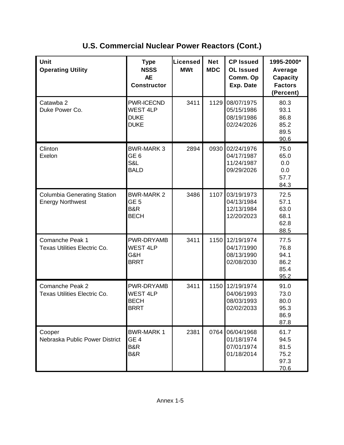| Unit<br><b>Operating Utility</b>                              | <b>Type</b><br><b>NSSS</b><br><b>AE</b><br><b>Constructor</b>      | Licensed<br><b>MWt</b> | <b>Net</b><br><b>MDC</b> | <b>CP Issued</b><br><b>OL Issued</b><br>Comm. Op<br>Exp. Date | 1995-2000*<br>Average<br><b>Capacity</b><br><b>Factors</b><br>(Percent) |
|---------------------------------------------------------------|--------------------------------------------------------------------|------------------------|--------------------------|---------------------------------------------------------------|-------------------------------------------------------------------------|
| Catawba 2<br>Duke Power Co.                                   | <b>PWR-ICECND</b><br><b>WEST 4LP</b><br><b>DUKE</b><br><b>DUKE</b> | 3411                   | 1129                     | 08/07/1975<br>05/15/1986<br>08/19/1986<br>02/24/2026          | 80.3<br>93.1<br>86.8<br>85.2<br>89.5<br>90.6                            |
| Clinton<br>Exelon                                             | <b>BWR-MARK 3</b><br>GE <sub>6</sub><br>S&L<br><b>BALD</b>         | 2894                   | 0930                     | 02/24/1976<br>04/17/1987<br>11/24/1987<br>09/29/2026          | 75.0<br>65.0<br>0.0<br>0.0<br>57.7<br>84.3                              |
| <b>Columbia Generating Station</b><br><b>Energy Northwest</b> | <b>BWR-MARK 2</b><br>GE <sub>5</sub><br>B&R<br><b>BECH</b>         | 3486                   | 1107                     | 03/19/1973<br>04/13/1984<br>12/13/1984<br>12/20/2023          | 72.5<br>57.1<br>63.0<br>68.1<br>62.8<br>88.5                            |
| Comanche Peak 1<br><b>Texas Utilities Electric Co.</b>        | PWR-DRYAMB<br><b>WEST 4LP</b><br>G&H<br><b>BRRT</b>                | 3411                   | 1150                     | 12/19/1974<br>04/17/1990<br>08/13/1990<br>02/08/2030          | 77.5<br>76.8<br>94.1<br>86.2<br>85.4<br>95.2                            |
| Comanche Peak 2<br>Texas Utilities Electric Co.               | PWR-DRYAMB<br><b>WEST 4LP</b><br><b>BECH</b><br><b>BRRT</b>        | 3411                   | 1150                     | 12/19/1974<br>04/06/1993<br>08/03/1993<br>02/02/2033          | 91.0<br>73.0<br>80.0<br>95.3<br>86.9<br>87.8                            |
| Cooper<br>Nebraska Public Power District                      | <b>BWR-MARK1</b><br>GE <sub>4</sub><br>B&R<br>B&R                  | 2381                   | 0764                     | 06/04/1968<br>01/18/1974<br>07/01/1974<br>01/18/2014          | 61.7<br>94.5<br>81.5<br>75.2<br>97.3<br>70.6                            |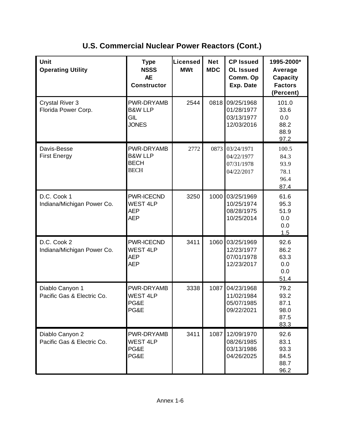| Unit<br><b>Operating Utility</b>              | <b>Type</b><br><b>NSSS</b><br><b>AE</b><br><b>Constructor</b>  | Licensed<br><b>MWt</b> | <b>Net</b><br><b>MDC</b> | <b>CP Issued</b><br><b>OL Issued</b><br>Comm. Op<br>Exp. Date | 1995-2000*<br>Average<br><b>Capacity</b><br><b>Factors</b><br>(Percent) |
|-----------------------------------------------|----------------------------------------------------------------|------------------------|--------------------------|---------------------------------------------------------------|-------------------------------------------------------------------------|
| <b>Crystal River 3</b><br>Florida Power Corp. | PWR-DRYAMB<br><b>B&amp;W LLP</b><br>GIL<br><b>JONES</b>        | 2544                   | 0818                     | 09/25/1968<br>01/28/1977<br>03/13/1977<br>12/03/2016          | 101.0<br>33.6<br>0.0<br>88.2<br>88.9<br>97.2                            |
| Davis-Besse<br><b>First Energy</b>            | PWR-DRYAMB<br><b>B&amp;W LLP</b><br><b>BECH</b><br><b>BECH</b> | 2772                   | 0873                     | 03/24/1971<br>04/22/1977<br>07/31/1978<br>04/22/2017          | 100.5<br>84.3<br>93.9<br>78.1<br>96.4<br>87.4                           |
| D.C. Cook 1<br>Indiana/Michigan Power Co.     | PWR-ICECND<br><b>WEST 4LP</b><br><b>AEP</b><br><b>AEP</b>      | 3250                   | 1000                     | 03/25/1969<br>10/25/1974<br>08/28/1975<br>10/25/2014          | 61.6<br>95.3<br>51.9<br>0.0<br>0.0<br>1.5                               |
| D.C. Cook 2<br>Indiana/Michigan Power Co.     | PWR-ICECND<br><b>WEST 4LP</b><br><b>AEP</b><br><b>AEP</b>      | 3411                   | 1060                     | 03/25/1969<br>12/23/1977<br>07/01/1978<br>12/23/2017          | 92.6<br>86.2<br>63.3<br>0.0<br>0.0<br>51.4                              |
| Diablo Canyon 1<br>Pacific Gas & Electric Co. | PWR-DRYAMB<br><b>WEST 4LP</b><br>PG&E<br>PG&E                  | 3338                   | 1087                     | 04/23/1968<br>11/02/1984<br>05/07/1985<br>09/22/2021          | 79.2<br>93.2<br>87.1<br>98.0<br>87.5<br>83.3                            |
| Diablo Canyon 2<br>Pacific Gas & Electric Co. | PWR-DRYAMB<br><b>WEST 4LP</b><br>PG&E<br>PG&E                  | 3411                   | 1087                     | 12/09/1970<br>08/26/1985<br>03/13/1986<br>04/26/2025          | 92.6<br>83.1<br>93.3<br>84.5<br>88.7<br>96.2                            |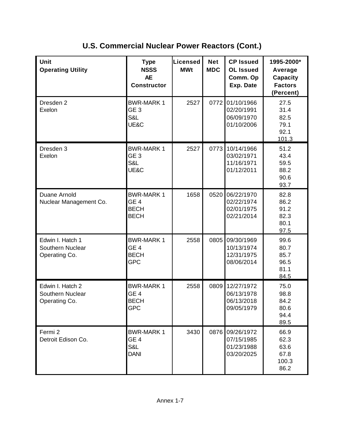| Unit<br><b>Operating Utility</b>                      | <b>Type</b><br><b>NSSS</b><br><b>AE</b><br><b>Constructor</b>     | Licensed<br><b>MWt</b> | <b>Net</b><br><b>MDC</b> | <b>CP Issued</b><br><b>OL Issued</b><br>Comm. Op<br>Exp. Date | 1995-2000*<br>Average<br><b>Capacity</b><br><b>Factors</b><br>(Percent) |
|-------------------------------------------------------|-------------------------------------------------------------------|------------------------|--------------------------|---------------------------------------------------------------|-------------------------------------------------------------------------|
| Dresden 2<br>Exelon                                   | <b>BWR-MARK1</b><br>GE <sub>3</sub><br>S&L<br>UE&C                | 2527                   | 0772                     | 01/10/1966<br>02/20/1991<br>06/09/1970<br>01/10/2006          | 27.5<br>31.4<br>82.5<br>79.1<br>92.1<br>101.3                           |
| Dresden 3<br>Exelon                                   | <b>BWR-MARK1</b><br>GE <sub>3</sub><br>S&L<br>UE&C                | 2527                   | 0773                     | 10/14/1966<br>03/02/1971<br>11/16/1971<br>01/12/2011          | 51.2<br>43.4<br>59.5<br>88.2<br>90.6<br>93.7                            |
| Duane Arnold<br>Nuclear Management Co.                | <b>BWR-MARK1</b><br>GE <sub>4</sub><br><b>BECH</b><br><b>BECH</b> | 1658                   | 0520                     | 06/22/1970<br>02/22/1974<br>02/01/1975<br>02/21/2014          | 82.8<br>86.2<br>91.2<br>82.3<br>80.1<br>97.5                            |
| Edwin I. Hatch 1<br>Southern Nuclear<br>Operating Co. | <b>BWR-MARK1</b><br>GE <sub>4</sub><br><b>BECH</b><br><b>GPC</b>  | 2558                   | 0805                     | 09/30/1969<br>10/13/1974<br>12/31/1975<br>08/06/2014          | 99.6<br>80.7<br>85.7<br>96.5<br>81.1<br>84.5                            |
| Edwin I. Hatch 2<br>Southern Nuclear<br>Operating Co. | <b>BWR-MARK1</b><br>GE <sub>4</sub><br><b>BECH</b><br>GPC         | 2558                   | 0809                     | 12/27/1972<br>06/13/1978<br>06/13/2018<br>09/05/1979          | 75.0<br>98.8<br>84.2<br>80.6<br>94.4<br>89.5                            |
| Fermi 2<br>Detroit Edison Co.                         | <b>BWR-MARK1</b><br>GE <sub>4</sub><br>S&L<br><b>DANI</b>         | 3430                   | 0876                     | 09/26/1972<br>07/15/1985<br>01/23/1988<br>03/20/2025          | 66.9<br>62.3<br>63.6<br>67.8<br>100.3<br>86.2                           |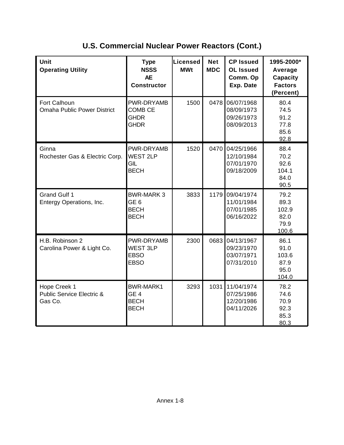| <b>Unit</b><br><b>Operating Utility</b>                         | <b>Type</b><br><b>NSSS</b><br><b>AE</b><br><b>Constructor</b>     | <b>Licensed</b><br><b>MWt</b> | <b>Net</b><br><b>MDC</b> | <b>CP Issued</b><br><b>OL Issued</b><br>Comm. Op<br>Exp. Date | 1995-2000*<br>Average<br><b>Capacity</b><br><b>Factors</b><br>(Percent) |
|-----------------------------------------------------------------|-------------------------------------------------------------------|-------------------------------|--------------------------|---------------------------------------------------------------|-------------------------------------------------------------------------|
| Fort Calhoun<br><b>Omaha Public Power District</b>              | PWR-DRYAMB<br><b>COMB CE</b><br><b>GHDR</b><br><b>GHDR</b>        | 1500                          | 0478                     | 06/07/1968<br>08/09/1973<br>09/26/1973<br>08/09/2013          | 80.4<br>74.5<br>91.2<br>77.8<br>85.6<br>92.8                            |
| Ginna<br>Rochester Gas & Electric Corp.                         | PWR-DRYAMB<br><b>WEST 2LP</b><br>GIL<br><b>BECH</b>               | 1520                          | 0470                     | 04/25/1966<br>12/10/1984<br>07/01/1970<br>09/18/2009          | 88.4<br>70.2<br>92.6<br>104.1<br>84.0<br>90.5                           |
| <b>Grand Gulf 1</b><br>Entergy Operations, Inc.                 | <b>BWR-MARK3</b><br>GE <sub>6</sub><br><b>BECH</b><br><b>BECH</b> | 3833                          | 1179                     | 09/04/1974<br>11/01/1984<br>07/01/1985<br>06/16/2022          | 79.2<br>89.3<br>102.9<br>82.0<br>79.9<br>100.6                          |
| H.B. Robinson 2<br>Carolina Power & Light Co.                   | PWR-DRYAMB<br><b>WEST 3LP</b><br><b>EBSO</b><br><b>EBSO</b>       | 2300                          | 0683                     | 04/13/1967<br>09/23/1970<br>03/07/1971<br>07/31/2010          | 86.1<br>91.0<br>103.6<br>87.9<br>95.0<br>104.0                          |
| Hope Creek 1<br><b>Public Service Electric &amp;</b><br>Gas Co. | <b>BWR-MARK1</b><br>GE <sub>4</sub><br><b>BECH</b><br><b>BECH</b> | 3293                          | 1031                     | 11/04/1974<br>07/25/1986<br>12/20/1986<br>04/11/2026          | 78.2<br>74.6<br>70.9<br>92.3<br>85.3<br>80.3                            |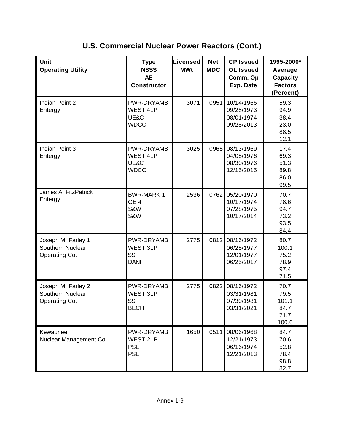| Unit<br><b>Operating Utility</b>                        | <b>Type</b><br><b>NSSS</b><br><b>AE</b><br><b>Constructor</b> | <b>Licensed</b><br><b>MWt</b> | <b>Net</b><br><b>MDC</b> | <b>CP Issued</b><br><b>OL Issued</b><br>Comm. Op<br>Exp. Date | 1995-2000*<br>Average<br><b>Capacity</b><br><b>Factors</b><br>(Percent) |
|---------------------------------------------------------|---------------------------------------------------------------|-------------------------------|--------------------------|---------------------------------------------------------------|-------------------------------------------------------------------------|
| Indian Point 2<br>Entergy                               | PWR-DRYAMB<br><b>WEST 4LP</b><br>UE&C<br><b>WDCO</b>          | 3071                          | 0951                     | 10/14/1966<br>09/28/1973<br>08/01/1974<br>09/28/2013          | 59.3<br>94.9<br>38.4<br>23.0<br>88.5<br>12.1                            |
| Indian Point 3<br>Entergy                               | PWR-DRYAMB<br><b>WEST 4LP</b><br>UE&C<br><b>WDCO</b>          | 3025                          | 0965                     | 08/13/1969<br>04/05/1976<br>08/30/1976<br>12/15/2015          | 17.4<br>69.3<br>51.3<br>89.8<br>86.0<br>99.5                            |
| James A. FitzPatrick<br>Entergy                         | <b>BWR-MARK1</b><br>GE <sub>4</sub><br>S&W<br>S&W             | 2536                          | 0762                     | 05/20/1970<br>10/17/1974<br>07/28/1975<br>10/17/2014          | 70.7<br>78.6<br>94.7<br>73.2<br>93.5<br>84.4                            |
| Joseph M. Farley 1<br>Southern Nuclear<br>Operating Co. | PWR-DRYAMB<br><b>WEST 3LP</b><br>SSI<br><b>DANI</b>           | 2775                          | 0812                     | 08/16/1972<br>06/25/1977<br>12/01/1977<br>06/25/2017          | 80.7<br>100.1<br>75.2<br>78.9<br>97.4<br>71.5                           |
| Joseph M. Farley 2<br>Southern Nuclear<br>Operating Co. | PWR-DRYAMB<br><b>WEST 3LP</b><br>SSI<br><b>BECH</b>           | 2775                          | 0822                     | 08/16/1972<br>03/31/1981<br>07/30/1981<br>03/31/2021          | 70.7<br>79.5<br>101.1<br>84.7<br>71.7<br>100.0                          |
| Kewaunee<br>Nuclear Management Co.                      | PWR-DRYAMB<br><b>WEST 2LP</b><br><b>PSE</b><br><b>PSE</b>     | 1650                          | 0511                     | 08/06/1968<br>12/21/1973<br>06/16/1974<br>12/21/2013          | 84.7<br>70.6<br>52.8<br>78.4<br>98.8<br>82.7                            |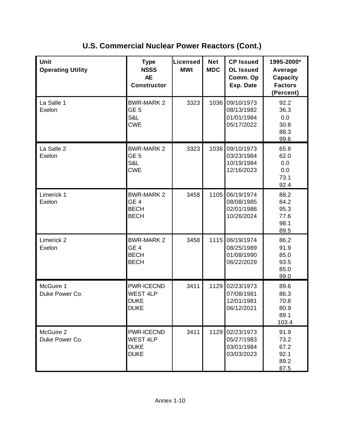| Unit<br><b>Operating Utility</b> | <b>Type</b><br><b>NSSS</b><br><b>AE</b><br><b>Constructor</b>      | Licensed<br><b>MWt</b> | <b>Net</b><br><b>MDC</b> | <b>CP Issued</b><br><b>OL Issued</b><br>Comm. Op<br>Exp. Date | 1995-2000*<br>Average<br>Capacity<br><b>Factors</b><br>(Percent) |
|----------------------------------|--------------------------------------------------------------------|------------------------|--------------------------|---------------------------------------------------------------|------------------------------------------------------------------|
| La Salle 1<br>Exelon             | <b>BWR-MARK 2</b><br>GE <sub>5</sub><br>S&L<br><b>CWE</b>          | 3323                   | 1036                     | 09/10/1973<br>08/13/1982<br>01/01/1984<br>05/17/2022          | 92.2<br>36.3<br>0.0<br>30.8<br>88.3<br>99.6                      |
| La Salle 2<br>Exelon             | <b>BWR-MARK 2</b><br>GE <sub>5</sub><br>S&L<br><b>CWE</b>          | 3323                   | 1036                     | 09/10/1973<br>03/23/1984<br>10/19/1984<br>12/16/2023          | 65.8<br>62.0<br>0.0<br>0.0<br>73.1<br>92.4                       |
| Limerick 1<br>Exelon             | <b>BWR-MARK 2</b><br>GE <sub>4</sub><br><b>BECH</b><br><b>BECH</b> | 3458                   | 1105                     | 06/19/1974<br>08/08/1985<br>02/01/1986<br>10/26/2024          | 88.2<br>84.2<br>95.3<br>77.6<br>98.1<br>89.5                     |
| Limerick <sub>2</sub><br>Exelon  | <b>BWR-MARK 2</b><br>GE <sub>4</sub><br><b>BECH</b><br><b>BECH</b> | 3458                   | 1115                     | 06/19/1974<br>08/25/1989<br>01/08/1990<br>06/22/2029          | 86.2<br>91.9<br>85.0<br>93.5<br>85.0<br>99.0                     |
| McGuire 1<br>Duke Power Co.      | PWR-ICECND<br><b>WEST 4LP</b><br><b>DUKE</b><br><b>DUKE</b>        | 3411                   | 1129                     | 02/23/1973<br>07/08/1981<br>12/01/1981<br>06/12/2021          | 89.6<br>86.3<br>70.8<br>80.9<br>89.1<br>103.4                    |
| McGuire 2<br>Duke Power Co.      | PWR-ICECND<br><b>WEST 4LP</b><br><b>DUKE</b><br><b>DUKE</b>        | 3411                   |                          | 1129 02/23/1973<br>05/27/1983<br>03/01/1984<br>03/03/2023     | 91.9<br>73.2<br>67.2<br>92.1<br>89.2<br>87.5                     |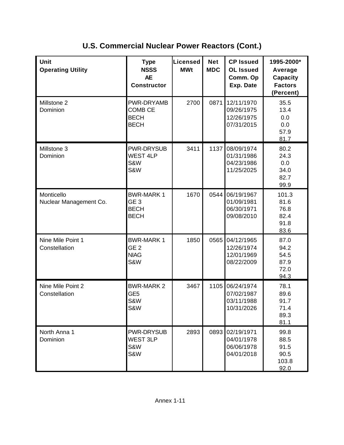| Unit<br><b>Operating Utility</b>     | <b>Type</b><br><b>NSSS</b><br><b>AE</b><br><b>Constructor</b>     | <b>Licensed</b><br><b>MWt</b> | <b>Net</b><br><b>MDC</b> | <b>CP Issued</b><br><b>OL Issued</b><br>Comm. Op<br>Exp. Date | 1995-2000*<br>Average<br><b>Capacity</b><br><b>Factors</b><br>(Percent) |
|--------------------------------------|-------------------------------------------------------------------|-------------------------------|--------------------------|---------------------------------------------------------------|-------------------------------------------------------------------------|
| Millstone 2<br>Dominion              | PWR-DRYAMB<br><b>COMB CE</b><br><b>BECH</b><br><b>BECH</b>        | 2700                          | 0871                     | 12/11/1970<br>09/26/1975<br>12/26/1975<br>07/31/2015          | 35.5<br>13.4<br>0.0<br>0.0<br>57.9<br>81.7                              |
| Millstone 3<br>Dominion              | PWR-DRYSUB<br><b>WEST 4LP</b><br>S&W<br>S&W                       | 3411                          | 1137                     | 08/09/1974<br>01/31/1986<br>04/23/1986<br>11/25/2025          | 80.2<br>24.3<br>0.0<br>34.0<br>82.7<br>99.9                             |
| Monticello<br>Nuclear Management Co. | <b>BWR-MARK1</b><br>GE <sub>3</sub><br><b>BECH</b><br><b>BECH</b> | 1670                          | 0544                     | 06/19/1967<br>01/09/1981<br>06/30/1971<br>09/08/2010          | 101.3<br>81.6<br>76.8<br>82.4<br>91.8<br>83.6                           |
| Nine Mile Point 1<br>Constellation   | <b>BWR-MARK1</b><br>GE <sub>2</sub><br><b>NIAG</b><br>S&W         | 1850                          | 0565                     | 04/12/1965<br>12/26/1974<br>12/01/1969<br>08/22/2009          | 87.0<br>94.2<br>54.5<br>87.9<br>72.0<br>94.3                            |
| Nine Mile Point 2<br>Constellation   | <b>BWR-MARK 2</b><br>GE <sub>5</sub><br>S&W<br>S&W                | 3467                          | 1105                     | 06/24/1974<br>07/02/1987<br>03/11/1988<br>10/31/2026          | 78.1<br>89.6<br>91.7<br>71.4<br>89.3<br>81.1                            |
| North Anna 1<br>Dominion             | PWR-DRYSUB<br><b>WEST 3LP</b><br>S&W<br>S&W                       | 2893                          | 0893                     | 02/19/1971<br>04/01/1978<br>06/06/1978<br>04/01/2018          | 99.8<br>88.5<br>91.5<br>90.5<br>103.8<br>92.0                           |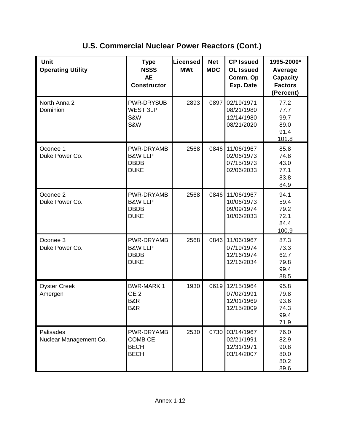| Unit<br><b>Operating Utility</b>    | <b>Type</b><br><b>NSSS</b><br><b>AE</b><br><b>Constructor</b>  | <b>Licensed</b><br><b>MWt</b> | <b>Net</b><br><b>MDC</b> | <b>CP Issued</b><br><b>OL Issued</b><br>Comm. Op<br>Exp. Date | 1995-2000*<br>Average<br><b>Capacity</b><br><b>Factors</b><br>(Percent) |
|-------------------------------------|----------------------------------------------------------------|-------------------------------|--------------------------|---------------------------------------------------------------|-------------------------------------------------------------------------|
| North Anna 2<br>Dominion            | PWR-DRYSUB<br><b>WEST 3LP</b><br>S&W<br>S&W                    | 2893                          | 0897                     | 02/19/1971<br>08/21/1980<br>12/14/1980<br>08/21/2020          | 77.2<br>77.7<br>99.7<br>89.0<br>91.4<br>101.8                           |
| Oconee 1<br>Duke Power Co.          | PWR-DRYAMB<br><b>B&amp;W LLP</b><br><b>DBDB</b><br><b>DUKE</b> | 2568                          | 0846                     | 11/06/1967<br>02/06/1973<br>07/15/1973<br>02/06/2033          | 85.8<br>74.8<br>43.0<br>77.1<br>83.8<br>84.9                            |
| Oconee 2<br>Duke Power Co.          | PWR-DRYAMB<br><b>B&amp;W LLP</b><br><b>DBDB</b><br><b>DUKE</b> | 2568                          | 0846                     | 11/06/1967<br>10/06/1973<br>09/09/1974<br>10/06/2033          | 94.1<br>59.4<br>79.2<br>72.1<br>84.4<br>100.9                           |
| Oconee 3<br>Duke Power Co.          | PWR-DRYAMB<br><b>B&amp;W LLP</b><br><b>DBDB</b><br><b>DUKE</b> | 2568                          | 0846                     | 11/06/1967<br>07/19/1974<br>12/16/1974<br>12/16/2034          | 87.3<br>73.3<br>62.7<br>79.8<br>99.4<br>88.5                            |
| <b>Oyster Creek</b><br>Amergen      | <b>BWR-MARK1</b><br>GE <sub>2</sub><br>B&R<br>B&R              | 1930                          | 0619                     | 12/15/1964<br>07/02/1991<br>12/01/1969<br>12/15/2009          | 95.8<br>79.8<br>93.6<br>74.3<br>99.4<br>71.9                            |
| Palisades<br>Nuclear Management Co. | PWR-DRYAMB<br><b>COMB CE</b><br><b>BECH</b><br><b>BECH</b>     | 2530                          |                          | 0730 03/14/1967<br>02/21/1991<br>12/31/1971<br>03/14/2007     | 76.0<br>82.9<br>90.8<br>80.0<br>80.2<br>89.6                            |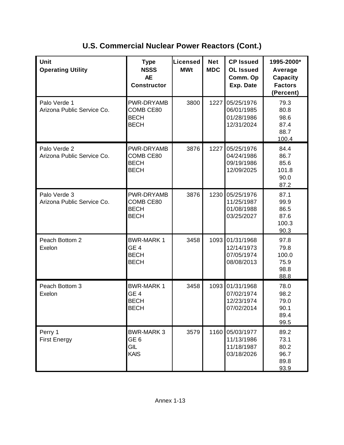| Unit<br><b>Operating Utility</b>           | <b>Type</b><br><b>NSSS</b><br><b>AE</b><br><b>Constructor</b>     | Licensed<br><b>MWt</b> | <b>Net</b><br><b>MDC</b> | <b>CP Issued</b><br><b>OL Issued</b><br>Comm. Op<br>Exp. Date | 1995-2000*<br>Average<br><b>Capacity</b><br><b>Factors</b><br>(Percent) |
|--------------------------------------------|-------------------------------------------------------------------|------------------------|--------------------------|---------------------------------------------------------------|-------------------------------------------------------------------------|
| Palo Verde 1<br>Arizona Public Service Co. | PWR-DRYAMB<br>COMB CE80<br><b>BECH</b><br><b>BECH</b>             | 3800                   | 1227                     | 05/25/1976<br>06/01/1985<br>01/28/1986<br>12/31/2024          | 79.3<br>80.8<br>98.6<br>87.4<br>88.7<br>100.4                           |
| Palo Verde 2<br>Arizona Public Service Co. | PWR-DRYAMB<br>COMB CE80<br><b>BECH</b><br><b>BECH</b>             | 3876                   | 1227                     | 05/25/1976<br>04/24/1986<br>09/19/1986<br>12/09/2025          | 84.4<br>86.7<br>85.6<br>101.8<br>90.0<br>87.2                           |
| Palo Verde 3<br>Arizona Public Service Co. | PWR-DRYAMB<br>COMB CE80<br><b>BECH</b><br><b>BECH</b>             | 3876                   | 1230                     | 05/25/1976<br>11/25/1987<br>01/08/1988<br>03/25/2027          | 87.1<br>99.9<br>86.5<br>87.6<br>100.3<br>90.3                           |
| Peach Bottom 2<br>Exelon                   | <b>BWR-MARK1</b><br>GE <sub>4</sub><br><b>BECH</b><br><b>BECH</b> | 3458                   | 1093                     | 01/31/1968<br>12/14/1973<br>07/05/1974<br>08/08/2013          | 97.8<br>79.8<br>100.0<br>75.9<br>98.8<br>88.8                           |
| Peach Bottom 3<br>Exelon                   | <b>BWR-MARK1</b><br>GE <sub>4</sub><br><b>BECH</b><br><b>BECH</b> | 3458                   | 1093                     | 01/31/1968<br>07/02/1974<br>12/23/1974<br>07/02/2014          | 78.0<br>98.2<br>79.0<br>90.1<br>89.4<br>99.5                            |
| Perry 1<br><b>First Energy</b>             | <b>BWR-MARK 3</b><br>GE <sub>6</sub><br>GIL<br>KAIS               | 3579                   | 1160                     | 05/03/1977<br>11/13/1986<br>11/18/1987<br>03/18/2026          | 89.2<br>73.1<br>80.2<br>96.7<br>89.8<br>93.9                            |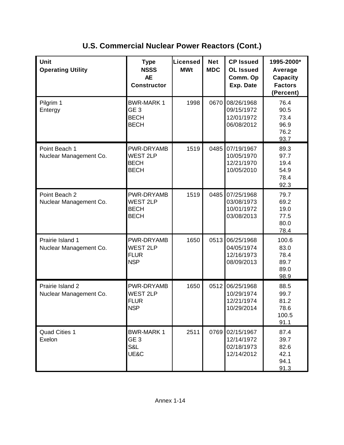| Unit<br><b>Operating Utility</b>           | <b>Type</b><br><b>NSSS</b><br><b>AE</b><br><b>Constructor</b>      | <b>Net</b><br>Licensed<br><b>MDC</b><br><b>MWt</b> |      | <b>CP Issued</b><br><b>OL Issued</b><br>Comm. Op<br>Exp. Date | 1995-2000*<br>Average<br><b>Capacity</b><br><b>Factors</b><br>(Percent) |                                               |
|--------------------------------------------|--------------------------------------------------------------------|----------------------------------------------------|------|---------------------------------------------------------------|-------------------------------------------------------------------------|-----------------------------------------------|
| Pilgrim 1<br>Entergy                       | <b>BWR-MARK1</b><br>GE <sub>3</sub><br><b>BECH</b><br><b>BECH</b>  | 1998                                               | 0670 | 08/26/1968<br>09/15/1972<br>12/01/1972<br>06/08/2012          | 76.4<br>90.5<br>73.4<br>96.9<br>76.2<br>93.7                            |                                               |
| Point Beach 1<br>Nuclear Management Co.    | PWR-DRYAMB<br><b>WEST 2LP</b><br><b>BECH</b><br><b>BECH</b>        | 1519                                               | 0485 | 07/19/1967<br>10/05/1970<br>12/21/1970<br>10/05/2010          | 89.3<br>97.7<br>19.4<br>54.9<br>78.4<br>92.3                            |                                               |
| Point Beach 2<br>Nuclear Management Co.    | <b>PWR-DRYAMB</b><br><b>WEST 2LP</b><br><b>BECH</b><br><b>BECH</b> | 1519                                               | 0485 | 07/25/1968<br>03/08/1973<br>10/01/1972<br>03/08/2013          | 79.7<br>69.2<br>19.0<br>77.5<br>80.0<br>78.4                            |                                               |
| Prairie Island 1<br>Nuclear Management Co. | PWR-DRYAMB<br><b>WEST 2LP</b><br><b>FLUR</b><br><b>NSP</b>         | 1650                                               | 0513 | 06/25/1968<br>04/05/1974<br>12/16/1973<br>08/09/2013          | 100.6<br>83.0<br>78.4<br>89.7<br>89.0<br>98.9                           |                                               |
| Prairie Island 2<br>Nuclear Management Co. | PWR-DRYAMB<br><b>WEST 2LP</b><br><b>FLUR</b><br><b>NSP</b>         |                                                    | 1650 | 0512                                                          | 06/25/1968<br>10/29/1974<br>12/21/1974<br>10/29/2014                    | 88.5<br>99.7<br>81.2<br>78.6<br>100.5<br>91.1 |
| <b>Quad Cities 1</b><br>Exelon             | <b>BWR-MARK1</b><br>GE <sub>3</sub><br>S&L<br>UE&C                 | 2511                                               | 0769 | 02/15/1967<br>12/14/1972<br>02/18/1973<br>12/14/2012          | 87.4<br>39.7<br>82.6<br>42.1<br>94.1<br>91.3                            |                                               |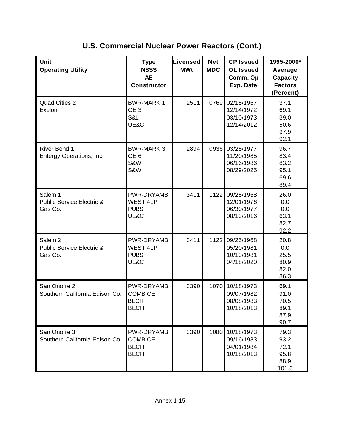| Unit<br><b>Operating Utility</b>                                      | <b>Type</b><br><b>NSSS</b><br><b>AE</b><br><b>Constructor</b> | Licensed<br><b>MWt</b> | <b>Net</b><br><b>MDC</b> | <b>CP Issued</b><br><b>OL Issued</b><br>Comm. Op<br>Exp. Date | 1995-2000*<br>Average<br><b>Capacity</b><br><b>Factors</b><br>(Percent) |
|-----------------------------------------------------------------------|---------------------------------------------------------------|------------------------|--------------------------|---------------------------------------------------------------|-------------------------------------------------------------------------|
| <b>Quad Cities 2</b><br>Exelon                                        | <b>BWR-MARK1</b><br>GE <sub>3</sub><br>S&L<br>UE&C            | 2511                   | 0769                     | 02/15/1967<br>12/14/1972<br>03/10/1973<br>12/14/2012          | 37.1<br>69.1<br>39.0<br>50.6<br>97.9<br>92.1                            |
| River Bend 1<br><b>Entergy Operations, Inc</b>                        | <b>BWR-MARK 3</b><br>GE <sub>6</sub><br>S&W<br>S&W            | 2894                   | 0936                     | 03/25/1977<br>11/20/1985<br>06/16/1986<br>08/29/2025          | 96.7<br>83.4<br>83.2<br>95.1<br>69.6<br>89.4                            |
| Salem 1<br><b>Public Service Electric &amp;</b><br>Gas Co.            | PWR-DRYAMB<br><b>WEST 4LP</b><br><b>PUBS</b><br>UE&C          | 3411                   | 1122                     | 09/25/1968<br>12/01/1976<br>06/30/1977<br>08/13/2016          | 26.0<br>0.0<br>0.0<br>63.1<br>82.7<br>92.2                              |
| Salem <sub>2</sub><br><b>Public Service Electric &amp;</b><br>Gas Co. | PWR-DRYAMB<br><b>WEST 4LP</b><br><b>PUBS</b><br>UE&C          | 3411                   | 1122                     | 09/25/1968<br>05/20/1981<br>10/13/1981<br>04/18/2020          | 20.8<br>0.0<br>25.5<br>80.9<br>82.0<br>86.3                             |
| San Onofre 2<br>Southern California Edison Co.                        | PWR-DRYAMB<br><b>COMB CE</b><br><b>BECH</b><br><b>BECH</b>    | 3390                   | 1070                     | 10/18/1973<br>09/07/1982<br>08/08/1983<br>10/18/2013          | 69.1<br>91.0<br>70.5<br>89.1<br>87.9<br>90.7                            |
| San Onofre 3<br>Southern California Edison Co.                        | PWR-DRYAMB<br><b>COMB CE</b><br><b>BECH</b><br><b>BECH</b>    | 3390                   | 1080                     | 10/18/1973<br>09/16/1983<br>04/01/1984<br>10/18/2013          | 79.3<br>93.2<br>72.1<br>95.8<br>88.9<br>101.6                           |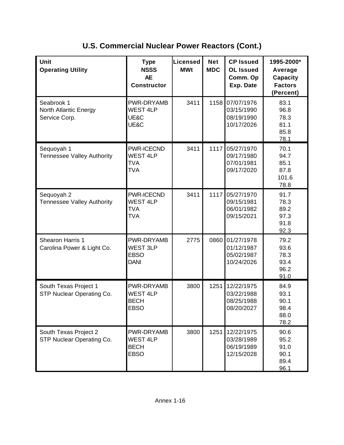| <b>Unit</b><br><b>Operating Utility</b>              | <b>Type</b><br><b>NSSS</b><br><b>AE</b><br><b>Constructor</b> | <b>Licensed</b><br><b>MWt</b>                               | <b>Net</b><br><b>MDC</b>                                     | <b>CP Issued</b><br><b>OL Issued</b><br>Comm. Op<br>Exp. Date | 1995-2000*<br>Average<br><b>Capacity</b><br><b>Factors</b><br>(Percent) |                                              |
|------------------------------------------------------|---------------------------------------------------------------|-------------------------------------------------------------|--------------------------------------------------------------|---------------------------------------------------------------|-------------------------------------------------------------------------|----------------------------------------------|
| Seabrook 1<br>North Atlantic Energy<br>Service Corp. | <b>PWR-DRYAMB</b><br><b>WEST 4LP</b><br>UE&C<br>UE&C          | 3411                                                        | 1158                                                         | 07/07/1976<br>03/15/1990<br>08/19/1990<br>10/17/2026          | 83.1<br>96.8<br>78.3<br>81.1<br>85.8<br>78.1                            |                                              |
| Sequoyah 1<br><b>Tennessee Valley Authority</b>      | PWR-ICECND<br><b>WEST 4LP</b><br><b>TVA</b><br><b>TVA</b>     | 3411                                                        | 1117                                                         | 05/27/1970<br>09/17/1980<br>07/01/1981<br>09/17/2020          | 70.1<br>94.7<br>85.1<br>87.8<br>101.6<br>78.8                           |                                              |
| Sequoyah 2<br><b>Tennessee Valley Authority</b>      | PWR-ICECND<br><b>WEST 4LP</b><br><b>TVA</b><br><b>TVA</b>     | 3411                                                        | 1117                                                         | 05/27/1970<br>09/15/1981<br>06/01/1982<br>09/15/2021          | 91.7<br>78.3<br>89.2<br>97.3<br>91.8<br>92.3                            |                                              |
| Shearon Harris 1<br>Carolina Power & Light Co.       | PWR-DRYAMB<br><b>WEST 3LP</b><br><b>EBSO</b><br><b>DANI</b>   | 2775                                                        | 0860<br>01/27/1978<br>01/12/1987<br>05/02/1987<br>10/24/2026 |                                                               | 79.2<br>93.6<br>78.3<br>93.4<br>96.2<br>91.0                            |                                              |
| South Texas Project 1<br>STP Nuclear Operating Co.   |                                                               | PWR-DRYAMB<br><b>WEST 4LP</b><br><b>BECH</b><br><b>EBSO</b> | 3800                                                         | 1251<br>12/22/1975<br>03/22/1988<br>08/25/1988<br>08/20/2027  |                                                                         | 84.9<br>93.1<br>90.1<br>98.4<br>88.0<br>78.2 |
| South Texas Project 2<br>STP Nuclear Operating Co.   | PWR-DRYAMB<br><b>WEST 4LP</b><br><b>BECH</b><br><b>EBSO</b>   | 3800                                                        | 1251                                                         | 12/22/1975<br>03/28/1989<br>06/19/1989<br>12/15/2028          | 90.6<br>95.2<br>91.0<br>90.1<br>89.4<br>96.1                            |                                              |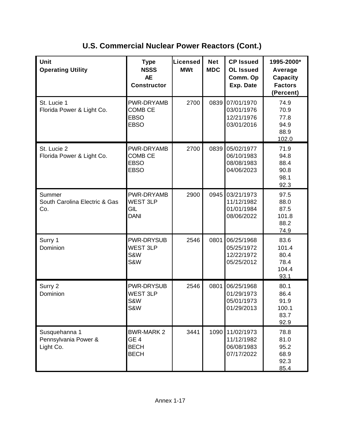| <b>Unit</b><br><b>Operating Utility</b>            | <b>Type</b><br><b>NSSS</b><br><b>AE</b><br><b>Constructor</b>      | <b>Licensed</b><br><b>MWt</b> | <b>Net</b><br><b>MDC</b> | <b>CP Issued</b><br><b>OL Issued</b><br>Comm. Op<br>Exp. Date | 1995-2000*<br>Average<br><b>Capacity</b><br><b>Factors</b><br>(Percent) |
|----------------------------------------------------|--------------------------------------------------------------------|-------------------------------|--------------------------|---------------------------------------------------------------|-------------------------------------------------------------------------|
| St. Lucie 1<br>Florida Power & Light Co.           | PWR-DRYAMB<br><b>COMB CE</b><br><b>EBSO</b><br><b>EBSO</b>         | 2700                          | 0839                     | 07/01/1970<br>03/01/1976<br>12/21/1976<br>03/01/2016          | 74.9<br>70.9<br>77.8<br>94.9<br>88.9<br>102.0                           |
| St. Lucie 2<br>Florida Power & Light Co.           | PWR-DRYAMB<br><b>COMB CE</b><br><b>EBSO</b><br><b>EBSO</b>         | 2700                          | 0839                     | 05/02/1977<br>06/10/1983<br>08/08/1983<br>04/06/2023          | 71.9<br>94.8<br>88.4<br>90.8<br>98.1<br>92.3                            |
| Summer<br>South Carolina Electric & Gas<br>Co.     | PWR-DRYAMB<br><b>WEST 3LP</b><br>GIL<br><b>DANI</b>                | 2900                          | 0945                     | 03/21/1973<br>11/12/1982<br>01/01/1984<br>08/06/2022          | 97.5<br>88.0<br>87.5<br>101.8<br>88.2<br>74.9                           |
| Surry 1<br>Dominion                                | PWR-DRYSUB<br>WEST 3LP<br>S&W<br>S&W                               | 2546                          | 0801                     | 06/25/1968<br>05/25/1972<br>12/22/1972<br>05/25/2012          | 83.6<br>101.4<br>80.4<br>78.4<br>104.4<br>93.1                          |
| Surry 2<br>Dominion                                | PWR-DRYSUB<br><b>WEST 3LP</b><br>S&W<br><b>S&amp;W</b>             | 2546                          | 0801                     | 06/25/1968<br>01/29/1973<br>05/01/1973<br>01/29/2013          | 80.1<br>86.4<br>91.9<br>100.1<br>83.7<br>92.9                           |
| Susquehanna 1<br>Pennsylvania Power &<br>Light Co. | <b>BWR-MARK 2</b><br>GE <sub>4</sub><br><b>BECH</b><br><b>BECH</b> | 3441                          | 1090                     | 11/02/1973<br>11/12/1982<br>06/08/1983<br>07/17/2022          | 78.8<br>81.0<br>95.2<br>68.9<br>92.3<br>85.4                            |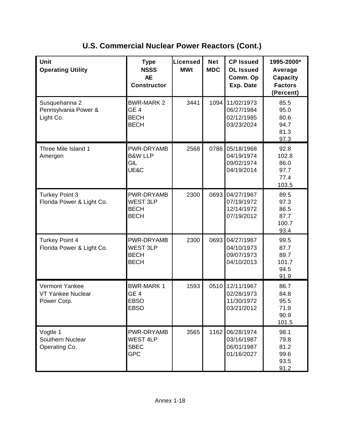| <b>Unit</b><br><b>Operating Utility</b>                   | <b>Type</b><br><b>NSSS</b><br><b>AE</b><br><b>Constructor</b>      | <b>Licensed</b><br><b>MWt</b> | <b>Net</b><br><b>MDC</b> | <b>CP Issued</b><br><b>OL Issued</b><br>Comm. Op<br>Exp. Date | 1995-2000*<br>Average<br><b>Capacity</b><br><b>Factors</b><br>(Percent) |
|-----------------------------------------------------------|--------------------------------------------------------------------|-------------------------------|--------------------------|---------------------------------------------------------------|-------------------------------------------------------------------------|
| Susquehanna 2<br>Pennsylvania Power &<br>Light Co.        | <b>BWR-MARK 2</b><br>GE <sub>4</sub><br><b>BECH</b><br><b>BECH</b> | 3441                          | 1094                     | 11/02/1973<br>06/27/1984<br>02/12/1985<br>03/23/2024          | 85.5<br>95.0<br>80.6<br>94.7<br>81.3<br>97.3                            |
| Three Mile Island 1<br>Amergen                            | PWR-DRYAMB<br><b>B&amp;W LLP</b><br>GIL<br>UE&C                    | 2568                          | 0786                     | 05/18/1968<br>04/19/1974<br>09/02/1974<br>04/19/2014          | 92.8<br>102.8<br>86.0<br>97.7<br>77.4<br>103.5                          |
| <b>Turkey Point 3</b><br>Florida Power & Light Co.        | PWR-DRYAMB<br><b>WEST 3LP</b><br><b>BECH</b><br><b>BECH</b>        | 2300                          | 0693                     | 04/27/1967<br>07/19/1972<br>12/14/1972<br>07/19/2012          | 89.5<br>97.3<br>86.5<br>87.7<br>100.7<br>93.4                           |
| <b>Turkey Point 4</b><br>Florida Power & Light Co.        | PWR-DRYAMB<br><b>WEST 3LP</b><br><b>BECH</b><br><b>BECH</b>        | 2300                          | 0693                     | 04/27/1967<br>04/10/1973<br>09/07/1973<br>04/10/2013          | 99.5<br>87.7<br>89.7<br>101.7<br>94.5<br>91.9                           |
| Vermont Yankee<br><b>VT Yankee Nuclear</b><br>Power Corp. | <b>BWR-MARK1</b><br>GE <sub>4</sub><br><b>EBSO</b><br><b>EBSO</b>  | 1593                          | 0510                     | 12/11/1967<br>02/28/1973<br>11/30/1972<br>03/21/2012          | 86.7<br>84.8<br>95.5<br>71.9<br>90.9<br>101.5                           |
| Vogtle 1<br>Southern Nuclear<br>Operating Co.             | PWR-DRYAMB<br><b>WEST 4LP</b><br><b>SBEC</b><br><b>GPC</b>         | 3565                          | 1162                     | 06/28/1974<br>03/16/1987<br>06/01/1987<br>01/16/2027          | 98.1<br>79.8<br>81.2<br>99.6<br>93.5<br>91.2                            |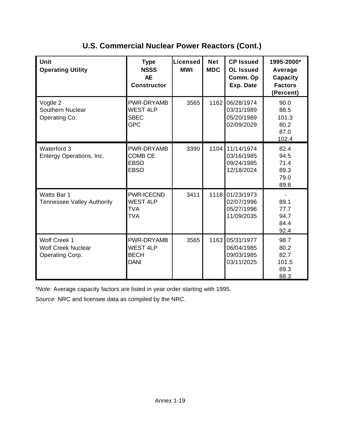| Unit<br><b>Operating Utility</b>                                    | <b>Type</b><br><b>NSSS</b><br><b>AE</b><br><b>Constructor</b>    | Licensed<br><b>MWt</b> | <b>Net</b><br><b>MDC</b> | <b>CP Issued</b><br><b>OL Issued</b><br>Comm. Op<br>Exp. Date | 1995-2000*<br>Average<br><b>Capacity</b><br><b>Factors</b><br>(Percent) |
|---------------------------------------------------------------------|------------------------------------------------------------------|------------------------|--------------------------|---------------------------------------------------------------|-------------------------------------------------------------------------|
| Vogtle 2<br>Southern Nuclear<br>Operating Co.                       | PWR-DRYAMB<br><b>WEST 4LP</b><br><b>SBEC</b><br><b>GPC</b>       | 3565                   | 1162                     | 06/28/1974<br>03/31/1989<br>05/20/1989<br>02/09/2029          | 90.0<br>88.5<br>101.3<br>80.2<br>87.0<br>102.4                          |
| Waterford 3<br>Entergy Operations, Inc.                             | PWR-DRYAMB<br><b>COMB CE</b><br><b>EBSO</b><br><b>EBSO</b>       | 3390                   | 1104                     | 11/14/1974<br>03/16/1985<br>09/24/1985<br>12/18/2024          | 82.4<br>94.5<br>71.4<br>89.3<br>79.0<br>89.8                            |
| Watts Bar 1<br><b>Tennessee Valley Authority</b>                    | <b>PWR-ICECND</b><br><b>WEST 4LP</b><br><b>TVA</b><br><b>TVA</b> | 3411                   | 1118                     | 01/23/1973<br>02/07/1996<br>05/27/1996<br>11/09/2035          | $\blacksquare$<br>89.1<br>77.7<br>94.7<br>84.4<br>92.4                  |
| <b>Wolf Creek 1</b><br><b>Wolf Creek Nuclear</b><br>Operating Corp. | PWR-DRYAMB<br><b>WEST 4LP</b><br><b>BECH</b><br><b>DANI</b>      | 3565                   | 1163                     | 05/31/1977<br>06/04/1985<br>09/03/1985<br>03/11/2025          | 98.7<br>80.2<br>82.7<br>101.5<br>89.3<br>88.3                           |

\**Note:* Average capacity factors are listed in year order starting with 1995.

*Source:* NRC and licensee data as compiled by the NRC.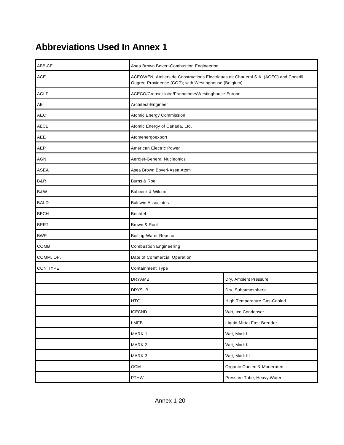# **Abbreviations Used In Annex 1**

| ABB-CE      | Asea Brown Boveri-Combustion Engineering                                                                                                     |                             |  |  |  |
|-------------|----------------------------------------------------------------------------------------------------------------------------------------------|-----------------------------|--|--|--|
| <b>ACE</b>  | ACEOWEN, Ateliers de Constructions Electriques de Charleroi S.A. (ACEC) and Cocerill<br>Ougree-Providence (COP); with Westinghouse (Belgium) |                             |  |  |  |
| <b>ACLF</b> | ACECO/Creusot-loire/Framatome/Westinghouse-Europe                                                                                            |                             |  |  |  |
| AE          | Architect-Engineer                                                                                                                           |                             |  |  |  |
| <b>AEC</b>  | <b>Atomic Energy Commission</b>                                                                                                              |                             |  |  |  |
| <b>AECL</b> | Atomic Energy of Canada, Ltd.                                                                                                                |                             |  |  |  |
| AEE         | Atomenergoexport                                                                                                                             |                             |  |  |  |
| AEP         | American Electric Power                                                                                                                      |                             |  |  |  |
| <b>AGN</b>  | Aerojet-General Nucleonics                                                                                                                   |                             |  |  |  |
| ASEA        | Asea Brown Boveri-Asea Atom                                                                                                                  |                             |  |  |  |
| B&R         | Burns & Roe                                                                                                                                  |                             |  |  |  |
| B&W         | Babcock & Wilcox                                                                                                                             |                             |  |  |  |
| <b>BALD</b> | <b>Baldwin Associates</b>                                                                                                                    |                             |  |  |  |
| <b>BECH</b> | Bechtel                                                                                                                                      |                             |  |  |  |
| <b>BRRT</b> | Brown & Root                                                                                                                                 |                             |  |  |  |
| <b>BWR</b>  | Boiling-Water Reactor                                                                                                                        |                             |  |  |  |
| COMB        | <b>Combustion Engineering</b>                                                                                                                |                             |  |  |  |
| COMM. OP.   | Date of Commercial Operation                                                                                                                 |                             |  |  |  |
| CON TYPE    | Containment Type                                                                                                                             |                             |  |  |  |
|             | <b>DRYAMB</b>                                                                                                                                | Dry, Ambient Pressure       |  |  |  |
|             | <b>DRYSUB</b>                                                                                                                                | Dry, Subatmospheric         |  |  |  |
|             | <b>HTG</b>                                                                                                                                   | High-Temperature Gas-Cooled |  |  |  |
|             | <b>ICECND</b>                                                                                                                                | Wet, Ice Condenser          |  |  |  |
|             | LMFB                                                                                                                                         | Liquid Metal Fast Breeder   |  |  |  |
|             | MARK 1                                                                                                                                       | Wet, Mark I                 |  |  |  |
|             | MARK <sub>2</sub>                                                                                                                            | Wet, Mark II                |  |  |  |
|             | MARK <sub>3</sub>                                                                                                                            | Wet, Mark III               |  |  |  |
|             | <b>OCM</b>                                                                                                                                   | Organic Cooled & Moderated  |  |  |  |
|             | <b>PTHW</b>                                                                                                                                  | Pressure Tube, Heavy Water  |  |  |  |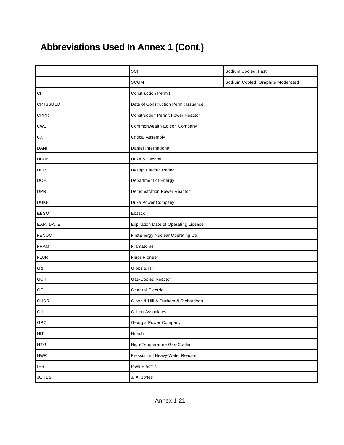# **Abbreviations Used In Annex 1 (Cont.)**

|                   | <b>SCF</b>                                  | Sodium Cooled, Fast               |  |  |  |
|-------------------|---------------------------------------------|-----------------------------------|--|--|--|
|                   | <b>SCGM</b>                                 | Sodium Cooled, Graphite Moderated |  |  |  |
| CP                | <b>Construction Permit</b>                  |                                   |  |  |  |
| CP ISSUED         | Date of Construction Permit Issuance        |                                   |  |  |  |
| <b>CPPR</b>       | <b>Construction Permit Power Reactor</b>    |                                   |  |  |  |
| <b>CWE</b>        | Commonwealth Edison Company                 |                                   |  |  |  |
| ${\sf C} {\sf X}$ | <b>Critical Assembly</b>                    |                                   |  |  |  |
| DANI              | Daniel International                        |                                   |  |  |  |
| <b>DBDB</b>       | Duke & Bechtel                              |                                   |  |  |  |
| <b>DER</b>        | Design Electric Rating                      |                                   |  |  |  |
| <b>DOE</b>        | Department of Energy                        |                                   |  |  |  |
| <b>DPR</b>        | <b>Demonstration Power Reactor</b>          |                                   |  |  |  |
| <b>DUKE</b>       | Duke Power Company                          |                                   |  |  |  |
| EBSO              | Ebasco                                      |                                   |  |  |  |
| EXP. DATE         | <b>Expiration Date of Operating License</b> |                                   |  |  |  |
| <b>FENOC</b>      | FirstEnergy Nuclear Operating Co.           |                                   |  |  |  |
| <b>FRAM</b>       | Framatome                                   |                                   |  |  |  |
| <b>FLUR</b>       | <b>Fluor Pioneer</b>                        |                                   |  |  |  |
| G&H               | Gibbs & Hill                                |                                   |  |  |  |
| GCR               | <b>Gas-Cooled Reactor</b>                   |                                   |  |  |  |
| GE                | <b>General Electric</b>                     |                                   |  |  |  |
| <b>GHDR</b>       | Gibbs & Hill & Durham & Richardson          |                                   |  |  |  |
| GIL               | <b>Gilbert Associates</b>                   |                                   |  |  |  |
| GPC               | Georgia Power Company                       |                                   |  |  |  |
| HIT               | Hitachi                                     |                                   |  |  |  |
| <b>HTG</b>        | High-Temperature Gas-Cooled                 |                                   |  |  |  |
| ${\sf HWR}$       | Pressurized Heavy-Water Reactor             |                                   |  |  |  |
| <b>IES</b>        | Iowa Electric                               |                                   |  |  |  |
| <b>JONES</b>      | J. A. Jones                                 |                                   |  |  |  |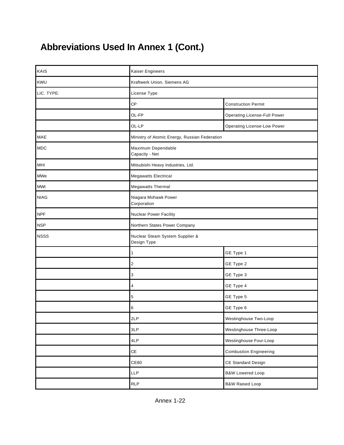# **Abbreviations Used In Annex 1 (Cont.)**

| KAIS        | Kaiser Engineers                               |                                     |  |  |  |  |
|-------------|------------------------------------------------|-------------------------------------|--|--|--|--|
| KWU         | Kraftwerk Union, Siemens AG                    |                                     |  |  |  |  |
| LIC. TYPE:  | License Type                                   |                                     |  |  |  |  |
|             | CP                                             | <b>Construction Permit</b>          |  |  |  |  |
|             | OL-FP                                          | <b>Operating License-Full Power</b> |  |  |  |  |
|             | OL-LP                                          | <b>Operating License-Low Power</b>  |  |  |  |  |
| MAE         | Ministry of Atomic Energy, Russian Federation  |                                     |  |  |  |  |
| <b>MDC</b>  | Maximum Dependable<br>Capacity - Net           |                                     |  |  |  |  |
| MHI         | Mitsubishi Heavy Industries, Ltd.              |                                     |  |  |  |  |
| MWe         | <b>Megawatts Electrical</b>                    |                                     |  |  |  |  |
| <b>MWt</b>  | <b>Megawatts Thermal</b>                       |                                     |  |  |  |  |
| <b>NIAG</b> | Niagara Mohawk Power<br>Corporation            |                                     |  |  |  |  |
| <b>NPF</b>  | Nuclear Power Facility                         |                                     |  |  |  |  |
| <b>NSP</b>  | Northern States Power Company                  |                                     |  |  |  |  |
| <b>NSSS</b> | Nuclear Steam System Supplier &<br>Design Type |                                     |  |  |  |  |
|             | $\mathbf{1}$                                   | GE Type 1                           |  |  |  |  |
|             | $\overline{\mathbf{c}}$                        | GE Type 2                           |  |  |  |  |
|             | 3                                              | GE Type 3                           |  |  |  |  |
|             | 4                                              | GE Type 4                           |  |  |  |  |
|             | 5                                              | GE Type 5                           |  |  |  |  |
|             | 6                                              | GE Type 6                           |  |  |  |  |
|             | 2LP                                            | Westinghouse Two-Loop               |  |  |  |  |
|             | 3LP                                            | Westinghouse Three-Loop             |  |  |  |  |
|             | 4LP                                            | Westinghouse Four-Loop              |  |  |  |  |
|             | CE                                             | <b>Combustion Engineering</b>       |  |  |  |  |
|             | <b>CE80</b>                                    | CE Standard Design                  |  |  |  |  |
|             | LLP                                            | <b>B&amp;W Lowered Loop</b>         |  |  |  |  |
|             | <b>RLP</b>                                     | <b>B&amp;W Raised Loop</b>          |  |  |  |  |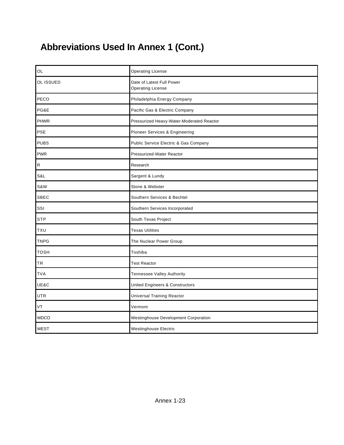# **Abbreviations Used In Annex 1 (Cont.)**

| OL          | <b>Operating License</b>                              |
|-------------|-------------------------------------------------------|
| OL ISSUED   | Date of Latest Full Power<br><b>Operating License</b> |
| PECO        | Philadelphia Energy Company                           |
| PG&E        | Pacific Gas & Electric Company                        |
| <b>PHWR</b> | Pressurized Heavy-Water-Moderated Reactor             |
| PSE         | Pioneer Services & Engineering                        |
| <b>PUBS</b> | Public Service Electric & Gas Company                 |
| <b>PWR</b>  | Pressurized-Water Reactor                             |
| ${\sf R}$   | Research                                              |
| S&L         | Sargent & Lundy                                       |
| S&W         | Stone & Webster                                       |
| <b>SBEC</b> | Southern Services & Bechtel                           |
| SSI         | Southern Services Incorporated                        |
| <b>STP</b>  | South Texas Project                                   |
| <b>TXU</b>  | <b>Texas Utilities</b>                                |
| <b>TNPG</b> | The Nuclear Power Group                               |
| <b>TOSH</b> | Toshiba                                               |
| TR          | <b>Test Reactor</b>                                   |
| <b>TVA</b>  | Tennessee Valley Authority                            |
| UE&C        | <b>United Engineers &amp; Constructors</b>            |
| <b>UTR</b>  | <b>Universal Training Reactor</b>                     |
| VT          | Vermont                                               |
| <b>WDCO</b> | Westinghouse Development Corporation                  |
| <b>WEST</b> | Westinghouse Electric                                 |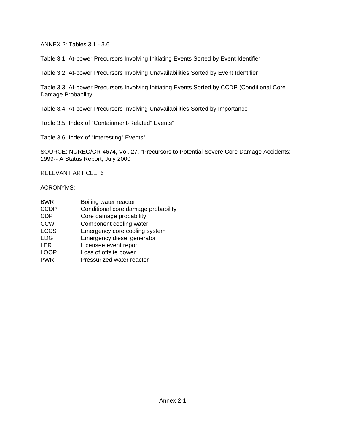ANNEX 2: Tables 3.1 - 3.6

Table 3.1: At-power Precursors Involving Initiating Events Sorted by Event Identifier

Table 3.2: At-power Precursors Involving Unavailabilities Sorted by Event Identifier

Table 3.3: At-power Precursors Involving Initiating Events Sorted by CCDP (Conditional Core Damage Probability

Table 3.4: At-power Precursors Involving Unavailabilities Sorted by Importance

Table 3.5: Index of "Containment-Related" Events"

Table 3.6: Index of "Interesting" Events"

SOURCE: NUREG/CR-4674, Vol. 27, "Precursors to Potential Severe Core Damage Accidents: 1999-- A Status Report, July 2000

RELEVANT ARTICLE: 6

#### ACRONYMS:

| <b>BWR</b>  | Boiling water reactor               |
|-------------|-------------------------------------|
| <b>CCDP</b> | Conditional core damage probability |
| <b>CDP</b>  | Core damage probability             |
| <b>CCW</b>  | Component cooling water             |
| <b>ECCS</b> | Emergency core cooling system       |
| <b>EDG</b>  | Emergency diesel generator          |
| LER         | Licensee event report               |
| LOOP        | Loss of offsite power               |
| <b>PWR</b>  | Pressurized water reactor           |
|             |                                     |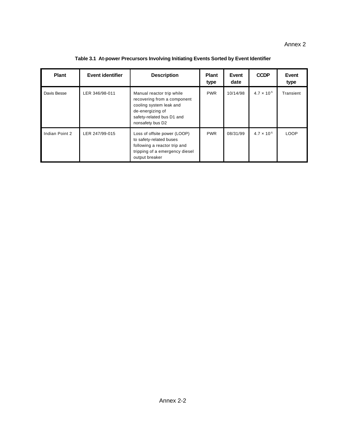| Plant          | Event identifier | <b>Description</b>                                                                                                                                       | <b>Plant</b><br>type | Event<br>date | <b>CCDP</b>          | Event<br>type |
|----------------|------------------|----------------------------------------------------------------------------------------------------------------------------------------------------------|----------------------|---------------|----------------------|---------------|
| Davis Besse    | LER 346/98-011   | Manual reactor trip while<br>recovering from a component<br>cooling system leak and<br>de-energizing of<br>safety-related bus D1 and<br>nonsafety bus D2 | <b>PWR</b>           | 10/14/98      | $4.7 \times 10^{-5}$ | Transient     |
| Indian Point 2 | LER 247/99-015   | Loss of offsite power (LOOP)<br>to safety-related buses<br>following a reactor trip and<br>tripping of a emergency diesel<br>output breaker              | <b>PWR</b>           | 08/31/99      | $4.7 \times 10^{-5}$ | LOOP          |

**Table 3.1 At-power Precursors Involving Initiating Events Sorted by Event Identifier**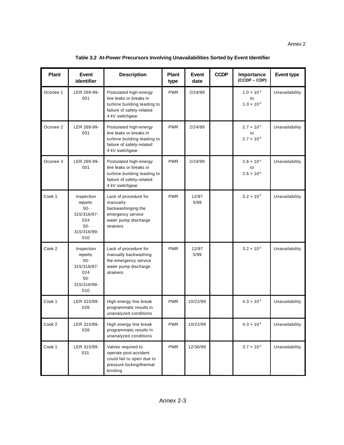| <b>Plant</b> | Event<br>identifier                                                                   | <b>Description</b>                                                                                                               | <b>Plant</b><br>type | Event<br>date | <b>CCDP</b> | Importance<br>$(CCDF - CDP)$                       | <b>Event type</b> |
|--------------|---------------------------------------------------------------------------------------|----------------------------------------------------------------------------------------------------------------------------------|----------------------|---------------|-------------|----------------------------------------------------|-------------------|
| Oconee 1     | LER 269-99-<br>001                                                                    | Postulated high-energy<br>line leaks or breaks in<br>turbine building leading to<br>failure of safety-related<br>4 kV switchgear | <b>PWR</b>           | 2/24/99       |             | $1.0 \times 10^{-3}$<br>to<br>$1.0 \times 10^{-5}$ | Unavailability    |
| Oconee 2     | LER 269-99-<br>001                                                                    | Postulated high-energy<br>line leaks or breaks in<br>turbine building leading to<br>failure of safety-related<br>4 kV switchgear | <b>PWR</b>           | 2/24/99       |             | $2.7 \times 10^{-4}$<br>to<br>$2.7 \times 10^{-6}$ | Unavailability    |
| Oconee 3     | LER 269-99-<br>001                                                                    | Postulated high-energy<br>line leaks or breaks in<br>turbine building leading to<br>failure of safety-related<br>4 kV switchgear | <b>PWR</b>           | 2/24/99       |             | $2.6 \times 10^{-4}$<br>to<br>$2.6 \times 10^{-6}$ | Unavailability    |
| Cook 1       | Inspection<br>reports:<br>$50-$<br>315/316/97-<br>024<br>$50-$<br>315/316/99-<br>010  | Lack of procedure for<br>manually<br>backwashinging the<br>emergency service<br>water pump discharge<br>strainers                | <b>PWR</b>           | 12/97<br>5/99 |             | $3.2 \times 10^{-5}$                               | Unavailability    |
| Cook 2       | Inspection<br>reports:<br>$50 -$<br>315/316/97-<br>024<br>$50-$<br>315/316/99-<br>010 | Lack of procedure for<br>manually backwashing<br>the emergency service<br>water pump discharge<br>strainers                      | <b>PWR</b>           | 12/97<br>5/99 |             | $3.2 \times 10^{-5}$                               | Unavailability    |
| Cook 1       | LER 315/99-<br>026                                                                    | High energy line break<br>programmatic results in<br>unanalyzed conditions                                                       | <b>PWR</b>           | 10/22/99      |             | $4.3 \times 10^{-4}$                               | Unavailability    |
| Cook 2       | LER 315/99-<br>026                                                                    | High energy line break<br>programmatic results in<br>unanalyzed conditions                                                       | <b>PWR</b>           | 10/22/99      |             | $4.3 \times 10^{-4}$                               | Unavailability    |
| Cook 1       | LER 315/99-<br>031                                                                    | Valves required to<br>operate post-accident<br>could fail to open due to<br>pressure locking/thermal<br>binding                  | <b>PWR</b>           | 12/30/99      |             | $3.7 \times 10^{-5}$                               | Unavailability    |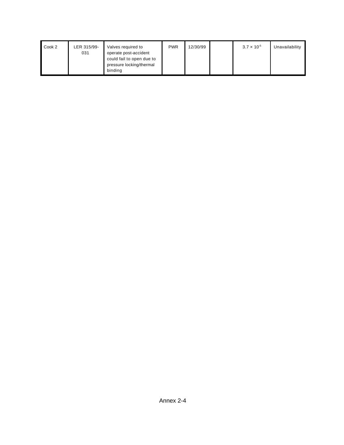| Cook 2 | LER 315/99-<br>031 | Valves required to<br>operate post-accident<br>could fail to open due to<br>pressure locking/thermal | <b>PWR</b> | 12/30/99 | $3.7 \times 10^{-5}$ | Unavailability |
|--------|--------------------|------------------------------------------------------------------------------------------------------|------------|----------|----------------------|----------------|
|        |                    | binding                                                                                              |            |          |                      |                |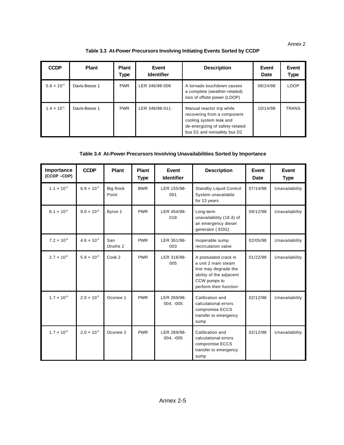Annex 2

#### **Table 3.3 At-Power Precursors Involving Initiating Events Sorted by CCDP**

| <b>CCDP</b>                   | <b>Plant</b>  | <b>Plant</b><br>Type | Event<br><b>Identifier</b> | <b>Description</b>                                                                                                                                    | Event<br>Date | Event<br>Type |
|-------------------------------|---------------|----------------------|----------------------------|-------------------------------------------------------------------------------------------------------------------------------------------------------|---------------|---------------|
| 5.6 $\times$ 10 <sup>-4</sup> | Davis-Besse 1 | <b>PWR</b>           | LER 346/98-006             | A tornado touchdown causes<br>a complete (weather-related)<br>loss of offsite power (LOOP)                                                            | 06/24/98      | <b>LOOP</b>   |
| $1.4 \times 10^{-5}$          | Davis-Besse 1 | <b>PWR</b>           | LER 346/98-011             | Manual reactor trip while<br>recovering from a component<br>cooling system leak and<br>de-energizing of safety-related<br>bus D1 and nonsafety bus D2 | 10/14/98      | <b>TRANS</b>  |

#### **Table 3.4 At-Power Precursors Involving Unavailabilities Sorted by Importance**

| Importance<br>(CCDP-CDP) | <b>CCDP</b>          | Plant                    | Plant<br><b>Type</b> | Event<br><b>Identifier</b> | <b>Description</b>                                                                                                                        | Event<br><b>Date</b> | Event<br><b>Type</b> |
|--------------------------|----------------------|--------------------------|----------------------|----------------------------|-------------------------------------------------------------------------------------------------------------------------------------------|----------------------|----------------------|
| $1.1 \times 10^{-5}$     | $6.9 \times 10^{-5}$ | <b>Big Rock</b><br>Point | <b>BWR</b>           | LER 155/98-<br>001         | <b>Standby Liquid Control</b><br>System unavailable<br>for 13 years                                                                       | 07/14/98             | Unavailability       |
| $8.1 \times 10^{-6}$     | $9.0 \times 10^{-6}$ | Byron 1                  | <b>PWR</b>           | LER 454/98-<br>018         | Long-term<br>unavailability (18 d) of<br>an emergency diesel<br>generator (EDG)                                                           | 09/12/98             | Unavailability       |
| $7.2 \times 10^{-6}$     | $4.6 \times 10^{-5}$ | San<br>Onofre 2          | <b>PWR</b>           | LER 361/98-<br>003         | Inoperable sump<br>recirculation valve                                                                                                    | 02/05/98             | Unavailability       |
| $2.7 \times 10^{-6}$     | $5.9 \times 10^{-5}$ | Cook 2                   | <b>PWR</b>           | LER 316/98-<br>005         | A postulated crack in<br>a unit 2 main steam<br>line may degrade the<br>ability of the adjacent<br>CCW pumps to<br>perform their function | 01/22/98             | Unavailability       |
| $1.7 \times 10^{-6}$     | $2.0 \times 10^{-5}$ | Oconee 1                 | <b>PWR</b>           | LER 269/98-<br>$004, -005$ | Calibration and<br>calculational errors<br>compromise ECCS<br>transfer to emergency<br>sump                                               | 02/12/98             | Unavailability       |
| $1.7 \times 10^{-6}$     | $2.0 \times 10^{-5}$ | Oconee 2                 | <b>PWR</b>           | LER 269/98-<br>004, -005   | Calibration and<br>calculational errors<br>compromise ECCS<br>transfer to emergency<br>sump                                               | 02/12/98             | Unavailability       |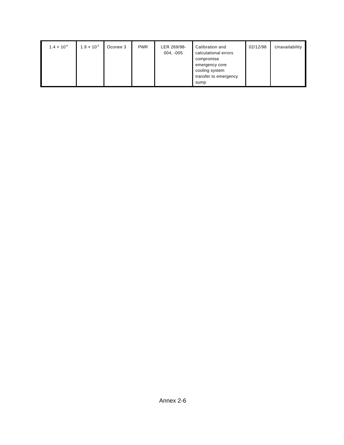| $1.4 \times 10^{-6}$ | $1.9 \times 10^{-5}$ | Oconee 3 | <b>PWR</b> | LER 269/98-<br>004, -005 | Calibration and<br>calculational errors<br>compromise<br>emergency core<br>cooling system<br>transfer to emergency<br>sump | 02/12/98 | Unavailability |
|----------------------|----------------------|----------|------------|--------------------------|----------------------------------------------------------------------------------------------------------------------------|----------|----------------|
|----------------------|----------------------|----------|------------|--------------------------|----------------------------------------------------------------------------------------------------------------------------|----------|----------------|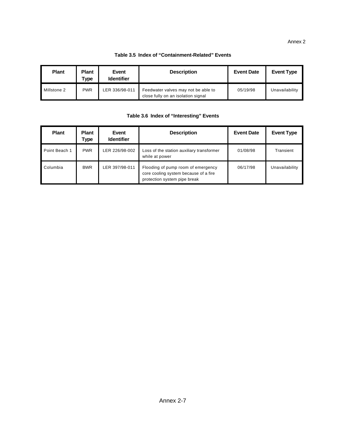#### Annex 2

#### **Table 3.5 Index of "Containment-Related" Events**

| <b>Plant</b> | <b>Plant</b><br>Type | Event<br><b>Identifier</b> | <b>Description</b>                                                        | <b>Event Date</b> | <b>Event Type</b> |
|--------------|----------------------|----------------------------|---------------------------------------------------------------------------|-------------------|-------------------|
| Millstone 2  | <b>PWR</b>           | LER 336/98-011             | Feedwater valves may not be able to<br>close fully on an isolation signal | 05/19/98          | Unavailability    |

#### **Table 3.6 Index of "Interesting" Events**

| <b>Plant</b>  | <b>Plant</b><br>Type | Event<br><b>Identifier</b> | <b>Description</b>                                                                                          | <b>Event Date</b> | <b>Event Type</b> |
|---------------|----------------------|----------------------------|-------------------------------------------------------------------------------------------------------------|-------------------|-------------------|
| Point Beach 1 | <b>PWR</b>           | LER 226/98-002             | Loss of the station auxiliary transformer<br>while at power                                                 | 01/08/98          | Transient         |
| Columbia      | <b>BWR</b>           | LER 397/98-011             | Flooding of pump room of emergency<br>core cooling system because of a fire<br>protection system pipe break | 06/17/98          | Unavailability    |